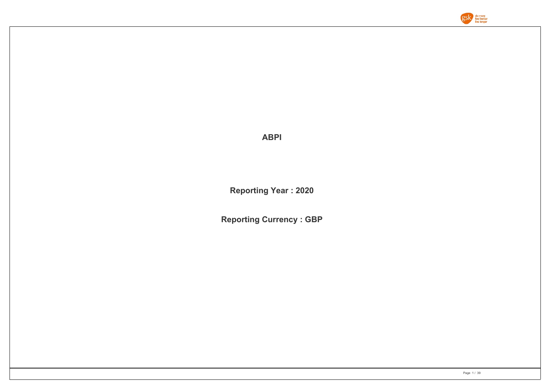

**ABPI**

**Reporting Year : 2020**

**Reporting Currency : GBP**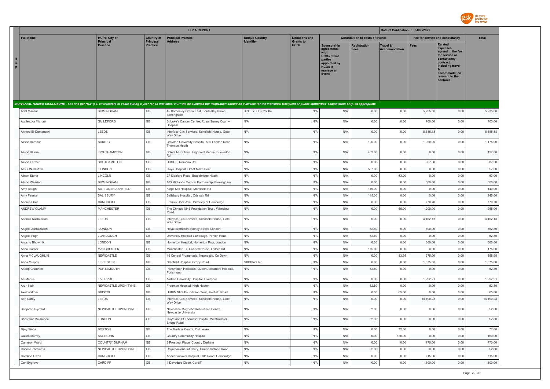

|                        |                     |                              |                              | <b>EFPIA REPORT</b>                                                                                                                                                                                                            |                                            |                                 |                                                                                                                      |                                        | Date of Publication : 04/08/2021 |           |                                                                                                                                                            |              |
|------------------------|---------------------|------------------------------|------------------------------|--------------------------------------------------------------------------------------------------------------------------------------------------------------------------------------------------------------------------------|--------------------------------------------|---------------------------------|----------------------------------------------------------------------------------------------------------------------|----------------------------------------|----------------------------------|-----------|------------------------------------------------------------------------------------------------------------------------------------------------------------|--------------|
|                        | <b>Full Name</b>    | <b>HCPs: City of</b>         | <b>Country of</b>            | <b>Principal Practice</b>                                                                                                                                                                                                      | <b>Unique Country</b><br><b>Identifier</b> | <b>Donations and</b>            |                                                                                                                      | <b>Contribution to costs of Events</b> |                                  |           | Fee for service and consultancy                                                                                                                            | <b>Total</b> |
| H<br>$\mathbf{C}$<br>P |                     | Principal<br><b>Practice</b> | Principal<br><b>Practice</b> | <b>Address</b>                                                                                                                                                                                                                 |                                            | <b>Grants to</b><br><b>HCOs</b> | Sponsorship<br>agreements<br>with<br>HCOs / third<br>parties<br>appointed by<br><b>HCOs to</b><br>manage an<br>Event | Registration<br><b>Fees</b>            | Travel &<br><b>Accommodation</b> | Fees      | Related<br>expenses<br>agreed in the fee<br>for service or<br>consultancy<br>contract,<br>including travel<br>accommodation<br>relevant to the<br>contract |              |
|                        |                     |                              |                              | INDIVIDUAL NAMED DISCLOSURE - one line per HCP (i.e. all transfers of value during a year for an individual HCP will be summed up: itemization should be available for the individual Recipient or public authorities' consult |                                            |                                 |                                                                                                                      |                                        |                                  |           |                                                                                                                                                            |              |
|                        | Adel Mansur         | <b>BIRMINGHAM</b>            | GB                           | 45 Bordesley Green East, Bordesley Green,<br>Birmingham                                                                                                                                                                        | BINLEYS ID-625084                          | N/A                             | N/A                                                                                                                  | 0.00                                   | 0.00                             | 5,235.00  | 0.00                                                                                                                                                       | 5,235.00     |
|                        | Agnieszka Michael   | <b>GUILDFORD</b>             | GB                           | St Luke's Cancer Centre, Royal Surrey County<br>Hospital                                                                                                                                                                       | N/A                                        | N/A                             | N/A                                                                                                                  | 0.00                                   | 0.00                             | 700.00    | 0.00                                                                                                                                                       | 700.00       |
|                        | Ahmed El-Damanawi   | LEEDS                        | GB                           | Interface Clin Services, Schofield House, Gate<br><b>Way Drive</b>                                                                                                                                                             | N/A                                        | N/A                             | N/A                                                                                                                  | 0.00                                   | 0.00                             | 8,385.18  | 0.00                                                                                                                                                       | 8,385.18     |
|                        | Alison Barbour      | <b>SURREY</b>                | GB                           | Croydon University Hospital, 530 London Road,<br>Thornton Heath                                                                                                                                                                | N/A                                        | N/A                             | N/A                                                                                                                  | 125.00                                 | 0.00                             | 1,050.00  | 0.00                                                                                                                                                       | 1,175.00     |
|                        | Alison Blume        | SOUTHAMPTON                  | GB                           | Solent NHS Trust, Highpoint Venue, Bursledon<br>Rd                                                                                                                                                                             | N/A                                        | N/A                             | N/A                                                                                                                  | 432.00                                 | 0.00                             | 0.00      | 0.00                                                                                                                                                       | 432.00       |
|                        | Alison Farmer       | SOUTHAMPTON                  | GB                           | UHSFT, Tremona Rd                                                                                                                                                                                                              | N/A                                        | N/A                             | N/A                                                                                                                  | 0.00                                   | 0.00                             | 987.50    | 0.00                                                                                                                                                       | 987.50       |
|                        | <b>ALISON GRANT</b> | LONDON                       | GB                           | Guys Hospital, Great Maze Pond                                                                                                                                                                                                 | N/A                                        | N/A                             | N/A                                                                                                                  | 557.00                                 | 0.00                             | 0.00      | 0.00                                                                                                                                                       | 557.00       |
|                        | Alison Storer       | LINCOLN                      | GB                           | 27 Sleaford Road, Bracebridge Heath                                                                                                                                                                                            | N/A                                        | N/A                             | N/A                                                                                                                  | 0.00                                   | 63.00                            | 0.00      | 0.00                                                                                                                                                       | 63.00        |
|                        | Alison Wearing      | <b>BIRMINGHAM</b>            | GB                           | 103 Midlands Medical Partnership, Birmingham                                                                                                                                                                                   | N/A                                        | N/A                             | N/A                                                                                                                  | 0.00                                   | 0.00                             | 600.00    | 0.00                                                                                                                                                       | 600.00       |
|                        | Amy Baugh           | SUTTON-IN-ASHFIELD           | GB                           | Kings Mill Hospital, Mansfield Rd                                                                                                                                                                                              | N/A                                        | N/A                             | N/A                                                                                                                  | 140.00                                 | 0.00                             | 0.00      | 0.00                                                                                                                                                       | 140.00       |
|                        | Amy Pearce          | SALISBURY                    | GB                           | Salisbury Hospital, Odstock Rd                                                                                                                                                                                                 | N/A                                        | N/A                             | N/A                                                                                                                  | 145.00                                 | 0.00                             | 0.00      | 0.00                                                                                                                                                       | 145.00       |
|                        | Andres Floto        | CAMBRIDGE                    | GB                           | Francis Crick Ave, University of Cambridge                                                                                                                                                                                     | N/A                                        | N/A                             | N/A                                                                                                                  | 0.00                                   | 0.00                             | 770.70    | 0.00                                                                                                                                                       | 770.70       |
|                        | <b>ANDREW CLAMP</b> | MANCHESTER                   | GB                           | The Christie NHS Foundation Trust, Wilmslow<br>Road                                                                                                                                                                            | N/A                                        | N/A                             | N/A                                                                                                                  | 0.00                                   | 65.00                            | 1,200.00  | 0.00                                                                                                                                                       | 1,265.00     |
|                        | Andrius Kazlauskas  | LEEDS                        | $\mathbb{G}\mathbb{B}$       | Interface Clin Services, Schofield House, Gate<br>Way Drive                                                                                                                                                                    | N/A                                        | N/A                             | N/A                                                                                                                  | 0.00                                   | 0.00                             | 4,462.13  | 0.00                                                                                                                                                       | 4,462.13     |
|                        | Angela Jamalzadeh   | LONDON                       | GB                           | Royal Brompton Sydney Street, London                                                                                                                                                                                           | N/A                                        | N/A                             | N/A                                                                                                                  | 52.80                                  | 0.00                             | 600.00    | 0.00                                                                                                                                                       | 652.80       |
|                        | Angela Pugh         | LLANDOUGH                    | GB                           | University Hospital Llandough, Penlan Road                                                                                                                                                                                     | N/A                                        | N/A                             | N/A                                                                                                                  | 52.80                                  | 0.00                             | 0.00      | 0.00                                                                                                                                                       | 52.80        |
|                        | Angshu Bhowmik      | LONDON                       | GB                           | Homerton Hospital, Homerton Row, London                                                                                                                                                                                        | N/A                                        | N/A                             | N/A                                                                                                                  | 0.00                                   | 0.00                             | 360.00    | 0.00                                                                                                                                                       | 360.00       |
|                        | Anna Garner         | <b>MANCHESTER</b>            | GB                           | Manchester FT, Cobbett House, Oxford Rd                                                                                                                                                                                        | N/A                                        | N/A                             | N/A                                                                                                                  | 175.00                                 | 0.00                             | 0.00      | 0.00                                                                                                                                                       | 175.00       |
|                        | Anna MCLAUGHLIN     | NEWCASTLE                    | GB                           | 49 Central Promenade, Newcastle, Co Down                                                                                                                                                                                       | N/A                                        | N/A                             | N/A                                                                                                                  | 0.00                                   | 83.95                            | 275.00    | 0.00                                                                                                                                                       | 358.95       |
|                        | Anna Murphy         | LEICESTER                    | GB                           | Glenfield Hospital, Groby Road                                                                                                                                                                                                 | GBBP577143                                 | N/A                             | N/A                                                                                                                  | 0.00                                   | 0.00                             | 1,875.00  | 0.00                                                                                                                                                       | 1,875.00     |
|                        | Anoop Chauhan       | PORTSMOUTH                   | GB                           | Portsmouth Hospitals, Queen Alexandra Hospital,<br>Portsmouth                                                                                                                                                                  | N/A                                        | N/A                             | N/A                                                                                                                  | 52.80                                  | 0.00                             | 0.00      | 0.00                                                                                                                                                       | 52.80        |
|                        | Ari Manuel          | LIVERPOOL                    | GB                           | Aintree University Hospital, Liverpool                                                                                                                                                                                         | N/A                                        | N/A                             | N/A                                                                                                                  | 0.00                                   | 0.00                             | 1,292.21  | 0.00                                                                                                                                                       | 1,292.21     |
|                        | Arun Nair           | NEWCASTLE UPON TYNE          | GB                           | Freeman Hospital, High Heaton                                                                                                                                                                                                  | N/A                                        | N/A                             | N/A                                                                                                                  | 52.80                                  | 0.00                             | 0.00      | 0.00                                                                                                                                                       | 52.80        |
|                        | Axel Walther        | <b>BRISTOL</b>               | GB                           | UHBW NHS Foundation Trust, Horfield Road                                                                                                                                                                                       | N/A                                        | N/A                             | N/A                                                                                                                  | 0.00                                   | 65.00                            | 0.00      | 0.00                                                                                                                                                       | 65.00        |
|                        | Ben Carey           | LEEDS                        | GB                           | Interface Clin Services, Schofield House, Gate<br>Way Drive                                                                                                                                                                    | N/A                                        | N/A                             | N/A                                                                                                                  | 0.00                                   | 0.00                             | 14,190.23 | 0.00                                                                                                                                                       | 14,190.23    |
|                        | Benjamin Pippard    | NEWCASTLE UPON TYNE          | GB                           | Newcastle Magnetic Resonance Centre,<br>Newcastle University                                                                                                                                                                   | N/A                                        | N/A                             | N/A                                                                                                                  | 52.80                                  | 0.00                             | 0.00      | 0.00                                                                                                                                                       | 52.80        |
|                        | Bhashkar Mukherjee  | LONDON                       | <b>GB</b>                    | Guy's and St Thomas' Hospital, Westminster<br><b>Bridge Road</b>                                                                                                                                                               | N/A                                        | N/A                             | N/A                                                                                                                  | 52.80                                  | 0.00                             | 0.00      | 0.00                                                                                                                                                       | 52.80        |
|                        | <b>Bijoy Sinha</b>  | <b>BOSTON</b>                | GB                           | The Medical Centre, Old Leake                                                                                                                                                                                                  | N/A                                        | N/A                             | N/A                                                                                                                  | 0.00                                   | 72.00                            | 0.00      | 0.00                                                                                                                                                       | 72.00        |
|                        | Calum Murray        | SALTBURN                     | GB                           | Country Community Hospital                                                                                                                                                                                                     | N/A                                        | N/A                             | N/A                                                                                                                  | 0.00                                   | 150.00                           | 0.00      | 0.00                                                                                                                                                       | 150.00       |
|                        | Cameron Ward        | COUNTRY DURHAM               | GB                           | 3 Prospect Place, Country Durham                                                                                                                                                                                               | N/A                                        | N/A                             | N/A                                                                                                                  | 0.00                                   | 0.00                             | 770.00    | 0.00                                                                                                                                                       | 770.00       |
|                        | Carlos Echevarria   | NEWCASTLE UPON TYNE          | GB                           | Royal Victoria Infirmary, Queen Victoria Road                                                                                                                                                                                  | N/A                                        | N/A                             | N/A                                                                                                                  | 52.80                                  | 0.00                             | 0.00      | 0.00                                                                                                                                                       | 52.80        |
|                        | Caroline Owen       | CAMBRIDGE                    | GB<br>GB                     | Addenbrooke's Hospital, Hills Road, Cambridge                                                                                                                                                                                  | N/A<br>N/A                                 | N/A                             | N/A                                                                                                                  | 0.00                                   | 0.00                             | 715.00    | 0.00                                                                                                                                                       | 715.00       |
|                        | Ceri Bygrave        | CARDIFF                      |                              | 1 Dovedale Close, Cardiff                                                                                                                                                                                                      |                                            | N/A                             | N/A                                                                                                                  | 0.00                                   | 0.00                             | 1,100.00  | 0.00                                                                                                                                                       | 1,100.00     |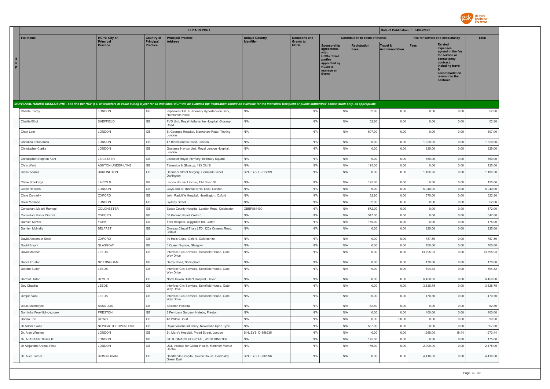

| <b>Full Name</b><br><b>HCPs: City of</b><br><b>Principal Practice</b><br><b>Unique Country</b><br><b>Donations and</b><br><b>Contribution to costs of Events</b><br>Fee for service and consultancy<br><b>Total</b><br><b>Country of</b><br><b>Principal</b><br>Principal<br><b>Grants to</b><br><b>Address</b><br><b>Identifier</b><br>Related<br><b>HCOs</b><br><b>Practice</b><br><b>Practice</b><br>Sponsorship<br><b>Fees</b><br><b>Registration</b><br><b>Travel &amp;</b><br>expenses<br>agreements<br><b>Fees</b><br><b>Accommodation</b><br>agreed in the fee<br>for service or<br>HCOs / third<br>consultancy<br>parties<br>contract.<br>appointed by<br>including travel<br><b>HCOs to</b><br>manage an<br>accommodation<br>Event<br>relevant to the<br>contract<br>INDIVIDUAL NAMED DISCLOSURE - one line per HCP (i.e. all transfers of value during a year for an individual HCP will be summed up: itemization should be available for the individual Recipient or public authorities' consult<br>LONDON<br>$\mathbb{G}\mathbb{B}$<br>N/A<br>N/A<br>N/A<br>52.80<br>0.00<br>0.00<br>0.00<br>52.80<br>Chantal Torpy<br>Imperial NHST, Pulmonary Hypertension Serv,<br>Hamrsmith Hospt<br>$\mathbb{G}\mathbb{B}$<br>Charlie Elliot<br>SHEFFIELD<br>PVD Unit, Royal Hallamshire Hospital, Glossop<br>N/A<br>N/A<br>N/A<br>52.80<br>0.00<br>0.00<br>0.00<br>52.80<br>Road<br>LONDON<br>GB<br>N/A<br>N/A<br>N/A<br>607.00<br>0.00<br>0.00<br>0.00<br>607.00<br>Chon Lam<br>St Georges Hospital, Blackshaw Road, Tooting,<br>London<br>GB<br>Christina Fotopoulou<br>LONDON<br>47 Bloemfontein Road, London<br>N/A<br>N/A<br>N/A<br>0.00<br>0.00<br>1,320.00<br>0.00<br>1,320.00<br>GB<br>Christopher Clarke<br>LONDON<br>Grahame Hayton Unit, Royal London Hospital,<br>N/A<br>N/A<br>N/A<br>0.00<br>0.00<br>825.00<br>0.00<br>825.00<br>London<br>$\mathbb{G}\mathbb{B}$<br>Christopher Stephen Kent<br>LEICESTER<br>Leicester Royal Infirmary, Infirmary Square<br>N/A<br>N/A<br>N/A<br>0.00<br>0.00<br>660.00<br>0.00<br>660.00<br>GB<br>N/A<br>125.00<br>Chris Ward<br>ASHTON-UNDER-LYNE<br>Tameside & Glossop, 193 Old St<br>N/A<br>N/A<br>0.00<br>0.00<br>0.00<br>125.00<br>$\mathbb{G}\mathbb{B}$<br>1,186.20<br><b>DARLINGTON</b><br>BINLEYS ID-513699<br>N/A<br>N/A<br>0.00<br>1,186.20<br>0.00<br>Claire Adams<br>Denmark Street Surgery, Denmark Street,<br>0.00<br>Darlington<br>GB<br>N/A<br>LINCOLN<br>Lindon House, Lincoln, 134 Dixon St<br>N/A<br>N/A<br>125.00<br>0.00<br>0.00<br>0.00<br>125.00<br><b>Claire Brookings</b><br>GB<br>LONDON<br>N/A<br>N/A<br>N/A<br>0.00<br>0.00<br>5.040.00<br>0.00<br>5.040.00<br>Guys and St Thomas NHS Trust, London<br><b>Claire Hopkins</b><br>GB<br>OXFORD<br>John Radcliffe Hospital, Headington, Oxford<br>N/A<br>N/A<br>N/A<br>52.80<br>0.00<br>570.00<br>0.00<br>622.80<br>Clare Connolly<br>GB<br>N/A<br>Colm McCabe<br>LONDON<br>Sydney Street<br>N/A<br>N/A<br>52.80<br>0.00<br>0.00<br>0.00<br>52.80<br>$\mathbb{G}\mathbb{B}$<br>Consultant Malaki Ramogi<br>COLCHESTER<br>Essex County Hospital, Lexden Road, Colchester<br>GBBP884400<br>N/A<br>N/A<br>572.00<br>0.00<br>0.00<br>0.00<br>572.00<br>$\mathbb{G}\mathbb{B}$<br>OXFORD<br>N/A<br>Consultant Paola Cicconi<br>50 Kennett Road, Oxdord<br>N/A<br>N/A<br>547.00<br>0.00<br>0.00<br>0.00<br>547.00<br>GB<br>N/A<br>175.00<br><b>YORK</b><br>N/A<br>N/A<br>175.00<br>0.00<br>0.00<br>0.00<br>Damian Mawer<br>York Hospital, Wigginton Rd, Clifton<br>$\mathbb{G}\mathbb{B}$<br>N/A<br><b>BELFAST</b><br>N/A<br>Damien McNally<br>Ormeau Clincal Trials LTD, 120a Ormeau Road,<br>N/A<br>0.00<br>0.00<br>225.00<br>0.00<br>225.00<br>Belfast<br>GB<br>N/A<br>0.00<br>787.50<br>OXFORD<br>10 Halls Close, Oxford, Oxfordshire<br>N/A<br>N/A<br>0.00<br>787.50<br>0.00<br>David Alexander Scott<br>GLASGOW<br>GB<br>N/A<br>0.00<br>700.00<br>0.00<br>700.00<br>N/A<br>N/A<br>0.00<br>David Brvant<br>5 Queen Square, Glasgow<br>GB<br>N/A<br>David Moohan<br>LEEDS<br>Interface Clin Services, Schofield House, Gate<br>N/A<br>N/A<br>0.00<br>0.00<br>13,795.93<br>0.00<br>13,795.93<br>Way Drive<br>GB<br><b>NOTTINGHAM</b><br>N/A<br>N/A<br>N/A<br>0.00<br>0.00<br>170.00<br>0.00<br>170.00<br>Debra Forster<br>Derby Road, Nottingham<br>GB<br>N/A<br>Deirdre Butler<br>LEEDS<br>Interface Clin Services, Schofield House, Gate<br>N/A<br>N/A<br>0.00<br>0.00<br>694.32<br>0.00<br>694.32<br>Way Drive<br>GB<br>N/A<br>N/A<br>0.00<br>6,450.00<br>6,450.00<br>Dermot Dalton<br>DEVON<br>North Devon District Hospital, Devon<br>N/A<br>0.00<br>0.00<br>GB<br>Dev Chadha<br>LEEDS<br>Interface Clin Services, Schofield House, Gate<br>N/A<br>N/A<br>N/A<br>0.00<br>0.00<br>3,528.75<br>0.00<br>3,528.75<br>Way Drive<br>LEEDS<br>GB<br>Interface Clin Services, Schofield House, Gate<br>N/A<br>N/A<br>N/A<br>0.00<br>0.00<br>470.50<br>0.00<br>470.50<br>Dimple Varu<br>Way Drive<br>GB<br>Dipak Mukherjee<br><b>BASILDON</b><br><b>Basildon Hospital</b><br>N/A<br>N/A<br>N/A<br>52.80<br>0.00<br>0.00<br>0.00<br>52.80<br>$\mathbb{G}\mathbb{B}$<br>Dominika Froehlich-Jeziorek<br><b>PRESTON</b><br>8 Fernbank Surgery, Nateby, Preston<br>N/A<br>N/A<br>N/A<br>0.00<br>0.00<br>400.00<br>0.00<br>400.00<br>$\mathbb{G}\mathbb{B}$<br>N/A<br>Donna Fox<br>COWBIT<br>48 Willow Court<br>N/A<br>N/A<br>0.00<br>90.90<br>0.00<br>0.00<br>90.90<br>GB<br>NEWCASTLE UPON TYNE<br>N/A<br>N/A<br>557.00<br>0.00<br>557.00<br>Dr Adam Evans<br>Royal Victoria Infirmary, Newcastle Upon Tyne<br>N/A<br>0.00<br>0.00<br>GB<br>LONDON<br>BINLEYS ID-556235<br>N/A<br>1,955.00<br>1,973.44<br>Dr. Alan Winston<br>N/A<br>0.00<br>0.00<br>18.44<br>St. Mary's Hospital, Praed Street, London<br>GB<br>Dr. ALASTAIR TEAGUE<br>LONDON<br>ST THOMAS'S HOSPITAL, WESTMINSTER<br>N/A<br>N/A<br>N/A<br>175.00<br>0.00<br>0.00<br>0.00<br>175.00<br>GB<br>Dr Alejandro Arenas-Pinto<br>LONDON<br>UCL Institute for Global Health, Mortimer Market<br>N/A<br>N/A<br>N/A<br>175.00<br>0.00<br>2,000.00<br>0.00<br>2,175.00<br>Centre<br><b>BIRMINGHAM</b><br>GB<br>BINLEYS ID-732996<br>N/A<br>0.00<br>4,416.00<br>4,416.00<br>Dr. Alice Turner<br>Heartlands Hospital, Devon House, Bordesley<br>N/A<br>0.00<br>0.00<br>Green East |                   |  | <b>EFPIA REPORT</b> |  |  | Date of Publication : 04/08/2021 |  |  |
|----------------------------------------------------------------------------------------------------------------------------------------------------------------------------------------------------------------------------------------------------------------------------------------------------------------------------------------------------------------------------------------------------------------------------------------------------------------------------------------------------------------------------------------------------------------------------------------------------------------------------------------------------------------------------------------------------------------------------------------------------------------------------------------------------------------------------------------------------------------------------------------------------------------------------------------------------------------------------------------------------------------------------------------------------------------------------------------------------------------------------------------------------------------------------------------------------------------------------------------------------------------------------------------------------------------------------------------------------------------------------------------------------------------------------------------------------------------------------------------------------------------------------------------------------------------------------------------------------------------------------------------------------------------------------------------------------------------------------------------------------------------------------------------------------------------------------------------------------------------------------------------------------------------------------------------------------------------------------------------------------------------------------------------------------------------------------------------------------------------------------------------------------------------------------------------------------------------------------------------------------------------------------------------------------------------------------------------------------------------------------------------------------------------------------------------------------------------------------------------------------------------------------------------------------------------------------------------------------------------------------------------------------------------------------------------------------------------------------------------------------------------------------------------------------------------------------------------------------------------------------------------------------------------------------------------------------------------------------------------------------------------------------------------------------------------------------------------------------------------------------------------------------------------------------------------------------------------------------------------------------------------------------------------------------------------------------------------------------------------------------------------------------------------------------------------------------------------------------------------------------------------------------------------------------------------------------------------------------------------------------------------------------------------------------------------------------------------------------------------------------------------------------------------------------------------------------------------------------------------------------------------------------------------------------------------------------------------------------------------------------------------------------------------------------------------------------------------------------------------------------------------------------------------------------------------------------------------------------------------------------------------------------------------------------------------------------------------------------------------------------------------------------------------------------------------------------------------------------------------------------------------------------------------------------------------------------------------------------------------------------------------------------------------------------------------------------------------------------------------------------------------------------------------------------------------------------------------------------------------------------------------------------------------------------------------------------------------------------------------------------------------------------------------------------------------------------------------------------------------------------------------------------------------------------------------------------------------------------------------------------------------------------------------------------------------------------------------------------------------------------------------------------------------------------------------------------------------------------------------------------------------------------------------------------------------------------------------------------------------------------------------------------------------------------------------------------------------------------------------------------------------------------------------------------------------------------------------------------------------------------------------------------------------------------------------------------------------------------------------------------------------------------------------------------------------------------------------------------------------------------------------------------------------------------------------------------------------------------------------------------------|-------------------|--|---------------------|--|--|----------------------------------|--|--|
|                                                                                                                                                                                                                                                                                                                                                                                                                                                                                                                                                                                                                                                                                                                                                                                                                                                                                                                                                                                                                                                                                                                                                                                                                                                                                                                                                                                                                                                                                                                                                                                                                                                                                                                                                                                                                                                                                                                                                                                                                                                                                                                                                                                                                                                                                                                                                                                                                                                                                                                                                                                                                                                                                                                                                                                                                                                                                                                                                                                                                                                                                                                                                                                                                                                                                                                                                                                                                                                                                                                                                                                                                                                                                                                                                                                                                                                                                                                                                                                                                                                                                                                                                                                                                                                                                                                                                                                                                                                                                                                                                                                                                                                                                                                                                                                                                                                                                                                                                                                                                                                                                                                                                                                                                                                                                                                                                                                                                                                                                                                                                                                                                                                                                                                                                                                                                                                                                                                                                                                                                                                                                                                                                                                                                                                          |                   |  |                     |  |  |                                  |  |  |
|                                                                                                                                                                                                                                                                                                                                                                                                                                                                                                                                                                                                                                                                                                                                                                                                                                                                                                                                                                                                                                                                                                                                                                                                                                                                                                                                                                                                                                                                                                                                                                                                                                                                                                                                                                                                                                                                                                                                                                                                                                                                                                                                                                                                                                                                                                                                                                                                                                                                                                                                                                                                                                                                                                                                                                                                                                                                                                                                                                                                                                                                                                                                                                                                                                                                                                                                                                                                                                                                                                                                                                                                                                                                                                                                                                                                                                                                                                                                                                                                                                                                                                                                                                                                                                                                                                                                                                                                                                                                                                                                                                                                                                                                                                                                                                                                                                                                                                                                                                                                                                                                                                                                                                                                                                                                                                                                                                                                                                                                                                                                                                                                                                                                                                                                                                                                                                                                                                                                                                                                                                                                                                                                                                                                                                                          | $\mathbf{c}$<br>P |  |                     |  |  |                                  |  |  |
|                                                                                                                                                                                                                                                                                                                                                                                                                                                                                                                                                                                                                                                                                                                                                                                                                                                                                                                                                                                                                                                                                                                                                                                                                                                                                                                                                                                                                                                                                                                                                                                                                                                                                                                                                                                                                                                                                                                                                                                                                                                                                                                                                                                                                                                                                                                                                                                                                                                                                                                                                                                                                                                                                                                                                                                                                                                                                                                                                                                                                                                                                                                                                                                                                                                                                                                                                                                                                                                                                                                                                                                                                                                                                                                                                                                                                                                                                                                                                                                                                                                                                                                                                                                                                                                                                                                                                                                                                                                                                                                                                                                                                                                                                                                                                                                                                                                                                                                                                                                                                                                                                                                                                                                                                                                                                                                                                                                                                                                                                                                                                                                                                                                                                                                                                                                                                                                                                                                                                                                                                                                                                                                                                                                                                                                          |                   |  |                     |  |  |                                  |  |  |
|                                                                                                                                                                                                                                                                                                                                                                                                                                                                                                                                                                                                                                                                                                                                                                                                                                                                                                                                                                                                                                                                                                                                                                                                                                                                                                                                                                                                                                                                                                                                                                                                                                                                                                                                                                                                                                                                                                                                                                                                                                                                                                                                                                                                                                                                                                                                                                                                                                                                                                                                                                                                                                                                                                                                                                                                                                                                                                                                                                                                                                                                                                                                                                                                                                                                                                                                                                                                                                                                                                                                                                                                                                                                                                                                                                                                                                                                                                                                                                                                                                                                                                                                                                                                                                                                                                                                                                                                                                                                                                                                                                                                                                                                                                                                                                                                                                                                                                                                                                                                                                                                                                                                                                                                                                                                                                                                                                                                                                                                                                                                                                                                                                                                                                                                                                                                                                                                                                                                                                                                                                                                                                                                                                                                                                                          |                   |  |                     |  |  |                                  |  |  |
|                                                                                                                                                                                                                                                                                                                                                                                                                                                                                                                                                                                                                                                                                                                                                                                                                                                                                                                                                                                                                                                                                                                                                                                                                                                                                                                                                                                                                                                                                                                                                                                                                                                                                                                                                                                                                                                                                                                                                                                                                                                                                                                                                                                                                                                                                                                                                                                                                                                                                                                                                                                                                                                                                                                                                                                                                                                                                                                                                                                                                                                                                                                                                                                                                                                                                                                                                                                                                                                                                                                                                                                                                                                                                                                                                                                                                                                                                                                                                                                                                                                                                                                                                                                                                                                                                                                                                                                                                                                                                                                                                                                                                                                                                                                                                                                                                                                                                                                                                                                                                                                                                                                                                                                                                                                                                                                                                                                                                                                                                                                                                                                                                                                                                                                                                                                                                                                                                                                                                                                                                                                                                                                                                                                                                                                          |                   |  |                     |  |  |                                  |  |  |
|                                                                                                                                                                                                                                                                                                                                                                                                                                                                                                                                                                                                                                                                                                                                                                                                                                                                                                                                                                                                                                                                                                                                                                                                                                                                                                                                                                                                                                                                                                                                                                                                                                                                                                                                                                                                                                                                                                                                                                                                                                                                                                                                                                                                                                                                                                                                                                                                                                                                                                                                                                                                                                                                                                                                                                                                                                                                                                                                                                                                                                                                                                                                                                                                                                                                                                                                                                                                                                                                                                                                                                                                                                                                                                                                                                                                                                                                                                                                                                                                                                                                                                                                                                                                                                                                                                                                                                                                                                                                                                                                                                                                                                                                                                                                                                                                                                                                                                                                                                                                                                                                                                                                                                                                                                                                                                                                                                                                                                                                                                                                                                                                                                                                                                                                                                                                                                                                                                                                                                                                                                                                                                                                                                                                                                                          |                   |  |                     |  |  |                                  |  |  |
|                                                                                                                                                                                                                                                                                                                                                                                                                                                                                                                                                                                                                                                                                                                                                                                                                                                                                                                                                                                                                                                                                                                                                                                                                                                                                                                                                                                                                                                                                                                                                                                                                                                                                                                                                                                                                                                                                                                                                                                                                                                                                                                                                                                                                                                                                                                                                                                                                                                                                                                                                                                                                                                                                                                                                                                                                                                                                                                                                                                                                                                                                                                                                                                                                                                                                                                                                                                                                                                                                                                                                                                                                                                                                                                                                                                                                                                                                                                                                                                                                                                                                                                                                                                                                                                                                                                                                                                                                                                                                                                                                                                                                                                                                                                                                                                                                                                                                                                                                                                                                                                                                                                                                                                                                                                                                                                                                                                                                                                                                                                                                                                                                                                                                                                                                                                                                                                                                                                                                                                                                                                                                                                                                                                                                                                          |                   |  |                     |  |  |                                  |  |  |
|                                                                                                                                                                                                                                                                                                                                                                                                                                                                                                                                                                                                                                                                                                                                                                                                                                                                                                                                                                                                                                                                                                                                                                                                                                                                                                                                                                                                                                                                                                                                                                                                                                                                                                                                                                                                                                                                                                                                                                                                                                                                                                                                                                                                                                                                                                                                                                                                                                                                                                                                                                                                                                                                                                                                                                                                                                                                                                                                                                                                                                                                                                                                                                                                                                                                                                                                                                                                                                                                                                                                                                                                                                                                                                                                                                                                                                                                                                                                                                                                                                                                                                                                                                                                                                                                                                                                                                                                                                                                                                                                                                                                                                                                                                                                                                                                                                                                                                                                                                                                                                                                                                                                                                                                                                                                                                                                                                                                                                                                                                                                                                                                                                                                                                                                                                                                                                                                                                                                                                                                                                                                                                                                                                                                                                                          |                   |  |                     |  |  |                                  |  |  |
|                                                                                                                                                                                                                                                                                                                                                                                                                                                                                                                                                                                                                                                                                                                                                                                                                                                                                                                                                                                                                                                                                                                                                                                                                                                                                                                                                                                                                                                                                                                                                                                                                                                                                                                                                                                                                                                                                                                                                                                                                                                                                                                                                                                                                                                                                                                                                                                                                                                                                                                                                                                                                                                                                                                                                                                                                                                                                                                                                                                                                                                                                                                                                                                                                                                                                                                                                                                                                                                                                                                                                                                                                                                                                                                                                                                                                                                                                                                                                                                                                                                                                                                                                                                                                                                                                                                                                                                                                                                                                                                                                                                                                                                                                                                                                                                                                                                                                                                                                                                                                                                                                                                                                                                                                                                                                                                                                                                                                                                                                                                                                                                                                                                                                                                                                                                                                                                                                                                                                                                                                                                                                                                                                                                                                                                          |                   |  |                     |  |  |                                  |  |  |
|                                                                                                                                                                                                                                                                                                                                                                                                                                                                                                                                                                                                                                                                                                                                                                                                                                                                                                                                                                                                                                                                                                                                                                                                                                                                                                                                                                                                                                                                                                                                                                                                                                                                                                                                                                                                                                                                                                                                                                                                                                                                                                                                                                                                                                                                                                                                                                                                                                                                                                                                                                                                                                                                                                                                                                                                                                                                                                                                                                                                                                                                                                                                                                                                                                                                                                                                                                                                                                                                                                                                                                                                                                                                                                                                                                                                                                                                                                                                                                                                                                                                                                                                                                                                                                                                                                                                                                                                                                                                                                                                                                                                                                                                                                                                                                                                                                                                                                                                                                                                                                                                                                                                                                                                                                                                                                                                                                                                                                                                                                                                                                                                                                                                                                                                                                                                                                                                                                                                                                                                                                                                                                                                                                                                                                                          |                   |  |                     |  |  |                                  |  |  |
|                                                                                                                                                                                                                                                                                                                                                                                                                                                                                                                                                                                                                                                                                                                                                                                                                                                                                                                                                                                                                                                                                                                                                                                                                                                                                                                                                                                                                                                                                                                                                                                                                                                                                                                                                                                                                                                                                                                                                                                                                                                                                                                                                                                                                                                                                                                                                                                                                                                                                                                                                                                                                                                                                                                                                                                                                                                                                                                                                                                                                                                                                                                                                                                                                                                                                                                                                                                                                                                                                                                                                                                                                                                                                                                                                                                                                                                                                                                                                                                                                                                                                                                                                                                                                                                                                                                                                                                                                                                                                                                                                                                                                                                                                                                                                                                                                                                                                                                                                                                                                                                                                                                                                                                                                                                                                                                                                                                                                                                                                                                                                                                                                                                                                                                                                                                                                                                                                                                                                                                                                                                                                                                                                                                                                                                          |                   |  |                     |  |  |                                  |  |  |
|                                                                                                                                                                                                                                                                                                                                                                                                                                                                                                                                                                                                                                                                                                                                                                                                                                                                                                                                                                                                                                                                                                                                                                                                                                                                                                                                                                                                                                                                                                                                                                                                                                                                                                                                                                                                                                                                                                                                                                                                                                                                                                                                                                                                                                                                                                                                                                                                                                                                                                                                                                                                                                                                                                                                                                                                                                                                                                                                                                                                                                                                                                                                                                                                                                                                                                                                                                                                                                                                                                                                                                                                                                                                                                                                                                                                                                                                                                                                                                                                                                                                                                                                                                                                                                                                                                                                                                                                                                                                                                                                                                                                                                                                                                                                                                                                                                                                                                                                                                                                                                                                                                                                                                                                                                                                                                                                                                                                                                                                                                                                                                                                                                                                                                                                                                                                                                                                                                                                                                                                                                                                                                                                                                                                                                                          |                   |  |                     |  |  |                                  |  |  |
|                                                                                                                                                                                                                                                                                                                                                                                                                                                                                                                                                                                                                                                                                                                                                                                                                                                                                                                                                                                                                                                                                                                                                                                                                                                                                                                                                                                                                                                                                                                                                                                                                                                                                                                                                                                                                                                                                                                                                                                                                                                                                                                                                                                                                                                                                                                                                                                                                                                                                                                                                                                                                                                                                                                                                                                                                                                                                                                                                                                                                                                                                                                                                                                                                                                                                                                                                                                                                                                                                                                                                                                                                                                                                                                                                                                                                                                                                                                                                                                                                                                                                                                                                                                                                                                                                                                                                                                                                                                                                                                                                                                                                                                                                                                                                                                                                                                                                                                                                                                                                                                                                                                                                                                                                                                                                                                                                                                                                                                                                                                                                                                                                                                                                                                                                                                                                                                                                                                                                                                                                                                                                                                                                                                                                                                          |                   |  |                     |  |  |                                  |  |  |
|                                                                                                                                                                                                                                                                                                                                                                                                                                                                                                                                                                                                                                                                                                                                                                                                                                                                                                                                                                                                                                                                                                                                                                                                                                                                                                                                                                                                                                                                                                                                                                                                                                                                                                                                                                                                                                                                                                                                                                                                                                                                                                                                                                                                                                                                                                                                                                                                                                                                                                                                                                                                                                                                                                                                                                                                                                                                                                                                                                                                                                                                                                                                                                                                                                                                                                                                                                                                                                                                                                                                                                                                                                                                                                                                                                                                                                                                                                                                                                                                                                                                                                                                                                                                                                                                                                                                                                                                                                                                                                                                                                                                                                                                                                                                                                                                                                                                                                                                                                                                                                                                                                                                                                                                                                                                                                                                                                                                                                                                                                                                                                                                                                                                                                                                                                                                                                                                                                                                                                                                                                                                                                                                                                                                                                                          |                   |  |                     |  |  |                                  |  |  |
|                                                                                                                                                                                                                                                                                                                                                                                                                                                                                                                                                                                                                                                                                                                                                                                                                                                                                                                                                                                                                                                                                                                                                                                                                                                                                                                                                                                                                                                                                                                                                                                                                                                                                                                                                                                                                                                                                                                                                                                                                                                                                                                                                                                                                                                                                                                                                                                                                                                                                                                                                                                                                                                                                                                                                                                                                                                                                                                                                                                                                                                                                                                                                                                                                                                                                                                                                                                                                                                                                                                                                                                                                                                                                                                                                                                                                                                                                                                                                                                                                                                                                                                                                                                                                                                                                                                                                                                                                                                                                                                                                                                                                                                                                                                                                                                                                                                                                                                                                                                                                                                                                                                                                                                                                                                                                                                                                                                                                                                                                                                                                                                                                                                                                                                                                                                                                                                                                                                                                                                                                                                                                                                                                                                                                                                          |                   |  |                     |  |  |                                  |  |  |
|                                                                                                                                                                                                                                                                                                                                                                                                                                                                                                                                                                                                                                                                                                                                                                                                                                                                                                                                                                                                                                                                                                                                                                                                                                                                                                                                                                                                                                                                                                                                                                                                                                                                                                                                                                                                                                                                                                                                                                                                                                                                                                                                                                                                                                                                                                                                                                                                                                                                                                                                                                                                                                                                                                                                                                                                                                                                                                                                                                                                                                                                                                                                                                                                                                                                                                                                                                                                                                                                                                                                                                                                                                                                                                                                                                                                                                                                                                                                                                                                                                                                                                                                                                                                                                                                                                                                                                                                                                                                                                                                                                                                                                                                                                                                                                                                                                                                                                                                                                                                                                                                                                                                                                                                                                                                                                                                                                                                                                                                                                                                                                                                                                                                                                                                                                                                                                                                                                                                                                                                                                                                                                                                                                                                                                                          |                   |  |                     |  |  |                                  |  |  |
|                                                                                                                                                                                                                                                                                                                                                                                                                                                                                                                                                                                                                                                                                                                                                                                                                                                                                                                                                                                                                                                                                                                                                                                                                                                                                                                                                                                                                                                                                                                                                                                                                                                                                                                                                                                                                                                                                                                                                                                                                                                                                                                                                                                                                                                                                                                                                                                                                                                                                                                                                                                                                                                                                                                                                                                                                                                                                                                                                                                                                                                                                                                                                                                                                                                                                                                                                                                                                                                                                                                                                                                                                                                                                                                                                                                                                                                                                                                                                                                                                                                                                                                                                                                                                                                                                                                                                                                                                                                                                                                                                                                                                                                                                                                                                                                                                                                                                                                                                                                                                                                                                                                                                                                                                                                                                                                                                                                                                                                                                                                                                                                                                                                                                                                                                                                                                                                                                                                                                                                                                                                                                                                                                                                                                                                          |                   |  |                     |  |  |                                  |  |  |
|                                                                                                                                                                                                                                                                                                                                                                                                                                                                                                                                                                                                                                                                                                                                                                                                                                                                                                                                                                                                                                                                                                                                                                                                                                                                                                                                                                                                                                                                                                                                                                                                                                                                                                                                                                                                                                                                                                                                                                                                                                                                                                                                                                                                                                                                                                                                                                                                                                                                                                                                                                                                                                                                                                                                                                                                                                                                                                                                                                                                                                                                                                                                                                                                                                                                                                                                                                                                                                                                                                                                                                                                                                                                                                                                                                                                                                                                                                                                                                                                                                                                                                                                                                                                                                                                                                                                                                                                                                                                                                                                                                                                                                                                                                                                                                                                                                                                                                                                                                                                                                                                                                                                                                                                                                                                                                                                                                                                                                                                                                                                                                                                                                                                                                                                                                                                                                                                                                                                                                                                                                                                                                                                                                                                                                                          |                   |  |                     |  |  |                                  |  |  |
|                                                                                                                                                                                                                                                                                                                                                                                                                                                                                                                                                                                                                                                                                                                                                                                                                                                                                                                                                                                                                                                                                                                                                                                                                                                                                                                                                                                                                                                                                                                                                                                                                                                                                                                                                                                                                                                                                                                                                                                                                                                                                                                                                                                                                                                                                                                                                                                                                                                                                                                                                                                                                                                                                                                                                                                                                                                                                                                                                                                                                                                                                                                                                                                                                                                                                                                                                                                                                                                                                                                                                                                                                                                                                                                                                                                                                                                                                                                                                                                                                                                                                                                                                                                                                                                                                                                                                                                                                                                                                                                                                                                                                                                                                                                                                                                                                                                                                                                                                                                                                                                                                                                                                                                                                                                                                                                                                                                                                                                                                                                                                                                                                                                                                                                                                                                                                                                                                                                                                                                                                                                                                                                                                                                                                                                          |                   |  |                     |  |  |                                  |  |  |
|                                                                                                                                                                                                                                                                                                                                                                                                                                                                                                                                                                                                                                                                                                                                                                                                                                                                                                                                                                                                                                                                                                                                                                                                                                                                                                                                                                                                                                                                                                                                                                                                                                                                                                                                                                                                                                                                                                                                                                                                                                                                                                                                                                                                                                                                                                                                                                                                                                                                                                                                                                                                                                                                                                                                                                                                                                                                                                                                                                                                                                                                                                                                                                                                                                                                                                                                                                                                                                                                                                                                                                                                                                                                                                                                                                                                                                                                                                                                                                                                                                                                                                                                                                                                                                                                                                                                                                                                                                                                                                                                                                                                                                                                                                                                                                                                                                                                                                                                                                                                                                                                                                                                                                                                                                                                                                                                                                                                                                                                                                                                                                                                                                                                                                                                                                                                                                                                                                                                                                                                                                                                                                                                                                                                                                                          |                   |  |                     |  |  |                                  |  |  |
|                                                                                                                                                                                                                                                                                                                                                                                                                                                                                                                                                                                                                                                                                                                                                                                                                                                                                                                                                                                                                                                                                                                                                                                                                                                                                                                                                                                                                                                                                                                                                                                                                                                                                                                                                                                                                                                                                                                                                                                                                                                                                                                                                                                                                                                                                                                                                                                                                                                                                                                                                                                                                                                                                                                                                                                                                                                                                                                                                                                                                                                                                                                                                                                                                                                                                                                                                                                                                                                                                                                                                                                                                                                                                                                                                                                                                                                                                                                                                                                                                                                                                                                                                                                                                                                                                                                                                                                                                                                                                                                                                                                                                                                                                                                                                                                                                                                                                                                                                                                                                                                                                                                                                                                                                                                                                                                                                                                                                                                                                                                                                                                                                                                                                                                                                                                                                                                                                                                                                                                                                                                                                                                                                                                                                                                          |                   |  |                     |  |  |                                  |  |  |
|                                                                                                                                                                                                                                                                                                                                                                                                                                                                                                                                                                                                                                                                                                                                                                                                                                                                                                                                                                                                                                                                                                                                                                                                                                                                                                                                                                                                                                                                                                                                                                                                                                                                                                                                                                                                                                                                                                                                                                                                                                                                                                                                                                                                                                                                                                                                                                                                                                                                                                                                                                                                                                                                                                                                                                                                                                                                                                                                                                                                                                                                                                                                                                                                                                                                                                                                                                                                                                                                                                                                                                                                                                                                                                                                                                                                                                                                                                                                                                                                                                                                                                                                                                                                                                                                                                                                                                                                                                                                                                                                                                                                                                                                                                                                                                                                                                                                                                                                                                                                                                                                                                                                                                                                                                                                                                                                                                                                                                                                                                                                                                                                                                                                                                                                                                                                                                                                                                                                                                                                                                                                                                                                                                                                                                                          |                   |  |                     |  |  |                                  |  |  |
|                                                                                                                                                                                                                                                                                                                                                                                                                                                                                                                                                                                                                                                                                                                                                                                                                                                                                                                                                                                                                                                                                                                                                                                                                                                                                                                                                                                                                                                                                                                                                                                                                                                                                                                                                                                                                                                                                                                                                                                                                                                                                                                                                                                                                                                                                                                                                                                                                                                                                                                                                                                                                                                                                                                                                                                                                                                                                                                                                                                                                                                                                                                                                                                                                                                                                                                                                                                                                                                                                                                                                                                                                                                                                                                                                                                                                                                                                                                                                                                                                                                                                                                                                                                                                                                                                                                                                                                                                                                                                                                                                                                                                                                                                                                                                                                                                                                                                                                                                                                                                                                                                                                                                                                                                                                                                                                                                                                                                                                                                                                                                                                                                                                                                                                                                                                                                                                                                                                                                                                                                                                                                                                                                                                                                                                          |                   |  |                     |  |  |                                  |  |  |
|                                                                                                                                                                                                                                                                                                                                                                                                                                                                                                                                                                                                                                                                                                                                                                                                                                                                                                                                                                                                                                                                                                                                                                                                                                                                                                                                                                                                                                                                                                                                                                                                                                                                                                                                                                                                                                                                                                                                                                                                                                                                                                                                                                                                                                                                                                                                                                                                                                                                                                                                                                                                                                                                                                                                                                                                                                                                                                                                                                                                                                                                                                                                                                                                                                                                                                                                                                                                                                                                                                                                                                                                                                                                                                                                                                                                                                                                                                                                                                                                                                                                                                                                                                                                                                                                                                                                                                                                                                                                                                                                                                                                                                                                                                                                                                                                                                                                                                                                                                                                                                                                                                                                                                                                                                                                                                                                                                                                                                                                                                                                                                                                                                                                                                                                                                                                                                                                                                                                                                                                                                                                                                                                                                                                                                                          |                   |  |                     |  |  |                                  |  |  |
|                                                                                                                                                                                                                                                                                                                                                                                                                                                                                                                                                                                                                                                                                                                                                                                                                                                                                                                                                                                                                                                                                                                                                                                                                                                                                                                                                                                                                                                                                                                                                                                                                                                                                                                                                                                                                                                                                                                                                                                                                                                                                                                                                                                                                                                                                                                                                                                                                                                                                                                                                                                                                                                                                                                                                                                                                                                                                                                                                                                                                                                                                                                                                                                                                                                                                                                                                                                                                                                                                                                                                                                                                                                                                                                                                                                                                                                                                                                                                                                                                                                                                                                                                                                                                                                                                                                                                                                                                                                                                                                                                                                                                                                                                                                                                                                                                                                                                                                                                                                                                                                                                                                                                                                                                                                                                                                                                                                                                                                                                                                                                                                                                                                                                                                                                                                                                                                                                                                                                                                                                                                                                                                                                                                                                                                          |                   |  |                     |  |  |                                  |  |  |
|                                                                                                                                                                                                                                                                                                                                                                                                                                                                                                                                                                                                                                                                                                                                                                                                                                                                                                                                                                                                                                                                                                                                                                                                                                                                                                                                                                                                                                                                                                                                                                                                                                                                                                                                                                                                                                                                                                                                                                                                                                                                                                                                                                                                                                                                                                                                                                                                                                                                                                                                                                                                                                                                                                                                                                                                                                                                                                                                                                                                                                                                                                                                                                                                                                                                                                                                                                                                                                                                                                                                                                                                                                                                                                                                                                                                                                                                                                                                                                                                                                                                                                                                                                                                                                                                                                                                                                                                                                                                                                                                                                                                                                                                                                                                                                                                                                                                                                                                                                                                                                                                                                                                                                                                                                                                                                                                                                                                                                                                                                                                                                                                                                                                                                                                                                                                                                                                                                                                                                                                                                                                                                                                                                                                                                                          |                   |  |                     |  |  |                                  |  |  |
|                                                                                                                                                                                                                                                                                                                                                                                                                                                                                                                                                                                                                                                                                                                                                                                                                                                                                                                                                                                                                                                                                                                                                                                                                                                                                                                                                                                                                                                                                                                                                                                                                                                                                                                                                                                                                                                                                                                                                                                                                                                                                                                                                                                                                                                                                                                                                                                                                                                                                                                                                                                                                                                                                                                                                                                                                                                                                                                                                                                                                                                                                                                                                                                                                                                                                                                                                                                                                                                                                                                                                                                                                                                                                                                                                                                                                                                                                                                                                                                                                                                                                                                                                                                                                                                                                                                                                                                                                                                                                                                                                                                                                                                                                                                                                                                                                                                                                                                                                                                                                                                                                                                                                                                                                                                                                                                                                                                                                                                                                                                                                                                                                                                                                                                                                                                                                                                                                                                                                                                                                                                                                                                                                                                                                                                          |                   |  |                     |  |  |                                  |  |  |
|                                                                                                                                                                                                                                                                                                                                                                                                                                                                                                                                                                                                                                                                                                                                                                                                                                                                                                                                                                                                                                                                                                                                                                                                                                                                                                                                                                                                                                                                                                                                                                                                                                                                                                                                                                                                                                                                                                                                                                                                                                                                                                                                                                                                                                                                                                                                                                                                                                                                                                                                                                                                                                                                                                                                                                                                                                                                                                                                                                                                                                                                                                                                                                                                                                                                                                                                                                                                                                                                                                                                                                                                                                                                                                                                                                                                                                                                                                                                                                                                                                                                                                                                                                                                                                                                                                                                                                                                                                                                                                                                                                                                                                                                                                                                                                                                                                                                                                                                                                                                                                                                                                                                                                                                                                                                                                                                                                                                                                                                                                                                                                                                                                                                                                                                                                                                                                                                                                                                                                                                                                                                                                                                                                                                                                                          |                   |  |                     |  |  |                                  |  |  |
|                                                                                                                                                                                                                                                                                                                                                                                                                                                                                                                                                                                                                                                                                                                                                                                                                                                                                                                                                                                                                                                                                                                                                                                                                                                                                                                                                                                                                                                                                                                                                                                                                                                                                                                                                                                                                                                                                                                                                                                                                                                                                                                                                                                                                                                                                                                                                                                                                                                                                                                                                                                                                                                                                                                                                                                                                                                                                                                                                                                                                                                                                                                                                                                                                                                                                                                                                                                                                                                                                                                                                                                                                                                                                                                                                                                                                                                                                                                                                                                                                                                                                                                                                                                                                                                                                                                                                                                                                                                                                                                                                                                                                                                                                                                                                                                                                                                                                                                                                                                                                                                                                                                                                                                                                                                                                                                                                                                                                                                                                                                                                                                                                                                                                                                                                                                                                                                                                                                                                                                                                                                                                                                                                                                                                                                          |                   |  |                     |  |  |                                  |  |  |
|                                                                                                                                                                                                                                                                                                                                                                                                                                                                                                                                                                                                                                                                                                                                                                                                                                                                                                                                                                                                                                                                                                                                                                                                                                                                                                                                                                                                                                                                                                                                                                                                                                                                                                                                                                                                                                                                                                                                                                                                                                                                                                                                                                                                                                                                                                                                                                                                                                                                                                                                                                                                                                                                                                                                                                                                                                                                                                                                                                                                                                                                                                                                                                                                                                                                                                                                                                                                                                                                                                                                                                                                                                                                                                                                                                                                                                                                                                                                                                                                                                                                                                                                                                                                                                                                                                                                                                                                                                                                                                                                                                                                                                                                                                                                                                                                                                                                                                                                                                                                                                                                                                                                                                                                                                                                                                                                                                                                                                                                                                                                                                                                                                                                                                                                                                                                                                                                                                                                                                                                                                                                                                                                                                                                                                                          |                   |  |                     |  |  |                                  |  |  |
|                                                                                                                                                                                                                                                                                                                                                                                                                                                                                                                                                                                                                                                                                                                                                                                                                                                                                                                                                                                                                                                                                                                                                                                                                                                                                                                                                                                                                                                                                                                                                                                                                                                                                                                                                                                                                                                                                                                                                                                                                                                                                                                                                                                                                                                                                                                                                                                                                                                                                                                                                                                                                                                                                                                                                                                                                                                                                                                                                                                                                                                                                                                                                                                                                                                                                                                                                                                                                                                                                                                                                                                                                                                                                                                                                                                                                                                                                                                                                                                                                                                                                                                                                                                                                                                                                                                                                                                                                                                                                                                                                                                                                                                                                                                                                                                                                                                                                                                                                                                                                                                                                                                                                                                                                                                                                                                                                                                                                                                                                                                                                                                                                                                                                                                                                                                                                                                                                                                                                                                                                                                                                                                                                                                                                                                          |                   |  |                     |  |  |                                  |  |  |
|                                                                                                                                                                                                                                                                                                                                                                                                                                                                                                                                                                                                                                                                                                                                                                                                                                                                                                                                                                                                                                                                                                                                                                                                                                                                                                                                                                                                                                                                                                                                                                                                                                                                                                                                                                                                                                                                                                                                                                                                                                                                                                                                                                                                                                                                                                                                                                                                                                                                                                                                                                                                                                                                                                                                                                                                                                                                                                                                                                                                                                                                                                                                                                                                                                                                                                                                                                                                                                                                                                                                                                                                                                                                                                                                                                                                                                                                                                                                                                                                                                                                                                                                                                                                                                                                                                                                                                                                                                                                                                                                                                                                                                                                                                                                                                                                                                                                                                                                                                                                                                                                                                                                                                                                                                                                                                                                                                                                                                                                                                                                                                                                                                                                                                                                                                                                                                                                                                                                                                                                                                                                                                                                                                                                                                                          |                   |  |                     |  |  |                                  |  |  |
|                                                                                                                                                                                                                                                                                                                                                                                                                                                                                                                                                                                                                                                                                                                                                                                                                                                                                                                                                                                                                                                                                                                                                                                                                                                                                                                                                                                                                                                                                                                                                                                                                                                                                                                                                                                                                                                                                                                                                                                                                                                                                                                                                                                                                                                                                                                                                                                                                                                                                                                                                                                                                                                                                                                                                                                                                                                                                                                                                                                                                                                                                                                                                                                                                                                                                                                                                                                                                                                                                                                                                                                                                                                                                                                                                                                                                                                                                                                                                                                                                                                                                                                                                                                                                                                                                                                                                                                                                                                                                                                                                                                                                                                                                                                                                                                                                                                                                                                                                                                                                                                                                                                                                                                                                                                                                                                                                                                                                                                                                                                                                                                                                                                                                                                                                                                                                                                                                                                                                                                                                                                                                                                                                                                                                                                          |                   |  |                     |  |  |                                  |  |  |
|                                                                                                                                                                                                                                                                                                                                                                                                                                                                                                                                                                                                                                                                                                                                                                                                                                                                                                                                                                                                                                                                                                                                                                                                                                                                                                                                                                                                                                                                                                                                                                                                                                                                                                                                                                                                                                                                                                                                                                                                                                                                                                                                                                                                                                                                                                                                                                                                                                                                                                                                                                                                                                                                                                                                                                                                                                                                                                                                                                                                                                                                                                                                                                                                                                                                                                                                                                                                                                                                                                                                                                                                                                                                                                                                                                                                                                                                                                                                                                                                                                                                                                                                                                                                                                                                                                                                                                                                                                                                                                                                                                                                                                                                                                                                                                                                                                                                                                                                                                                                                                                                                                                                                                                                                                                                                                                                                                                                                                                                                                                                                                                                                                                                                                                                                                                                                                                                                                                                                                                                                                                                                                                                                                                                                                                          |                   |  |                     |  |  |                                  |  |  |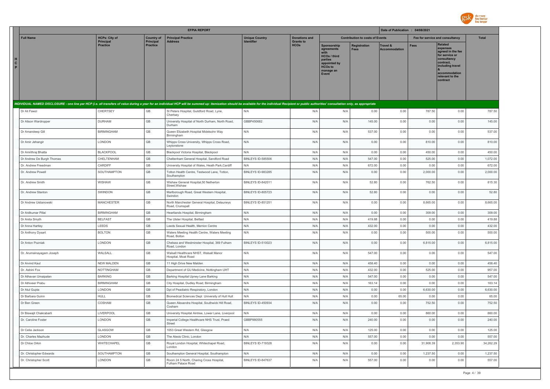

|                        |                           |                                     |                              | <b>EFPIA REPORT</b>                                                                                                                                                                                                            |                          |                                 |                                                                                                                      |                                        | Date of Publication : 04/08/2021 |             |                                                                                                                                                                   |              |
|------------------------|---------------------------|-------------------------------------|------------------------------|--------------------------------------------------------------------------------------------------------------------------------------------------------------------------------------------------------------------------------|--------------------------|---------------------------------|----------------------------------------------------------------------------------------------------------------------|----------------------------------------|----------------------------------|-------------|-------------------------------------------------------------------------------------------------------------------------------------------------------------------|--------------|
| <b>Full Name</b>       |                           | <b>HCPs: City of</b>                | <b>Country of</b>            | <b>Principal Practice</b>                                                                                                                                                                                                      | <b>Unique Country</b>    | <b>Donations and</b>            |                                                                                                                      | <b>Contribution to costs of Events</b> |                                  |             | Fee for service and consultancy                                                                                                                                   | <b>Total</b> |
| H<br>$\mathbf{c}$<br>P |                           | <b>Principal</b><br><b>Practice</b> | Principal<br><b>Practice</b> | <b>Address</b>                                                                                                                                                                                                                 | <b>Identifier</b>        | <b>Grants to</b><br><b>HCOs</b> | Sponsorship<br>agreements<br>with<br>HCOs / third<br>parties<br>appointed by<br><b>HCOs to</b><br>manage an<br>Event | Registration<br><b>Fees</b>            | Travel &<br><b>Accommodation</b> | <b>Fees</b> | <b>Related</b><br>expenses<br>agreed in the fee<br>for service or<br>consultancy<br>contract,<br>including travel<br>accommodation<br>relevant to the<br>contract |              |
|                        |                           |                                     |                              | INDIVIDUAL NAMED DISCLOSURE - one line per HCP (i.e. all transfers of value during a year for an individual HCP will be summed up: itemization should be available for the individual Recipient or public authorities' consult |                          |                                 |                                                                                                                      |                                        |                                  |             |                                                                                                                                                                   |              |
| Dr Ali Fawzi           |                           | CHERTSEY                            | $\mathbb{G}\mathbb{B}$       | St Peters Hospital, Guildford Road, Lyne,<br>Chertsey                                                                                                                                                                          | N/A                      | N/A                             | N/A                                                                                                                  | 0.00                                   | 0.00                             | 787.50      | 0.00                                                                                                                                                              | 787.50       |
|                        | Dr Alison Wardropper      | <b>DURHAM</b>                       | GB                           | University Hospital of North Durham, North Road,<br>Durham                                                                                                                                                                     | GBBP450682               | N/A                             | N/A                                                                                                                  | 145.00                                 | 0.00                             | 0.00        | 0.00                                                                                                                                                              | 145.00       |
| Dr Amandeep Gill       |                           | <b>BIRMINGHAM</b>                   | $\mathsf{GB}$                | Queen Elizabeth Hospital Midelsohn Way<br>Birmingham                                                                                                                                                                           | N/A                      | N/A                             | N/A                                                                                                                  | 537.00                                 | 0.00                             | 0.00        | 0.00                                                                                                                                                              | 537.00       |
| Dr Amir Jehangir       |                           | LONDON                              | GB                           | Whipps Cross University, Whipps Cross Road,<br>Leytonstone                                                                                                                                                                     | N/A                      | N/A                             | N/A                                                                                                                  | 0.00                                   | 0.00                             | 810.00      | 0.00                                                                                                                                                              | 810.00       |
|                        | Dr Amrithraj Bhatta       | <b>BLACKPOOL</b>                    | GB                           | Blackpool Victoria Hospital, Blackpool                                                                                                                                                                                         | N/A                      | N/A                             | N/A                                                                                                                  | 0.00                                   | 0.00                             | 450.00      | 0.00                                                                                                                                                              | 450.00       |
|                        | Dr Andrew De Burgh Thomas | CHELTENHAM                          | GB                           | Cheltenham General Hospital, Sandford Road                                                                                                                                                                                     | BINLEYS ID-585506        | N/A                             | N/A                                                                                                                  | 547.00                                 | 0.00                             | 525.00      | 0.00                                                                                                                                                              | 1,072.00     |
|                        | Dr. Andrew Freedman       | CARDIFF                             | GB                           | University Hospital of Wales, Heath Park, Cardiff                                                                                                                                                                              | N/A                      | N/A                             | N/A                                                                                                                  | 672.00                                 | 0.00                             | 0.00        | 0.00                                                                                                                                                              | 672.00       |
| Dr. Andrew Powell      |                           | SOUTHAMPTON                         | GB                           | Totton Health Centre, Testwood Lane, Totton,<br>Southampton                                                                                                                                                                    | BINLEYS ID-983285        | N/A                             | N/A                                                                                                                  | 0.00                                   | 0.00                             | 2,000.00    | 0.00                                                                                                                                                              | 2,000.00     |
| Dr. Andrew Smith       |                           | WISHAW                              | GB                           | Wishaw General Hospital, 50 Netherton<br>Street, Wishaw                                                                                                                                                                        | BINLEYS ID-842011        | N/A                             | N/A                                                                                                                  | 52.80                                  | 0.00                             | 762.50      | 0.00                                                                                                                                                              | 815.30       |
|                        | Dr. Andrew Stanton        | SWINDON                             | GB                           | Marlborough Road, Great Western Hospital,<br>Swindon                                                                                                                                                                           | BINLEYS ID-805723        | N/A                             | N/A                                                                                                                  | 52.80                                  | 0.00                             | 0.00        | 0.00                                                                                                                                                              | 52.80        |
|                        | Dr Andrew Ustianowski     | <b>MANCHESTER</b>                   | GB                           | North Manchester General Hospital, Delauneys<br>Road, Crumspall                                                                                                                                                                | <b>BINLEYS ID-851251</b> | N/A                             | N/A                                                                                                                  | 0.00                                   | 0.00                             | 8,665.00    | 0.00                                                                                                                                                              | 8,665.00     |
| Dr Anilkumar Pillai    |                           | <b>BIRMINGHAM</b>                   | GB                           | Heartlands Hospital, Birmingham                                                                                                                                                                                                | N/A                      | N/A                             | N/A                                                                                                                  | 0.00                                   | 0.00                             | 309.00      | 0.00                                                                                                                                                              | 309.00       |
| Dr Anita Smyth         |                           | <b>BELFAST</b>                      | GB                           | The Ulster Hospital, Belfast                                                                                                                                                                                                   | N/A                      | N/A                             | N/A                                                                                                                  | 419.88                                 | 0.00                             | 0.00        | 0.00                                                                                                                                                              | 419.88       |
| Dr Anna Hartley        |                           | LEEDS                               | GB                           | Leeds Sexual Health, Merrion Centre                                                                                                                                                                                            | N/A                      | N/A                             | N/A                                                                                                                  | 432.00                                 | 0.00                             | 0.00        | 0.00                                                                                                                                                              | 432.00       |
| Dr Anthony Dysart      |                           | <b>BOLTON</b>                       | GB                           | Waters Meeting Health Centre, Waters Meeting<br>Road, Bolton                                                                                                                                                                   | N/A                      | N/A                             | N/A                                                                                                                  | 0.00                                   | 0.00                             | 500.00      | 0.00                                                                                                                                                              | 500.00       |
| Dr Anton Pozniak       |                           | LONDON                              | GB                           | Chelsea and Westminster Hospital, 369 Fulham<br>Road, London                                                                                                                                                                   | BINLEYS ID-510023        | N/A                             | N/A                                                                                                                  | 0.00                                   | 0.00                             | 6,815.00    | 0.00                                                                                                                                                              | 6,815.00     |
|                        | Dr. Arumainayagam Joseph  | WALSALL                             | GB                           | Walsall Healthcare NHST, Walsall Manor<br>Hospital, Moat Road                                                                                                                                                                  | N/A                      | N/A                             | N/A                                                                                                                  | 547.00                                 | 0.00                             | 0.00        | 0.00                                                                                                                                                              | 547.00       |
| Dr Arvind Kaul         |                           | <b>NEW MALDEN</b>                   | GB                           | 11 High Drive New Malden                                                                                                                                                                                                       | N/A                      | N/A                             | N/A                                                                                                                  | 458.40                                 | 0.00                             | 0.00        | 0.00                                                                                                                                                              | 458.40       |
| Dr. Ashini Fox         |                           | NOTTINGHAM                          | GB                           | Department of GU Medicine, Nottingham UHT                                                                                                                                                                                      | N/A                      | N/A                             | N/A                                                                                                                  | 432.00                                 | 0.00                             | 525.00      | 0.00                                                                                                                                                              | 957.00       |
|                        | Dr Athavan Umaipalan      | <b>BARKING</b>                      | GB                           | Barking Hospital Upney Lane Barking                                                                                                                                                                                            | N/A                      | N/A                             | N/A                                                                                                                  | 547.00                                 | 0.00                             | 0.00        | 0.00                                                                                                                                                              | 547.00       |
| Dr Athiveer Prabu      |                           | <b>BIRMINGHAM</b>                   | GB                           | City Hospital, Dudley Road, Birmingham                                                                                                                                                                                         | N/A                      | N/A                             | N/A                                                                                                                  | 163.14                                 | 0.00                             | 0.00        | 0.00                                                                                                                                                              | 163.14       |
| Dr Atul Gupta          |                           | LONDON                              | $\mathbb{G}\mathbb{B}$       | Dpt of Peadiatric Respiratory, London                                                                                                                                                                                          | N/A                      | N/A                             | N/A                                                                                                                  | 0.00                                   | 0.00                             | 6,630.00    | 0.00                                                                                                                                                              | 6,630.00     |
| Dr Barbara Guinn       |                           | <b>HULL</b>                         | GB                           | Biomedical Sciences Dept University of Hull Hull                                                                                                                                                                               | N/A                      | N/A                             | N/A                                                                                                                  | 0.00                                   | 65.00                            | 0.00        | 0.00                                                                                                                                                              | 65.00        |
| Dr Ben Green           |                           | COSHAM                              | GB                           | Queen Alexandra Hospital, Southwick Hill Road,<br>Cosham                                                                                                                                                                       | BINLEYS ID-450934        | N/A                             | N/A                                                                                                                  | 0.00                                   | 0.00                             | 752.50      | 0.00                                                                                                                                                              | 752.50       |
|                        | Dr Biswajit Chakrabarti   | LIVERPOOL                           | GB                           | University Hospital Aintree, Lower Lane, Liverpool                                                                                                                                                                             | N/A                      | N/A                             | N/A                                                                                                                  | 0.00                                   | 0.00                             | 860.00      | 0.00                                                                                                                                                              | 860.00       |
| Dr. Caroline Foster    |                           | LONDON                              | GB                           | Imperial College Healthcare NHS Trust, Praed<br>Street                                                                                                                                                                         | GBBP980555               | N/A                             | N/A                                                                                                                  | 240.00                                 | 0.00                             | 0.00        | 0.00                                                                                                                                                              | 240.00       |
| Dr Celia Jackson       |                           | GLASGOW                             | GB                           | 1053 Great Western Rd, Glasgow                                                                                                                                                                                                 | N/A                      | N/A                             | N/A                                                                                                                  | 125.00                                 | 0.00                             | 0.00        | 0.00                                                                                                                                                              | 125.00       |
|                        | Dr. Charles Mazhude       | LONDON                              | GB                           | The Alexis Clinic, London                                                                                                                                                                                                      | N/A                      | N/A                             | N/A                                                                                                                  | 557.00                                 | 0.00                             | 0.00        | 0.00                                                                                                                                                              | 557.00       |
| Dr Chloe Orkin         |                           | WHITECHAPEL                         | GB                           | Royal London Hospital, Whitechapel Road,<br>London                                                                                                                                                                             | BINLEYS ID-719328        | N/A                             | N/A                                                                                                                  | 0.00                                   | 0.00                             | 31,908.39   | 2,353.90                                                                                                                                                          | 34,262.29    |
|                        | Dr. Christopher Edwards   | SOUTHAMPTON                         | GB                           | Southampton General Hospital, Southampton                                                                                                                                                                                      | N/A                      | N/A                             | N/A                                                                                                                  | 0.00                                   | 0.00                             | 1,237.50    | 0.00                                                                                                                                                              | 1,237.50     |
|                        | Dr. Christopher Scott     | LONDON                              | GB                           | Room 24 5 North, Charing Cross Hospital,<br>Fulham Palace Road                                                                                                                                                                 | BINLEYS ID-847637        | N/A                             | N/A                                                                                                                  | 557.00                                 | 0.00                             | 0.00        | 0.00                                                                                                                                                              | 557.00       |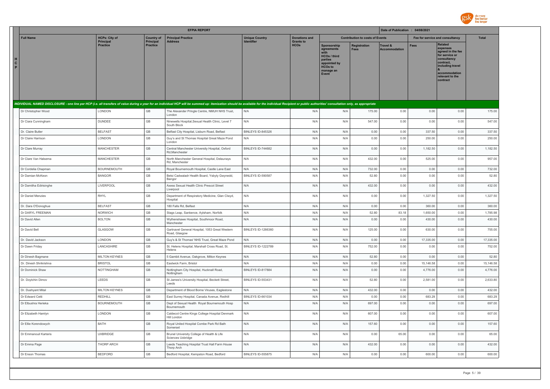

|               |                        |                                          |                                       | <b>EFPIA REPORT</b>                                                                                                                                                                                                            |                                            |                                          |                                                                                                                                  |                                        | Date of Publication : 04/08/2021 |             |                                                                                                                                                            |              |
|---------------|------------------------|------------------------------------------|---------------------------------------|--------------------------------------------------------------------------------------------------------------------------------------------------------------------------------------------------------------------------------|--------------------------------------------|------------------------------------------|----------------------------------------------------------------------------------------------------------------------------------|----------------------------------------|----------------------------------|-------------|------------------------------------------------------------------------------------------------------------------------------------------------------------|--------------|
|               | <b>Full Name</b>       | <b>HCPs: City of</b><br><b>Principal</b> | <b>Country of</b><br><b>Principal</b> | <b>Principal Practice</b><br><b>Address</b>                                                                                                                                                                                    | <b>Unique Country</b><br><b>Identifier</b> | <b>Donations and</b><br><b>Grants to</b> |                                                                                                                                  | <b>Contribution to costs of Events</b> |                                  |             | Fee for service and consultancy                                                                                                                            | <b>Total</b> |
| н.<br>C<br>P. |                        | <b>Practice</b>                          | <b>Practice</b>                       |                                                                                                                                                                                                                                |                                            | <b>HCOs</b>                              | Sponsorship<br>agreements<br>with<br><b>HCOs / third</b><br>parties<br>appointed by<br>HCO <sub>s</sub> to<br>manage an<br>Event | <b>Registration</b><br><b>Fees</b>     | Travel &<br><b>Accommodation</b> | <b>Fees</b> | Related<br>expenses<br>agreed in the fee<br>for service or<br>consultancy<br>contract,<br>including travel<br>accommodation<br>relevant to the<br>contract |              |
|               |                        |                                          |                                       | INDIVIDUAL NAMED DISCLOSURE - one line per HCP (i.e. all transfers of value during a year for an individual HCP will be summed up: itemization should be available for the individual Recipient or public authorities' consult |                                            |                                          |                                                                                                                                  |                                        |                                  |             |                                                                                                                                                            |              |
|               | Dr Christopher Wood    | LONDON                                   | GB                                    | The Alexander Pringle Centre, NMUH NHS Trust,<br>I ondon                                                                                                                                                                       | N/A                                        | N/A                                      | N/A                                                                                                                              | 175.00                                 | 0.00                             | 0.00        | 0.00                                                                                                                                                       | 175.00       |
|               | Dr Ciara Cunningham    | <b>DUNDEE</b>                            | <b>GB</b>                             | Ninewells Hospital, Sexual Health Clinic, Level 7<br>South Block                                                                                                                                                               | N/A                                        | N/A                                      | N/A                                                                                                                              | 547.00                                 | 0.00                             | 0.00        | 0.00                                                                                                                                                       | 547.00       |
|               | Dr. Claire Butler      | <b>BELFAST</b>                           | $\mathbb{G}\mathbb{B}$                | Belfast City Hospital, Lisburn Road, Belfast                                                                                                                                                                                   | BINLEYS ID-845326                          | N/A                                      | N/A                                                                                                                              | 0.00                                   | 0.00                             | 337.50      | 0.00                                                                                                                                                       | 337.50       |
|               | Dr Claire Harrison     | LONDON                                   | GB                                    | Guy's and St Thomas Hospital Great Maze Pond<br>London                                                                                                                                                                         | N/A                                        | N/A                                      | N/A                                                                                                                              | 0.00                                   | 0.00                             | 250.00      | 0.00                                                                                                                                                       | 250.00       |
|               | Dr Clare Murray        | <b>MANCHESTER</b>                        | GB                                    | Central Manchester University Hospital, Oxford<br>Rd, Manchester                                                                                                                                                               | BINLEYS ID-744682                          | N/A                                      | N/A                                                                                                                              | 0.00                                   | 0.00                             | 1,182.50    | 0.00                                                                                                                                                       | 1,182.50     |
|               | Dr Clare Van Halsema   | MANCHESTER                               | $\mathbb{G}\mathbb{B}$                | North Manchester General Hospital, Delaunays<br>Rd, Manchester                                                                                                                                                                 | N/A                                        | N/A                                      | N/A                                                                                                                              | 432.00                                 | 0.00                             | 525.00      | 0.00                                                                                                                                                       | 957.00       |
|               | Dr Cordelia Chapman    | <b>BOURNEMOUTH</b>                       | GB                                    | Royal Bournemouth Hospital, Castle Lane East                                                                                                                                                                                   | N/A                                        | N/A                                      | N/A                                                                                                                              | 732.00                                 | 0.00                             | 0.00        | 0.00                                                                                                                                                       | 732.00       |
|               | Dr Damian McKeon       | <b>BANGOR</b>                            | GB                                    | Betsi Cadwaladr Health Board, Ysbyty Gwynedd,<br>Bangor                                                                                                                                                                        | BINLEYS ID-590587                          | N/A                                      | N/A                                                                                                                              | 52.80                                  | 0.00                             | 0.00        | 0.00                                                                                                                                                       | 52.80        |
|               | Dr Damitha Edirisinghe | LIVERPOOL                                | $\mathbb{G}\mathbb{B}$                | Axess Sexual Health Clinic Prescot Street<br>Liverpool                                                                                                                                                                         | N/A                                        | N/A                                      | N/A                                                                                                                              | 432.00                                 | 0.00                             | 0.00        | 0.00                                                                                                                                                       | 432.00       |
|               | Dr Daniel Menzies      | RHYL                                     | GB                                    | Department of Respiratory Medicine, Glan Clwyd,<br>Hospital                                                                                                                                                                    | N/A                                        | N/A                                      | N/A                                                                                                                              | 0.00                                   | 0.00                             | 1,327.50    | 0.00                                                                                                                                                       | 1,327.50     |
|               | Dr. Dara O'Donoghue    | <b>BELFAST</b>                           | GB                                    | 180 Falls Rd, Belfast                                                                                                                                                                                                          | N/A                                        | N/A                                      | N/A                                                                                                                              | 0.00                                   | 0.00                             | 360.00      | 0.00                                                                                                                                                       | 360.00       |
|               | Dr DARYL FREEMAN       | <b>NORWICH</b>                           | GB                                    | Stags Leap, Sankence, Aylsham, Norfolk                                                                                                                                                                                         | N/A                                        | N/A                                      | N/A                                                                                                                              | 52.80                                  | 83.18                            | 1.650.00    | 0.00                                                                                                                                                       | 1,785.98     |
|               | Dr David Allen         | <b>BOLTON</b>                            | GB                                    | Wythenshawe Hospital, Southmoor Road,<br>Manchester                                                                                                                                                                            | N/A                                        | N/A                                      | N/A                                                                                                                              | 0.00                                   | 0.00                             | 430.00      | 0.00                                                                                                                                                       | 430.00       |
|               | Dr David Bell          | GLASGOW                                  | GB                                    | Gartnavel General Hospital, 1053 Great Western<br>Road, Glasgow                                                                                                                                                                | <b>BINLEYS ID-1266360</b>                  | N/A                                      | N/A                                                                                                                              | 125.00                                 | 0.00                             | 630.00      | 0.00                                                                                                                                                       | 755.00       |
|               | Dr. David Jackson      | LONDON                                   | GB                                    | Guy's & St Thomas' NHS Trust, Great Maze Pond                                                                                                                                                                                  | N/A                                        | N/A                                      | N/A                                                                                                                              | 0.00                                   | 0.00                             | 17,335.00   | 0.00                                                                                                                                                       | 17,335.00    |
|               | Dr Dawn Friday         | LANCASHIRE                               | $\mathbb{G}\mathbb{B}$                | St. Helens Hospital, Marshall Cross Road, St.<br>Helens                                                                                                                                                                        | <b>BINLEYS ID-1222789</b>                  | N/A                                      | N/A                                                                                                                              | 752.00                                 | 0.00                             | 0.00        | 0.00                                                                                                                                                       | 752.00       |
|               | Dr Dinesh Bagmane      | <b>MILTON KEYNES</b>                     | GB                                    | 5 Gambit Avenue, Oakgrove, Milton Keynes                                                                                                                                                                                       | N/A                                        | N/A                                      | N/A                                                                                                                              | 52.80                                  | 0.00                             | 0.00        | 0.00                                                                                                                                                       | 52.80        |
|               | Dr. Dinesh Shrikrishna | <b>BRISTOL</b>                           | GB                                    | Eastwick Farm, Bristol                                                                                                                                                                                                         | N/A                                        | N/A                                      | N/A                                                                                                                              | 0.00                                   | 0.00                             | 15,146.58   | 0.00                                                                                                                                                       | 15,146.58    |
|               | Dr Dominick Shaw       | NOTTINGHAM                               | $\mathbb{G}\mathbb{B}$                | Nottingham City Hospital, Hucknall Road,<br>Nottingham                                                                                                                                                                         | BINLEYS ID-817884                          | N/A                                      | N/A                                                                                                                              | 0.00                                   | 0.00                             | 4,776.00    | 0.00                                                                                                                                                       | 4,776.00     |
|               | Dr. Doytchin Dimov     | LEEDS                                    | GB                                    | St James's University Hospital, Beckett Street,<br>Leeds                                                                                                                                                                       | BINLEYS ID-553431                          | N/A                                      | N/A                                                                                                                              | 52.80                                  | 0.00                             | 2,581.00    | 0.00                                                                                                                                                       | 2,633.80     |
|               | Dr. Dushyant Mital     | <b>MILTON KEYNES</b>                     | $\mathbb{G}\mathbb{B}$                | Department of Blood Borne Viruses, Eaglestone                                                                                                                                                                                  | N/A                                        | N/A                                      | N/A                                                                                                                              | 432.00                                 | 0.00                             | 0.00        | 0.00                                                                                                                                                       | 432.00       |
|               | Dr Edward Cetti        | <b>REDHILL</b>                           | GB                                    | East Surrey Hospital, Canada Avenue, Redhill                                                                                                                                                                                   | BINLEYS ID-661034                          | N/A                                      | N/A                                                                                                                              | 0.00                                   | 0.00                             | 683.29      | 0.00                                                                                                                                                       | 683.29       |
|               | Dr Elbushra Herieka    | <b>BOURNEMOUTH</b>                       | GB                                    | Dept of Sexual Health Royal Bournemouth Hosp<br>Bournemouth                                                                                                                                                                    | N/A                                        | N/A                                      | N/A                                                                                                                              | 697.00                                 | 0.00                             | 0.00        | 0.00                                                                                                                                                       | 697.00       |
|               | Dr Elizabeth Hamlyn    | LONDON                                   | GB                                    | Caldecot Centre Kings College Hospital Denmark<br>Hill London                                                                                                                                                                  | N/A                                        | N/A                                      | N/A                                                                                                                              | 607.00                                 | 0.00                             | 0.00        | 0.00                                                                                                                                                       | 607.00       |
|               | Dr Ellie Korendowych   | BATH                                     | GB                                    | Royal United Hospital Combe Park Rd Bath<br>Somerset                                                                                                                                                                           | N/A                                        | N/A                                      | N/A                                                                                                                              | 157.60                                 | 0.00                             | 0.00        | 0.00                                                                                                                                                       | 157.60       |
|               | Dr Emmanouil Karteris  | <b>UXBRIDGE</b>                          | GB                                    | Brunel University College of Health & Life<br>Sciences Uxbridge                                                                                                                                                                | N/A                                        | N/A                                      | N/A                                                                                                                              | 0.00                                   | 65.00                            | 0.00        | 0.00                                                                                                                                                       | 65.00        |
|               | Dr Emma Page           | THORP ARCH                               | $\mathbb{G}\mathbb{B}$                | Leeds Teaching Hospital Trust Hall Farm House<br>Thorp Arch                                                                                                                                                                    | N/A                                        | N/A                                      | N/A                                                                                                                              | 432.00                                 | 0.00                             | 0.00        | 0.00                                                                                                                                                       | 432.00       |
|               | Dr Enson Thomas        | <b>BEDFORD</b>                           | GB                                    | Bedford Hospital, Kempston Road, Bedford                                                                                                                                                                                       | BINLEYS ID-555875                          | N/A                                      | N/A                                                                                                                              | 0.00                                   | 0.00                             | 600.00      | 0.00                                                                                                                                                       | 600.00       |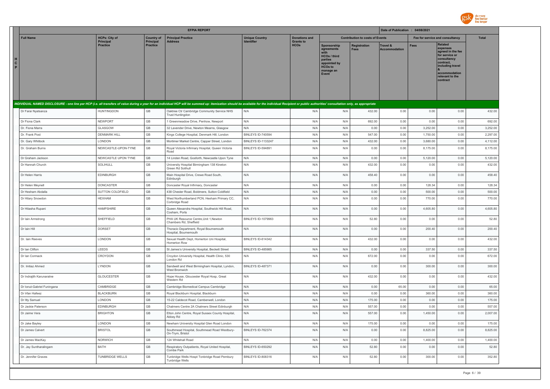

|                                                                                                                                                                                                                                |                                     |                              | <b>EFPIA REPORT</b>                                                    |                           |                                 |                                                                                                                     |                                        | Date of Publication : 04/08/2021 |             |                                                                                                                                                            |              |
|--------------------------------------------------------------------------------------------------------------------------------------------------------------------------------------------------------------------------------|-------------------------------------|------------------------------|------------------------------------------------------------------------|---------------------------|---------------------------------|---------------------------------------------------------------------------------------------------------------------|----------------------------------------|----------------------------------|-------------|------------------------------------------------------------------------------------------------------------------------------------------------------------|--------------|
| <b>Full Name</b>                                                                                                                                                                                                               | <b>HCPs: City of</b>                | <b>Country of</b>            | <b>Principal Practice</b>                                              | <b>Unique Country</b>     | <b>Donations and</b>            |                                                                                                                     | <b>Contribution to costs of Events</b> |                                  |             | Fee for service and consultancy                                                                                                                            | <b>Total</b> |
| н<br>$\mathbf{C}$<br>P                                                                                                                                                                                                         | <b>Principal</b><br><b>Practice</b> | Principal<br><b>Practice</b> | Address                                                                | Identifier                | <b>Grants to</b><br><b>HCOs</b> | <b>Sponsorship</b><br>agreements<br>HCOs / third<br>parties<br>appointed by<br><b>HCOs to</b><br>manage an<br>Event | <b>Registration</b><br><b>Fees</b>     | Travel &<br>Accommodation        | <b>Fees</b> | Related<br>expenses<br>agreed in the fee<br>for service or<br>consultancy<br>contract.<br>including travel<br>accommodation<br>relevant to the<br>contract |              |
| INDIVIDUAL NAMED DISCLOSURE - one line per HCP (i.e. all transfers of value during a year for an individual HCP will be summed up: itemization should be available for the individual Recipient or public authorities' consult |                                     |                              |                                                                        |                           |                                 |                                                                                                                     |                                        |                                  |             |                                                                                                                                                            |              |
| Dr Farai Nyatsanza                                                                                                                                                                                                             | <b>HUNTINGDON</b>                   | GB                           | Oaktree Ctr Cambridge Community Service NHS<br><b>Trust Huntingdon</b> | N/A                       | N/A                             | N/A                                                                                                                 | 432.00                                 | 0.00                             | 0.00        | 0.00                                                                                                                                                       | 432.00       |
| Dr Fiona Clark                                                                                                                                                                                                                 | <b>NEWPORT</b>                      | GB                           | 1 Greenmeadow Drive, Penhow, Newport                                   | N/A                       | N/A                             | N/A                                                                                                                 | 692.00                                 | 0.00                             | 0.00        | 0.00                                                                                                                                                       | 692.00       |
| Dr. Fiona Marra                                                                                                                                                                                                                | GLASGOW                             | GB                           | 32 Lavender Drive, Newton Mearns, Glasgow                              | N/A                       | N/A                             | N/A                                                                                                                 | 0.00                                   | 0.00                             | 3,252.00    | 0.00                                                                                                                                                       | 3,252.00     |
| Dr. Frank Post                                                                                                                                                                                                                 | <b>DENMARK HILL</b>                 | GB                           | Kings College Hospital, Denmark Hill, London                           | BINLEYS ID-740594         | N/A                             | N/A                                                                                                                 | 547.00                                 | 0.00                             | 1,750.00    | 0.00                                                                                                                                                       | 2,297.00     |
| Dr. Gary Whitlock                                                                                                                                                                                                              | LONDON                              | GB                           | Mortimer Market Centre, Capper Street, London                          | <b>BINLEYS ID-1133247</b> | N/A                             | N/A                                                                                                                 | 432.00                                 | 0.00                             | 3,680.00    | 0.00                                                                                                                                                       | 4,112.00     |
| Dr. Graham Burns                                                                                                                                                                                                               | NEWCASTLE-UPON-TYNE                 | GB                           | Royal Victoria Infirmary Hospital, Queen Victoria<br>Road              | BINLEYS ID-594891         | N/A                             | N/A                                                                                                                 | 0.00                                   | 0.00                             | 8,175.00    | 0.00                                                                                                                                                       | 8,175.00     |
| Dr Graham Jackson                                                                                                                                                                                                              | NEWCASTLE UPON TYNE                 | GB                           | 14 Linden Road, Gosforth, Newcastle Upon Tyne                          | N/A                       | N/A                             | N/A                                                                                                                 | 0.00                                   | 0.00                             | 5,120.00    | 0.00                                                                                                                                                       | 5,120.00     |
| Dr Hannah Church                                                                                                                                                                                                               | SOLIHULL                            | GB                           | University Hospital Birmingham 138 Kineton<br>Green Rd Solihull        | N/A                       | N/A                             | N/A                                                                                                                 | 432.00                                 | 0.00                             | 0.00        | 0.00                                                                                                                                                       | 432.00       |
| Dr Helen Harris                                                                                                                                                                                                                | EDINBURGH                           | GB                           | Main Hospital Drive, Crewe Road South,<br>Edinburgh                    | N/A                       | N/A                             | N/A                                                                                                                 | 458.40                                 | 0.00                             | 0.00        | 0.00                                                                                                                                                       | 458.40       |
| Dr Helen Meynell                                                                                                                                                                                                               | DONCASTER                           | GB                           | Doncaster Royal Infirmary, Doncaster                                   | N/A                       | N/A                             | N/A                                                                                                                 | 0.00                                   | 0.00                             | 128.34      | 0.00                                                                                                                                                       | 128.34       |
| Dr Hesham Abdalla                                                                                                                                                                                                              | SUTTON COLDFIELD                    | GB                           | 438 Chester Road, Boldmere, Sutton Coldfield                           | N/A                       | N/A                             | N/A                                                                                                                 | 0.00                                   | 0.00                             | 500.00      | 0.00                                                                                                                                                       | 500.00       |
| Dr Hilary Snowdon                                                                                                                                                                                                              | <b>HEXHAM</b>                       | GB                           | West Northumberland PCN, Hexham Primary CC,<br>Corbridge Road          | N/A                       | N/A                             | N/A                                                                                                                 | 0.00                                   | 0.00                             | 770.00      | 0.00                                                                                                                                                       | 770.00       |
| Dr Hitasha Rupani                                                                                                                                                                                                              | <b>HAMPSHIRE</b>                    | GB                           | Queen Alexandra Hospital, Southwick Hill Road,<br>Cosham, Ports        | N/A                       | N/A                             | N/A                                                                                                                 | 0.00                                   | 0.00                             | 4,605.80    | 0.00                                                                                                                                                       | 4,605.80     |
| Dr Iain Armstrong                                                                                                                                                                                                              | SHEFFIELD                           | GB                           | PHA UK Resource Centre, Unit 1, Newton<br>Chambers Rd, Sheffield       | <b>BINLEYS ID-1079963</b> | N/A                             | N/A                                                                                                                 | 52.80                                  | 0.00                             | 0.00        | 0.00                                                                                                                                                       | 52.80        |
| Dr Iain Hill                                                                                                                                                                                                                   | <b>DORSET</b>                       | GB                           | Thoracic Department, Royal Bournemouth<br>Hospital, Bournemouth        | N/A                       | N/A                             | N/A                                                                                                                 | 0.00                                   | 0.00                             | 200.40      | 0.00                                                                                                                                                       | 200.40       |
| Dr. Iain Reeves                                                                                                                                                                                                                | LONDON                              | GB                           | Sexual Health Dept, Homerton Uni Hospital,<br><b>Homerton Row</b>      | BINLEYS ID-614342         | N/A                             | N/A                                                                                                                 | 432.00                                 | 0.00                             | 0.00        | 0.00                                                                                                                                                       | 432.00       |
| Dr Ian Clifton                                                                                                                                                                                                                 | LEEDS                               | GB                           | St James's University Hospital, Beckett Street                         | BINLEYS ID-485985         | N/A                             | N/A                                                                                                                 | 0.00                                   | 0.00                             | 337.50      | 0.00                                                                                                                                                       | 337.50       |
| Dr Ian Cormack                                                                                                                                                                                                                 | CROYDON                             | GB                           | Croydon University Hospital, Health Clinic, 530<br>London Rd           | N/A                       | N/A                             | N/A                                                                                                                 | 672.00                                 | 0.00                             | 0.00        | 0.00                                                                                                                                                       | 672.00       |
| Dr. Imtiaz Ahmed                                                                                                                                                                                                               | LYNDON                              | GB                           | Sandwell and West Birmingham Hospital, Lyndon,<br>West Bromwich        | BINLEYS ID-487371         | N/A                             | N/A                                                                                                                 | 0.00                                   | 0.00                             | 300.00      | 0.00                                                                                                                                                       | 300.00       |
| Dr Indrajith Karunaratne                                                                                                                                                                                                       | <b>GLOUCESTER</b>                   | $\mathbb{G}\mathbb{B}$       | Hope House, Gloucester Royal Hosp, Great<br>Western Rd                 | N/A                       | N/A                             | N/A                                                                                                                 | 432.00                                 | 0.00                             | 0.00        | 0.00                                                                                                                                                       | 432.00       |
| Dr Ionut-Gabriel Funingana                                                                                                                                                                                                     | CAMBRIDGE                           | GB                           | Cambridge Biomedical Campus Cambridge                                  | N/A                       | N/A                             | N/A                                                                                                                 | 0.00                                   | 65.00                            | 0.00        | 0.00                                                                                                                                                       | 65.00        |
| Dr Irfan Hafeez                                                                                                                                                                                                                | <b>BLACKBURN</b>                    | GB                           | Royal Blackburn Hospital, Blackburn                                    | N/A                       | N/A                             | N/A                                                                                                                 | 0.00                                   | 0.00                             | 360.00      | 0.00                                                                                                                                                       | 360.00       |
| Dr Itty Samuel                                                                                                                                                                                                                 | LONDON                              | GB                           | 15-22 Caldecot Road, Camberwell, London                                | N/A                       | N/A                             | N/A                                                                                                                 | 175.00                                 | 0.00                             | 0.00        | 0.00                                                                                                                                                       | 175.00       |
| Dr Jackie Paterson                                                                                                                                                                                                             | <b>EDINBURGH</b>                    | GB                           | Chalmers Centre 2A Chalmers Street Edinburgh                           | N/A                       | N/A                             | N/A                                                                                                                 | 557.00                                 | 0.00                             | 0.00        | 0.00                                                                                                                                                       | 557.00       |
| Dr Jaime Vera                                                                                                                                                                                                                  | <b>BRIGHTON</b>                     | GB                           | Elton John Centre, Royal Sussex County Hospital,<br>Abbey Rd           | N/A                       | N/A                             | N/A                                                                                                                 | 557.00                                 | 0.00                             | 1,450.00    | 0.00                                                                                                                                                       | 2,007.00     |
| Dr Jake Bayley                                                                                                                                                                                                                 | LONDON                              | GB                           | Newham University Hospital Glen Road London                            | N/A                       | N/A                             | N/A                                                                                                                 | 175.00                                 | 0.00                             | 0.00        | 0.00                                                                                                                                                       | 175.00       |
| Dr James Calvert                                                                                                                                                                                                               | <b>BRISTOL</b>                      | GB                           | Southmead Hospital, Southmead Road Westbury-<br>On-Trym, Bristol       | BINLEYS ID-762374         | N/A                             | N/A                                                                                                                 | 0.00                                   | 0.00                             | 8,825.00    | 0.00                                                                                                                                                       | 8,825.00     |
| Dr James MacKay                                                                                                                                                                                                                | NORWICH                             | GB                           | 124 Whitehall Road                                                     | N/A                       | N/A                             | N/A                                                                                                                 | 0.00                                   | 0.00                             | 1,400.00    | 0.00                                                                                                                                                       | 1,400.00     |
| Dr. Jay Suntharalingam                                                                                                                                                                                                         | <b>BATH</b>                         | GB                           | Respiratory Outpatients, Royal United Hospital,<br>Combe Park          | BINLEYS ID-650292         | N/A                             | N/A                                                                                                                 | 52.80                                  | 0.00                             | 0.00        | 0.00                                                                                                                                                       | 52.80        |
| Dr. Jennifer Graves                                                                                                                                                                                                            | <b>TUNBRIDGE WELLS</b>              | GB                           | Tunbridge Wells Hospt Tonbridge Road Pembury<br><b>Tunbridge Wells</b> | <b>BINLEYS ID-808316</b>  | N/A                             | N/A                                                                                                                 | 52.80                                  | 0.00                             | 300.00      | 0.00                                                                                                                                                       | 352.80       |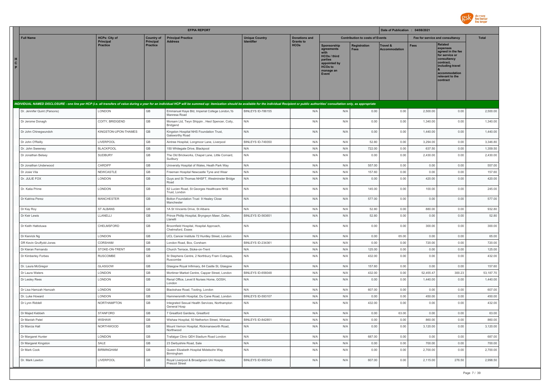

|                                                                                                                                                                                                                                |                                   |                                | <b>EFPIA REPORT</b>                                            |                                            |                                          |                                                                                                                             |                                        | Date of Publication : 04/08/2021 |           |                                                                                                                                                            |              |
|--------------------------------------------------------------------------------------------------------------------------------------------------------------------------------------------------------------------------------|-----------------------------------|--------------------------------|----------------------------------------------------------------|--------------------------------------------|------------------------------------------|-----------------------------------------------------------------------------------------------------------------------------|----------------------------------------|----------------------------------|-----------|------------------------------------------------------------------------------------------------------------------------------------------------------------|--------------|
| <b>Full Name</b>                                                                                                                                                                                                               | <b>HCPs: City of</b><br>Principal | <b>Country of</b><br>Principal | <b>Principal Practice</b><br><b>Address</b>                    | <b>Unique Country</b><br><b>Identifier</b> | <b>Donations and</b><br><b>Grants to</b> |                                                                                                                             | <b>Contribution to costs of Events</b> |                                  |           | Fee for service and consultancy                                                                                                                            | <b>Total</b> |
| н<br>C<br>P                                                                                                                                                                                                                    | <b>Practice</b>                   | <b>Practice</b>                |                                                                |                                            | <b>HCOs</b>                              | Sponsorship<br>agreements<br>with<br><b>HCOs / third</b><br>parties<br>appointed by<br><b>HCOs to</b><br>manage an<br>Event | Registration<br><b>Fees</b>            | Travel &<br><b>Accommodation</b> | Fees      | Related<br>expenses<br>agreed in the fee<br>for service or<br>consultancy<br>contract,<br>including travel<br>accommodation<br>relevant to the<br>contract |              |
| INDIVIDUAL NAMED DISCLOSURE - one line per HCP (i.e. all transfers of value during a year for an individual HCP will be summed up: itemization should be available for the individual Recipient or public authorities' consult |                                   |                                |                                                                |                                            |                                          |                                                                                                                             |                                        |                                  |           |                                                                                                                                                            |              |
| Dr. Jennifer Quint (Parsons)                                                                                                                                                                                                   | <b>LONDON</b>                     | GB                             | Emmanuel Kaye Bld, Imperial College London, 1b<br>Manresa Road | BINLEYS ID-786155                          | N/A                                      | N/A                                                                                                                         | 0.00                                   | 0.00                             | 2,500.00  | 0.00                                                                                                                                                       | 2,500.00     |
| Dr Jerome Donagh                                                                                                                                                                                                               | COITY, BRIDGEND                   | GB                             | Morsam Ltd, Twyn Shippin, Heol Spencer, Coity,<br>Bridgend     | N/A                                        | N/A                                      | N/A                                                                                                                         | 0.00                                   | 0.00                             | 1,340.00  | 0.00                                                                                                                                                       | 1,340.00     |
| Dr John Chinegwundoh                                                                                                                                                                                                           | KINGSTON-UPON-THAMES              | GB                             | Kingston Hospital NHS Foundation Trust,<br>Galsworthy Road     | N/A                                        | N/A                                      | N/A                                                                                                                         | 0.00                                   | 0.00                             | 1,440.00  | 0.00                                                                                                                                                       | 1,440.00     |
| Dr John O'Reilly                                                                                                                                                                                                               | LIVERPOOL                         | GB                             | Aintree Hospital, Longmoor Lane, Liverpool                     | BINLEYS ID-749350                          | N/A                                      | N/A                                                                                                                         | 52.80                                  | 0.00                             | 3,294.00  | 0.00                                                                                                                                                       | 3,346.80     |
| Dr. John Sweeney                                                                                                                                                                                                               | <b>BLACKPOOL</b>                  | $\mathbb{G}\mathbb{B}$         | 150 Whitegate Drive, Blackpool                                 | N/A                                        | N/A                                      | N/A                                                                                                                         | 722.00                                 | 0.00                             | 637.50    | 0.00                                                                                                                                                       | 1,359.50     |
| Dr Jonathan Belsey                                                                                                                                                                                                             | SUDBURY                           | GB                             | The Old Brickworks, Chapel Lane, Little Cornard,<br>Sudbury    | N/A                                        | N/A                                      | N/A                                                                                                                         | 0.00                                   | 0.00                             | 2,430.00  | 0.00                                                                                                                                                       | 2,430.00     |
| Dr Jonathan Underwood                                                                                                                                                                                                          | CARDIFF                           | GB                             | University Hospital of Wales, Heath Park Way                   | N/A                                        | N/A                                      | N/A                                                                                                                         | 557.00                                 | 0.00                             | 0.00      | 0.00                                                                                                                                                       | 557.00       |
| Dr Josie Vila                                                                                                                                                                                                                  | NEWCASTLE                         | $\mathbb{G}\mathbb{B}$         | Freeman Hospital Newcastle Tyne and Wear                       | N/A                                        | N/A                                      | N/A                                                                                                                         | 157.60                                 | 0.00                             | 0.00      | 0.00                                                                                                                                                       | 157.60       |
| Dr. JULIE FOX                                                                                                                                                                                                                  | LONDON                            | GB                             | Guys and St Thomas NHSFT, Westminster Bridge<br>Road           | N/A                                        | N/A                                      | N/A                                                                                                                         | 0.00                                   | 0.00                             | 420.00    | 0.00                                                                                                                                                       | 420.00       |
| Dr. Katia Prime                                                                                                                                                                                                                | LONDON                            | $\mathbb{G}\mathbb{B}$         | 82 Lucien Road, St Georges Healthcare NHS<br>Trust, London     | N/A                                        | N/A                                      | N/A                                                                                                                         | 145.00                                 | 0.00                             | 100.00    | 0.00                                                                                                                                                       | 245.00       |
| Dr Katrina Perez                                                                                                                                                                                                               | <b>MANCHESTER</b>                 | GB                             | Bolton Foundation Trust 9 Healey Close<br>Manchester           | N/A                                        | N/A                                      | N/A                                                                                                                         | 577.00                                 | 0.00                             | 0.00      | 0.00                                                                                                                                                       | 577.00       |
| Dr Kay Roy                                                                                                                                                                                                                     | ST ALBANS                         | GB                             | 1A St Vincents Drive, St Albans                                | N/A                                        | N/A                                      | N/A                                                                                                                         | 52.80                                  | 0.00                             | 880.00    | 0.00                                                                                                                                                       | 932.80       |
| Dr Keir Lewis                                                                                                                                                                                                                  | LLANELLI                          | GB                             | Prince Phillip Hospital, Bryngwyn Mawr, Dafen,<br>Llanelli     | BINLEYS ID-563651                          | N/A                                      | N/A                                                                                                                         | 52.80                                  | 0.00                             | 0.00      | 0.00                                                                                                                                                       | 52.80        |
| Dr Keith Hattotuwa                                                                                                                                                                                                             | CHELMSFORD                        | $\mathbb{G}\mathbb{B}$         | Broomfield Hospital, Hospital Approach,<br>Chelmsford, Essex   | N/A                                        | N/A                                      | N/A                                                                                                                         | 0.00                                   | 0.00                             | 300.00    | 0.00                                                                                                                                                       | 300.00       |
| Dr Kenrick Ng                                                                                                                                                                                                                  | LONDON                            | GB                             | UCL Cancer Institute 72 Huntley Street, London                 | N/A                                        | N/A                                      | N/A                                                                                                                         | 0.00                                   | 65.00                            | 0.00      | 0.00                                                                                                                                                       | 65.00        |
| DR Kevin Gruffydd-Jones                                                                                                                                                                                                        | CORSHAM                           | $\mathbb{G}\mathbb{B}$         | London Road, Box, Corsham                                      | BINLEYS ID-234361                          | N/A                                      | N/A                                                                                                                         | 0.00                                   | 0.00                             | 720.00    | 0.00                                                                                                                                                       | 720.00       |
| Dr Kieran Fernando                                                                                                                                                                                                             | STOKE-ON-TRENT                    | GB                             | Church Terrace, Stoke-on-Trent                                 | N/A                                        | N/A                                      | N/A                                                                                                                         | 125.00                                 | 0.00                             | 0.00      | 0.00                                                                                                                                                       | 125.00       |
| Dr Kimberley Forbes                                                                                                                                                                                                            | RUSCOMBE                          | $\mathbb{G}\mathbb{B}$         | St Stephens Centre, 2 Northbury Fram Cottages,<br>Ruscombe     | N/A                                        | N/A                                      | N/A                                                                                                                         | 432.00                                 | 0.00                             | 0.00      | 0.00                                                                                                                                                       | 432.00       |
| Dr. Laura McGregor                                                                                                                                                                                                             | GLASGOW                           | $\mathbb{G}\mathbb{B}$         | Glasgow Royal Infirmary, 84 Castle St, Glasgow                 | N/A                                        | N/A                                      | N/A                                                                                                                         | 157.60                                 | 0.00                             | 0.00      | 0.00                                                                                                                                                       | 157.60       |
| Dr Laura Waters                                                                                                                                                                                                                | LONDON                            | GB                             | Mortimer Market Centre, Capper Street, London                  | BINLEYS ID-656048                          | N/A                                      | N/A                                                                                                                         | 432.00                                 | 0.00                             | 52,455.47 | 300.23                                                                                                                                                     | 53,187.70    |
| Dr Lesley Rees                                                                                                                                                                                                                 | LONDON                            | GB                             | Renal Office, Level 8 Nurses Home, GOSH,<br>London             | N/A                                        | N/A                                      | N/A                                                                                                                         | 0.00                                   | 0.00                             | 1,440.00  | 0.00                                                                                                                                                       | 1,440.00     |
| Dr Lisa Hamzah Hamzah                                                                                                                                                                                                          | <b>LONDON</b>                     | $\mathbb{G}\mathbb{B}$         | Blackshaw Road, Tooting, London                                | N/A                                        | N/A                                      | N/A                                                                                                                         | 607.00                                 | 0.00                             | 0.00      | 0.00                                                                                                                                                       | 607.00       |
| Dr. Luke Howard                                                                                                                                                                                                                | LONDON                            | $\mathbb{G}\mathbb{B}$         | Hammersmith Hospital, Du Cane Road, London                     | <b>BINLEYS ID-593107</b>                   | N/A                                      | N/A                                                                                                                         | 0.00                                   | 0.00                             | 450.00    | 0.00                                                                                                                                                       | 450.00       |
| Dr Lynn Riddell                                                                                                                                                                                                                | <b>NORTHAMPTON</b>                | GB                             | Integrated Sexual Health Services, Northampton<br>General Hosp | N/A                                        | N/A                                      | N/A                                                                                                                         | 432.00                                 | 0.00                             | 0.00      | 0.00                                                                                                                                                       | 432.00       |
| Dr Majed Kebbeh                                                                                                                                                                                                                | <b>STANFORD</b>                   | GB                             | 7 Greatford Gardens, Greatford                                 | N/A                                        | N/A                                      | N/A                                                                                                                         | 0.00                                   | 63.00                            | 0.00      | 0.00                                                                                                                                                       | 63.00        |
| Dr Manish Patel                                                                                                                                                                                                                | WISHAW                            | GB                             | Wishaw Hospital, 50 Netherton Street, Wishaw                   | BINLEYS ID-842851                          | N/A                                      | $\mathsf{N}/\mathsf{A}$                                                                                                     | 0.00                                   | 0.00                             | 860.00    | 0.00                                                                                                                                                       | 860.00       |
| Dr Marcia Hall                                                                                                                                                                                                                 | <b>NORTHWOOD</b>                  | GB                             | Mount Vernon Hospital, Rickmansworth Road,<br>Northwood        | N/A                                        | N/A                                      | N/A                                                                                                                         | 0.00                                   | 0.00                             | 3,120.00  | 0.00                                                                                                                                                       | 3,120.00     |
| Dr Margaret Hunter                                                                                                                                                                                                             | LONDON                            | GB                             | Trafalgar Clinic QEH Stadium Road London                       | N/A                                        | N/A                                      | N/A                                                                                                                         | 687.00                                 | 0.00                             | 0.00      | 0.00                                                                                                                                                       | 687.00       |
| Dr Margaret Kingston                                                                                                                                                                                                           | SALE                              | $\mathbb{G}\mathbb{B}$         | 23 Derbyshire Road, Sale                                       | N/A                                        | N/A                                      | N/A                                                                                                                         | 0.00                                   | 0.00                             | 700.00    | 0.00                                                                                                                                                       | 700.00       |
| Dr Mark Cook                                                                                                                                                                                                                   | <b>BIRMINGHAM</b>                 | $\mathbb{G}\mathbb{B}$         | Queen Elizabeth Hospital Midelsohn Way<br>Birmingham           | N/A                                        | N/A                                      | N/A                                                                                                                         | 0.00                                   | 0.00                             | 2,700.00  | 0.00                                                                                                                                                       | 2,700.00     |
| Dr. Mark Lawton                                                                                                                                                                                                                | LIVERPOOL                         | $\mathbb{G}\mathbb{B}$         | Royal Liverpool & Broadgreen Uni Hospital,<br>Prescot Street   | BINLEYS ID-950343                          | N/A                                      | N/A                                                                                                                         | 607.00                                 | 0.00                             | 2,115.00  | 276.50                                                                                                                                                     | 2,998.50     |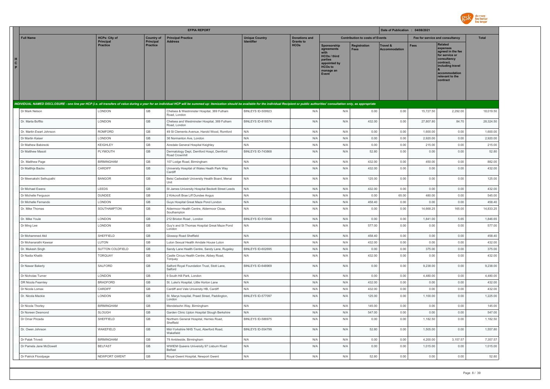

|                                                                                                                                                                                                                                |                                     |                              | <b>EFPIA REPORT</b>                                            |                          |                                 |                                                                                                                     |                                        | Date of Publication : 04/08/2021 |                                 |                                                                                                                                                                   |              |
|--------------------------------------------------------------------------------------------------------------------------------------------------------------------------------------------------------------------------------|-------------------------------------|------------------------------|----------------------------------------------------------------|--------------------------|---------------------------------|---------------------------------------------------------------------------------------------------------------------|----------------------------------------|----------------------------------|---------------------------------|-------------------------------------------------------------------------------------------------------------------------------------------------------------------|--------------|
| <b>Full Name</b>                                                                                                                                                                                                               | <b>HCPs: City of</b>                | <b>Country of</b>            | <b>Principal Practice</b>                                      | <b>Unique Country</b>    | <b>Donations and</b>            |                                                                                                                     | <b>Contribution to costs of Events</b> |                                  | Fee for service and consultancy |                                                                                                                                                                   | <b>Total</b> |
| $\mathbf{c}$<br>P.                                                                                                                                                                                                             | <b>Principal</b><br><b>Practice</b> | Principal<br><b>Practice</b> | Address                                                        | Identifier               | <b>Grants to</b><br><b>HCOs</b> | Sponsorship<br>agreements<br><b>HCOs / third</b><br>parties<br>appointed by<br><b>HCOs to</b><br>manage an<br>Event | <b>Registration</b><br><b>Fees</b>     | Travel &<br><b>Accommodation</b> | Fees                            | <b>Related</b><br>expenses<br>agreed in the fee<br>for service or<br>consultancy<br>contract,<br>including travel<br>accommodation<br>relevant to the<br>contract |              |
| INDIVIDUAL NAMED DISCLOSURE - one line per HCP (i.e. all transfers of value during a year for an individual HCP will be summed up: itemization should be available for the individual Recipient or public authorities' consult |                                     |                              |                                                                |                          |                                 |                                                                                                                     |                                        |                                  |                                 |                                                                                                                                                                   |              |
|                                                                                                                                                                                                                                |                                     |                              |                                                                |                          |                                 |                                                                                                                     |                                        |                                  |                                 |                                                                                                                                                                   |              |
| Dr Mark Nelson                                                                                                                                                                                                                 | <b>LONDON</b>                       | GB                           | Chelsea & Westminster Hospital, 369 Fulham<br>Road, London     | BINLEYS ID-509923        | N/A                             | N/A                                                                                                                 | 0.00                                   | 0.00                             | 15,727.50                       | 2,292.00                                                                                                                                                          | 18,019.50    |
| Dr. Marta Boffito                                                                                                                                                                                                              | LONDON                              | $\mathbb{G}\mathbb{B}$       | Chelsea and Westminster Hospital, 369 Fulham<br>Road, London   | BINLEYS ID-818574        | N/A                             | N/A                                                                                                                 | 432.00                                 | 0.00                             | 27,807.80                       | 84.70                                                                                                                                                             | 28,324.50    |
| Dr. Martin Ewart Johnson                                                                                                                                                                                                       | ROMFORD                             | $\mathbb{G}\mathbb{B}$       | 49 St Clements Avenue, Harold Wood, Romford                    | N/A                      | N/A                             | N/A                                                                                                                 | 0.00                                   | 0.00                             | 1,600.00                        | 0.00                                                                                                                                                              | 1,600.00     |
| Dr Martin Kaiser                                                                                                                                                                                                               | LONDON                              | $\mathbb{G}\mathbb{B}$       | 36 Normanton Ave, London                                       | N/A                      | N/A                             | N/A                                                                                                                 | 0.00                                   | 0.00                             | 2,920.00                        | 0.00                                                                                                                                                              | 2,920.00     |
| Dr Mathew Babirecki                                                                                                                                                                                                            | <b>KEIGHLEY</b>                     | $\mathbb{G}\mathbb{B}$       | Airedale General Hospital Keighley                             | N/A                      | N/A                             | N/A                                                                                                                 | 0.00                                   | 0.00                             | 215.00                          | 0.00                                                                                                                                                              | 215.00       |
| Dr Matthew Masoli                                                                                                                                                                                                              | PLYMOUTH                            | GB                           | Dermatology Dept, Derriford Hospt, Derriford<br>Road Crownhill | BINLEYS ID-743868        | N/A                             | N/A                                                                                                                 | 52.80                                  | 0.00                             | 0.00                            | 0.00                                                                                                                                                              | 52.80        |
| Dr. Matthew Page                                                                                                                                                                                                               | <b>BIRMINGHAM</b>                   | $\mathbb{G}\mathbb{B}$       | 107 Lodge Road, Birmingham                                     | N/A                      | N/A                             | N/A                                                                                                                 | 432.00                                 | 0.00                             | 450.00                          | 0.00                                                                                                                                                              | 882.00       |
| Dr Matthijs Backx                                                                                                                                                                                                              | CARDIFF                             | GB                           | University Hospital of Wales Heath Park Way<br>Cardiff         | N/A                      | N/A                             | N/A                                                                                                                 | 432.00                                 | 0.00                             | 0.00                            | 0.00                                                                                                                                                              | 432.00       |
| Dr Meenakshi Sethupathi                                                                                                                                                                                                        | <b>BANGOR</b>                       | $\mathbb{G}\mathbb{B}$       | Betsi Cadwaladr University Health Board, Menai<br>Unit         | N/A                      | N/A                             | N/A                                                                                                                 | 125.00                                 | 0.00                             | 0.00                            | 0.00                                                                                                                                                              | 125.00       |
| Dr Michael Ewens                                                                                                                                                                                                               | LEEDS                               | $\mathbb{G}\mathbb{B}$       | St James University Hospital Beckett Street Leeds              | N/A                      | N/A                             | N/A                                                                                                                 | 432.00                                 | 0.00                             | 0.00                            | 0.00                                                                                                                                                              | 432.00       |
| Dr Michelle Ferguson                                                                                                                                                                                                           | <b>DUNDEE</b>                       | $\mathbb{G}\mathbb{B}$       | 2 Kirkcroft Brae Liff Dundee Angus                             | N/A                      | N/A                             | N/A                                                                                                                 | 0.00                                   | 65.00                            | 480.00                          | 0.00                                                                                                                                                              | 545.00       |
| Dr Michelle Fernando                                                                                                                                                                                                           | LONDON                              | $\mathbb{G}\mathbb{B}$       | Guys Hospital Great Maze Pond London                           | N/A                      | N/A                             | N/A                                                                                                                 | 458.40                                 | 0.00                             | 0.00                            | 0.00                                                                                                                                                              | 458.40       |
| Dr. Mike Thomas                                                                                                                                                                                                                | SOUTHAMPTON                         | $\mathbb{G}\mathbb{B}$       | Aldermoor Health Centre, Aldermoor Close,<br>Southampton       | N/A                      | N/A                             | N/A                                                                                                                 | 0.00                                   | 0.00                             | 14,668.25                       | 165.00                                                                                                                                                            | 14,833.25    |
| Dr. Mike Youle                                                                                                                                                                                                                 | LONDON                              | $\mathbb{G}\mathbb{B}$       | 212 Brixton Road, London                                       | BINLEYS ID-510046        | N/A                             | N/A                                                                                                                 | 0.00                                   | 0.00                             | 1,841.00                        | 5.65                                                                                                                                                              | 1,846.65     |
| Dr Ming Lee                                                                                                                                                                                                                    | LONDON                              | $\mathbb{G}\mathbb{B}$       | Guy's and St Thomas Hospital Great Maze Pond<br>London         | N/A                      | N/A                             | N/A                                                                                                                 | 577.00                                 | 0.00                             | 0.00                            | 0.00                                                                                                                                                              | 577.00       |
| Dr Mohammed Akil                                                                                                                                                                                                               | SHEFFIELD                           | GB                           | Glossop Road Sheffield                                         | N/A                      | N/A                             | N/A                                                                                                                 | 458.40                                 | 0.00                             | 0.00                            | 0.00                                                                                                                                                              | 458.40       |
| Dr Mohanarathi Kawsar                                                                                                                                                                                                          | LUTON                               | GB                           | Luton Sexual Health Arndale House Luton                        | N/A                      | N/A                             | N/A                                                                                                                 | 432.00                                 | 0.00                             | 0.00                            | 0.00                                                                                                                                                              | 432.00       |
| Dr. Mukesh Singh                                                                                                                                                                                                               | SUTTON COLDFIELD                    | GB                           | Sandy Lane Health Centre, Sandy Lane, Rugeley                  | BINLEYS ID-602695        | N/A                             | N/A                                                                                                                 | 0.00                                   | 0.00                             | 375.00                          | 0.00                                                                                                                                                              | 375.00       |
| Dr Nadia Khatib                                                                                                                                                                                                                | <b>TORQUAY</b>                      | GB                           | Castle Circus Health Centre, Abbey Road,<br>Torquay            | N/A                      | N/A                             | N/A                                                                                                                 | 432.00                                 | 0.00                             | 0.00                            | 0.00                                                                                                                                                              | 432.00       |
| Dr Nawar Bakerly                                                                                                                                                                                                               | SALFORD                             | GB                           | Salford Royal Foundation Trust, Stott Lane<br>Salford          | <b>BINLEYS ID-648969</b> | N/A                             | N/A                                                                                                                 | 0.00                                   | 0.00                             | 9,238.00                        | 0.00                                                                                                                                                              | 9,238.00     |
| Dr Nicholas Turner                                                                                                                                                                                                             | LONDON                              | $\mathbb{G}\mathbb{B}$       | 9 South Hill Park, London                                      | N/A                      | N/A                             | N/A                                                                                                                 | 0.00                                   | 0.00                             | 4,480.00                        | 0.00                                                                                                                                                              | 4,480.00     |
| DR Nicola Fearnley                                                                                                                                                                                                             | <b>BRADFORD</b>                     | $\mathbb{G}\mathbb{B}$       | St. Luke's Hospital, Little Horton Lane                        | N/A                      | N/A                             | N/A                                                                                                                 | 432.00                                 | 0.00                             | 0.00                            | 0.00                                                                                                                                                              | 432.00       |
| Dr Nicola Lomax                                                                                                                                                                                                                | CARDIFF                             | GB                           | Cardiff and Vale University HB, Cardiff                        | N/A                      | N/A                             | N/A                                                                                                                 | 432.00                                 | 0.00                             | 0.00                            | 0.00                                                                                                                                                              | 432.00       |
| Dr. Nicola Mackie                                                                                                                                                                                                              | <b>LONDON</b>                       | GB                           | St. Marys hospital, Praed Street, Paddington,<br>London        | BINLEYS ID-577097        | N/A                             | N/A                                                                                                                 | 125.00                                 | 0.00                             | 1,100.00                        | 0.00                                                                                                                                                              | 1,225.00     |
| Dr Nicola Thorley                                                                                                                                                                                                              | <b>BIRMINGHAM</b>                   | GB                           | Mendelsohn Way, Birmingham                                     | N/A                      | N/A                             | N/A                                                                                                                 | 145.00                                 | 0.00                             | 0.00                            | 0.00                                                                                                                                                              | 145.00       |
| Dr Noreen Desmond                                                                                                                                                                                                              | <b>SLOUGH</b>                       | GB                           | Garden Clinic Upton Hospital Slough Berkshire                  | N/A                      | N/A                             | N/A                                                                                                                 | 547.00                                 | 0.00                             | 0.00                            | 0.00                                                                                                                                                              | 547.00       |
| Dr Omar Pirzada                                                                                                                                                                                                                | SHEFFIELD                           | GB                           | Northern General Hospital, Herries Road,<br>Sheffield          | BINLEYS ID-586975        | N/A                             | N/A                                                                                                                 | 0.00                                   | 0.00                             | 1,182.50                        | 0.00                                                                                                                                                              | 1,182.50     |
| Dr. Owen Johnson                                                                                                                                                                                                               | WAKEFIELD                           | GB                           | Mid-Yorkshire NHS Trust, Aberford Road,<br>Wakefield           | BINLEYS ID-554799        | N/A                             | N/A                                                                                                                 | 52.80                                  | 0.00                             | 1,505.00                        | 0.00                                                                                                                                                              | 1.557.80     |
| Dr Palak Trivedi                                                                                                                                                                                                               | <b>BIRMINGHAM</b>                   | $\mathbb{G}\mathbb{B}$       | 79 Ambleside, Birmingham                                       | N/A                      | N/A                             | N/A                                                                                                                 | 0.00                                   | 0.00                             | 4,200.00                        | 3,157.57                                                                                                                                                          | 7,357.57     |
| Dr Pamela Jane McDowell                                                                                                                                                                                                        | <b>BELFAST</b>                      | GB                           | WWIEM Queens University 97 Lisburn Road<br>Belfast             | N/A                      | N/A                             | N/A                                                                                                                 | 0.00                                   | 0.00                             | 1,015.00                        | 0.00                                                                                                                                                              | 1,015.00     |
| Dr Patrick Floodpage                                                                                                                                                                                                           | NEWPORT GWENT                       | GB                           | Royal Gwent Hospital, Newport Gwent                            | N/A                      | N/A                             | N/A                                                                                                                 | 52.80                                  | 0.00                             | 0.00                            | 0.00                                                                                                                                                              | 52.80        |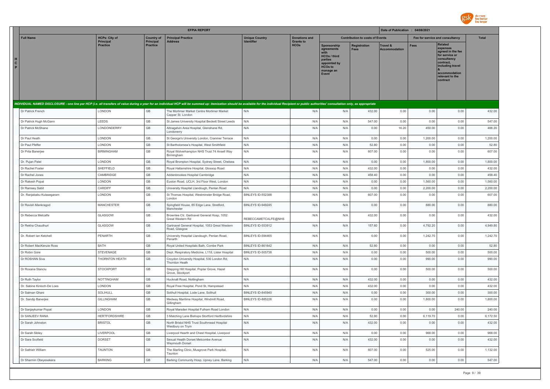

|                         |                                              |                                     |                              | <b>EFPIA REPORT</b>                                                                                                                                                                                                            |                                                |                                 |                                                                                                                     |                                        | Date of Publication : 04/08/2021            |                    |                                                                                                                                                                   |                    |
|-------------------------|----------------------------------------------|-------------------------------------|------------------------------|--------------------------------------------------------------------------------------------------------------------------------------------------------------------------------------------------------------------------------|------------------------------------------------|---------------------------------|---------------------------------------------------------------------------------------------------------------------|----------------------------------------|---------------------------------------------|--------------------|-------------------------------------------------------------------------------------------------------------------------------------------------------------------|--------------------|
|                         | <b>Full Name</b>                             | <b>HCPs: City of</b>                | <b>Country of</b>            | <b>Principal Practice</b>                                                                                                                                                                                                      | <b>Unique Country</b><br><b>Identifier</b>     | <b>Donations and</b>            |                                                                                                                     | <b>Contribution to costs of Events</b> |                                             |                    | Fee for service and consultancy                                                                                                                                   | <b>Total</b>       |
| н<br>$\mathbf{c}$<br>P. |                                              | <b>Principal</b><br><b>Practice</b> | Principal<br><b>Practice</b> | <b>Address</b>                                                                                                                                                                                                                 |                                                | <b>Grants to</b><br><b>HCOs</b> | Sponsorship<br>agreements<br><b>HCOs / third</b><br>parties<br>appointed by<br><b>HCOs to</b><br>manage an<br>Event | Registration<br><b>Fees</b>            | <b>Travel &amp;</b><br><b>Accommodation</b> | <b>Fees</b>        | <b>Related</b><br>expenses<br>agreed in the fee<br>for service or<br>consultancy<br>contract,<br>including travel<br>accommodation<br>relevant to the<br>contract |                    |
|                         |                                              |                                     |                              | INDIVIDUAL NAMED DISCLOSURE - one line per HCP (i.e. all transfers of value during a year for an individual HCP will be summed up: itemization should be available for the individual Recipient or public authorities' consult |                                                |                                 |                                                                                                                     |                                        |                                             |                    |                                                                                                                                                                   |                    |
|                         | Dr Patrick French                            | LONDON                              | GB                           | The Mortimer Market Centre Mortimer Market<br>Capper St. London                                                                                                                                                                | N/A                                            | N/A                             | N/A                                                                                                                 | 432.00                                 | 0.00                                        | 0.00               | 0.00                                                                                                                                                              | 432.00             |
|                         | Dr Patrick Hugh McGann                       | LEEDS                               | GB                           | St James University Hospital Beckett Street Leeds                                                                                                                                                                              | N/A                                            | N/A                             | N/A                                                                                                                 | 547.00                                 | 0.00                                        | 0.00               | 0.00                                                                                                                                                              | 547.00             |
|                         | Dr Patrick McShane                           | LONDONDERRY                         | GB                           | Altnagelvin Area Hospital, Glenshane Rd,<br>Londonerry                                                                                                                                                                         | N/A                                            | N/A                             | N/A                                                                                                                 | 0.00                                   | 16.20                                       | 450.00             | 0.00                                                                                                                                                              | 466.20             |
|                         | Dr Paul Heath                                | LONDON                              | $\mathbb{G}\mathbb{B}$       | St George's University London, Cranmer Terrace                                                                                                                                                                                 | N/A                                            | N/A                             | N/A                                                                                                                 | 0.00                                   | 0.00                                        | 1,200.00           | 0.00                                                                                                                                                              | 1,200.00           |
|                         | Dr Paul Pfeffer                              | LONDON                              | GB                           | St Bartholomew's Hospital, West Smithfield                                                                                                                                                                                     | N/A                                            | N/A                             | N/A                                                                                                                 | 52.80                                  | 0.00                                        | 0.00               | 0.00                                                                                                                                                              | 52.80              |
|                         | Dr Prita Banerjee                            | <b>BIRMINGHAM</b>                   | GB                           | Royal Wolverhampton NHS Trust 74 Ansell Way<br>Birmingham                                                                                                                                                                      | N/A                                            | N/A                             | N/A                                                                                                                 | 607.00                                 | 0.00                                        | 0.00               | 0.00                                                                                                                                                              | 607.00             |
|                         | Dr. Pujan Patel                              | LONDON                              | GB                           | Royal Brompton Hospital, Sydney Street, Chelsea                                                                                                                                                                                | N/A                                            | N/A                             | N/A                                                                                                                 | 0.00                                   | 0.00                                        | 1,800.00           | 0.00                                                                                                                                                              | 1,800.00           |
|                         | Dr Rachel Foster                             | SHEFFIELD                           | $\mathbb{G}\mathbb{B}$       | Royal Hallamshire Hospital, Glossop Road                                                                                                                                                                                       | N/A                                            | N/A                             | N/A                                                                                                                 | 432.00                                 | 0.00                                        | 0.00               | 0.00                                                                                                                                                              | 432.00             |
|                         | Dr Rachel Jones                              | CAMBRIDGE                           | GB                           | Addenbrookes Hospital Cambridge                                                                                                                                                                                                | N/A                                            | N/A                             | N/A                                                                                                                 | 458.40                                 | 0.00                                        | 0.00               | 0.00                                                                                                                                                              | 458.40             |
|                         | Dr Rakesh Popat                              | LONDON                              | GB                           | Euston Road, UCLH, 3rd Floor West, London                                                                                                                                                                                      | N/A                                            | N/A                             | N/A                                                                                                                 | 0.00                                   | 0.00                                        | 1.560.00           | 0.00                                                                                                                                                              | 1.560.00           |
|                         | Dr Ramsey Sabit<br>Dr. Ranjababu Kulasegaram | CARDIFF<br>LONDON                   | GB<br>GB                     | University Hospital Llandough, Penlan Road<br>St Thomas Hospital, Westminster Bridge Road,                                                                                                                                     | N/A<br>BINLEYS ID-552388                       | N/A<br>N/A                      | N/A<br>N/A                                                                                                          | 0.00<br>607.00                         | 0.00<br>0.00                                | 2,200.00<br>0.00   | 0.00<br>0.00                                                                                                                                                      | 2,200.00<br>607.00 |
|                         | Dr Ravish Mankragod                          | <b>MANCHESTER</b>                   | GB                           | London<br>Spingfield House, 65 Edge Lane, Stretford,                                                                                                                                                                           | BINLEYS ID-949245                              | N/A                             | N/A                                                                                                                 | 0.00                                   | 0.00                                        | 880.00             | 0.00                                                                                                                                                              | 880.00             |
|                         |                                              |                                     |                              | Manchester                                                                                                                                                                                                                     |                                                |                                 |                                                                                                                     |                                        |                                             |                    |                                                                                                                                                                   |                    |
|                         | Dr Rebecca Metcalfe                          | GLASGOW                             | GB                           | Brownlee Ctr, Gartnavel General Hosp, 1052<br>Great Western Rd                                                                                                                                                                 | REBECCAMETCALFE@NHS                            | N/A                             | N/A                                                                                                                 | 432.00                                 | 0.00                                        | 0.00               | 0.00                                                                                                                                                              | 432.00             |
|                         | Dr Rekha Chaudhuri                           | GLASGOW                             | GB                           | Gartnavel General Hospital, 1053 Great Western<br>Road, Glasgow                                                                                                                                                                | BINLEYS ID-553912                              | N/A                             | N/A                                                                                                                 | 157.60                                 | 0.00                                        | 4,792.20           | 0.00                                                                                                                                                              | 4,949.80           |
|                         | Dr. Robert Ian Ketchell                      | PENARTH                             | GB                           | University Hospital Llandough, Penlan Road,<br>Penarth                                                                                                                                                                         | BINLEYS ID-594465                              | N/A                             | N/A                                                                                                                 | 0.00                                   | 0.00                                        | 1,242.70           | 0.00                                                                                                                                                              | 1,242.70           |
|                         | Dr Robert MacKenzie Ross                     | BATH                                | GB                           | Royal United Hospitals Bath, Combe Park                                                                                                                                                                                        | BINLEYS ID-861642                              | N/A                             | N/A                                                                                                                 | 52.80                                  | 0.00                                        | 0.00               | 0.00                                                                                                                                                              | 52.80              |
|                         | Dr Robin Gore                                | STEVENAGE                           | GB                           | Dept. Respiratory Medicine, L118, Lister Hospital                                                                                                                                                                              | BINLEYS ID-505738                              | N/A                             | N/A                                                                                                                 | 0.00                                   | 0.00                                        | 500.00             | 0.00                                                                                                                                                              | 500.00             |
|                         | Dr ROSHAN Siva                               | THORNTON HEATH                      | GB                           | Croydon University Hospital, 530 London Rd,<br>Thornton Heath                                                                                                                                                                  | N/A                                            | N/A                             | N/A                                                                                                                 | 0.00                                   | 0.00                                        | 990.00             | 0.00                                                                                                                                                              | 990.00             |
|                         | Dr Roxana Stanciu                            | <b>STOCKPORT</b>                    | GB                           | Stepping Hill Hospital, Poplar Grove, Hazel<br>Grove, Stockport                                                                                                                                                                | N/A                                            | N/A                             | N/A                                                                                                                 | 0.00                                   | 0.00                                        | 500.00             | 0.00                                                                                                                                                              | 500.00             |
|                         | Dr Ruth Taylor                               | NOTTINGHAM                          | GB                           | Hucknall Road, Nottingham                                                                                                                                                                                                      | N/A                                            | N/A                             | N/A                                                                                                                 | 432.00                                 | 0.00                                        | 0.00               | 0.00                                                                                                                                                              | 432.00             |
|                         | Dr. Sabine Kinloch-De Loes                   | LONDON                              | $\mathbb{G}\mathbb{B}$       | Royal Free Hospital, Pond St, Hampstead                                                                                                                                                                                        | N/A                                            | N/A                             | N/A                                                                                                                 | 432.00                                 | 0.00                                        | 0.00               | 0.00                                                                                                                                                              | 432.00             |
|                         | Dr Salman Ghani                              | SOLIHULL                            | $\mathbb{G}\mathbb{B}$       | Solihull Hospital, Lode Lane, Solihull                                                                                                                                                                                         | BINLEYS ID-845940<br><b>BINI FYS ID-885226</b> | N/A                             | N/A                                                                                                                 | 0.00                                   | 0.00<br>0.00                                | 300.00<br>1.800.00 | 0.00                                                                                                                                                              | 300.00             |
|                         | Dr. Sandip Banerjee                          | GILLINGHAM                          | GB                           | Medway Maritime Hospital, Windmill Road,<br>Gillingham                                                                                                                                                                         |                                                | N/A                             | N/A                                                                                                                 | 0.00                                   |                                             |                    | 0.00                                                                                                                                                              | 1,800.00           |
|                         | Dr Sanjaykumar Popat<br>Dr SANJEEV RANA      | LONDON<br><b>HERTFORDSHIRE</b>      | GB<br>GB                     | Royal Marsden Hospital Fulham Road London                                                                                                                                                                                      | N/A<br>N/A                                     | N/A<br>N/A                      | N/A<br>N/A                                                                                                          | 0.00<br>52.80                          | 0.00<br>0.00                                | 0.00               | 240.00<br>0.00                                                                                                                                                    | 240.00             |
|                         | Dr Sarah Johnston                            | <b>BRISTOL</b>                      | GB                           | 3 Matching Lane Bishops Stortford Hertfordshire<br>North Bristol NHS Trust Southmead Hospital<br>Westbury on Trym                                                                                                              | N/A                                            | N/A                             | N/A                                                                                                                 | 432.00                                 | 0.00                                        | 6,119.70<br>0.00   | 0.00                                                                                                                                                              | 6,172.50<br>432.00 |
|                         | Dr Sarah Sibley                              | LIVERPOOL                           | GB                           | Liverpool Hearth and Chest Hospital, Liverpool                                                                                                                                                                                 | N/A                                            | N/A                             | N/A                                                                                                                 | 0.00                                   | 0.00                                        | 968.00             | 0.00                                                                                                                                                              | 968.00             |
|                         | Dr Sara Scofield                             | <b>DORSET</b>                       | GB                           | Sexual Health Dorset Melcombe Avenue<br>Wevmouth Dorset                                                                                                                                                                        | N/A                                            | N/A                             | N/A                                                                                                                 | 432.00                                 | 0.00                                        | 0.00               | 0.00                                                                                                                                                              | 432.00             |
|                         | Dr Sathish William                           | <b>TAUNTON</b>                      | GB                           | The Starling Clinic, Musgrove Park Hospital,<br>Taunton                                                                                                                                                                        | N/A                                            | N/A                             | N/A                                                                                                                 | 607.00                                 | 0.00                                        | 525.00             | 0.00                                                                                                                                                              | 1,132.00           |
|                         | Dr Sharmin Obeyesekera                       | <b>BARKING</b>                      | GB                           | Barking Community Hosp, Upney Lane, Barking                                                                                                                                                                                    | N/A                                            | N/A                             | N/A                                                                                                                 | 547.00                                 | 0.00                                        | 0.00               | 0.00                                                                                                                                                              | 547.00             |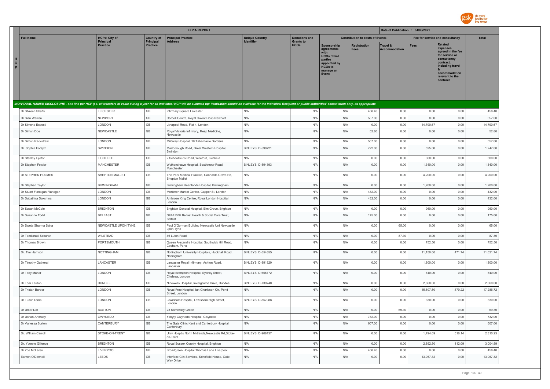

|                                                                                                                                                                                                                                |                              |                              | <b>EFPIA REPORT</b>                                                |                          |                                 |                                                                                                                                 |                                        | Date of Publication : 04/08/2021 |             |                                                                                                                                                                   |              |
|--------------------------------------------------------------------------------------------------------------------------------------------------------------------------------------------------------------------------------|------------------------------|------------------------------|--------------------------------------------------------------------|--------------------------|---------------------------------|---------------------------------------------------------------------------------------------------------------------------------|----------------------------------------|----------------------------------|-------------|-------------------------------------------------------------------------------------------------------------------------------------------------------------------|--------------|
| <b>Full Name</b>                                                                                                                                                                                                               | <b>HCPs: City of</b>         | <b>Country of</b>            | <b>Principal Practice</b>                                          | <b>Unique Country</b>    | <b>Donations and</b>            |                                                                                                                                 | <b>Contribution to costs of Events</b> |                                  |             | Fee for service and consultancy                                                                                                                                   | <b>Total</b> |
| н<br>$\mathbf{c}$<br>P                                                                                                                                                                                                         | Principal<br><b>Practice</b> | Principal<br><b>Practice</b> | Address                                                            |                          | <b>Grants to</b><br><b>HCOs</b> | <b>Sponsorship</b><br>agreements<br><b>HCOs / third</b><br>parties<br>appointed by<br>HCO <sub>s</sub> to<br>manage an<br>Event | Registration<br><b>Fees</b>            | Travel &<br><b>Accommodation</b> | <b>Fees</b> | <b>Related</b><br>expenses<br>agreed in the fee<br>for service or<br>consultancy<br>contract.<br>including travel<br>accommodation<br>relevant to the<br>contract |              |
| INDIVIDUAL NAMED DISCLOSURE - one line per HCP (i.e. all transfers of value during a year for an individual HCP will be summed up: itemization should be available for the individual Recipient or public authorities' consult |                              |                              |                                                                    |                          |                                 |                                                                                                                                 |                                        |                                  |             |                                                                                                                                                                   |              |
| Dr Shireen Shaffu                                                                                                                                                                                                              | LEICESTER                    | GB                           | Infirmary Square Leicester                                         | N/A                      | N/A                             | N/A                                                                                                                             | 458.40                                 | 0.00                             | 0.00        | 0.00                                                                                                                                                              | 458.40       |
| Dr Sian Warren                                                                                                                                                                                                                 | <b>NEWPORT</b>               | GB                           | Cordell Centre, Royal Gwent Hosp Newport                           | N/A                      | N/A                             | N/A                                                                                                                             | 557.00                                 | 0.00                             | 0.00        | 0.00                                                                                                                                                              | 557.00       |
| Dr Simona Esposti                                                                                                                                                                                                              | LONDON                       | GB                           | Liverpool Road, Flat 4, London                                     | N/A                      | N/A                             | N/A                                                                                                                             | 0.00                                   | 0.00                             | 14,790.67   | 0.00                                                                                                                                                              | 14,790.67    |
| Dr Simon Doe                                                                                                                                                                                                                   | NEWCASTLE                    | GB                           | Royal Victoria Infirmary, Resp Medicine,<br>Newcastle              | N/A                      | N/A                             | N/A                                                                                                                             | 52.80                                  | 0.00                             | 0.00        | 0.00                                                                                                                                                              | 52.80        |
| Dr Simon Rackstraw                                                                                                                                                                                                             | LONDON                       | $\mathbb{G}\mathbb{B}$       | Mildway Hospital, 19 Tabernacle Gardens                            | N/A                      | N/A                             | N/A                                                                                                                             | 557.00                                 | 0.00                             | 0.00        | 0.00                                                                                                                                                              | 557.00       |
| Dr. Sophie Forsyth                                                                                                                                                                                                             | SWINDON                      | GB                           | Marlborough Road, Great Western Hospital,<br>Swindon               | BINLEYS ID-590721        | N/A                             | N/A                                                                                                                             | 722.00                                 | 0.00                             | 525.00      | 0.00                                                                                                                                                              | 1,247.00     |
| Dr Stanley Ejiofor                                                                                                                                                                                                             | LICHFIELD                    | $\mathsf{GB}$                | 2 Schoolfields Road, Weeford, Lichfield                            | N/A                      | N/A                             | N/A                                                                                                                             | 0.00                                   | 0.00                             | 300.00      | 0.00                                                                                                                                                              | 300.00       |
| Dr Stephen Fowler                                                                                                                                                                                                              | <b>MANCHESTER</b>            | GB                           | Wythenshawe Hospital, Southmoor Road<br>Manchester                 | BINLEYS ID-594393        | N/A                             | N/A                                                                                                                             | 0.00                                   | 0.00                             | 1,340.00    | 0.00                                                                                                                                                              | 1,340.00     |
| Dr STEPHEN HOLMES                                                                                                                                                                                                              | SHEPTON MALLET               | GB                           | The Park Medical Practice, Cannards Grave Rd,<br>Shepton Mallet    | N/A                      | N/A                             | N/A                                                                                                                             | 0.00                                   | 0.00                             | 4,200.00    | 0.00                                                                                                                                                              | 4,200.00     |
| Dr Stephen Taylor                                                                                                                                                                                                              | <b>BIRMINGHAM</b>            | GB                           | Birmingham Heartlands Hospital, Birmingham                         | N/A                      | N/A                             | N/A                                                                                                                             | 0.00                                   | 0.00                             | 1,200.00    | 0.00                                                                                                                                                              | 1,200.00     |
| Dr Stuart Flanagan Flanagan                                                                                                                                                                                                    | LONDON                       | GB                           | Mortimer Market Centre, Capper St, London                          | N/A                      | N/A                             | N/A                                                                                                                             | 432.00                                 | 0.00                             | 0.00        | 0.00                                                                                                                                                              | 432.00       |
| Dr Subathira Dakshina                                                                                                                                                                                                          | LONDON                       | GB                           | Ambrose King Centre, Royal London Hospital<br>London               | N/A                      | N/A                             | N/A                                                                                                                             | 432.00                                 | 0.00                             | 0.00        | 0.00                                                                                                                                                              | 432.00       |
| Dr Susan McCole                                                                                                                                                                                                                | <b>BRIGHTON</b>              | GB                           | Brighton General Hospital, Elm Grove, Brighton                     | N/A                      | N/A                             | N/A                                                                                                                             | 0.00                                   | 0.00                             | 960.00      | 0.00                                                                                                                                                              | 960.00       |
| Dr Suzanne Todd                                                                                                                                                                                                                | <b>BELFAST</b>               | GB                           | GUM RVH Belfast Health & Social Care Trust,<br><b>Belfast</b>      | N/A                      | N/A                             | N/A                                                                                                                             | 175.00                                 | 0.00                             | 0.00        | 0.00                                                                                                                                                              | 175.00       |
| Dr Sweta Sharma Saha                                                                                                                                                                                                           | NEWCASTLE UPON TYNE          | $\mathbb{G}\mathbb{B}$       | Paul O'Gorman Building Newcastle Uni Newcastle<br>upon Tyne        | N/A                      | N/A                             | N/A                                                                                                                             | 0.00                                   | 65.00                            | 0.00        | 0.00                                                                                                                                                              | 65.00        |
| Dr Tamilarasi Sekaran                                                                                                                                                                                                          | WILSTEAD                     | GB                           | 46 Luton Road                                                      | N/A                      | N/A                             | N/A                                                                                                                             | 0.00                                   | 87.30                            | 0.00        | 0.00                                                                                                                                                              | 87.30        |
| Dr Thomas Brown                                                                                                                                                                                                                | PORTSMOUTH                   | GB                           | Queen Alexandra Hospital, Southwick Hill Road,<br>Cosham, Ports    | N/A                      | N/A                             | N/A                                                                                                                             | 0.00                                   | 0.00                             | 752.50      | 0.00                                                                                                                                                              | 752.50       |
| Dr. Tim Harrison                                                                                                                                                                                                               | <b>NOTTINGHAM</b>            | GB                           | Nottingham University Hospitals, Hucknall Road,<br>Nottingham      | BINLEYS ID-554855        | N/A                             | N/A                                                                                                                             | 0.00                                   | 0.00                             | 11,150.00   | 471.74                                                                                                                                                            | 11.621.74    |
| Dr Timothy Gatheral                                                                                                                                                                                                            | LANCASTER                    | GB                           | Lancaster Royal Infirmary, Ashton Road,<br>Lancaster               | BINLEYS ID-891820        | N/A                             | N/A                                                                                                                             | 0.00                                   | 0.00                             | 1,800.00    | 0.00                                                                                                                                                              | 1,800.00     |
| Dr Toby Maher                                                                                                                                                                                                                  | LONDON                       | GB                           | Royal Brompton Hospital, Sydney Street,<br>Chelsea, London         | BINLEYS ID-656772        | N/A                             | N/A                                                                                                                             | 0.00                                   | 0.00                             | 640.00      | 0.00                                                                                                                                                              | 640.00       |
| Dr Tom Fardon                                                                                                                                                                                                                  | <b>DUNDEE</b>                | GB                           | Ninewells Hospital, Invergowrie Drive, Dundee                      | BINLEYS ID-739740        | N/A                             | N/A                                                                                                                             | 0.00                                   | 0.00                             | 2,860.00    | 0.00                                                                                                                                                              | 2,860.00     |
| Dr Tristan Barber                                                                                                                                                                                                              | LONDON                       | GB                           | Royal Free Hospital, Ian Charleson Ctr, Pond<br>Street, London     | N/A                      | N/A                             | N/A                                                                                                                             | 0.00                                   | 0.00                             | 15,807.50   | 1,479.22                                                                                                                                                          | 17,286.72    |
| Dr Tudor Toma                                                                                                                                                                                                                  | LONDON                       | GB                           | Lewisham Hospital, Lewisham High Street,<br>London                 | <b>BINLEYS ID-857088</b> | N/A                             | N/A                                                                                                                             | 0.00                                   | 0.00                             | 330.00      | 0.00                                                                                                                                                              | 330.00       |
| Dr Umar Dar                                                                                                                                                                                                                    | <b>BOSTON</b>                | GB                           | 23 Somersby Green                                                  | N/A                      | N/A                             | N/A                                                                                                                             | 0.00                                   | 69.30                            | 0.00        | 0.00                                                                                                                                                              | 69.30        |
| Dr Ushan Andrady                                                                                                                                                                                                               | GWYNEDD                      | GB                           | Ysbyty Gwynedo Hospital, Gwynedo                                   | N/A                      | N/A                             | N/A                                                                                                                             | 732.00                                 | 0.00                             | 0.00        | 0.00                                                                                                                                                              | 732.00       |
| Dr Vanessa Burton                                                                                                                                                                                                              | CANTERBURY                   | GB                           | The Gate Clinic Kent and Canterbury Hospital<br>Canterbury         | N/A                      | N/A                             | N/A                                                                                                                             | 607.00                                 | 0.00                             | 0.00        | 0.00                                                                                                                                                              | 607.00       |
| Dr. William Carroll                                                                                                                                                                                                            | STOKE-ON-TRENT               | GB                           | Univ Hosptls North Midlands, Newcastle Rd, Stoke-<br>on-Trent      | BINLEYS ID-908137        | N/A                             | N/A                                                                                                                             | 0.00                                   | 0.00                             | 1,794.09    | 516.14                                                                                                                                                            | 2,310.23     |
| Dr. Yvonne Gilleece                                                                                                                                                                                                            | <b>BRIGHTON</b>              | GB                           | Royal Sussex County Hospital, Brighton                             | N/A                      | N/A                             | N/A                                                                                                                             | 0.00                                   | 0.00                             | 2.892.50    | 112.09                                                                                                                                                            | 3.004.59     |
| Dr Zoe McLaren                                                                                                                                                                                                                 | LIVERPOOL                    | GB                           | Broadgreen Hospital Thomas Lane Liverpool                          | N/A                      | N/A                             | N/A                                                                                                                             | 458.40                                 | 0.00                             | 0.00        | 0.00                                                                                                                                                              | 458.40       |
| Eamon O'Donnell                                                                                                                                                                                                                | LEEDS                        | GB                           | Interface Clin Services, Schofield House, Gate<br><b>Wav Drive</b> | N/A                      | N/A                             | N/A                                                                                                                             | 0.00                                   | 0.00                             | 13,067.32   | 0.00                                                                                                                                                              | 13,067.32    |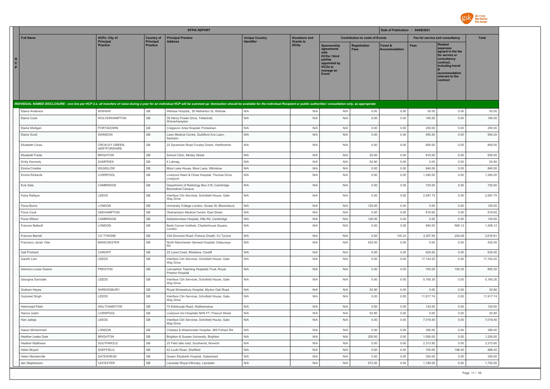

|                        |                                         |                                       |                              | <b>EFPIA REPORT</b>                                                                                                                                                                                                            |                       |                                 |                                                                                                                      |                                        | Date of Publication : 04/08/2021 |                                 |                                                                                                                                                                   |                    |
|------------------------|-----------------------------------------|---------------------------------------|------------------------------|--------------------------------------------------------------------------------------------------------------------------------------------------------------------------------------------------------------------------------|-----------------------|---------------------------------|----------------------------------------------------------------------------------------------------------------------|----------------------------------------|----------------------------------|---------------------------------|-------------------------------------------------------------------------------------------------------------------------------------------------------------------|--------------------|
|                        | <b>Full Name</b>                        | <b>HCPs: City of</b>                  | <b>Country of</b>            | <b>Principal Practice</b>                                                                                                                                                                                                      | <b>Unique Country</b> | <b>Donations and</b>            |                                                                                                                      | <b>Contribution to costs of Events</b> |                                  | Fee for service and consultancy |                                                                                                                                                                   | <b>Total</b>       |
| H<br>$\mathbf{C}$<br>P |                                         | <b>Principal</b><br><b>Practice</b>   | Principal<br><b>Practice</b> | <b>Address</b>                                                                                                                                                                                                                 | <b>Identifier</b>     | <b>Grants to</b><br><b>HCOs</b> | Sponsorship<br>agreements<br>with<br>HCOs / third<br>parties<br>appointed by<br><b>HCOs to</b><br>manage an<br>Event | <b>Registration</b><br><b>Fees</b>     | Travel &<br><b>Accommodation</b> | <b>Fees</b>                     | <b>Related</b><br>expenses<br>agreed in the fee<br>for service or<br>consultancy<br>contract,<br>including travel<br>accommodation<br>relevant to the<br>contract |                    |
|                        |                                         |                                       |                              | INDIVIDUAL NAMED DISCLOSURE - one line per HCP (i.e. all transfers of value during a year for an individual HCP will be summed up: itemization should be available for the individual Recipient or public authorities' consult |                       |                                 |                                                                                                                      |                                        |                                  |                                 |                                                                                                                                                                   |                    |
|                        | Elaine Anderson                         | WISHAW                                | GB                           | Wishaw Hospital,, 50 Netherton St, Wishaw                                                                                                                                                                                      | N/A                   | N/A                             | N/A                                                                                                                  | 0.00                                   | 0.00                             | 55.00                           | 0.00                                                                                                                                                              | 55.00              |
|                        | Elaine Cook                             | WOLVERHAMPTON                         | GB                           | 39 Henry Fowler Drive, Tettenhall,<br>Wolverhampton                                                                                                                                                                            | N/A                   | N/A                             | N/A                                                                                                                  | 0.00                                   | 0.00                             | 195.00                          | 0.00                                                                                                                                                              | 195.00             |
|                        | Elaine Mulligan                         | PORTADOWN                             | GB                           | Craigavon Area Hospital, Portadown                                                                                                                                                                                             | N/A                   | N/A                             | N/A                                                                                                                  | 0.00                                   | 0.00                             | 200.00                          | 0.00                                                                                                                                                              | 200.00             |
|                        | Elaine Scott                            | SWINDON                               | GB                           | Lawn Medical Centre, Guildford Ave Lawn,<br>Swindon                                                                                                                                                                            | N/A                   | N/A                             | N/A                                                                                                                  | 0.00                                   | 0.00                             | 950.20                          | 0.00                                                                                                                                                              | 950.20             |
|                        | Elizabeth Cross                         | CROXLEY GREEN,<br><b>HERTFORSHIRE</b> | GB                           | 22 Sycamore Road Croxley Green, Hertforshire                                                                                                                                                                                   | N/A                   | N/A                             | N/A                                                                                                                  | 0.00                                   | 0.00                             | 800.00                          | 0.00                                                                                                                                                              | 800.00             |
|                        | Elizabeth Foote                         | <b>BRIGHTON</b>                       | GB                           | School Clinic, Morley Street                                                                                                                                                                                                   | N/A                   | N/A                             | N/A                                                                                                                  | 25.00                                  | 0.00                             | 910.00                          | 0.00                                                                                                                                                              | 935.00             |
|                        | Emily Kennedy                           | <b>DUMFRIES</b>                       | GB                           | 4 Lahraig                                                                                                                                                                                                                      | N/A                   | N/A                             | N/A                                                                                                                  | 52.80                                  | 0.00                             | 0.00                            | 0.00                                                                                                                                                              | 52.80              |
|                        | Emma Crosbie                            | WILMSLOW                              | GB                           | Moor Lane House, Moor Lane, Wilmslow                                                                                                                                                                                           | N/A                   | N/A                             | N/A                                                                                                                  | 0.00                                   | 0.00                             | 840.00                          | 0.00                                                                                                                                                              | 840.00             |
|                        | Emma Rickards                           | LIVERPOOL                             | GB                           | Liverpool Heart & Chest Hospital, Thomas Drive,<br>Liverpool                                                                                                                                                                   | N/A                   | N/A                             | N/A                                                                                                                  | 0.00                                   | 0.00                             | 1,260.00                        | 0.00                                                                                                                                                              | 1,260.00           |
|                        | Evis Sala                               | CAMBRIDGE                             | GB                           | Department of Radiology Box 218, Cambridge<br><b>Biomedical Campus</b>                                                                                                                                                         | N/A                   | N/A                             | N/A                                                                                                                  | 0.00                                   | 0.00                             | 720.00                          | 0.00                                                                                                                                                              | 720.00             |
|                        | Faiza Rafique                           | LEEDS                                 | GB                           | Interface Clin Services, Schofield House, Gate<br>Way Drive                                                                                                                                                                    | N/A                   | N/A                             | N/A                                                                                                                  | 0.00                                   | 0.00                             | 2,587.75                        | 0.00                                                                                                                                                              | 2,587.75           |
|                        | Fiona Burns                             | LONDON                                | GB                           | University College London, Gower St, Bloomsbury                                                                                                                                                                                | N/A                   | N/A                             | N/A                                                                                                                  | 125.00                                 | 0.00                             | 0.00                            | 0.00                                                                                                                                                              | 125.00             |
|                        | Fiona Cook                              | OKEHAMPTON                            | GB                           | Okehampton Medical Centre, East Street                                                                                                                                                                                         | N/A                   | N/A                             | N/A                                                                                                                  | 0.00                                   | 0.00                             | 819.60                          | 0.00                                                                                                                                                              | 819.60             |
|                        | Fiona Wilson<br>Frances Balkwill        | CAMBRIDGE<br>LONDON                   | GB<br>GB                     | Addenbrookes Hospital, Hills Rd, Cambridge<br>Barts Cancer Institute, Charterhouse Square,                                                                                                                                     | N/A<br>N/A            | N/A<br>N/A                      | N/A<br>N/A                                                                                                           | 130.00<br>0.00                         | 0.00<br>0.00                     | 0.00<br>840.00                  | 0.00<br>569.12                                                                                                                                                    | 130.00<br>1,409.12 |
|                        |                                         |                                       |                              | London                                                                                                                                                                                                                         |                       |                                 |                                                                                                                      |                                        |                                  |                                 |                                                                                                                                                                   |                    |
|                        | Frances Barrett                         | CO TYRONE                             | GB                           | 33A Dromore Road, Fintona Omath, Co Tyrone                                                                                                                                                                                     | N/A                   | N/A                             | N/A                                                                                                                  | 0.00                                   | 105.23                           | 3,307.50                        | 204.08                                                                                                                                                            | 3,616.81           |
|                        | Francisco Javier Vilar                  | <b>MANCHESTER</b>                     | GB                           | North Manchester General Hospital, Delaunays<br>Rd                                                                                                                                                                             | N/A                   | N/A                             | N/A                                                                                                                  | 432.00                                 | 0.00                             | 0.00                            | 0.00                                                                                                                                                              | 432.00             |
|                        | Gail Prichard                           | CARDIFF                               | GB                           | 22 Llywd Coed, Rhiwbina, Cardiff                                                                                                                                                                                               | N/A                   | N/A                             | N/A                                                                                                                  | 0.00                                   | 0.00                             | 625.00                          | 0.00                                                                                                                                                              | 625.00             |
|                        | Gareth Lam                              | LEEDS                                 | GB                           | Interface Clin Services, Schofield House, Gate<br>Way Drive                                                                                                                                                                    | N/A                   | N/A                             | N/A                                                                                                                  | 0.00                                   | 0.00                             | 17,154.20                       | 0.00                                                                                                                                                              | 17, 154.20         |
|                        | Gemma Louise Owens                      | PRESTON                               | GB                           | Lancashire Teaching Hospitals Trust, Royal<br>Preston Hospital                                                                                                                                                                 | N/A                   | N/A                             | N/A                                                                                                                  | 0.00                                   | 0.00                             | 700.00                          | 155.30                                                                                                                                                            | 855.30             |
|                        | Georgina Saviolaki                      | LEEDS                                 | GB                           | Interface Clin Services, Schofield House, Gate<br>Way Drive                                                                                                                                                                    | N/A                   | N/A                             | N/A                                                                                                                  | 0.00                                   | 0.00                             | 5,160.26                        | 0.00                                                                                                                                                              | 5,160.26           |
|                        | Graham Heyes                            | SHREWSBURY                            | GB                           | Royal Shrewsbury Hospital, Myrton Oak Road                                                                                                                                                                                     | N/A                   | N/A                             | N/A                                                                                                                  | 52.80                                  | 0.00                             | 0.00                            | 0.00                                                                                                                                                              | 52.80              |
|                        | Gurpreet Singh                          | LEEDS                                 | GB                           | Interface Clin Services, Schofield House, Gate<br>Way Drive                                                                                                                                                                    | N/A                   | N/A                             | N/A                                                                                                                  | 0.00                                   | 0.00                             | 11,917.74                       | 0.00                                                                                                                                                              | 11,917.74          |
|                        | <b>Hammaad Patel</b>                    | WALTHAMSTOW                           | GB                           | 70 Edinburgh Road, Walthamstow                                                                                                                                                                                                 | N/A                   | N/A                             | N/A                                                                                                                  | 0.00                                   | 0.00                             | 120.00                          | 0.00                                                                                                                                                              | 120.00             |
|                        | Hanna Joplin                            | LIVERPOOL                             | GB                           | Liverpool Uni Hospitals NHS FT, Prescot Street                                                                                                                                                                                 | N/A                   | N/A                             | N/A                                                                                                                  | 52.80                                  | 0.00                             | 0.00                            | 0.00                                                                                                                                                              | 52.80              |
|                        | Hari Jadeja                             | LEEDS                                 | GB                           | Interface Clin Services, Schofield House, Gate<br>Way Drive                                                                                                                                                                    |                       | N/A                             | N/A                                                                                                                  | 0.00                                   | 0.00                             | 7,019.40                        | 0.00                                                                                                                                                              | 7,019.40           |
|                        | Hasan Mohammed                          | LONDON                                | GB                           | Chelsea & Westminster Hospital, 369 Fulham Rd                                                                                                                                                                                  | N/A                   | N/A                             | N/A                                                                                                                  | 0.00                                   | 0.00                             | 390.00                          | 0.00                                                                                                                                                              | 390.00             |
|                        | Heather Leake Date                      | <b>BRIGHTON</b>                       | GB                           | Brighton & Sussex University, Brighton                                                                                                                                                                                         | N/A                   | N/A                             | N/A                                                                                                                  | 250.00                                 | 0.00                             | 1,000.00                        | 0.00                                                                                                                                                              | 1,250.00           |
|                        | <b>Heather Matthews</b><br>Helen Bryant | SOUTHWOLD<br>SHEFFIELD                | GB<br>GB                     | 25 Field stile road, Southwold, Norwich<br>42 Louth Road, Sheffield                                                                                                                                                            | N/A<br>N/A            | N/A<br>N/A                      | N/A<br>N/A                                                                                                           | 0.00<br>0.00                           | 0.00<br>0.00                     | 2,373.80<br>700.00              | 0.00<br>198.40                                                                                                                                                    | 2,373.80<br>898.40 |
|                        | Helen Manderville                       | GATESHEAD                             | GB                           | Queen Elizabeth Hospital, Gateshead                                                                                                                                                                                            | N/A                   | N/A                             | N/A                                                                                                                  | 0.00                                   | 0.00                             | 300.00                          | 0.00                                                                                                                                                              | 300.00             |
|                        | lain Stephenson                         | LEICESTER                             | GB                           | Leicester Royal Infirmary, Leicester                                                                                                                                                                                           | N/A                   | N/A                             | N/A                                                                                                                  | 572.00                                 | 0.00                             | 1,180.00                        | 0.00                                                                                                                                                              | 1,752.00           |
|                        |                                         |                                       |                              |                                                                                                                                                                                                                                |                       |                                 |                                                                                                                      |                                        |                                  |                                 |                                                                                                                                                                   |                    |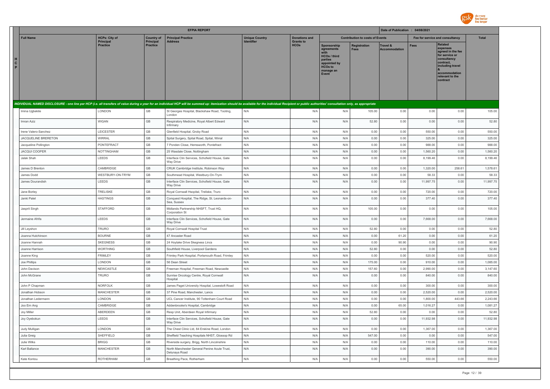

|                        |                       |                                          |                                       | <b>EFPIA REPORT</b>                                                                                                                                                                                                            |                                            |                                          |                                                                                                                     |                                        | Date of Publication : 04/08/2021 |             |                                                                                                                                                                   |              |
|------------------------|-----------------------|------------------------------------------|---------------------------------------|--------------------------------------------------------------------------------------------------------------------------------------------------------------------------------------------------------------------------------|--------------------------------------------|------------------------------------------|---------------------------------------------------------------------------------------------------------------------|----------------------------------------|----------------------------------|-------------|-------------------------------------------------------------------------------------------------------------------------------------------------------------------|--------------|
|                        | <b>Full Name</b>      | <b>HCPs: City of</b><br><b>Principal</b> | <b>Country of</b><br><b>Principal</b> | <b>Principal Practice</b><br><b>Address</b>                                                                                                                                                                                    | <b>Unique Country</b><br><b>Identifier</b> | <b>Donations and</b><br><b>Grants to</b> |                                                                                                                     | <b>Contribution to costs of Events</b> |                                  |             | Fee for service and consultancy                                                                                                                                   | <b>Total</b> |
| н<br>$\mathbf{c}$<br>P |                       | <b>Practice</b>                          | <b>Practice</b>                       |                                                                                                                                                                                                                                |                                            | <b>HCOs</b>                              | Sponsorship<br>agreements<br><b>HCOs / third</b><br>parties<br>appointed by<br><b>HCOs to</b><br>manage an<br>Event | <b>Registration</b><br><b>Fees</b>     | Travel &<br><b>Accommodation</b> | <b>Fees</b> | <b>Related</b><br>expenses<br>agreed in the fee<br>for service or<br>consultancy<br>contract,<br>including travel<br>accommodation<br>relevant to the<br>contract |              |
|                        |                       |                                          |                                       | INDIVIDUAL NAMED DISCLOSURE - one line per HCP (i.e. all transfers of value during a year for an individual HCP will be summed up: itemization should be available for the individual Recipient or public authorities' consult |                                            |                                          |                                                                                                                     |                                        |                                  |             |                                                                                                                                                                   |              |
|                        | Imina Ugbekile        | LONDON                                   | GB                                    | St Georges Hospital, Blackshaw Road, Tooting,<br>London                                                                                                                                                                        | N/A                                        | N/A                                      | N/A                                                                                                                 | 105.00                                 | 0.00                             | 0.00        | 0.00                                                                                                                                                              | 105.00       |
|                        | Imran Aziz            | <b>WIGAN</b>                             | GB                                    | Respiratory Medicine, Royal Albert Edward<br>Infirmary                                                                                                                                                                         | N/A                                        | N/A                                      | N/A                                                                                                                 | 52.80                                  | 0.00                             | 0.00        | 0.00                                                                                                                                                              | 52.80        |
|                        | Irene Valero-Sanchez  | LEICESTER                                | GB                                    | Glenfield Hospital, Groby Road                                                                                                                                                                                                 | N/A                                        | N/A                                      | N/A                                                                                                                 | 0.00                                   | 0.00                             | 550.00      | 0.00                                                                                                                                                              | 550.00       |
|                        | JACQUELINE BRERETON   | <b>WIRRAL</b>                            | GB                                    | Spital Surgery, Spital Road, Spital, Wirral                                                                                                                                                                                    | N/A                                        | N/A                                      | N/A                                                                                                                 | 0.00                                   | 0.00                             | 325.00      | 0.00                                                                                                                                                              | 325.00       |
|                        | Jacqueline Pollington | PONTEFRACT                               | $\mathbb{G}\mathbb{B}$                | 7 Ponden Close, Hemsworth, Pontefract                                                                                                                                                                                          | N/A                                        | N/A                                      | N/A                                                                                                                 | 0.00                                   | 0.00                             | 988.00      | 0.00                                                                                                                                                              | 988.00       |
|                        | <b>JACQUI COOPER</b>  | <b>NOTTINGHAM</b>                        | $\mathbb{G}\mathbb{B}$                | 25 Wasdale Close, Nottingham                                                                                                                                                                                                   | N/A                                        | N/A                                      | N/A                                                                                                                 | 0.00                                   | 0.00                             | 1,560.20    | 0.00                                                                                                                                                              | 1,560.20     |
|                        | Jalak Shah            | LEEDS                                    | GB                                    | Interface Clin Services, Schofield House, Gate<br>Way Drive                                                                                                                                                                    | N/A                                        | N/A                                      | N/A                                                                                                                 | 0.00                                   | 0.00                             | 8,199.46    | 0.00                                                                                                                                                              | 8,199.46     |
|                        | James D Brenton       | CAMBRIDGE                                | $\mathbb{G}\mathbb{B}$                | CRUK Cambridge Institute, Robinson Way                                                                                                                                                                                         | N/A                                        | N/A                                      | N/A                                                                                                                 | 0.00                                   | 0.00                             | 1,320.00    | 258.61                                                                                                                                                            | 1,578.61     |
|                        | James Dodd            | WESTBURY-ON-TRYM                         | GB                                    | Southmead Hospital, Westbury-On-Trym                                                                                                                                                                                           | N/A                                        | N/A                                      | N/A                                                                                                                 | 0.00                                   | 0.00                             | 58.33       | 0.00                                                                                                                                                              | 58.33        |
|                        | James Dourandish      | LEEDS                                    | GB                                    | Interface Clin Services, Schofield House, Gate<br><b>Way Drive</b>                                                                                                                                                             | N/A                                        | N/A                                      | N/A                                                                                                                 | 0.00                                   | 0.00                             | 11,997.75   | 0.00                                                                                                                                                              | 11,997.75    |
|                        | Jane Borley           | <b>TRELISKE</b>                          | GB                                    | Royal Cornwall Hsopital, Treliske, Truro                                                                                                                                                                                       | N/A                                        | N/A                                      | N/A                                                                                                                 | 0.00                                   | 0.00                             | 720.00      | 0.00                                                                                                                                                              | 720.00       |
|                        | Janki Patel           | <b>HASTINGS</b>                          | GB                                    | Conquest Hospital, The Ridge, St. Leonards-on-<br>Sea, Sussex                                                                                                                                                                  | N/A                                        | N/A                                      | N/A                                                                                                                 | 0.00                                   | 0.00                             | 377.40      | 0.00                                                                                                                                                              | 377.40       |
|                        | Jasprit Singh         | <b>STAFFORD</b>                          | GB                                    | Midlands Partnership NHSFT, Trust HQ,<br>Corporation St                                                                                                                                                                        | N/A                                        | N/A                                      | N/A                                                                                                                 | 105.00                                 | 0.00                             | 0.00        | 0.00                                                                                                                                                              | 105.00       |
|                        | Jermaine Afrifa       | LEEDS                                    | GB                                    | Interface Clin Services, Schofield House, Gate<br>Way Drive                                                                                                                                                                    | N/A                                        | N/A                                      | N/A                                                                                                                 | 0.00                                   | 0.00                             | 7,668.00    | 0.00                                                                                                                                                              | 7,668.00     |
|                        | Jill Leyshon          | <b>TRURO</b>                             | GB                                    | Royal Cornwall Hospital Trust                                                                                                                                                                                                  | N/A                                        | N/A                                      | N/A                                                                                                                 | 52.80                                  | 0.00                             | 0.00        | 0.00                                                                                                                                                              | 52.80        |
|                        | Joanna Hutchinson     | <b>BOURNE</b>                            | GB                                    | 47 Ancaster Road                                                                                                                                                                                                               | N/A                                        | N/A                                      | N/A                                                                                                                 | 0.00                                   | 61.20                            | 0.00        | 0.00                                                                                                                                                              | 61.20        |
|                        | Joanne Hannah         | <b>SKEGNESS</b>                          | GB                                    | 24 Hoylake Drive Skegness Lincs                                                                                                                                                                                                | N/A                                        | N/A                                      | N/A                                                                                                                 | 0.00                                   | 90.90                            | 0.00        | 0.00                                                                                                                                                              | 90.90        |
|                        | Joanne Harrison       | <b>WORTHING</b>                          | $\mathbb{G}\mathbb{B}$                | Southfield House, Liverpool Gardens                                                                                                                                                                                            | N/A                                        | N/A                                      | N/A                                                                                                                 | 52.80                                  | 0.00                             | 0.00        | 0.00                                                                                                                                                              | 52.80        |
|                        | Joanne King           | <b>FRIMLEY</b>                           | GB                                    | Frimley Park Hospital, Portsmouth Road, Frimley                                                                                                                                                                                | N/A                                        | N/A                                      | N/A                                                                                                                 | 0.00                                   | 0.00                             | 520.00      | 0.00                                                                                                                                                              | 520.00       |
|                        | Joe Phillips          | LONDON                                   | GB                                    | 56 Dean Street                                                                                                                                                                                                                 | N/A                                        | N/A                                      | N/A                                                                                                                 | 175.00                                 | 0.00                             | 910.00      | 0.00                                                                                                                                                              | 1,085.00     |
|                        | John Davison          | NEWCASTLE                                | GB                                    | Freeman Hospital, Freeman Road, Newcastle                                                                                                                                                                                      | N/A                                        | N/A                                      | N/A                                                                                                                 | 157.60                                 | 0.00                             | 2,990.00    | 0.00                                                                                                                                                              | 3,147.60     |
|                        | John McGrane          | TRURO                                    | GB                                    | Sunrise Oncology Centre, Royal Cornwall<br>Hospital                                                                                                                                                                            | N/A                                        | N/A                                      | N/A                                                                                                                 | 0.00                                   | 0.00                             | 840.00      | 0.00                                                                                                                                                              | 840.00       |
|                        | John P Chapman        | NORFOLK                                  | $\mathbb{G}\mathbb{B}$                | James Paget University Hospital, Lowestoft Road                                                                                                                                                                                | N/A                                        | N/A                                      | N/A                                                                                                                 | 0.00                                   | 0.00                             | 300.00      | 0.00                                                                                                                                                              | 300.00       |
|                        | Jonathan Hobson       | <b>MANCHESTER</b>                        | $\mathbb{G}\mathbb{B}$                | 37 Pine Road, Manchester, Lancs                                                                                                                                                                                                | N/A                                        | N/A                                      | N/A                                                                                                                 | 0.00                                   | 0.00                             | 2,520.00    | 0.00                                                                                                                                                              | 2,520.00     |
|                        | Jonathan Ledermann    | LONDON                                   | $\mathbb{G}\mathbb{B}$                | UCL Cancer Institute, 90 Tottenham Court Road                                                                                                                                                                                  | N/A                                        | N/A                                      | N/A                                                                                                                 | 0.00                                   | 0.00                             | 1,800.00    | 443.66                                                                                                                                                            | 2,243.66     |
|                        | Joo Ern Ang           | CAMBRIDGE                                | $\mathbb{G}\mathbb{B}$                | Addenbrooke's Hospital, Cambridge                                                                                                                                                                                              | N/A                                        | N/A                                      | N/A                                                                                                                 | 0.00                                   | 65.00                            | 1,016.27    | 0.00                                                                                                                                                              | 1,081.27     |
|                        | Joy Miller            | ABERDEEN                                 | GB                                    | Resp Unit, Aberdeen Royal Infirmary                                                                                                                                                                                            | N/A                                        | N/A                                      | N/A                                                                                                                 | 52.80                                  | 0.00                             | 0.00        | 0.00                                                                                                                                                              | 52.80        |
|                        | Joy Oyebokun          | LEEDS                                    | GB                                    | Interface Clin Services, Schofield House, Gate<br><b>Way Drive</b>                                                                                                                                                             | N/A                                        | N/A                                      | N/A                                                                                                                 | 0.00                                   | 0.00                             | 11,932.98   | 0.00                                                                                                                                                              | 11,932.98    |
|                        | Judy Mulligan         | LONDON                                   | GB                                    | The Chest Clinic Ltd, 84 Erskine Road, London                                                                                                                                                                                  | N/A                                        | N/A                                      | N/A                                                                                                                 | 0.00                                   | 0.00                             | 1,367.00    | 0.00                                                                                                                                                              | 1,367.00     |
|                        | Julia Greig           | SHEFFIELD                                | GB                                    | Sheffield Teaching Hospitals NHST, Glossop Rd                                                                                                                                                                                  | N/A                                        | N/A                                      | N/A                                                                                                                 | 547.00                                 | 0.00                             | 0.00        | 0.00                                                                                                                                                              | 547.00       |
|                        | Julie Wilks           | <b>BRIGG</b>                             | GB                                    | Riverside surgery, Brigg, North Lincolnshire                                                                                                                                                                                   | N/A                                        | N/A                                      | N/A                                                                                                                 | 0.00                                   | 0.00                             | 110.00      | 0.00                                                                                                                                                              | 110.00       |
|                        | Karl Ballance         | <b>MANCHESTER</b>                        | $\mathbb{G}\mathbb{B}$                | North Manchester General Penine Acute Trust,<br>Delunays Road                                                                                                                                                                  | N/A                                        | N/A                                      | N/A                                                                                                                 | 0.00                                   | 0.00                             | 390.00      | 0.00                                                                                                                                                              | 390.00       |
|                        | Kate Kontou           | ROTHERHAM                                | GB                                    | Breathing Pace, Rotherham                                                                                                                                                                                                      | N/A                                        | N/A                                      | N/A                                                                                                                 | 0.00                                   | 0.00                             | 550.00      | 0.00                                                                                                                                                              | 550.00       |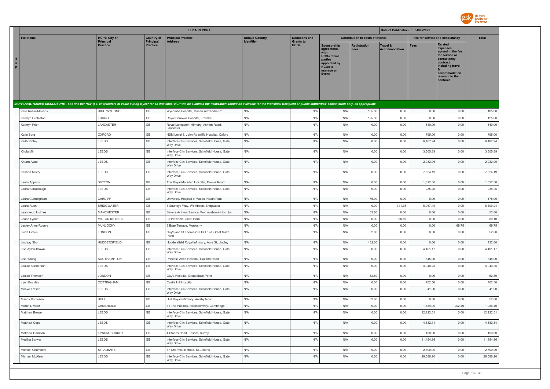

|                                   |                                          |                                       | <b>EFPIA REPORT</b>                                                                                                                                                                                                            |                                            |                                          |                                                                                                                     |                                        | Date of Publication : 04/08/2021            |                                 |                                                                                                                                                                   |                |
|-----------------------------------|------------------------------------------|---------------------------------------|--------------------------------------------------------------------------------------------------------------------------------------------------------------------------------------------------------------------------------|--------------------------------------------|------------------------------------------|---------------------------------------------------------------------------------------------------------------------|----------------------------------------|---------------------------------------------|---------------------------------|-------------------------------------------------------------------------------------------------------------------------------------------------------------------|----------------|
| <b>Full Name</b>                  | <b>HCPs: City of</b><br><b>Principal</b> | <b>Country of</b><br><b>Principal</b> | <b>Principal Practice</b><br><b>Address</b>                                                                                                                                                                                    | <b>Unique Country</b><br><b>Identifier</b> | <b>Donations and</b><br><b>Grants to</b> |                                                                                                                     | <b>Contribution to costs of Events</b> |                                             | Fee for service and consultancy |                                                                                                                                                                   | <b>Total</b>   |
| $\mathbf{c}$<br>P                 | <b>Practice</b>                          | <b>Practice</b>                       |                                                                                                                                                                                                                                |                                            | <b>HCOs</b>                              | Sponsorship<br>agreements<br><b>HCOs / third</b><br>parties<br>appointed by<br><b>HCOs to</b><br>manage an<br>Event | <b>Registration</b><br><b>Fees</b>     | <b>Travel &amp;</b><br><b>Accommodation</b> | <b>Fees</b>                     | <b>Related</b><br>expenses<br>agreed in the fee<br>for service or<br>consultancy<br>contract.<br>including travel<br>accommodation<br>relevant to the<br>contract |                |
|                                   |                                          |                                       | INDIVIDUAL NAMED DISCLOSURE - one line per HCP (i.e. all transfers of value during a year for an individual HCP will be summed up: itemization should be available for the individual Recipient or public authorities' consult |                                            |                                          |                                                                                                                     |                                        |                                             |                                 |                                                                                                                                                                   |                |
| Kate Russell-Hobbs                | HIGH WYCOMBE                             | GB                                    | Wycombe Hospital, Queen Alexandra Rd                                                                                                                                                                                           | N/A                                        | N/A                                      | N/A                                                                                                                 | 105.00                                 | 0.00                                        | 0.00                            | 0.00                                                                                                                                                              | 105.00         |
| Kathryn Eccleston                 | <b>TRURO</b>                             | $\mathbb{G}\mathbb{B}$                | Royal Cornwall Hospital, Treliske                                                                                                                                                                                              | N/A                                        | N/A                                      | N/A                                                                                                                 | 125.00                                 | 0.00                                        | 0.00                            | 0.00                                                                                                                                                              | 125.00         |
| Kathryn Prior                     | LANCASTER                                | $\mathbb{G}\mathbb{B}$                | Royal Lancaster Infirmary, Ashton Road,<br>Lancaster                                                                                                                                                                           | N/A                                        | N/A                                      | N/A                                                                                                                 | 0.00                                   | 0.00                                        | 540.00                          | 0.00                                                                                                                                                              | 540.00         |
| Katie Borg                        | OXFORD                                   | GB                                    | NDM Level 5, John Radcliffe Hospital, Oxford                                                                                                                                                                                   | N/A                                        | N/A                                      | N/A                                                                                                                 | 0.00                                   | 0.00                                        | 795.00                          | 0.00                                                                                                                                                              | 795.00         |
| Keith Ridley                      | LEEDS                                    | GB                                    | Interface Clin Services, Schofield House, Gate<br>Way Drive                                                                                                                                                                    | N/A                                        | N/A                                      | N/A                                                                                                                 | 0.00                                   | 0.00                                        | 6,487.94                        | 0.00                                                                                                                                                              | 6,487.94       |
| Khola Mir                         | LEEDS                                    | GB                                    | Interface Clin Services, Schofield House, Gate<br>Way Drive                                                                                                                                                                    | N/A                                        | N/A                                      | N/A                                                                                                                 | 0.00                                   | 0.00                                        | 3,505.89                        | 0.00                                                                                                                                                              | 3,505.89       |
| Khurm Azad                        | LEEDS                                    | GB                                    | Interface Clin Services, Schofield House, Gate<br>Way Drive                                                                                                                                                                    | N/A                                        | N/A                                      | N/A                                                                                                                 | 0.00                                   | 0.00                                        | 2,082.96                        | 0.00                                                                                                                                                              | 2,082.96       |
| Krishna Mistry                    | LEEDS                                    | GB                                    | Interface Clin Services, Schofield House, Gate<br>Way Drive                                                                                                                                                                    | N/A                                        | N/A                                      | N/A                                                                                                                 | 0.00                                   | 0.00                                        | 7,524.19                        | 0.00                                                                                                                                                              | 7,524.19       |
| Laura Appadu                      | SUTTON                                   | GB                                    | The Royal Marsden Hospital, Downs Road                                                                                                                                                                                         | N/A                                        | N/A                                      | N/A                                                                                                                 | 0.00                                   | 0.00                                        | 1,622.50                        | 0.00                                                                                                                                                              | 1,622.50       |
| Laura Barraclough                 | LEEDS                                    | GB                                    | Interface Clin Services, Schofield House, Gate<br>Way Drive                                                                                                                                                                    | N/A                                        | N/A                                      | N/A                                                                                                                 | 0.00                                   | 0.00                                        | 235.25                          | 0.00                                                                                                                                                              | 235.25         |
| Laura Cunningham                  | CARDIFF                                  | GB                                    | University Hospital of Wales, Heath Park                                                                                                                                                                                       | N/A                                        | N/A                                      | N/A                                                                                                                 | 175.00                                 | 0.00                                        | 0.00                            | 0.00                                                                                                                                                              | 175.00         |
| Laura Rush                        | <b>BRIDGWATER</b>                        | GB                                    | 3 Sauneye Way, Wembdon, Bridgwater                                                                                                                                                                                             | N/A                                        | N/A                                      | N/A                                                                                                                 | 0.00                                   | 341.75                                      | 6,067.49                        | 0.00                                                                                                                                                              | 6,409.24       |
| Leanne-Jo Holmes                  | <b>MANCHESTER</b>                        | $\mathbb{G}\mathbb{B}$<br>GB          | Severe Asthma Service, Wythenshawe Hospital                                                                                                                                                                                    | N/A<br>N/A                                 | N/A                                      | N/A                                                                                                                 | 52.80                                  | 0.00                                        | 0.00                            | 0.00                                                                                                                                                              | 52.80          |
| Leann Lynch<br>Lesley Anne Rogers | <b>MILTON KEYNES</b><br>MUNLOCHY         | GB                                    | 95 Petworth, Great Horn<br>3 Brae Terrace, Munlochy                                                                                                                                                                            | N/A                                        | N/A<br>N/A                               | N/A<br>N/A                                                                                                          | 0.00<br>0.00                           | 80.10<br>0.00                               | 0.00<br>0.00                    | 0.00<br>69.75                                                                                                                                                     | 80.10<br>69.75 |
| Linda Green                       | LONDON                                   | GB                                    | Guy's and St Thomas' NHS Trust, Great Maze<br>Pond                                                                                                                                                                             | N/A                                        | N/A                                      | N/A                                                                                                                 | 52.80                                  | 0.00                                        | 0.00                            | 0.00                                                                                                                                                              | 52.80          |
| <b>Lindsay Short</b>              | HUDDERSFIELD                             | $\mathbb{G}\mathbb{B}$                | Huddersfield Royal Infirmary, Acre St, Lindley                                                                                                                                                                                 | N/A                                        | N/A                                      | N/A                                                                                                                 | 432.00                                 | 0.00                                        | 0.00                            | 0.00                                                                                                                                                              | 432.00         |
| Lisa Ayton-Brown                  | LEEDS                                    | GB                                    | Interface Clin Services, Schofield House, Gate<br>Way Drive                                                                                                                                                                    | N/A                                        | N/A                                      | N/A                                                                                                                 | 0.00                                   | 0.00                                        | 4,401.17                        | 0.00                                                                                                                                                              | 4,401.17       |
| Lisa Young                        | SOUTHAMPTON                              | $\mathbb{G}\mathbb{B}$                | Princess Anne Hospital, Coxford Road                                                                                                                                                                                           | N/A                                        | N/A                                      | N/A                                                                                                                 | 0.00                                   | 0.00                                        | 645.00                          | 0.00                                                                                                                                                              | 645.00         |
| Louise Sanderson                  | LEEDS                                    | $\mathbb{G}\mathbb{B}$                | Interface Clin Services, Schofield House, Gate<br>Way Drive                                                                                                                                                                    | N/A                                        | N/A                                      | N/A                                                                                                                 | 0.00                                   | 0.00                                        | 4,940.25                        | 0.00                                                                                                                                                              | 4,940.25       |
| Louise Thomson                    | LONDON                                   | $\mathbb{G}\mathbb{B}$                | Guy's Hospital, Great Maze Pond                                                                                                                                                                                                | N/A                                        | N/A                                      | N/A                                                                                                                 | 52.80                                  | 0.00                                        | 0.00                            | 0.00                                                                                                                                                              | 52.80          |
| Lynn Buckley                      | COTTINGHAM                               | $\mathbb{G}\mathbb{B}$                | Castle Hill Hospital                                                                                                                                                                                                           | N/A                                        | N/A                                      | N/A                                                                                                                 | 0.00                                   | 0.00                                        | 702.50                          | 0.00                                                                                                                                                              | 702.50         |
| Maeve Fraser                      | LEEDS                                    | <b>GB</b>                             | Interface Clin Services, Schofield House, Gate<br>Way Drive                                                                                                                                                                    | N/A                                        | N/A                                      | N/A                                                                                                                 | 0.00                                   | 0.00                                        | 941.00                          | 0.00                                                                                                                                                              | 941.00         |
| Mandy Robinson                    | <b>HULL</b>                              | GB                                    | Hull Royal Infirmary, Anlaby Road                                                                                                                                                                                              | N/A                                        | N/A                                      | N/A                                                                                                                 | 52.80                                  | 0.00                                        | 0.00                            | 0.00                                                                                                                                                              | 52.80          |
| Martin L Miller                   | CAMBRIDGE                                | GB                                    | 11 The Padlock, Robinsonway, Cambridge                                                                                                                                                                                         | N/A                                        | N/A                                      | N/A                                                                                                                 | 0.00                                   | 0.00                                        | 1,784.00                        | 202.40                                                                                                                                                            | 1,986.40       |
| Matthew Brown                     | LEEDS                                    | GB                                    | Interface Clin Services, Schofield House, Gate<br>Way Drive                                                                                                                                                                    | N/A                                        | N/A                                      | N/A                                                                                                                 | 0.00                                   | 0.00                                        | 12,122.51                       | 0.00                                                                                                                                                              | 12,122.51      |
| Matthew Cope                      | LEEDS                                    | GB                                    | Interface Clin Services, Schofield House, Gate<br>Way Drive                                                                                                                                                                    | N/A                                        | N/A                                      | N/A                                                                                                                 | 0.00                                   | 0.00                                        | 4,682.14                        | 0.00                                                                                                                                                              | 4,682.14       |
| Matthew Harrison                  | EPSOM, SURREY                            | GB                                    | 4 Stones Road, Epsom, Surrey                                                                                                                                                                                                   | N/A                                        | N/A                                      | N/A                                                                                                                 | 0.00                                   | 0.00                                        | 150.00                          | 0.00                                                                                                                                                              | 150.00         |
| Mediha Sarwar                     | LEEDS                                    | $\mathbb{G}\mathbb{B}$                | Interface Clin Services, Schofield House, Gate<br>Way Drive                                                                                                                                                                    | N/A                                        | N/A                                      | N/A                                                                                                                 | 0.00                                   | 0.00                                        | 11,454.86                       | 0.00                                                                                                                                                              | 11,454.86      |
| <b>Michael Chambers</b>           | ST. ALBANS                               | $\mathbb{G}\mathbb{B}$                | 37 Charmouth Road, St. Albans                                                                                                                                                                                                  | N/A                                        | N/A                                      | N/A                                                                                                                 | 0.00                                   | 0.00                                        | 2,700.00                        | 0.00                                                                                                                                                              | 2,700.00       |
| Michael McAleer                   | LEEDS                                    | <b>GB</b>                             | Interface Clin Services, Schofield House, Gate<br>Way Drive                                                                                                                                                                    | N/A                                        | N/A                                      | N/A                                                                                                                 | 0.00                                   | 0.00                                        | 28,586.20                       | 0.00                                                                                                                                                              | 28,586.20      |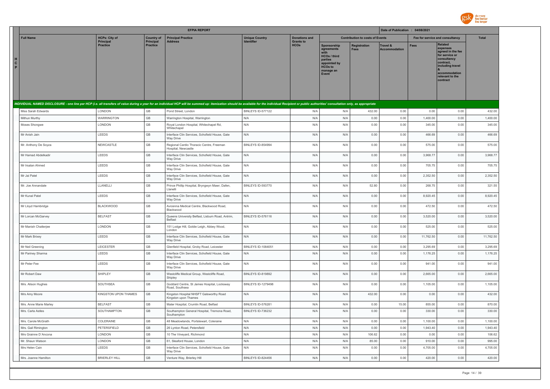

|                     |                                    |                                          |                                | <b>EFPIA REPORT</b>                                                                                                                                                                                                            |                                            |                                          |                                                                                                                             |                                        | Date of Publication : 04/08/2021            |                    |                                                                                                                                                            |                    |
|---------------------|------------------------------------|------------------------------------------|--------------------------------|--------------------------------------------------------------------------------------------------------------------------------------------------------------------------------------------------------------------------------|--------------------------------------------|------------------------------------------|-----------------------------------------------------------------------------------------------------------------------------|----------------------------------------|---------------------------------------------|--------------------|------------------------------------------------------------------------------------------------------------------------------------------------------------|--------------------|
|                     | <b>Full Name</b>                   | <b>HCPs: City of</b><br><b>Principal</b> | <b>Country of</b><br>Principal | <b>Principal Practice</b><br><b>Address</b>                                                                                                                                                                                    | <b>Unique Country</b><br><b>Identifier</b> | <b>Donations and</b><br><b>Grants to</b> |                                                                                                                             | <b>Contribution to costs of Events</b> |                                             |                    | Fee for service and consultancy                                                                                                                            | Total              |
| $\frac{H}{C}$<br>P. |                                    | <b>Practice</b>                          | <b>Practice</b>                |                                                                                                                                                                                                                                |                                            | <b>HCOs</b>                              | Sponsorship<br>agreements<br>with<br><b>HCOs / third</b><br>parties<br>appointed by<br><b>HCOs to</b><br>manage an<br>Event | <b>Registration</b><br>Fees            | <b>Travel &amp;</b><br><b>Accommodation</b> | <b>Fees</b>        | Related<br>expenses<br>agreed in the fee<br>for service or<br>consultancy<br>contract,<br>including travel<br>accommodation<br>relevant to the<br>contract |                    |
|                     |                                    |                                          |                                | INDIVIDUAL NAMED DISCLOSURE - one line per HCP (i.e. all transfers of value during a year for an individual HCP will be summed up: itemization should be available for the individual Recipient or public authorities' consult |                                            |                                          |                                                                                                                             |                                        |                                             |                    |                                                                                                                                                            |                    |
|                     | Miss Sarah Edwards                 | LONDON                                   | GB                             | Pond Street, London                                                                                                                                                                                                            | BINLEYS ID-577122                          | N/A                                      | N/A                                                                                                                         | 432.00                                 | 0.00                                        | 0.00               | 0.00                                                                                                                                                       | 432.00             |
|                     | Mithun Murthy                      | <b>WARRINGTON</b>                        | $\mathbb{G}\mathbb{B}$         | Warrington Hospital, Warrington                                                                                                                                                                                                | N/A                                        | N/A                                      | N/A                                                                                                                         | 0.00                                   | 0.00                                        | 1,400.00           | 0.00                                                                                                                                                       | 1,400.00           |
|                     | Moses Shongwe                      | LONDON                                   | GB                             | Royal London Hospital, Whitechapel Rd,<br>Whitechapel                                                                                                                                                                          | N/A                                        | N/A                                      | N/A                                                                                                                         | 0.00                                   | 0.00                                        | 345.00             | 0.00                                                                                                                                                       | 345.00             |
|                     | Mr Anish Jain                      | LEEDS                                    | GB                             | Interface Clin Services, Schofield House, Gate<br>Way Drive                                                                                                                                                                    | N/A                                        | N/A                                      | N/A                                                                                                                         | 0.00                                   | 0.00                                        | 466.69             | 0.00                                                                                                                                                       | 466.69             |
|                     | Mr. Anthony De Soyza               | NEWCASTLE                                | GB                             | Regional Cardio Thoracic Centre, Freeman<br>Hospital, Newcastle                                                                                                                                                                | BINLEYS ID-854994                          | N/A                                      | N/A                                                                                                                         | 0.00                                   | 0.00                                        | 575.00             | 0.00                                                                                                                                                       | 575.00             |
|                     | Mr Hamad Abdelkadir                | LEEDS                                    | GB                             | Interface Clin Services, Schofield House, Gate<br>Way Drive                                                                                                                                                                    | N/A                                        | N/A                                      | N/A                                                                                                                         | 0.00                                   | 0.00                                        | 3,968.77           | 0.00                                                                                                                                                       | 3,968.77           |
|                     | Mr Irsalan Ahmed                   | LEEDS                                    | $\mathbb{G}\mathbb{B}$         | Interface Clin Services, Schofield House, Gate<br>Way Drive                                                                                                                                                                    | N/A                                        | N/A                                      | N/A                                                                                                                         | 0.00                                   | 0.00                                        | 705.75             | 0.00                                                                                                                                                       | 705.75             |
|                     | Mr Jai Patel                       | LEEDS                                    | $\mathbb{G}\mathbb{B}$         | Interface Clin Services, Schofield House, Gate<br>Way Drive                                                                                                                                                                    | N/A                                        | N/A                                      | N/A                                                                                                                         | 0.00                                   | 0.00                                        | 2,352.50           | 0.00                                                                                                                                                       | 2,352.50           |
|                     | Mr. Joe Annandale                  | LLANELLI                                 | GB                             | Prince Phillip Hospital, Bryngwyn Mawr, Dafen,<br>Llanelli                                                                                                                                                                     | BINLEYS ID-593770                          | N/A                                      | N/A                                                                                                                         | 52.80                                  | 0.00                                        | 268.75             | 0.00                                                                                                                                                       | 321.55             |
|                     | Mr Kunal Patel                     | LEEDS                                    | $\mathbb{G}\mathbb{B}$         | Interface Clin Services, Schofield House, Gate<br>Way Drive                                                                                                                                                                    | N/A                                        | N/A                                      | N/A                                                                                                                         | 0.00                                   | 0.00                                        | 8,920.45           | 0.00                                                                                                                                                       | 8,920.45           |
|                     | Mr Lloyd Hambridge                 | <b>BLACKWOOD</b>                         | GB                             | Avicenna Medical Centre, Blackwood Road,<br>Blackwood                                                                                                                                                                          | N/A                                        | N/A                                      | N/A                                                                                                                         | 0.00                                   | 0.00                                        | 472.50             | 0.00                                                                                                                                                       | 472.50             |
|                     | Mr Lorcan McGarvey                 | <b>BELFAST</b>                           | GB                             | Queens University Belfast, Lisburn Road, Antrim,<br>Belfast                                                                                                                                                                    | BINLEYS ID-576116                          | N/A                                      | N/A                                                                                                                         | 0.00                                   | 0.00                                        | 3,520.00           | 0.00                                                                                                                                                       | 3,520.00           |
|                     | Mr Manish Chatterjee               | LONDON                                   | GB                             | 151 Lodge Hill, Goldie Leigh, Abbey Wood,<br>London                                                                                                                                                                            | N/A                                        | N/A                                      | N/A                                                                                                                         | 0.00                                   | 0.00                                        | 525.00             | 0.00                                                                                                                                                       | 525.00             |
|                     | Mr Mark Brixey                     | LEEDS                                    | GB                             | Interface Clin Services, Schofield House, Gate<br>Way Drive                                                                                                                                                                    | N/A                                        | N/A                                      | N/A                                                                                                                         | 0.00                                   | 0.00                                        | 11,762.50          | 0.00                                                                                                                                                       | 11,762.50          |
|                     | Mr Neil Greening                   | LEICESTER                                | GB                             | Glenfield Hospital, Groby Road, Leicester                                                                                                                                                                                      | <b>BINLEYS ID-1084051</b>                  | N/A                                      | N/A                                                                                                                         | 0.00                                   | 0.00                                        | 3,295.69           | 0.00                                                                                                                                                       | 3,295.69           |
|                     | Mr Pariney Sharma                  | LEEDS                                    | GB                             | Interface Clin Services, Schofield House, Gate<br>Way Drive                                                                                                                                                                    | N/A                                        | N/A                                      | N/A                                                                                                                         | 0.00                                   | 0.00                                        | 1,176.25           | 0.00                                                                                                                                                       | 1,176.25           |
|                     | Mr Peter Fee                       | LEEDS                                    | GB                             | Interface Clin Services, Schofield House, Gate<br>Way Drive                                                                                                                                                                    | N/A                                        | N/A                                      | N/A                                                                                                                         | 0.00                                   | 0.00                                        | 941.00             | 0.00                                                                                                                                                       | 941.00             |
|                     | Mr Robert Daw                      | SHIPLEY                                  | GB                             | Westcliffe Medical Group, Westcliffe Road,<br>Shipley                                                                                                                                                                          | BINLEYS ID-819892                          | N/A                                      | N/A                                                                                                                         | 0.00                                   | 0.00                                        | 2,665.00           | 0.00                                                                                                                                                       | 2,665.00           |
|                     | Mrs. Alison Hughes                 | SOUTHSEA                                 | GB                             | Goddard Centre, St James Hospital, Locksway<br>Road, Southsea                                                                                                                                                                  | <b>BINLEYS ID-1279498</b>                  | N/A                                      | N/A                                                                                                                         | 0.00                                   | 0.00                                        | 1,105.00           | 0.00                                                                                                                                                       | 1,105.00           |
|                     | Mrs Amy Moore                      | KINGSTON UPON THAMES                     | $\mathbb{G}\mathbb{B}$         | Kingston Hospital NHSFT Galsworthy Road<br>Kingston upon Thames                                                                                                                                                                | N/A                                        | N/A                                      | N/A                                                                                                                         | 432.00                                 | 0.00                                        | 0.00               | 0.00                                                                                                                                                       | 432.00             |
|                     | Mrs. Anne Marie Marley             | <b>BELFAST</b>                           | GB                             | Mater Hospital, Crumlin Road, Belfast                                                                                                                                                                                          | BINLEYS ID-576281                          | N/A                                      | N/A                                                                                                                         | 0.00                                   | 15.00                                       | 855.00             | 0.00                                                                                                                                                       | 870.00             |
|                     | Mrs. Carla Astles                  | SOUTHAMPTON                              | GB                             | Southampton General Hospital, Tremona Road,<br>Southampton                                                                                                                                                                     | BINLEYS ID-736232                          | N/A                                      | N/A                                                                                                                         | 0.00                                   | 0.00                                        | 330.00             | 0.00                                                                                                                                                       | 330.00             |
|                     | Mrs. Carole McGrath                | COLERAINE                                | GB                             | 48 Meadowlands, Portstewart, Coleraine                                                                                                                                                                                         | N/A                                        | N/A                                      | N/A                                                                                                                         | 0.00                                   | 0.00                                        | 1,100.00           | 0.00                                                                                                                                                       | 1,100.00           |
|                     | Mrs. Gail Rimington                | PETERSFIELD                              | GB                             | 26 Lynton Road, Petersfield                                                                                                                                                                                                    | N/A                                        | N/A                                      | N/A                                                                                                                         | 0.00                                   | 0.00                                        | 1,943.40           | 0.00                                                                                                                                                       | 1,943.40           |
|                     | Mrs Grainne D'Ancona               | LONDON                                   | GB                             | 10 The Vineyard, Richmond                                                                                                                                                                                                      | N/A                                        | N/A                                      | N/A                                                                                                                         | 106.62                                 | 0.00                                        | 0.00               | 0.00                                                                                                                                                       | 106.62             |
|                     | Mr. Shaun Watson<br>Mrs Helen Cain | LONDON<br>LEEDS                          | GB<br>GB                       | 61, Sleaford House, London<br>Interface Clin Services, Schofield House, Gate                                                                                                                                                   | N/A<br>N/A                                 | N/A<br>N/A                               | N/A<br>N/A                                                                                                                  | 85.00<br>0.00                          | 0.00<br>0.00                                | 910.00<br>4,705.00 | 0.00<br>0.00                                                                                                                                               | 995.00<br>4,705.00 |
|                     |                                    |                                          | GB                             | Way Drive                                                                                                                                                                                                                      |                                            |                                          |                                                                                                                             |                                        |                                             |                    |                                                                                                                                                            |                    |
|                     | Mrs. Joanne Hamilton               | <b>BRIERLEY HILL</b>                     |                                | Venture Way, Brierley Hill                                                                                                                                                                                                     | BINLEYS ID-824456                          | N/A                                      | N/A                                                                                                                         | 0.00                                   | 0.00                                        | 420.00             | 0.00                                                                                                                                                       | 420.00             |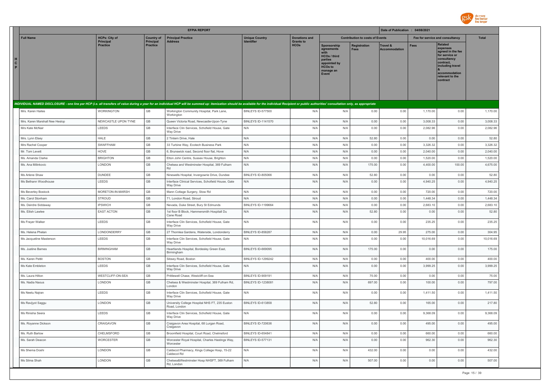

|                        |                                |                                          |                                | <b>EFPIA REPORT</b>                                                                                                                                                                                                            |                                            |                                          |                                                                                                                      |                                        | Date of Publication : 04/08/2021 |                                 |                                                                                                                                                                   |              |
|------------------------|--------------------------------|------------------------------------------|--------------------------------|--------------------------------------------------------------------------------------------------------------------------------------------------------------------------------------------------------------------------------|--------------------------------------------|------------------------------------------|----------------------------------------------------------------------------------------------------------------------|----------------------------------------|----------------------------------|---------------------------------|-------------------------------------------------------------------------------------------------------------------------------------------------------------------|--------------|
|                        | <b>Full Name</b>               | <b>HCPs: City of</b><br><b>Principal</b> | <b>Country of</b><br>Principal | <b>Principal Practice</b><br><b>Address</b>                                                                                                                                                                                    | <b>Unique Country</b><br><b>Identifier</b> | <b>Donations and</b><br><b>Grants to</b> |                                                                                                                      | <b>Contribution to costs of Events</b> |                                  | Fee for service and consultancy |                                                                                                                                                                   | <b>Total</b> |
| H<br>$\mathbf{C}$<br>P |                                | <b>Practice</b>                          | <b>Practice</b>                |                                                                                                                                                                                                                                |                                            | <b>HCOs</b>                              | Sponsorship<br>agreements<br>with<br>HCOs / third<br>parties<br>appointed by<br><b>HCOs to</b><br>manage an<br>Event | Registration<br><b>Fees</b>            | Travel &<br><b>Accommodation</b> | <b>Fees</b>                     | <b>Related</b><br>expenses<br>agreed in the fee<br>for service or<br>consultancy<br>contract,<br>including travel<br>accommodation<br>relevant to the<br>contract |              |
|                        |                                |                                          |                                | INDIVIDUAL NAMED DISCLOSURE - one line per HCP (i.e. all transfers of value during a year for an individual HCP will be summed up: itemization should be available for the individual Recipient or public authorities' consult |                                            |                                          |                                                                                                                      |                                        |                                  |                                 |                                                                                                                                                                   |              |
|                        | Mrs. Karen Hailes              | WORKINGTON                               | GB                             | Workington Community Hospital, Park Lane,<br>Workington                                                                                                                                                                        | BINLEYS ID-577500                          | N/A                                      | N/A                                                                                                                  | 0.00                                   | 0.00                             | 1,170.00                        | 0.00                                                                                                                                                              | 1,170.00     |
|                        | Mrs. Karen Marshall Nee Heslop | NEWCASTLE UPON TYNE                      | GB                             | Queen Victoria Road, Newcastle-Upon-Tyne                                                                                                                                                                                       | <b>BINLEYS ID-1141570</b>                  | N/A                                      | N/A                                                                                                                  | 0.00                                   | 0.00                             | 3,008.33                        | 0.00                                                                                                                                                              | 3,008.33     |
|                        | Mrs Kate McNair                | LEEDS                                    | $\mathbb{G}\mathbb{B}$         | Interface Clin Services, Schofield House, Gate<br>Way Drive                                                                                                                                                                    | N/A                                        | N/A                                      | N/A                                                                                                                  | 0.00                                   | 0.00                             | 2,082.96                        | 0.00                                                                                                                                                              | 2,082.96     |
|                        | Mrs. Lynn Elsey                | <b>HALE</b>                              | GB                             | 2 Tintern Drive, Hale                                                                                                                                                                                                          | N/A                                        | N/A                                      | N/A                                                                                                                  | 52.80                                  | 0.00                             | 0.00                            | 0.00                                                                                                                                                              | 52.80        |
|                        | Mrs Rachel Cooper              | SWAFFHAM                                 | GB                             | 33 Turbine Way, Ecotech Business Park                                                                                                                                                                                          | N/A                                        | N/A                                      | N/A                                                                                                                  | 0.00                                   | 0.00                             | 3,326.32                        | 0.00                                                                                                                                                              | 3,326.32     |
|                        | Mr. Tom Levett                 | HOVE                                     | $\mathbb{G}\mathbb{B}$         | 6, Brunswick road, Second floor flat, Hove                                                                                                                                                                                     | N/A                                        | N/A                                      | N/A                                                                                                                  | 0.00                                   | 0.00                             | 2,040.00                        | 0.00                                                                                                                                                              | 2,040.00     |
|                        | Ms. Amanda Clarke              | <b>BRIGHTON</b>                          | $\mathbb{G}\mathbb{B}$         | Elton John Centre, Sussex House, Brighton                                                                                                                                                                                      | N/A                                        | N/A                                      | N/A                                                                                                                  | 0.00                                   | 0.00                             | 1,520.00                        | 0.00                                                                                                                                                              | 1,520.00     |
|                        | Ms. Ana Milinkovic             | LONDON                                   | $\mathbb{G}\mathbb{B}$         | Chelsea and Westminster Hospital, 369 Fulham<br>Rd                                                                                                                                                                             | N/A                                        | N/A                                      | N/A                                                                                                                  | 175.00                                 | 0.00                             | 4,400.00                        | 100.00                                                                                                                                                            | 4,675.00     |
|                        | Ms Arlene Shaw                 | <b>DUNDEE</b>                            | $\mathbb{G}\mathbb{B}$         | Ninewells Hospital, Invergowrie Drive, Dundee                                                                                                                                                                                  | BINLEYS ID-805066                          | N/A                                      | N/A                                                                                                                  | 52.80                                  | 0.00                             | 0.00                            | 0.00                                                                                                                                                              | 52.80        |
|                        | Ms Bethann Woodhouse           | LEEDS                                    | $\mathbb{G}\mathbb{B}$         | Interface Clinical Services, Schofield House, Gate<br>Way Drive                                                                                                                                                                | N/A                                        | N/A                                      | N/A                                                                                                                  | 0.00                                   | 0.00                             | 4,940.25                        | 0.00                                                                                                                                                              | 4,940.25     |
|                        | Ms Beverley Bostock            | MORETON-IN-MARSH                         | $\mathbb{G}\mathbb{B}$         | Mann Cottage Surgery, Stow Rd                                                                                                                                                                                                  | N/A                                        | N/A                                      | N/A                                                                                                                  | 0.00                                   | 0.00                             | 720.00                          | 0.00                                                                                                                                                              | 720.00       |
|                        | Ms. Carol Stonham              | STROUD                                   | $\mathbb{G}\mathbb{B}$         | 71, London Road, Stroud                                                                                                                                                                                                        | N/A                                        | N/A                                      | N/A                                                                                                                  | 0.00                                   | 0.00                             | 1,448.34                        | 0.00                                                                                                                                                              | 1,448.34     |
|                        | Ms. Deirdre Siddaway           | <b>IPSWICH</b>                           | $\mathbb{G}\mathbb{B}$         | Nevada, Duke Street, Bury St Edmunds                                                                                                                                                                                           | <b>BINLEYS ID-1199664</b>                  | N/A                                      | N/A                                                                                                                  | 0.00                                   | 0.00                             | 2,683.10                        | 0.00                                                                                                                                                              | 2,683.10     |
|                        | Ms. Eilish Lawlee              | <b>EAST ACTON</b>                        | $\mathbb{G}\mathbb{B}$         | 1st floor B Block, Hammersmith Hospitall Du<br>Cane Road                                                                                                                                                                       | N/A                                        | N/A                                      | N/A                                                                                                                  | 52.80                                  | 0.00                             | 0.00                            | 0.00                                                                                                                                                              | 52.80        |
|                        | Ms Frayer Walker               | LEEDS                                    | $\mathbb{G}\mathbb{B}$         | Interface Clin Services, Schofield House, Gate<br>Way Drive                                                                                                                                                                    | N/A                                        | N/A                                      | N/A                                                                                                                  | 0.00                                   | 0.00                             | 235.25                          | 0.00                                                                                                                                                              | 235.25       |
|                        | Ms. Helena Phelan              | LONDONDERRY                              | GB                             | 27 Thornlea Gardens, Waterside, Londonderry                                                                                                                                                                                    | BINLEYS ID-858287                          | N/A                                      | N/A                                                                                                                  | 0.00                                   | 29.95                            | 275.00                          | 0.00                                                                                                                                                              | 304.95       |
|                        | Ms Jacqueline Masterson        | LEEDS                                    | $\mathbb{G}\mathbb{B}$         | Interface Clin Services, Schofield House, Gate<br>Way Drive                                                                                                                                                                    | N/A                                        | N/A                                      | N/A                                                                                                                  | 0.00                                   | 0.00                             | 10,016.69                       | 0.00                                                                                                                                                              | 10,016.69    |
|                        | Ms. Justine Barnes             | <b>BIRMINGHAM</b>                        | GB                             | Heartlands Hospital, Bordesley Green East,<br>Birmingham                                                                                                                                                                       | BINLEYS ID-669095                          | N/A                                      | N/A                                                                                                                  | 175.00                                 | 0.00                             | 0.00                            | 0.00                                                                                                                                                              | 175.00       |
|                        | Ms. Karen Pettit               | <b>BOSTON</b>                            | $\mathbb{G}\mathbb{B}$         | Sibsey Road, Boston                                                                                                                                                                                                            | <b>BINLEYS ID-1299242</b>                  | N/A                                      | N/A                                                                                                                  | 0.00                                   | 0.00                             | 400.00                          | 0.00                                                                                                                                                              | 400.00       |
|                        | Ms Kate Embleton               | LEEDS                                    | GB                             | Interface Clin Services, Schofield House, Gate<br>Way Drive                                                                                                                                                                    | N/A                                        | N/A                                      | N/A                                                                                                                  | 0.00                                   | 0.00                             | 3,999.25                        | 0.00                                                                                                                                                              | 3,999.25     |
|                        | Ms. Laura Hilton               | WESTCLIFF-ON-SEA                         | GB                             | Prittlewell Chase, Westcliff-on-Sea                                                                                                                                                                                            | BINLEYS ID-909191                          | N/A                                      | N/A                                                                                                                  | 75.00                                  | 0.00                             | 0.00                            | 0.00                                                                                                                                                              | 75.00        |
|                        | Ms. Nadia Naous                | LONDON                                   | $\mathbb{G}\mathbb{B}$         | Chelsea & Westminster Hospital, 369 Fulham Rd,<br>London                                                                                                                                                                       | BINLEYS ID-1238081                         | N/A                                      | N/A                                                                                                                  | 697.00                                 | 0.00                             | 100.00                          | 0.00                                                                                                                                                              | 797.00       |
|                        | Ms Neetu Najran                | LEEDS                                    | $\mathbb{G}\mathbb{B}$         | Interface Clin Services, Schofield House, Gate<br>Way Drive                                                                                                                                                                    | N/A                                        | N/A                                      | N/A                                                                                                                  | 0.00                                   | 0.00                             | 1,411.50                        | 0.00                                                                                                                                                              | 1,411.50     |
|                        | Ms Ravijyot Saggu              | LONDON                                   | $\mathbb{G}\mathbb{B}$         | University College Hospital NHS FT, 235 Euston<br>Road, London                                                                                                                                                                 | <b>BINLEYS ID-613858</b>                   | N/A                                      | N/A                                                                                                                  | 52.80                                  | 0.00                             | 165.00                          | 0.00                                                                                                                                                              | 217.80       |
|                        | Ms Rinisha Seera               | LEEDS                                    | GB                             | Interface Clin Services, Schofield House, Gate<br>Way Drive                                                                                                                                                                    | N/A                                        | N/A                                      | N/A                                                                                                                  | 0.00                                   | 0.00                             | 9,368.09                        | 0.00                                                                                                                                                              | 9,368.09     |
|                        | Ms. Royanne Dickson            | CRAIGAVON                                | $\mathbb{G}\mathbb{B}$         | Craigavon Area Hospital, 68 Lurgan Road,<br>Craigavon                                                                                                                                                                          | BINLEYS ID-720636                          | N/A                                      | N/A                                                                                                                  | 0.00                                   | 0.00                             | 495.00                          | 0.00                                                                                                                                                              | 495.00       |
|                        | Ms. Ruth Barlow                | CHELMSFORD                               | $\mathbb{G}\mathbb{B}$         | Broomfield Hospital, Court Road, Chelmsford                                                                                                                                                                                    | BINLEYS ID-654841                          | N/A                                      | N/A                                                                                                                  | 0.00                                   | 0.00                             | 660.00                          | 0.00                                                                                                                                                              | 660.00       |
|                        | Ms. Sarah Deacon               | WORCESTER                                | $\mathbb{G}\mathbb{B}$         | Worcester Royal Hospital, Charles Hastings Way,<br>Worcester                                                                                                                                                                   | BINLEYS ID-577131                          | N/A                                      | N/A                                                                                                                  | 0.00                                   | 0.00                             | 962.30                          | 0.00                                                                                                                                                              | 962.30       |
|                        | Ms Shema Doshi                 | LONDON                                   | $\mathbb{G}\mathbb{B}$         | Caldecot Pharmacy, Kings College Hosp, 15-22<br>Caldecot Rd                                                                                                                                                                    | N/A                                        | N/A                                      | N/A                                                                                                                  | 432.00                                 | 0.00                             | 0.00                            | 0.00                                                                                                                                                              | 432.00       |
|                        | Ms Silma Shah                  | LONDON                                   | $\mathbb{G}\mathbb{B}$         | Chelsea&Westminster Hosp NHSFT, 369 Fulham<br>Rd, London                                                                                                                                                                       | N/A                                        | N/A                                      | N/A                                                                                                                  | 507.00                                 | 0.00                             | 0.00                            | 0.00                                                                                                                                                              | 507.00       |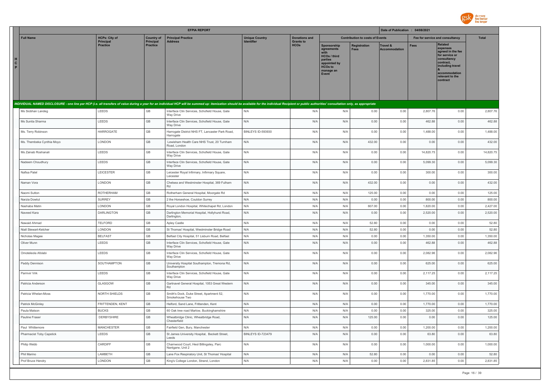

|                         |                            |                                     |                              | <b>EFPIA REPORT</b>                                                                                                                                                                                                            |                                            |                                 |                                                                                                                     |                                        | Date of Publication : 04/08/2021            |                                 |                                                                                                                                                                   |              |
|-------------------------|----------------------------|-------------------------------------|------------------------------|--------------------------------------------------------------------------------------------------------------------------------------------------------------------------------------------------------------------------------|--------------------------------------------|---------------------------------|---------------------------------------------------------------------------------------------------------------------|----------------------------------------|---------------------------------------------|---------------------------------|-------------------------------------------------------------------------------------------------------------------------------------------------------------------|--------------|
|                         | <b>Full Name</b>           | <b>HCPs: City of</b>                | <b>Country of</b>            | <b>Principal Practice</b>                                                                                                                                                                                                      | <b>Unique Country</b><br><b>Identifier</b> | <b>Donations and</b>            |                                                                                                                     | <b>Contribution to costs of Events</b> |                                             | Fee for service and consultancy |                                                                                                                                                                   | <b>Total</b> |
| н<br>$\mathbf{c}$<br>P. |                            | <b>Principal</b><br><b>Practice</b> | Principal<br><b>Practice</b> | <b>Address</b>                                                                                                                                                                                                                 |                                            | <b>Grants to</b><br><b>HCOs</b> | Sponsorship<br>agreements<br><b>HCOs / third</b><br>parties<br>appointed by<br><b>HCOs to</b><br>manage an<br>Event | <b>Registration</b><br><b>Fees</b>     | <b>Travel &amp;</b><br><b>Accommodation</b> | <b>Fees</b>                     | <b>Related</b><br>expenses<br>agreed in the fee<br>for service or<br>consultancy<br>contract.<br>including travel<br>accommodation<br>relevant to the<br>contract |              |
|                         |                            |                                     |                              | INDIVIDUAL NAMED DISCLOSURE - one line per HCP (i.e. all transfers of value during a year for an individual HCP will be summed up: itemization should be available for the individual Recipient or public authorities' consult |                                            |                                 |                                                                                                                     |                                        |                                             |                                 |                                                                                                                                                                   |              |
|                         | Ms Siobhan Landeg          | LEEDS                               | GB                           | Interface Clin Services, Schofield House, Gate<br>Way Drive                                                                                                                                                                    | N/A                                        | N/A                             | N/A                                                                                                                 | 0.00                                   | 0.00                                        | 2,807.76                        | 0.00                                                                                                                                                              | 2,807.76     |
|                         | Ms Sunita Sharma           | LEEDS                               | GB                           | Interface Clin Services, Schofield House, Gate<br>Way Drive                                                                                                                                                                    | N/A                                        | N/A                             | N/A                                                                                                                 | 0.00                                   | 0.00                                        | 462.88                          | 0.00                                                                                                                                                              | 462.88       |
|                         | Ms. Terry Robinson         | HARROGATE                           | GB                           | Harrogate District NHS FT, Lancaster Park Road,<br>Harrogate                                                                                                                                                                   | BINLEYS ID-593930                          | N/A                             | N/A                                                                                                                 | 0.00                                   | 0.00                                        | 1,488.00                        | 0.00                                                                                                                                                              | 1,488.00     |
|                         | Ms. Thembeka Cynthia Moyo  | LONDON                              | GB                           | Lewisham Health Care NHS Trust, 20 Turnham<br>Road, London                                                                                                                                                                     | N/A                                        | N/A                             | N/A                                                                                                                 | 432.00                                 | 0.00                                        | 0.00                            | 0.00                                                                                                                                                              | 432.00       |
|                         | Ms Zainab Roshanali        | LEEDS                               | GB                           | Interface Clin Services, Schofield House, Gate<br>Way Drive                                                                                                                                                                    | N/A                                        | N/A                             | N/A                                                                                                                 | 0.00                                   | 0.00                                        | 14,820.75                       | 0.00                                                                                                                                                              | 14,820.75    |
|                         | Nadeem Choudhury           | LEEDS                               | GB                           | Interface Clin Services, Schofield House, Gate<br>Way Drive                                                                                                                                                                    | N/A                                        | N/A                             | N/A                                                                                                                 | 0.00                                   | 0.00                                        | 5,099.30                        | 0.00                                                                                                                                                              | 5,099.30     |
|                         | Nafisa Patel               | LEICESTER                           | GB                           | Leicester Royal Infirmary, Infirmary Square,<br>Leicester                                                                                                                                                                      | N/A                                        | N/A                             | N/A                                                                                                                 | 0.00                                   | 0.00                                        | 300.00                          | 0.00                                                                                                                                                              | 300.00       |
|                         | Naman Vora                 | LONDON                              | GB                           | Chelsea and Westminster Hospital, 369 Fulham<br>Rd                                                                                                                                                                             | N/A                                        | N/A                             | N/A                                                                                                                 | 432.00                                 | 0.00                                        | 0.00                            | 0.00                                                                                                                                                              | 432.00       |
|                         | Naomi Sutton               | <b>ROTHERHAM</b>                    | GB                           | Rotherham General Hospital, Moorgate Rd                                                                                                                                                                                        | N/A                                        | N/A                             | N/A                                                                                                                 | 125.00                                 | 0.00                                        | 0.00                            | 0.00                                                                                                                                                              | 125.00       |
|                         | Narzia Dowlut              | <b>SURREY</b>                       | GB                           | 2 the Horseshoe, Couldon Surrey                                                                                                                                                                                                | N/A                                        | N/A                             | N/A                                                                                                                 | 0.00                                   | 0.00                                        | 800.00                          | 0.00                                                                                                                                                              | 800.00       |
|                         | Nashaba Matin              | LONDON                              | GB                           | Royal London Hospital, Whitechapel Rd, London                                                                                                                                                                                  | N/A                                        | N/A                             | N/A                                                                                                                 | 607.00                                 | 0.00                                        | 1,820.00                        | 0.00                                                                                                                                                              | 2,427.00     |
|                         | Naveed Kara                | DARLINGTON                          | GB                           | Darlington Memorial Hospital, Hollyhurst Road,<br>Darlington,                                                                                                                                                                  | N/A                                        | N/A                             | N/A                                                                                                                 | 0.00                                   | 0.00                                        | 2,520.00                        | 0.00                                                                                                                                                              | 2,520.00     |
|                         | Nawaid Ahmad               | <b>TELFORD</b>                      | GB                           | Apley Castle                                                                                                                                                                                                                   | N/A                                        | N/A                             | N/A                                                                                                                 | 52.80                                  | 0.00                                        | 0.00                            | 0.00                                                                                                                                                              | 52.80        |
|                         | Niall Stewart-Kelcher      | LONDON                              | GB                           | St Thomas' Hospital, Westminster Bridge Road                                                                                                                                                                                   | N/A                                        | N/A                             | N/A                                                                                                                 | 52.80                                  | 0.00                                        | 0.00                            | 0.00                                                                                                                                                              | 52.80        |
|                         | Nicholas Magee             | <b>BELFAST</b>                      | GB                           | Belfast City Hospital, 51 Lisburn Road, Belfast                                                                                                                                                                                | N/A                                        | N/A                             | N/A                                                                                                                 | 0.00                                   | 0.00                                        | 1,350.00                        | 0.00                                                                                                                                                              | 1,350.00     |
|                         | Oliver Munn                | LEEDS                               | GB                           | Interface Clin Services, Schofield House, Gate<br>Way Drive                                                                                                                                                                    | N/A                                        | N/A                             | N/A                                                                                                                 | 0.00                                   | 0.00                                        | 462.88                          | 0.00                                                                                                                                                              | 462.88       |
|                         | Omoteleola Afolabi         | LEEDS                               | GB                           | Interface Clin Services, Schofield House, Gate<br>Way Drive                                                                                                                                                                    | N/A                                        | N/A                             | N/A                                                                                                                 | 0.00                                   | 0.00                                        | 2,082.96                        | 0.00                                                                                                                                                              | 2,082.96     |
|                         | Paddy Dennison             | SOUTHAMPTON                         | GB                           | University Hospital Southampton, Tremona Rd,<br>Southampton                                                                                                                                                                    | N/A                                        | N/A                             | N/A                                                                                                                 | 0.00                                   | 0.00                                        | 625.00                          | 0.00                                                                                                                                                              | 625.00       |
|                         | Parmvir Virk               | LEEDS                               | GB                           | Interface Clin Services, Schofield House, Gate<br>Way Drive                                                                                                                                                                    | N/A                                        | N/A                             | N/A                                                                                                                 | 0.00                                   | 0.00                                        | 2,117.25                        | 0.00                                                                                                                                                              | 2,117.25     |
|                         | Patricia Anderson          | GLASGOW                             | GB                           | Gartnavel General Hospital, 1053 Great Western<br>Rd                                                                                                                                                                           | N/A                                        | N/A                             | N/A                                                                                                                 | 0.00                                   | 0.00                                        | 345.00                          | 0.00                                                                                                                                                              | 345.00       |
|                         | Patricia Whelan-Moss       | NORTH SHIELDS                       | GB                           | Smith's Dock, Duke Street, Apartment 52,<br>Smokehouse Two                                                                                                                                                                     | N/A                                        | N/A                             | N/A                                                                                                                 | 0.00                                   | 0.00                                        | 1,770.00                        | 0.00                                                                                                                                                              | 1,770.00     |
|                         | Patrick McGinley           | FRITTENDEN, KENT                    | GB                           | Helford, Sand Lane, Frittenden, Kent                                                                                                                                                                                           | N/A                                        | N/A                             | N/A                                                                                                                 | 0.00                                   | 0.00                                        | 1,770.00                        | 0.00                                                                                                                                                              | 1,770.00     |
|                         | Paula Matson               | <b>BUCKS</b>                        | GB                           | 60 Oak tree road Marlow, Buckinghamshire                                                                                                                                                                                       | N/A                                        | N/A                             | N/A                                                                                                                 | 0.00                                   | 0.00                                        | 325.00                          | 0.00                                                                                                                                                              | 325.00       |
|                         | Pauline Fraser             | DERBYSHIRE                          | GB                           | Wheatbridge Clinic, Wheatbridge Road,<br>Chesterfield                                                                                                                                                                          | N/A                                        | N/A                             | N/A                                                                                                                 | 125.00                                 | 0.00                                        | 0.00                            | 0.00                                                                                                                                                              | 125.00       |
|                         | Paul Whittemore            | <b>MANCHESTER</b>                   | GB                           | Fairfield Gen, Bury, Manchester                                                                                                                                                                                                | N/A                                        | N/A                             | N/A                                                                                                                 | 0.00                                   | 0.00                                        | 1,200.00                        | 0.00                                                                                                                                                              | 1,200.00     |
|                         | Pharmacist Toby Capstick   | LEEDS                               | GB                           | St James University Hospital, Beckett Street,<br>Leeds                                                                                                                                                                         | BINLEYS ID-723479                          | N/A                             | N/A                                                                                                                 | 0.00                                   | 0.00                                        | 63.80                           | 0.00                                                                                                                                                              | 63.80        |
|                         | Philip Webb<br>Phil Marino | CARDIFF                             | GB                           | Charnwood Court, Heol Billingsley, Parc<br>Nantgarw, Unit 2                                                                                                                                                                    | N/A                                        | N/A                             | N/A                                                                                                                 | 0.00                                   | 0.00                                        | 1,000.00                        | 0.00                                                                                                                                                              | 1,000.00     |
|                         |                            | LAMBETH                             | GB                           | Lane Fox Respiratory Unit, St Thomas' Hospital                                                                                                                                                                                 | N/A                                        | N/A                             | N/A                                                                                                                 | 52.80                                  | 0.00                                        | 0.00                            | 0.00                                                                                                                                                              | 52.80        |
|                         | Prof Bruce Hendry          | LONDON                              | GB                           | King's College London, Strand, London                                                                                                                                                                                          | N/A                                        | N/A                             | N/A                                                                                                                 | 0.00                                   | 0.00                                        | 2,831.85                        | 0.00                                                                                                                                                              | 2,831.85     |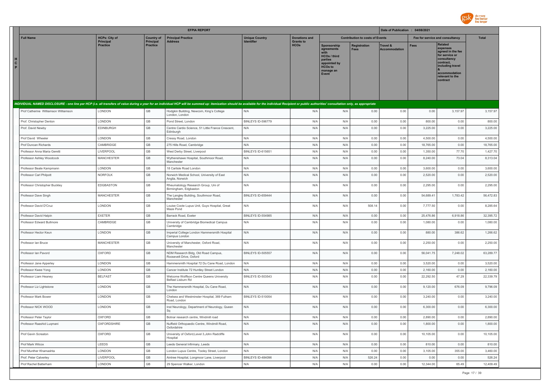

|                                                                                                                                                                                                                                |                                          |                                | <b>EFPIA REPORT</b>                                                                                        |                                            |                                          |                                                                                                                      |                                        | Date of Publication : 04/08/2021 |                                 |                                                                                                                                                                   |                       |
|--------------------------------------------------------------------------------------------------------------------------------------------------------------------------------------------------------------------------------|------------------------------------------|--------------------------------|------------------------------------------------------------------------------------------------------------|--------------------------------------------|------------------------------------------|----------------------------------------------------------------------------------------------------------------------|----------------------------------------|----------------------------------|---------------------------------|-------------------------------------------------------------------------------------------------------------------------------------------------------------------|-----------------------|
| <b>Full Name</b>                                                                                                                                                                                                               | <b>HCPs: City of</b><br><b>Principal</b> | <b>Country of</b><br>Principal | <b>Principal Practice</b><br><b>Address</b>                                                                | <b>Unique Country</b><br><b>Identifier</b> | <b>Donations and</b><br><b>Grants to</b> |                                                                                                                      | <b>Contribution to costs of Events</b> |                                  | Fee for service and consultancy |                                                                                                                                                                   | <b>Total</b>          |
| н.<br>$\mathbf{c}$<br>P.                                                                                                                                                                                                       | <b>Practice</b>                          | <b>Practice</b>                |                                                                                                            |                                            | <b>HCOs</b>                              | Sponsorship<br>agreements<br>with<br>HCOs / third<br>parties<br>appointed by<br><b>HCOs to</b><br>manage an<br>Event | <b>Registration</b><br><b>Fees</b>     | Travel &<br><b>Accommodation</b> | <b>Fees</b>                     | <b>Related</b><br>expenses<br>agreed in the fee<br>for service or<br>consultancy<br>contract,<br>including travel<br>accommodation<br>relevant to the<br>contract |                       |
| INDIVIDUAL NAMED DISCLOSURE - one line per HCP (i.e. all transfers of value during a year for an individual HCP will be summed up: itemization should be available for the individual Recipient or public authorities' consult |                                          |                                |                                                                                                            |                                            |                                          |                                                                                                                      |                                        |                                  |                                 |                                                                                                                                                                   |                       |
| Prof Catherine Williamson Williamson                                                                                                                                                                                           | LONDON                                   | GB                             | Hodgkin Building, Newcom, King's College<br>London, London                                                 | N/A                                        | N/A                                      | N/A                                                                                                                  | 0.00                                   | 0.00                             | 0.00                            | 3,157.97                                                                                                                                                          | 3,157.97              |
| Prof. Christopher Denton                                                                                                                                                                                                       | LONDON                                   | GB                             | Pond Street, London                                                                                        | BINLEYS ID-596779                          | N/A                                      | N/A                                                                                                                  | 0.00                                   | 0.00                             | 800.00                          | 0.00                                                                                                                                                              | 800.00                |
| Prof. David Newby                                                                                                                                                                                                              | <b>EDINBURGH</b>                         | GB                             | Centre Cardio Science, 51 Little France Crescent,<br>Edinburgh                                             | N/A                                        | N/A                                      | N/A                                                                                                                  | 0.00                                   | 0.00                             | 3,225.00                        | 0.00                                                                                                                                                              | 3,225.00              |
| Prof David Wheeler                                                                                                                                                                                                             | <b>LONDON</b>                            | GB                             | Cressy Road, London                                                                                        | N/A                                        | N/A                                      | N/A                                                                                                                  | 0.00                                   | 0.00                             | 4,500.00                        | 0.00                                                                                                                                                              | 4,500.00              |
| Prof Duncan Richards                                                                                                                                                                                                           | CAMBRIDGE                                | GB                             | 275 Hills Road, Cambridge                                                                                  | N/A                                        | N/A                                      | N/A                                                                                                                  | 0.00                                   | 0.00                             | 18,765.00                       | 0.00                                                                                                                                                              | 18,765.00             |
| Professor Anna Maria Geretti                                                                                                                                                                                                   | LIVERPOOL                                | GB                             | West Derby Street, Liverpool                                                                               | BINLEYS ID-615651                          | N/A                                      | N/A                                                                                                                  | 0.00                                   | 0.00                             | 1,350.00                        | 77.70                                                                                                                                                             | 1,427.70              |
| Professor Ashley Woodcock                                                                                                                                                                                                      | <b>MANCHESTER</b>                        | GB                             | Wythenshawe Hospital, Southmoor Road,<br>Manchester                                                        | N/A                                        | N/A                                      | N/A                                                                                                                  | 0.00                                   | 0.00                             | 8,240.00                        | 73.04                                                                                                                                                             | 8,313.04              |
| Professor Beate Kampmann                                                                                                                                                                                                       | LONDON                                   | GB                             | 18 Carlisle Road London                                                                                    | N/A                                        | N/A                                      | N/A                                                                                                                  | 0.00                                   | 0.00                             | 3,600.00                        | 0.00                                                                                                                                                              | 3,600.00              |
| Professor Carl Philpott                                                                                                                                                                                                        | NORFOLK                                  | GB                             | Norwich Medical School, University of East<br>Anglia, Norwich                                              | N/A                                        | N/A                                      | N/A                                                                                                                  | 0.00                                   | 0.00                             | 2,520.00                        | 0.00                                                                                                                                                              | 2,520.00              |
| Professor Christopher Buckley                                                                                                                                                                                                  | EDGBASTON                                | GB                             | Rheumatology Research Group, Uni of<br>Birmingham, Edgbaston                                               | N/A                                        | N/A                                      | N/A                                                                                                                  | 0.00                                   | 0.00                             | 2,295.00                        | 0.00                                                                                                                                                              | 2,295.00              |
| Professor Dave Singh                                                                                                                                                                                                           | <b>MANCHESTER</b>                        | GB                             | The Langley Building, Southmoor Road,<br>Manchester                                                        | BINLEYS ID-659444                          | N/A                                      | N/A                                                                                                                  | 0.00                                   | 0.00                             | 54,689.41                       | 1,783.42                                                                                                                                                          | 56,472.83             |
| Professor David D'Cruz                                                                                                                                                                                                         | LONDON                                   | GB                             | Louise Coote Lupus Unit, Guys Hospital, Great<br>Maze Pond                                                 | N/A                                        | N/A                                      | N/A                                                                                                                  | 508.14                                 | 0.00                             | 7,777.50                        | 0.00                                                                                                                                                              | 8,285.64              |
| Professor David Halpin                                                                                                                                                                                                         | <b>EXETER</b>                            | GB                             | Barrack Road, Exeter                                                                                       | BINLEYS ID-554985                          | N/A                                      | N/A                                                                                                                  | 0.00                                   | 0.00                             | 25,476.86                       | 6,918.86                                                                                                                                                          | 32,395.72             |
| Professor Edward Bullmore                                                                                                                                                                                                      | CAMBRIDGE                                | $\mathbb{G}\mathbb{B}$         | University of Cambridge Biomedical Campus<br>Cambridge                                                     | N/A                                        | N/A                                      | N/A                                                                                                                  | 0.00                                   | 0.00                             | 1,080.00                        | 0.00                                                                                                                                                              | 1,080.00              |
| Professor Hector Keun                                                                                                                                                                                                          | LONDON                                   | GB                             | Imperial College London Hammersmith Hospital<br>Campus London                                              | N/A                                        | N/A                                      | N/A                                                                                                                  | 0.00                                   | 0.00                             | 880.00                          | 386.62                                                                                                                                                            | 1,266.62              |
| Professor Ian Bruce                                                                                                                                                                                                            | <b>MANCHESTER</b>                        | GB                             | University of Manchester, Oxford Road,<br>Manchester                                                       | N/A                                        | N/A                                      | N/A                                                                                                                  | 0.00                                   | 0.00                             | 2,250.00                        | 0.00                                                                                                                                                              | 2,250.00              |
| Professor Ian Pavord                                                                                                                                                                                                           | OXFORD                                   | GB                             | NDM Research Bldg, Old Road Campus,<br>Roosevelt Drive, Oxford                                             | BINLEYS ID-505557                          | N/A                                      | N/A                                                                                                                  | 0.00                                   | 0.00                             | 56,041.75                       | 7,248.02                                                                                                                                                          | 63,289.77             |
| Professor Jane Apperley                                                                                                                                                                                                        | LONDON                                   | GB                             | Hammersmith Hospital 72 Du Cane Road, London                                                               | N/A                                        | N/A                                      | N/A                                                                                                                  | 0.00                                   | 0.00                             | 3,520.00                        | 0.00                                                                                                                                                              | 3,520.00              |
| Professor Kwee Yong                                                                                                                                                                                                            | LONDON<br><b>BELFAST</b>                 | GB<br>GB                       | Cancer Institute 72 Huntley Street London                                                                  | N/A<br>BINLEYS ID-503543                   | N/A                                      | N/A                                                                                                                  | 0.00                                   | 0.00                             | 2,160.00                        | 0.00                                                                                                                                                              | 2,160.00<br>22,339.79 |
| Professor Liam Heaney<br>Professor Liz Lightstone                                                                                                                                                                              | LONDON                                   | GB                             | Welcome Wolffson Centre Queens University<br>Belfast Lisburn Rd<br>The Hammersmith Hospital, Du Cane Road, | N/A                                        | N/A<br>N/A                               | N/A<br>N/A                                                                                                           | 0.00<br>0.00                           | 0.00<br>0.00                     | 22,292.50<br>9,120.00           | 47.29<br>676.09                                                                                                                                                   | 9,796.09              |
|                                                                                                                                                                                                                                |                                          | GB                             | London<br>Chelsea and Westminster Hospital, 369 Fulham                                                     |                                            |                                          |                                                                                                                      |                                        |                                  |                                 |                                                                                                                                                                   |                       |
| Professor Mark Bower                                                                                                                                                                                                           | LONDON                                   |                                | Road, London                                                                                               | BINLEYS ID-510054                          | N/A                                      | N/A                                                                                                                  | 0.00                                   | 0.00                             | 3,240.00                        | 0.00                                                                                                                                                              | 3,240.00              |
| Professor NICK WOOD                                                                                                                                                                                                            | LONDON                                   | GB                             | Inst Neurology, Department of Neurology, Queen<br>Sq                                                       | N/A                                        | N/A                                      | N/A                                                                                                                  | 0.00                                   | 0.00                             | 6,300.00                        | 0.00                                                                                                                                                              | 6,300.00              |
| Professor Peter Taylor                                                                                                                                                                                                         | OXFORD                                   | GB                             | Botnar research centre, Windmill road                                                                      | N/A                                        | N/A                                      | N/A                                                                                                                  | 0.00                                   | 0.00                             | 2,890.00                        | 0.00                                                                                                                                                              | 2,890.00              |
| Professor Raashid Luqmani                                                                                                                                                                                                      | <b>OXFORDSHIRE</b>                       | $\mathbb{G}\mathbb{B}$         | Nuffield Orthopaedic Centre, Windmill Road,<br>Oxfordshire                                                 | N/A                                        | N/A                                      | N/A                                                                                                                  | 0.00                                   | 0.00                             | 1,800.00                        | 0.00                                                                                                                                                              | 1,800.00              |
| Prof Gavin Screaton                                                                                                                                                                                                            | OXFORD                                   | $\mathbb{G}\mathbb{B}$         | University of Oxford, Level 3, John Radcliffe<br>Hospital                                                  | N/A                                        | N/A                                      | N/A                                                                                                                  | 0.00                                   | 0.00                             | 10,105.00                       | 0.00                                                                                                                                                              | 10,105.00             |
| Prof Mark Wilcox                                                                                                                                                                                                               | LEEDS                                    | GB                             | Leeds General Infirmary, Leeds                                                                             | N/A                                        | N/A                                      | N/A                                                                                                                  | 0.00                                   | 0.00                             | 810.00                          | 0.00                                                                                                                                                              | 810.00                |
| Prof Munther Khamashta                                                                                                                                                                                                         | LONDON                                   | $\mathbb{G}\mathbb{B}$         | London Lupus Centre, Tooley Street, London                                                                 | N/A                                        | N/A                                      | N/A                                                                                                                  | 0.00                                   | 0.00                             | 3,105.00                        | 355.00                                                                                                                                                            | 3,460.00              |
| Prof. Peter Calverley                                                                                                                                                                                                          | LIVERPOOL                                | $\mathbb{G}\mathbb{B}$         | Aintree Hospital, Longmoor Lane, Liverpool                                                                 | BINLEYS ID-484096                          | N/A                                      | N/A                                                                                                                  | 526.24                                 | 0.00                             | 0.00                            | 0.00                                                                                                                                                              | 526.24                |
| Prof Rachel Batterham                                                                                                                                                                                                          | LONDON                                   | GB                             | 29 Spencer Walker, London                                                                                  | N/A                                        | N/A                                      | N/A                                                                                                                  | 0.00                                   | 0.00                             | 12,344.00                       | 65.49                                                                                                                                                             | 12,409.49             |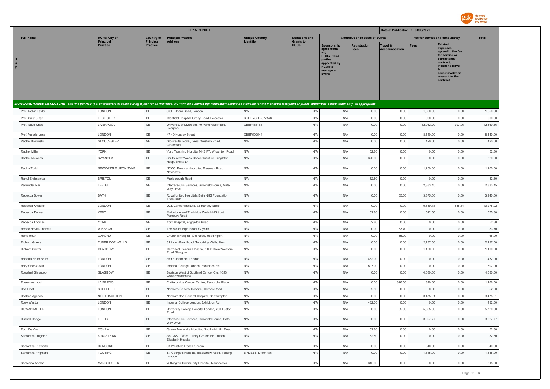

|                        |                                                |                                     |                              | <b>EFPIA REPORT</b>                                                                                                                                                                                                            |                       |                                 |                                                                                                                      |                                        | Date of Publication : 04/08/2021 |                      |                                                                                                                                                                   |                      |
|------------------------|------------------------------------------------|-------------------------------------|------------------------------|--------------------------------------------------------------------------------------------------------------------------------------------------------------------------------------------------------------------------------|-----------------------|---------------------------------|----------------------------------------------------------------------------------------------------------------------|----------------------------------------|----------------------------------|----------------------|-------------------------------------------------------------------------------------------------------------------------------------------------------------------|----------------------|
|                        | <b>Full Name</b>                               | <b>HCPs: City of</b>                | <b>Country of</b>            | <b>Principal Practice</b>                                                                                                                                                                                                      | <b>Unique Country</b> | <b>Donations and</b>            |                                                                                                                      | <b>Contribution to costs of Events</b> |                                  |                      | Fee for service and consultancy                                                                                                                                   | <b>Total</b>         |
| H<br>$\mathbf{c}$<br>P |                                                | <b>Principal</b><br><b>Practice</b> | Principal<br><b>Practice</b> | <b>Address</b>                                                                                                                                                                                                                 | <b>Identifier</b>     | <b>Grants to</b><br><b>HCOs</b> | Sponsorship<br>agreements<br>with<br>HCOs / third<br>parties<br>appointed by<br><b>HCOs to</b><br>manage an<br>Event | Registration<br><b>Fees</b>            | Travel &<br><b>Accommodation</b> | <b>Fees</b>          | <b>Related</b><br>expenses<br>agreed in the fee<br>for service or<br>consultancy<br>contract,<br>including travel<br>accommodation<br>relevant to the<br>contract |                      |
|                        |                                                |                                     |                              | INDIVIDUAL NAMED DISCLOSURE - one line per HCP (i.e. all transfers of value during a year for an individual HCP will be summed up: itemization should be available for the individual Recipient or public authorities' consult |                       |                                 |                                                                                                                      |                                        |                                  |                      |                                                                                                                                                                   |                      |
|                        | Prof. Robin Taylor                             | LONDON                              | GB                           | 369 Fulham Road, London                                                                                                                                                                                                        | N/A                   | N/A                             | N/A                                                                                                                  | 0.00                                   | 0.00                             | 1,650.00             | 0.00                                                                                                                                                              | 1,650.00             |
|                        | Prof. Sally Singh                              | LECIESTER                           | GB                           | Glenfield Hospital, Groby Road, Leicester                                                                                                                                                                                      | BINLEYS ID-577148     | N/A                             | N/A                                                                                                                  | 0.00                                   | 0.00                             | 900.00               | 0.00                                                                                                                                                              | 900.00               |
|                        | Prof. Saye Khoo                                | LIVERPOOL                           | GB                           | University of Liverpool, 70 Pembroke Place,<br>Liverpool                                                                                                                                                                       | GBBP483168            | N/A                             | N/A                                                                                                                  | 0.00                                   | 0.00                             | 12,062.20            | 297.96                                                                                                                                                            | 12,360.16            |
|                        | Prof. Valerie Lund                             | LONDON                              | GB                           | 47-49 Huntley Street                                                                                                                                                                                                           | GBBP502544            | N/A                             | N/A                                                                                                                  | 0.00                                   | 0.00                             | 8,140.00             | 0.00                                                                                                                                                              | 8,140.00             |
|                        | Rachel Kaminski                                | <b>GLOUCESTER</b>                   | GB                           | Gloucester Royal, Great Western Road,<br>Gloucester                                                                                                                                                                            | N/A                   | N/A                             | N/A                                                                                                                  | 0.00                                   | 0.00                             | 420.00               | 0.00                                                                                                                                                              | 420.00               |
|                        | Rachel Miller                                  | <b>YORK</b>                         | GB                           | York Teaching Hospital NHS FT, Wigginton Road                                                                                                                                                                                  | N/A                   | N/A                             | N/A                                                                                                                  | 52.80                                  | 0.00                             | 0.00                 | 0.00                                                                                                                                                              | 52.80                |
|                        | Rachel M Jones                                 | SWANSEA                             | GB                           | South West Wales Cancer Institute, Singleton<br>Hosp, Sketty Ln                                                                                                                                                                | N/A                   | N/A                             | N/A                                                                                                                  | 320.00                                 | 0.00                             | 0.00                 | 0.00                                                                                                                                                              | 320.00               |
|                        | Radha Todd                                     | NEWCASTLE UPON TYNE                 | GB                           | NCCC, Freeman Hospital, Freeman Road,<br>Newcastle                                                                                                                                                                             | N/A                   | N/A                             | N/A                                                                                                                  | 0.00                                   | 0.00                             | 1,200.00             | 0.00                                                                                                                                                              | 1,200.00             |
|                        | Rahul Shrimanker                               | <b>BRISTOL</b>                      | GB                           | Marlborough Road                                                                                                                                                                                                               | N/A                   | N/A                             | N/A                                                                                                                  | 52.80                                  | 0.00                             | 0.00                 | 0.00                                                                                                                                                              | 52.80                |
|                        | Rajwinder Rai                                  | LEEDS                               | GB                           | Interface Clin Services, Schofield House, Gate<br>Way Drive                                                                                                                                                                    | N/A                   | N/A                             | N/A                                                                                                                  | 0.00                                   | 0.00                             | 2,333.45             | 0.00                                                                                                                                                              | 2,333.45             |
|                        | Rebecca Bowen                                  | BATH                                | GB                           | Royal United Hospitals Bath NHS Foundation<br>Trust, Bath                                                                                                                                                                      | N/A                   | N/A                             | N/A                                                                                                                  | 0.00                                   | 65.00                            | 3,875.00             | 0.00                                                                                                                                                              | 3,940.00             |
|                        | Rebecca Kristeleit                             | LONDON                              | GB                           | UCL Cancer Institute, 72 Huntley Street                                                                                                                                                                                        | N/A                   | N/A                             | N/A                                                                                                                  | 0.00                                   | 0.00                             | 9,639.18             | 635.84                                                                                                                                                            | 10,275.02            |
|                        | Rebecca Tanner                                 | KENT                                | GB                           | Maidstone and Tunbridge Wells NHS trust,<br>Pembury Road                                                                                                                                                                       | N/A                   | N/A                             | N/A                                                                                                                  | 52.80                                  | 0.00                             | 522.50               | 0.00                                                                                                                                                              | 575.30               |
|                        | Rebecca Thomas                                 | <b>YORK</b>                         | GB                           | York Hospital, Wigginton Road                                                                                                                                                                                                  | N/A                   | N/A                             | N/A                                                                                                                  | 52.80                                  | 0.00                             | 0.00                 | 0.00                                                                                                                                                              | 52.80                |
|                        | Renee Hovell-Thomas                            | WISBECH                             | GB                           | The Mount High Road, Guyhirn                                                                                                                                                                                                   | N/A                   | N/A                             | N/A                                                                                                                  | 0.00                                   | 83.70                            | 0.00                 | 0.00                                                                                                                                                              | 83.70                |
|                        | René Roux                                      | OXFORD                              | GB<br>GB                     | Churchill Hospital, Old Road, Headington                                                                                                                                                                                       | N/A<br>N/A            | N/A                             | N/A                                                                                                                  | 0.00                                   | 65.00                            | 0.00                 | 0.00                                                                                                                                                              | 65.00                |
|                        | <b>Richard Grieve</b><br><b>Richard Soutar</b> | <b>TUNBRIDGE WELLS</b><br>GLASGOW   | GB                           | 3 Linden Park Road, Tunbridge Wells, Kent<br>Gartnavel General Hospital, 1053 Great Western<br>Road Glasgow                                                                                                                    | N/A                   | N/A<br>N/A                      | N/A<br>N/A                                                                                                           | 0.00<br>0.00                           | 0.00<br>0.00                     | 2,137.50<br>1,100.00 | 0.00<br>0.00                                                                                                                                                      | 2,137.50<br>1,100.00 |
|                        | Roberta Brum Brum                              | LONDON                              | GB                           | 369 Fulham Rd, London                                                                                                                                                                                                          | N/A                   | N/A                             | N/A                                                                                                                  | 432.00                                 | 0.00                             | 0.00                 | 0.00                                                                                                                                                              | 432.00               |
|                        | Rory Grier-Gavin                               | LONDON                              | GB                           | Imperial College London, Exhibition Rd                                                                                                                                                                                         | N/A                   | N/A                             | N/A                                                                                                                  | 507.00                                 | 0.00                             | 0.00                 | 0.00                                                                                                                                                              | 507.00               |
|                        | Rosalind Glasspool                             | GLASGOW                             | GB                           | Beatson West of Scotland Cancer Cte, 1053<br>Great Western Rd                                                                                                                                                                  | N/A                   | N/A                             | N/A                                                                                                                  | 0.00                                   | 0.00                             | 4,680.00             | 0.00                                                                                                                                                              | 4,680.00             |
|                        | Rosemary Lord                                  | LIVERPOOL                           | $\mathsf{GB}$                | Clatterbridge Cancer Centre, Pembroke Place                                                                                                                                                                                    | N/A                   | N/A                             | N/A                                                                                                                  | 0.00                                   | 326.50                           | 840.00               | 0.00                                                                                                                                                              | 1,166.50             |
|                        | Ros Frost                                      | SHEFFIELD                           | GB                           | Northern General Hospital, Herries Road                                                                                                                                                                                        | N/A                   | N/A                             | N/A                                                                                                                  | 52.80                                  | 0.00                             | 0.00                 | 0.00                                                                                                                                                              | 52.80                |
|                        | Roshan Agarwal                                 | NORTHAMPTON                         | GB                           | Northampton General Hospital, Northampton                                                                                                                                                                                      | N/A                   | N/A                             | N/A                                                                                                                  | 0.00                                   | 0.00                             | 3,475.81             | 0.00                                                                                                                                                              | 3,475.81             |
|                        | Rosy Weston                                    | LONDON                              | GB                           | Imperial College London, Exhibition Rd                                                                                                                                                                                         | N/A                   | N/A                             | N/A                                                                                                                  | 432.00                                 | 0.00                             | 0.00                 | 0.00                                                                                                                                                              | 432.00               |
|                        | <b>ROWAN MILLER</b>                            | LONDON                              | GB                           | University College Hospital London, 250 Euston<br>Road                                                                                                                                                                         | N/A                   | N/A                             | N/A                                                                                                                  | 0.00                                   | 65.00                            | 5,655.00             | 0.00                                                                                                                                                              | 5,720.00             |
|                        | <b>Russell Genge</b>                           | LEEDS                               | GB                           | Interface Clin Services, Schofield House, Gate<br>Way Drive                                                                                                                                                                    | N/A                   | N/A                             | N/A                                                                                                                  | 0.00                                   | 0.00                             | 3,027.77             | 0.00                                                                                                                                                              | 3,027.77             |
|                        | Ruth De Vos                                    | COHAM                               | GB                           | Queen Alexandra Hospital, Southwick Hill Road                                                                                                                                                                                  | N/A                   | N/A                             | N/A                                                                                                                  | 52.80                                  | 0.00                             | 0.00                 | 0.00                                                                                                                                                              | 52.80                |
|                        | Samantha Oughton                               | KINGS LYNN                          | $\mathbb{G}\mathbb{B}$       | c/o CAST Office, Tilney Ground Flr, Queen<br>Elizabeth Hospital                                                                                                                                                                | N/A                   | N/A                             | N/A                                                                                                                  | 52.80                                  | 0.00                             | 0.00                 | 0.00                                                                                                                                                              | 52.80                |
|                        | Samantha Pilsworth                             | RUNCORN                             | GB                           | 63 Westfield Road Runcorn                                                                                                                                                                                                      | N/A                   | N/A                             | N/A                                                                                                                  | 0.00                                   | 0.00                             | 540.00               | 0.00                                                                                                                                                              | 540.00               |
|                        | Samantha Prigmore                              | <b>TOOTING</b>                      | GB                           | St. George's Hospital, Blackshaw Road, Tooting,<br>London                                                                                                                                                                      | BINLEYS ID-594486     | N/A                             | N/A                                                                                                                  | 0.00                                   | 0.00                             | 1,845.00             | 0.00                                                                                                                                                              | 1,845.00             |
|                        | Sameena Ahmad                                  | MANCHESTER                          | $\mathbb{G}\mathbb{B}$       | Withington Community Hospital, Manchester                                                                                                                                                                                      | N/A                   | N/A                             | N/A                                                                                                                  | 315.00                                 | 0.00                             | 0.00                 | 0.00                                                                                                                                                              | 315.00               |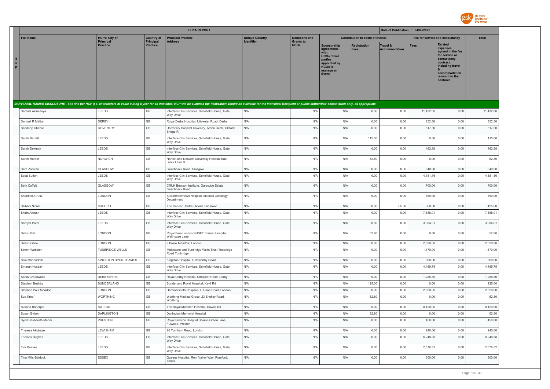

|                                                                                                                                                                                                                                |                                   |                                | <b>EFPIA REPORT</b>                                                |                                     |                                          |                                                                                                                   |                                        | Date of Publication : 04/08/2021 |                                 |                                                                                                                                                                   |              |
|--------------------------------------------------------------------------------------------------------------------------------------------------------------------------------------------------------------------------------|-----------------------------------|--------------------------------|--------------------------------------------------------------------|-------------------------------------|------------------------------------------|-------------------------------------------------------------------------------------------------------------------|----------------------------------------|----------------------------------|---------------------------------|-------------------------------------------------------------------------------------------------------------------------------------------------------------------|--------------|
| <b>Full Name</b>                                                                                                                                                                                                               | <b>HCPs: City of</b><br>Principal | <b>Country of</b><br>Principal | <b>Principal Practice</b><br>Address                               | <b>Unique Country</b><br>Identifier | <b>Donations and</b><br><b>Grants to</b> |                                                                                                                   | <b>Contribution to costs of Events</b> |                                  | Fee for service and consultancy |                                                                                                                                                                   | <b>Total</b> |
| н<br>$\mathbf{c}$<br>P                                                                                                                                                                                                         | <b>Practice</b>                   | <b>Practice</b>                |                                                                    |                                     | <b>HCOs</b>                              | Sponsorship<br>agreements<br>HCOs / third<br>parties<br>appointed by<br>HCO <sub>s</sub> to<br>manage an<br>Event | Registration<br><b>Fees</b>            | Travel &<br><b>Accommodation</b> | Fees                            | <b>Related</b><br>expenses<br>agreed in the fee<br>for service or<br>consultancy<br>contract.<br>including travel<br>accommodation<br>relevant to the<br>contract |              |
| INDIVIDUAL NAMED DISCLOSURE - one line per HCP (i.e. all transfers of value during a year for an individual HCP will be summed up: itemization should be available for the individual Recipient or public authorities' consult |                                   |                                |                                                                    |                                     |                                          |                                                                                                                   |                                        |                                  |                                 |                                                                                                                                                                   |              |
| Samuel Akinsanya                                                                                                                                                                                                               | LEEDS                             | GB                             | Interface Clin Services, Schofield House, Gate<br><b>Way Drive</b> | N/A                                 | N/A                                      | N/A                                                                                                               | 0.00                                   | 0.00                             | 11,432.00                       | 0.00                                                                                                                                                              | 11,432.00    |
| Samuel R Malton                                                                                                                                                                                                                | DERBY                             | GB                             | Royal Derby Hospital, Uttoxeter Road, Derby                        | N/A                                 | N/A                                      | N/A                                                                                                               | 0.00                                   | 0.00                             | 852.50                          | 0.00                                                                                                                                                              | 852.50       |
| Sandeep Chahal                                                                                                                                                                                                                 | COVENTRY                          | GB                             | University Hospital Coventry, Arden Centr, Clifford<br>Bridge R    | N/A                                 | N/A                                      | N/A                                                                                                               | 0.00                                   | 0.00                             | 817.50                          | 0.00                                                                                                                                                              | 817.50       |
| Sarah Barrett                                                                                                                                                                                                                  | LEEDS                             | GB                             | Interface Clin Services, Schofield House, Gate<br>Way Drive        | N/A                                 | N/A                                      | N/A                                                                                                               | 115.00                                 | 0.00                             | 0.00                            | 0.00                                                                                                                                                              | 115.00       |
| Sarah Dekmak                                                                                                                                                                                                                   | LEEDS                             | GB                             | Interface Clin Services, Schofield House, Gate<br>Way Drive        | N/A                                 | N/A                                      | N/A                                                                                                               | 0.00                                   | 0.00                             | 462.88                          | 0.00                                                                                                                                                              | 462.88       |
| Sarah Harper                                                                                                                                                                                                                   | NORWICH                           | GB                             | Norfolk and Norwich University Hospital East<br>Block Level 3      | N/A                                 | N/A                                      | N/A                                                                                                               | 52.80                                  | 0.00                             | 0.00                            | 0.00                                                                                                                                                              | 52.80        |
| Sara Zanivan                                                                                                                                                                                                                   | GLASGOW                           | GB                             | Switchback Road, Glasgow                                           | N/A                                 | N/A                                      | N/A                                                                                                               | 0.00                                   | 0.00                             | 840.00                          | 0.00                                                                                                                                                              | 840.00       |
| Scott Sutton                                                                                                                                                                                                                   | LEEDS                             | GB                             | Interface Clin Services, Schofield House, Gate<br>Way Drive        | N/A                                 | N/A                                      | N/A                                                                                                               | 0.00                                   | 0.00                             | 4,181.16                        | 0.00                                                                                                                                                              | 4,181.16     |
| Seth Coffelt                                                                                                                                                                                                                   | GLASGOW                           | $\mathbb{G}\mathbb{B}$         | CRUK Beatson Institute, Garscube Estate,<br>Switchback Road,       | N/A                                 | N/A                                      | N/A                                                                                                               | 0.00                                   | 0.00                             | 700.00                          | 0.00                                                                                                                                                              | 700.00       |
| Shanthini Crusz                                                                                                                                                                                                                | LONDON                            | $\mathbb{G}\mathbb{B}$         | St Bartholomews Hospital, Medical Oncology<br>Department           | N/A                                 | N/A                                      | N/A                                                                                                               | 0.00                                   | 0.00                             | 660.00                          | 0.00                                                                                                                                                              | 660.00       |
| Shibani Nicum                                                                                                                                                                                                                  | OXFORD                            | GB                             | The Cancer Centre Oxford, Old Road                                 | N/A                                 | N/A                                      | N/A                                                                                                               | 0.00                                   | 65.00                            | 360.00                          | 0.00                                                                                                                                                              | 425.00       |
| Shirin Alwash                                                                                                                                                                                                                  | LEEDS                             | GB                             | Interface Clin Services, Schofield House, Gate<br>Way Drive        | N/A                                 | N/A                                      | N/A                                                                                                               | 0.00                                   | 0.00                             | 7,888.01                        | 0.00                                                                                                                                                              | 7,888.01     |
| Shreyal Patel                                                                                                                                                                                                                  | LEEDS                             | GB                             | Interface Clin Services, Schofield House, Gate<br>Way Drive        | N/A                                 | N/A                                      | N/A                                                                                                               | 0.00                                   | 0.00                             | 3.984.01                        | 0.00                                                                                                                                                              | 3.984.01     |
| Simon Brill                                                                                                                                                                                                                    | LONDON                            | GB                             | Royal Free London NHSFT, Barnet Hospital,<br>Wellhouse Lane        | N/A                                 | N/A                                      | N/A                                                                                                               | 52.80                                  | 0.00                             | 0.00                            | 0.00                                                                                                                                                              | 52.80        |
| Simon Gane                                                                                                                                                                                                                     | LONDON                            | GB                             | 9 Brook Meadow, London                                             | N/A                                 | N/A                                      | N/A                                                                                                               | 0.00                                   | 0.00                             | 2,520.00                        | 0.00                                                                                                                                                              | 2,520.00     |
| Simon Webster                                                                                                                                                                                                                  | <b>TUNBRIDGE WELLS</b>            | GB                             | Maidstone and Tunbridge Wells Trust Tonbridge<br>Road Tunbridge    | N/A                                 | N/A                                      | N/A                                                                                                               | 0.00                                   | 0.00                             | 1,170.00                        | 0.00                                                                                                                                                              | 1,170.00     |
| Siva Mahendran                                                                                                                                                                                                                 | KINGSTON UPON THAMES              | GB                             | Kingston Hospital, Galsworthy Road                                 | N/A                                 | N/A                                      | N/A                                                                                                               | 0.00                                   | 0.00                             | 360.00                          | 0.00                                                                                                                                                              | 360.00       |
| Smarah Hussain                                                                                                                                                                                                                 | LEEDS                             | GB                             | Interface Clin Services, Schofield House, Gate<br>Way Drive        | N/A                                 | N/A                                      | N/A                                                                                                               | 0.00                                   | 0.00                             | 4,469.75                        | 0.00                                                                                                                                                              | 4,469.75     |
| Sonia Greenwood                                                                                                                                                                                                                | <b>DERBYSHIRE</b>                 | GB                             | Royal Derby Hospital, Uttoxeter Road, Derby                        | N/A                                 | N/A                                      | N/A                                                                                                               | 0.00                                   | 0.00                             | 1,288.80                        | 0.00                                                                                                                                                              | 1,288.80     |
| Stephen Bushby                                                                                                                                                                                                                 | SUNDERLAND                        | $\mathbb{G}\mathbb{B}$         | Sunderland Royal Hospital, Kayll Rd                                | N/A                                 | N/A                                      | N/A                                                                                                               | 125.00                                 | 0.00                             | 0.00                            | 0.00                                                                                                                                                              | 125.00       |
| Stephen Paul McAdoo                                                                                                                                                                                                            | LONDON                            | GB                             | Hammersmith Hospital, Du Cane Road, London.                        | N/A                                 | N/A                                      | N/A                                                                                                               | 0.00                                   | 0.00                             | 2,520.00                        | 0.00                                                                                                                                                              | 2,520.00     |
| Sue Kronf                                                                                                                                                                                                                      | <b>WORTHING</b>                   | GB                             | Worthing Medical Group, 23 Shelley Road,<br>Worthing               | N/A                                 | N/A                                      | N/A                                                                                                               | 52.80                                  | 0.00                             | 0.00                            | 0.00                                                                                                                                                              | 52.80        |
| Susana Baneriee                                                                                                                                                                                                                | <b>SUTTON</b>                     | GB                             | The Royal Marsden Hosptial, Downs Rd                               | N/A                                 | N/A                                      | N/A                                                                                                               | 0.00                                   | 0.00                             | 8,120.00                        | 0.00                                                                                                                                                              | 8.120.00     |
| Susan Evison                                                                                                                                                                                                                   | <b>DARLINGTON</b>                 | GB                             | Darlington Memorial Hospital                                       | N/A                                 | N/A                                      | N/A                                                                                                               | 52.80                                  | 0.00                             | 0.00                            | 0.00                                                                                                                                                              | 52.80        |
| Syed Basharath Mehdi                                                                                                                                                                                                           | PRESTON                           | GB                             | Royal Preston Hospital Sharoe Green Lane,<br>Fulwood, Preston      | N/A                                 | N/A                                      | N/A                                                                                                               | 0.00                                   | 0.00                             | 450.00                          | 0.00                                                                                                                                                              | 450.00       |
| Theresa Akubeze                                                                                                                                                                                                                | LEWISHAM                          | GB                             | 20 Turnham Road, London                                            | N/A                                 | N/A                                      | N/A                                                                                                               | 0.00                                   | 0.00                             | 240.00                          | 0.00                                                                                                                                                              | 240.00       |
| Thomas Hughes                                                                                                                                                                                                                  | LEEDS                             | GB                             | Interface Clin Services, Schofield House, Gate<br>Way Drive        | N/A                                 | N/A                                      | N/A                                                                                                               | 0.00                                   | 0.00                             | 6,248.88                        | 0.00                                                                                                                                                              | 6,248.88     |
| Tim Reeves                                                                                                                                                                                                                     | LEEDS                             | GB                             | Interface Clin Services, Schofield House, Gate<br>Way Drive        | N/A                                 | N/A                                      | N/A                                                                                                               | 0.00                                   | 0.00                             | 2,576.32                        | 0.00                                                                                                                                                              | 2,576.32     |
| Tina Mills-Baldock                                                                                                                                                                                                             | ESSEX                             | $\mathbb{G}\mathbb{B}$         | Queens Hospital, Rom Valley Way, Romford,<br>Essex                 | N/A                                 | N/A                                      | N/A                                                                                                               | 0.00                                   | 0.00                             | 300.00                          | 0.00                                                                                                                                                              | 300.00       |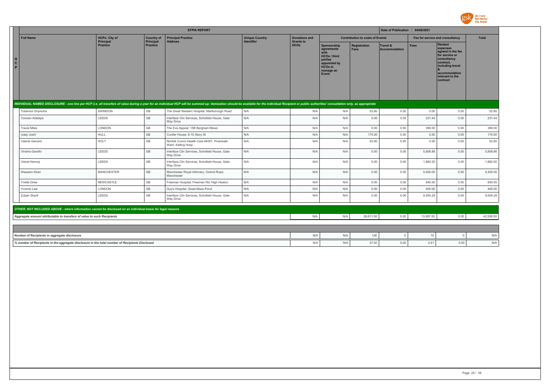

|        |                                                                                                            |                                   |                                | <b>EFPIA REPORT</b>                                                                                                                                                                                                            |                                            |                                          |                                                                                                                      |                                        | Date of Publication : 04/08/2021 |                                 |                                                                                                                                                            |              |
|--------|------------------------------------------------------------------------------------------------------------|-----------------------------------|--------------------------------|--------------------------------------------------------------------------------------------------------------------------------------------------------------------------------------------------------------------------------|--------------------------------------------|------------------------------------------|----------------------------------------------------------------------------------------------------------------------|----------------------------------------|----------------------------------|---------------------------------|------------------------------------------------------------------------------------------------------------------------------------------------------------|--------------|
|        | <b>Full Name</b>                                                                                           | <b>HCPs: City of</b><br>Principal | <b>Country of</b><br>Principal | <b>Principal Practice</b><br><b>Address</b>                                                                                                                                                                                    | <b>Unique Country</b><br><b>Identifier</b> | <b>Donations and</b><br><b>Grants to</b> |                                                                                                                      | <b>Contribution to costs of Events</b> |                                  | Fee for service and consultancy |                                                                                                                                                            | <b>Total</b> |
| C<br>P |                                                                                                            | <b>Practice</b>                   | Practice                       |                                                                                                                                                                                                                                |                                            | <b>HCOs</b>                              | Sponsorship<br>agreements<br>with<br>HCOs / third<br>parties<br>appointed by<br><b>HCOs to</b><br>manage an<br>Event | <b>Registration</b><br>Fees            | Travel &<br>Accommodation        | <b>Fees</b>                     | Related<br>expenses<br>agreed in the fee<br>for service or<br>consultancy<br>contract,<br>including travel<br>accommodation<br>relevant to the<br>contract |              |
|        |                                                                                                            |                                   |                                | INDIVIDUAL NAMED DISCLOSURE - one line per HCP (i.e. all transfers of value during a year for an individual HCP will be summed up: itemization should be available for the individual Recipient or public authorities' consult |                                            |                                          |                                                                                                                      |                                        |                                  |                                 |                                                                                                                                                            |              |
|        | Tobenna Onyirioha                                                                                          | SWINDON                           | GB                             | The Great Western Hospital, Marlborough Road                                                                                                                                                                                   | N/A                                        | N/A                                      | N/A                                                                                                                  | 52.80                                  | 0.00                             | 0.00                            | 0.00                                                                                                                                                       | 52.80        |
|        | <b>Tomisin Adedipe</b>                                                                                     | LEEDS                             | GB                             | Interface Clin Services, Schofield House, Gate<br>Way Drive                                                                                                                                                                    | N/A                                        | N/A                                      | N/A                                                                                                                  | 0.00                                   | 0.00                             | 231.44                          | 0.00                                                                                                                                                       | 231.44       |
|        | <b>Tracie Miles</b>                                                                                        | LONDON                            | GB                             | The Eve Appeal, 15B Bergham Mews                                                                                                                                                                                               | N/A                                        | N/A                                      | N/A                                                                                                                  | 0.00                                   | 0.00                             | 390.00                          | 0.00                                                                                                                                                       | 390.00       |
|        | Uday Joshi                                                                                                 | HULL                              | GB                             | Conifer House, 6-10 Story St                                                                                                                                                                                                   | N/A                                        | N/A                                      | N/A                                                                                                                  | 175.00                                 | 0.00                             | 0.00                            | 0.00                                                                                                                                                       | 175.00       |
|        | Valerie Gerrard                                                                                            | <b>HOLT</b>                       | GB                             | Norfolk Comm Health Care NHST, Pineheath<br>Ward, Kelling Hosp                                                                                                                                                                 | N/A                                        | N/A                                      | N/A                                                                                                                  | 52.80                                  | 0.00                             | 0.00                            | 0.00                                                                                                                                                       | 52.80        |
|        | Vinisha Gandhi                                                                                             | LEEDS                             | GB                             | Interface Clin Services, Schofield House, Gate<br>Way Drive                                                                                                                                                                    | N/A                                        | N/A                                      | N/A                                                                                                                  | 0.00                                   | 0.00                             | 5,808.86                        | 0.00                                                                                                                                                       | 5,808.86     |
|        | Vishal Hemraj                                                                                              | LEEDS                             | GB                             | Interface Clin Services, Schofield House, Gate<br>Way Drive                                                                                                                                                                    | N/A                                        | N/A                                      | N/A                                                                                                                  | 0.00                                   | 0.00                             | 1,882.00                        | 0.00                                                                                                                                                       | 1,882.00     |
|        | Waseem Khan                                                                                                | <b>MANCHESTER</b>                 | GB                             | Manchester Royal Infirmary, Oxford Road,<br>Manchester                                                                                                                                                                         | N/A                                        | N/A                                      | N/A                                                                                                                  | 0.00                                   | 0.00                             | 5,400.00                        | 0.00                                                                                                                                                       | 5,400.00     |
|        | <b>Yvette Drew</b>                                                                                         | NEWCASTLE                         | GB                             | Freeman Hospital, Freeman Rd, High Heaton                                                                                                                                                                                      | N/A                                        | N/A                                      | N/A                                                                                                                  | 0.00                                   | 0.00                             | 840.00                          | 0.00                                                                                                                                                       | 840.00       |
|        | Yvonne Law                                                                                                 | LONDON                            | GB                             | Guy's Hospital, Great Maze Pond                                                                                                                                                                                                | N/A                                        | N/A                                      | N/A                                                                                                                  | 0.00                                   | 0.00                             | 400.00                          | 0.00                                                                                                                                                       | 400.00       |
|        | Zubair Sharif                                                                                              | LEEDS                             | GB                             | Interface Clin Services, Schofield House, Gate<br>Way Drive                                                                                                                                                                    | N/A                                        | N/A                                      | N/A                                                                                                                  | 0.00                                   | 0.00                             | 9,504.28                        | 0.00                                                                                                                                                       | 9,504.28     |
|        | OTHER, NOT INCLUDED ABOVE - where information cannot be disclosed on an individual basis for legal reasons |                                   |                                |                                                                                                                                                                                                                                |                                            |                                          |                                                                                                                      |                                        |                                  |                                 |                                                                                                                                                            |              |
|        | Aggregate amount attributable to transfers of value to such Recipients                                     |                                   |                                |                                                                                                                                                                                                                                |                                            | N/A                                      | N/A                                                                                                                  | 28,611.00                              | 0.00                             | 13,897.50                       | 0.00                                                                                                                                                       | 42,508.50    |
|        |                                                                                                            |                                   |                                |                                                                                                                                                                                                                                |                                            |                                          |                                                                                                                      |                                        |                                  |                                 |                                                                                                                                                            |              |
|        | Number of Recipients in aggregate disclosure                                                               |                                   |                                |                                                                                                                                                                                                                                |                                            | N/A                                      | N/A                                                                                                                  | 126                                    | $\Omega$                         | 10                              | $\Omega$                                                                                                                                                   | N/A          |
|        | % number of Recipients in the aggregate disclosure in the total number of Recipients Disclosed             |                                   |                                |                                                                                                                                                                                                                                |                                            | N/A                                      | N/A                                                                                                                  | 37.50                                  | 0.00                             | 2.61                            | 0.00                                                                                                                                                       | N/A          |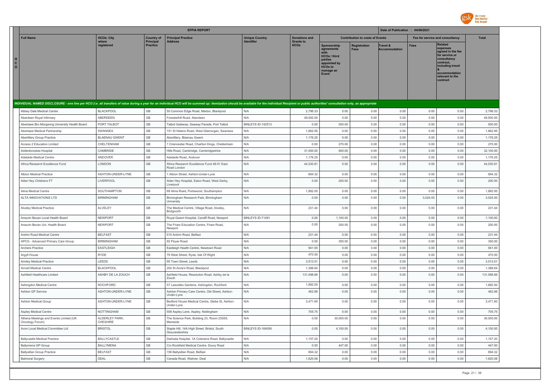

|                              |                                                             |                                       |                              | <b>EFPIA REPORT</b>                                                                                                                                                                                                            |                                            |                                 |                                                                                                              |                                        | Date of Publication : 04/08/2021 |                                 |                                                                                                                                                                   |                        |
|------------------------------|-------------------------------------------------------------|---------------------------------------|------------------------------|--------------------------------------------------------------------------------------------------------------------------------------------------------------------------------------------------------------------------------|--------------------------------------------|---------------------------------|--------------------------------------------------------------------------------------------------------------|----------------------------------------|----------------------------------|---------------------------------|-------------------------------------------------------------------------------------------------------------------------------------------------------------------|------------------------|
|                              | <b>Full Name</b>                                            | <b>HCOs: City</b>                     | <b>Country of</b>            | <b>Principal Practice</b>                                                                                                                                                                                                      | <b>Unique Country</b><br><b>Identifier</b> | <b>Donations and</b>            |                                                                                                              | <b>Contribution to costs of Events</b> |                                  | Fee for service and consultancy |                                                                                                                                                                   | <b>Total</b>           |
| н<br>$\mathbf{c}$<br>$\circ$ |                                                             | where<br>registered                   | Principal<br><b>Practice</b> | <b>Address</b>                                                                                                                                                                                                                 |                                            | <b>Grants to</b><br><b>HCOs</b> | Sponsorship<br>agreements<br>HCOs / third<br>parties<br>appointed by<br><b>HCOs to</b><br>manage an<br>Event | Registration<br>Fees                   | Travel &<br><b>Accommodation</b> | <b>Fees</b>                     | <b>Related</b><br>expenses<br>agreed in the fee<br>for service or<br>consultancy<br>contract.<br>including travel<br>accommodation<br>relevant to the<br>contract |                        |
|                              |                                                             |                                       |                              | INDIVIDUAL NAMED DISCLOSURE - one line per HCO (i.e. all transfers of value during a year for an individual HCO will be summed up: itemization should be available for the individual Recipient or public authorities' consult |                                            |                                 |                                                                                                              |                                        |                                  |                                 |                                                                                                                                                                   |                        |
|                              | Abbey Dale Medical Centre                                   | <b>BLACKPOOL</b>                      | GB                           | 50 Common Edge Road, Marton, Blackpool                                                                                                                                                                                         | N/A                                        | 2.796.33                        | 0.00                                                                                                         | 0.00                                   | 0.00                             | 0.00                            | 0.00                                                                                                                                                              | 2,796.33               |
|                              | Aberdeen Royal Infirmary                                    | ABERDEEN                              | GB                           | Foresterhill Road, Aberdeen                                                                                                                                                                                                    | N/A                                        | 49,500.00                       | 0.00                                                                                                         | 0.00                                   | 0.00                             | 0.00                            | 0.00                                                                                                                                                              | 49,500.00              |
|                              | Abertawe Bro Morganng University Health Board               | PORT TALBOT                           | GB                           | Talbot Gateway, Seaway Parade, Port Talbot                                                                                                                                                                                     | BINLEYS ID-142513                          | 0.00                            | 500.00                                                                                                       | 0.00                                   | 0.00                             | 0.00                            | 0.00                                                                                                                                                              | 500.00                 |
|                              | Abertawe Medical Partnership                                | SWANSEA                               | GB                           | 151 St Helens Road, West Glamorgan, Swansea                                                                                                                                                                                    | N/A                                        | 1,862.95                        | 0.00                                                                                                         | 0.00                                   | 0.00                             | 0.00                            | 0.00                                                                                                                                                              | 1,862.95               |
|                              | Abertillery Group Practice                                  | <b>BLAENAU GWENT</b>                  | GB                           | Abertillery, Blaenau Gwent                                                                                                                                                                                                     | N/A                                        | 1,176.25                        | 0.00                                                                                                         | 0.00                                   | 0.00                             | 0.00                            | 0.00                                                                                                                                                              | 1,176.25               |
|                              | Access 2 Education Limited                                  | CHELTENHAM                            | GB                           | 1 Cirencester Road, Charlton Kings, Cheltenham                                                                                                                                                                                 | N/A                                        | 0.00                            | 270.00                                                                                                       | 0.00                                   | 0.00                             | 0.00                            | 0.00                                                                                                                                                              | 270.00                 |
|                              | Addenbrookes Hospital                                       | CAMBRIDE                              | GB                           | Hills Road, Cambridge, Cambridgeshire                                                                                                                                                                                          | N/A                                        | 31,500.00                       | 600.00                                                                                                       | 0.00                                   | 0.00                             | 0.00                            | 0.00                                                                                                                                                              | 32,100.00              |
|                              | Adelaide Medical Centre                                     | ANDOVER                               | GB                           | Adelaide Road, Andover                                                                                                                                                                                                         | N/A                                        | 1,176.25                        | 0.00                                                                                                         | 0.00                                   | 0.00                             | 0.00                            | 0.00                                                                                                                                                              | 1,176.25               |
|                              | Africa Research Excellence Fund                             | LONDON                                | GB                           | Africa Research Excellence Fund 49-51 East<br>Road London                                                                                                                                                                      | N/A                                        | 44,530.81                       | 0.00                                                                                                         | 0.00                                   | 0.00                             | 0.00                            | 0.00                                                                                                                                                              | 44,530.81              |
|                              | Albion Medical Practice                                     | ASHTON-UNDER-LYNE                     | GB                           | 1 Albion Street, Ashton-Under-Lyne                                                                                                                                                                                             | N/A                                        | 694.32                          | 0.00                                                                                                         | 0.00                                   | 0.00                             | 0.00                            | 0.00                                                                                                                                                              | 694.32                 |
|                              | Alder Hey Childrens FT                                      | LIVERPOOL                             | GB                           | Alder Hey Hospital, Eaton Road, West Derby,<br>Liverpool                                                                                                                                                                       | N/A                                        | 0.00                            | 200.00                                                                                                       | 0.00                                   | 0.00                             | 0.00                            | 0.00                                                                                                                                                              | 200.00                 |
|                              | Alma Medical Centre                                         | SOUTHAMPTON                           | GB                           | 68 Alma Road, Portswood, Southampton                                                                                                                                                                                           | N/A                                        | 1,882.00                        | 0.00                                                                                                         | 0.00                                   | 0.00                             | 0.00                            | 0.00                                                                                                                                                              | 1,882.00               |
|                              | ALTA INNOVATIONS LTD                                        | <b>BIRMINGHAM</b>                     | GB                           | Birmingham Research Park, Birmingham<br>University                                                                                                                                                                             | N/A                                        | 0.00                            | 0.00                                                                                                         | 0.00                                   | 0.00                             | 3,024.00                        | 0.00                                                                                                                                                              | 3,024.00               |
|                              | Alveley Medical Practice                                    | ALVELEY                               | GB                           | The Medical Centre, Village Road, Alveley,<br>Bridgnorth                                                                                                                                                                       | N/A                                        | 231.44                          | 0.00                                                                                                         | 0.00                                   | 0.00                             | 0.00                            | 0.00                                                                                                                                                              | 231.44                 |
|                              | Aneurin Bevan Local Health Board                            | <b>NFWPORT</b>                        | GB                           | Royal Gwent Hospital, Cardiff Road, Newport                                                                                                                                                                                    | BINLEYS ID-71491                           | 0.00                            | 1,100.00                                                                                                     | 0.00                                   | 0.00                             | 0.00                            | 0.00                                                                                                                                                              | 1,100.00               |
|                              | Aneurin Bevan Uni. Health Board                             | <b>NEWPORT</b>                        | GB                           | The Friars Education Centre, Friars Road,<br>Newport                                                                                                                                                                           | N/A                                        | 0.00                            | 200.00                                                                                                       | 0.00                                   | 0.00                             | 0.00                            | 0.00                                                                                                                                                              | 200.00                 |
|                              | Antrim Road Medical Centre                                  | <b>BELFAST</b>                        | GB                           | 515 Antrim Road, Belfast                                                                                                                                                                                                       | N/A                                        | 231.44                          | 0.00                                                                                                         | 0.00                                   | 0.00                             | 0.00                            | 0.00                                                                                                                                                              | 231.44                 |
|                              | APCG - Advanced Primary Care Group                          | <b>BIRMINGHAM</b>                     | GB                           | 92 Floyer Road                                                                                                                                                                                                                 | N/A                                        | 0.00                            | 350.00                                                                                                       | 0.00                                   | 0.00                             | 0.00                            | 0.00                                                                                                                                                              | 350.00                 |
|                              | Archers Practice                                            | <b>EASTLEIGH</b>                      | GB                           | Eastleigh Health Centre, Newtown Road                                                                                                                                                                                          | N/A                                        | 941.00                          | 0.00                                                                                                         | 0.00                                   | 0.00                             | 0.00                            | 0.00                                                                                                                                                              | 941.00                 |
|                              | Argyll House                                                | <b>RYDE</b>                           | GB                           | 78 West Street, Ryde, Isle Of Wight                                                                                                                                                                                            | N/A                                        | 470.50                          | 0.00                                                                                                         | 0.00                                   | 0.00                             | 0.00                            | 0.00                                                                                                                                                              | 470.50                 |
|                              | Armley Medical Practice                                     | LEEDS                                 | GB                           | 95 Town Street, Leeds                                                                                                                                                                                                          | N/A                                        | 3,513.51                        | 0.00                                                                                                         | 0.00                                   | 0.00                             | 0.00                            | 0.00                                                                                                                                                              | 3,513.51               |
|                              | <b>Arnold Medical Centre</b><br>Ashfield Healthcare Limited | <b>BLACKPOOL</b><br>ASHBY DE LA ZOUCH | GB<br>GB                     | 204 St Anne's Road, Blackpool<br>Ashfield House, Resolution Road, Ashby de la                                                                                                                                                  | N/A<br>N/A                                 | 1,388.64<br>131,598.66          | 0.00<br>0.00                                                                                                 | 0.00<br>0.00                           | 0.00<br>0.00                     | 0.00<br>0.00                    | 0.00<br>0.00                                                                                                                                                      | 1,388.64<br>131,598.66 |
|                              |                                                             |                                       |                              | Zouch                                                                                                                                                                                                                          |                                            |                                 |                                                                                                              |                                        |                                  |                                 |                                                                                                                                                                   |                        |
|                              | Ashingdon Medical Centre                                    | ROCHFORD                              | GB<br>GB                     | 57 Lascelles Gardens, Ashingdon, Rochford                                                                                                                                                                                      | N/A<br>N/A                                 | 1,882.00                        | 0.00<br>0.00                                                                                                 | 0.00                                   | 0.00<br>0.00                     | 0.00<br>0.00                    | 0.00<br>0.00                                                                                                                                                      | 1,882.00<br>462.88     |
|                              | Ashton GP Service                                           | ASHTON-UNDER-LYNE                     |                              | Ashton Primary Care Centre, Old Street, Ashton-<br>Under-Lyne                                                                                                                                                                  |                                            | 462.88                          |                                                                                                              | 0.00                                   |                                  |                                 |                                                                                                                                                                   |                        |
|                              | Ashton Medical Group                                        | ASHTON-UNDER-LYNE                     | GB                           | Bedford House Medical Centre, Glebe St, Ashton-<br>Under-Lyne                                                                                                                                                                  | N/A                                        | 3.471.60                        | 0.00                                                                                                         | 0.00                                   | 0.00                             | 0.00                            | 0.00                                                                                                                                                              | 3,471.60               |
|                              | Aspley Medical Centre                                       | <b>NOTTINGHAM</b>                     | GB                           | 509 Aspley Lane, Aspley, Nottingham                                                                                                                                                                                            | N/A                                        | 705.75                          | 0.00                                                                                                         | 0.00                                   | 0.00                             | 0.00                            | 0.00                                                                                                                                                              | 705.75                 |
|                              | Athena Meetings and Events Limited (UK<br>Oncology Forum)   | ALDERLEY PARK,<br><b>CHESHIRE</b>     | GB                           | The Science Park, Building 23, Room 23S55,<br>Mereside                                                                                                                                                                         | N/A                                        | 0.00                            | 30,000.00                                                                                                    | 0.00                                   | 0.00                             | 0.00                            | 0.00                                                                                                                                                              | 30,000.00              |
|                              | Avon Local Medical Committee Ltd                            | <b>BRISTOL</b>                        | GB                           | Staple Hill, 14A High Street, Bristol, South<br>Gloucestershire                                                                                                                                                                | BINLEYS ID-164056                          | 0.00                            | 4,100.00                                                                                                     | 0.00                                   | 0.00                             | 0.00                            | 0.00                                                                                                                                                              | 4,100.00               |
|                              | <b>Ballycastle Medical Practice</b>                         | <b>BALLYCASTLE</b>                    | GB                           | Dalriada Hospital, 1A Coleraine Road, Ballycastle                                                                                                                                                                              | N/A                                        | 1,157.20                        | 0.00                                                                                                         | 0.00                                   | 0.00                             | 0.00                            | 0.00                                                                                                                                                              | 1,157.20               |
|                              | Ballymena GP Group                                          | <b>BALLYMENA</b>                      | GB                           | C/o Rockfield Medical Centre, Doury Road                                                                                                                                                                                       | N/A                                        | 0.00                            | 447.00                                                                                                       | 0.00                                   | 0.00                             | 0.00                            | 0.00                                                                                                                                                              | 447.00                 |
|                              | <b>Ballysillan Group Practice</b>                           | <b>BELFAST</b>                        | GB                           | 156 Ballysillan Road, Belfast                                                                                                                                                                                                  | N/A                                        | 694.32                          | 0.00                                                                                                         | 0.00                                   | 0.00                             | 0.00                            | 0.00                                                                                                                                                              | 694.32                 |
|                              | <b>Balmoral Surgery</b>                                     | DEAL                                  | GB                           | Canada Road, Walmer, Deal                                                                                                                                                                                                      | N/A                                        | 1,620.08                        | 0.00                                                                                                         | 0.00                                   | 0.00                             | 0.00                            | 0.00                                                                                                                                                              | 1,620.08               |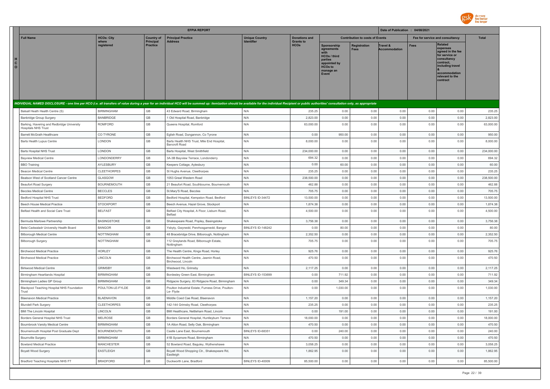

|                              |                                                                                   |                                        |                              | <b>EFPIA REPORT</b>                                                                                                                                                                                                            |                                 |                                 |                                                                                                                     |                                        | Date of Publication : 04/08/2021 |                                 |                                                                                                                                                                   |                    |
|------------------------------|-----------------------------------------------------------------------------------|----------------------------------------|------------------------------|--------------------------------------------------------------------------------------------------------------------------------------------------------------------------------------------------------------------------------|---------------------------------|---------------------------------|---------------------------------------------------------------------------------------------------------------------|----------------------------------------|----------------------------------|---------------------------------|-------------------------------------------------------------------------------------------------------------------------------------------------------------------|--------------------|
|                              | <b>Full Name</b>                                                                  | <b>HCOs: City</b>                      | <b>Country of</b>            | <b>Principal Practice</b>                                                                                                                                                                                                      | <b>Unique Country</b>           | <b>Donations and</b>            |                                                                                                                     | <b>Contribution to costs of Events</b> |                                  | Fee for service and consultancy |                                                                                                                                                                   | <b>Total</b>       |
| н<br>$\mathbf{C}$<br>$\circ$ |                                                                                   | where<br>registered                    | Principal<br><b>Practice</b> | <b>Address</b>                                                                                                                                                                                                                 | Identifier                      | <b>Grants to</b><br><b>HCOs</b> | Sponsorship<br>agreements<br>HCOs / third<br>parties<br>appointed by<br><b>HCOs to</b><br>manage an<br><b>Event</b> | <b>Registration</b><br><b>Fees</b>     | Travel &<br><b>Accommodation</b> | <b>Fees</b>                     | <b>Related</b><br>expenses<br>agreed in the fee<br>for service or<br>consultancy<br>contract.<br>including travel<br>accommodation<br>relevant to the<br>contract |                    |
|                              |                                                                                   |                                        |                              | INDIVIDUAL NAMED DISCLOSURE - one line per HCO (i.e. all transfers of value during a year for an individual HCO will be summed up: itemization should be available for the individual Recipient or public authorities' consult |                                 |                                 |                                                                                                                     |                                        |                                  |                                 |                                                                                                                                                                   |                    |
|                              | Balsall Heath Health Centre (S)                                                   | <b>BIRMINGHAM</b>                      | GB                           | 43 Edward Road, Birmingham                                                                                                                                                                                                     | N/A                             | 235.25                          | 0.00                                                                                                                | 0.00                                   | 0.00                             | 0.00                            | 0.00                                                                                                                                                              | 235.25             |
|                              | Banbridge Group Surgery                                                           | <b>BANBRIDGE</b>                       | GB                           | 1 Old Hospital Road, Banbridge                                                                                                                                                                                                 | N/A                             | 2,823.00                        | 0.00                                                                                                                | 0.00                                   | 0.00                             | 0.00                            | 0.00                                                                                                                                                              | 2,823.00           |
|                              | Barking, Havering and Redbridge University<br><b>Hospitals NHS Trust</b>          | ROMFORD                                | GB                           | Queens Hospital, Romford                                                                                                                                                                                                       | N/A                             | 63,000.00                       | 0.00                                                                                                                | 0.00                                   | 0.00                             | 0.00                            | 0.00                                                                                                                                                              | 63,000.00          |
|                              | Barrett McGrath Healthcare                                                        | CO TYRONE                              | GB                           | Eglish Road, Dungannon, Co Tyrone                                                                                                                                                                                              | N/A                             | 0.00                            | 950.00                                                                                                              | 0.00                                   | 0.00                             | 0.00                            | 0.00                                                                                                                                                              | 950.00             |
|                              | Barts Health Lupus Centre                                                         | LONDON                                 | GB                           | Barts Health NHS Trust, Mile End Hospital,<br><b>Bancroft Road</b>                                                                                                                                                             | N/A                             | 8,000.00                        | 0.00                                                                                                                | 0.00                                   | 0.00                             | 0.00                            | 0.00                                                                                                                                                              | 8,000.00           |
|                              | Barts Hospital NHS Trust                                                          | LONDON                                 | GB                           | Barts Hospital, West Smithfield                                                                                                                                                                                                | N/A                             | 234,000.00                      | 0.00                                                                                                                | 0.00                                   | 0.00                             | 0.00                            | 0.00                                                                                                                                                              | 234,000.00         |
|                              | <b>Bayview Medical Centre</b>                                                     | LONDONDERRY                            | GB                           | 3A-3B Bayview Terrace, Londonderry                                                                                                                                                                                             | N/A                             | 694.32                          | 0.00                                                                                                                | 0.00                                   | 0.00                             | 0.00                            | 0.00                                                                                                                                                              | 694.32             |
|                              | <b>BBO</b> Training                                                               | AYLESBURY                              | GB                           | Keepers Cottage, Aylesbury                                                                                                                                                                                                     | N/A                             | 0.00                            | 60.00                                                                                                               | 0.00                                   | 0.00                             | 0.00                            | 0.00                                                                                                                                                              | 60.00              |
|                              | <b>Beacon Medical Centre</b>                                                      | <b>CLEETHORPES</b>                     | GB                           | St Hughs Avenue, Cleethorpes                                                                                                                                                                                                   | N/A                             | 235.25                          | 0.00                                                                                                                | 0.00                                   | 0.00                             | 0.00                            | 0.00                                                                                                                                                              | 235.25             |
|                              | Beatson West of Scotland Cancer Centre                                            | GLASGOW                                | GB                           | 1053 Great Western Road                                                                                                                                                                                                        | N/A                             | 238,500.00                      | 0.00                                                                                                                | 0.00                                   | 0.00                             | 0.00                            | 0.00                                                                                                                                                              | 238,500.00         |
|                              | <b>Beaufort Road Surgery</b>                                                      | <b>BOURNEMOUTH</b>                     | GB                           | 21 Beaufort Road, Southbourne, Bournemouth                                                                                                                                                                                     | N/A                             | 462.88                          | 0.00                                                                                                                | 0.00                                   | 0.00                             | 0.00                            | 0.00                                                                                                                                                              | 462.88             |
|                              | <b>Beccles Medical Centre</b>                                                     | <b>BECCLES</b>                         | GB                           | St.Mary'S Road, Beccles                                                                                                                                                                                                        | N/A                             | 705.75                          | 0.00                                                                                                                | 0.00                                   | 0.00                             | 0.00                            | 0.00                                                                                                                                                              | 705.75             |
|                              | Bedford Hospital NHS Trust                                                        | <b>BEDFORD</b>                         | GB                           | Bedford Hospital, Kempston Road, Bedford                                                                                                                                                                                       | BINLEYS ID-34472                | 13,500.00                       | 0.00                                                                                                                | 0.00                                   | 0.00                             | 0.00                            | 0.00                                                                                                                                                              | 13,500.00          |
|                              | Beech House Medical Practice                                                      | <b>STOCKPORT</b>                       | GB                           | Beech Avenue, Hazel Grove, Stockport                                                                                                                                                                                           | N/A                             | 1,874.38                        | 0.00                                                                                                                | 0.00                                   | 0.00                             | 0.00                            | 0.00                                                                                                                                                              | 1,874.38           |
|                              | Belfast Health and Social Care Trust                                              | <b>BELFAST</b>                         | GB                           | Belfast City Hospital, A Floor, Lisburn Road,<br><b>Belfast</b>                                                                                                                                                                | N/A                             | 4,500.00                        | 0.00                                                                                                                | 0.00                                   | 0.00                             | 0.00                            | 0.00                                                                                                                                                              | 4,500.00           |
|                              | Bermuda Marlowe Partnership                                                       | <b>BASINGSTOKE</b>                     | GB                           | Shakespeare Road, Popley, Basingstoke                                                                                                                                                                                          | N/A                             | 3,756.38                        | 0.00                                                                                                                | 0.00                                   | 0.00                             | 0.00                            | 0.00                                                                                                                                                              | 3,756.38           |
|                              | Betsi Cadwaladr University Health Board                                           | <b>BANGOR</b>                          | GB                           | Ysbyty, Gwynedd, Penrhosgarnedd, Bangor                                                                                                                                                                                        | BINLEYS ID-148242               | 0.00                            | 80.00                                                                                                               | 0.00                                   | 0.00                             | 0.00                            | 0.00                                                                                                                                                              | 80.00              |
|                              | <b>Bilborough Medical Centre</b>                                                  | <b>NOTTINGHAM</b>                      | GB                           | 48 Bracebridge Drive, Bilborough, Nottingham                                                                                                                                                                                   | N/A                             | 2,352.50                        | 0.00                                                                                                                | 0.00                                   | 0.00                             | 0.00                            | 0.00                                                                                                                                                              | 2,352.50           |
|                              | <b>Bilborough Surgery</b>                                                         | NOTTINGHAM                             | GB                           | 112 Graylands Road, Bilborough Estate,<br>Nottingham                                                                                                                                                                           | N/A                             | 705.75                          | 0.00                                                                                                                | 0.00                                   | 0.00                             | 0.00                            | 0.00                                                                                                                                                              | 705.75             |
|                              | <b>Birchwood Medical Practice</b>                                                 | <b>HORLEY</b>                          | GB                           | The Health Centre, Kings Road, Horley                                                                                                                                                                                          | N/A                             | 925.76                          | 0.00                                                                                                                | 0.00                                   | 0.00                             | 0.00                            | 0.00                                                                                                                                                              | 925.76             |
|                              | <b>Birchwood Medical Practice</b>                                                 | LINCOLN                                | GB                           | Birchwood Health Centre, Jasmin Road,<br>Birchwood, Lincoln                                                                                                                                                                    | N/A                             | 470.50                          | 0.00                                                                                                                | 0.00                                   | 0.00                             | 0.00                            | 0.00                                                                                                                                                              | 470.50             |
|                              | <b>Birkwood Medical Centre</b>                                                    | <b>GRIMSBY</b>                         | GB                           | Westward Ho, Grimsby                                                                                                                                                                                                           | N/A                             | 2,117.25                        | 0.00                                                                                                                | 0.00                                   | 0.00                             | 0.00                            | 0.00                                                                                                                                                              | 2,117.25           |
|                              | Birmingham Heartlands Hospital                                                    | <b>BIRMINGHAM</b><br><b>BIRMINGHAM</b> | GB<br>GB                     | Bordesley Green East, Birmingham                                                                                                                                                                                               | <b>BINLEYS ID-153699</b><br>N/A | 0.00<br>0.00                    | 711.92<br>349.34                                                                                                    | 0.00                                   | 0.00<br>0.00                     | 0.00                            | 0.00<br>0.00                                                                                                                                                      | 711.92             |
|                              | Birmingham Ladies GP Group<br>Blackpool Teaching Hospital NHS Foundation<br>Trust | POULTON-LE-FYLDE                       | GB                           | Ridgacre Surgery, 83 Ridgacre Road, Birmingham<br>Poulton Industrial Estate, Furness Drive, Poulton-<br>Le-Flyde                                                                                                               | N/A                             | 0.00                            | 1,030.00                                                                                                            | 0.00<br>0.00                           | 0.00                             | 0.00<br>0.00                    | 0.00                                                                                                                                                              | 349.34<br>1,030.00 |
|                              | <b>Blaenavon Medical Practice</b>                                                 | <b>BLAENAVON</b>                       | GB                           | Middle Coed Cae Road, Blaenavon                                                                                                                                                                                                | N/A                             | 1,157.20                        | 0.00                                                                                                                | 0.00                                   | 0.00                             | 0.00                            | 0.00                                                                                                                                                              | 1,157.20           |
|                              | <b>Blundell Park Surgery</b>                                                      | <b>CLEETHORPES</b>                     | GB                           | 142-144 Grimsby Road, Cleethorpes                                                                                                                                                                                              | N/A                             | 235.25                          | 0.00                                                                                                                | 0.00                                   | 0.00                             | 0.00                            | 0.00                                                                                                                                                              | 235.25             |
|                              | <b>BMI The Lincoln Hospital</b>                                                   | LINCOLN                                | GB                           | BMI Healthcare, Nettleham Road, Lincoln                                                                                                                                                                                        | N/A                             | 0.00                            | 191.00                                                                                                              | 0.00                                   | 0.00                             | 0.00                            | 0.00                                                                                                                                                              | 191.00             |
|                              | Borders General Hospital NHS Trust                                                | <b>MELROSE</b>                         | GB                           | Borders General Hospital, Huntleyburn Terrace                                                                                                                                                                                  | N/A                             | 18,000.00                       | 0.00                                                                                                                | 0.00                                   | 0.00                             | 0.00                            | 0.00                                                                                                                                                              | 18,000.00          |
|                              | Bournbrook Varsity Medical Centre                                                 | <b>BIRMINGHAM</b>                      | GB                           | 1A Alton Road, Selly Oak, Birmingham                                                                                                                                                                                           | N/A                             | 470.50                          | 0.00                                                                                                                | 0.00                                   | 0.00                             | 0.00                            | 0.00                                                                                                                                                              | 470.50             |
|                              | Bournemouth Hospital Post Graduate Dept                                           | <b>BOURNEMOUTH</b>                     | GB                           | Castle Lane East, Bournemouth                                                                                                                                                                                                  | BINLEYS ID-68351                | 0.00                            | 240.00                                                                                                              | 0.00                                   | 0.00                             | 0.00                            | 0.00                                                                                                                                                              | 240.00             |
|                              | <b>Bournville Surgery</b>                                                         | <b>BIRMINGHAM</b>                      | GB                           | 41B Sycamore Road, Birmingham                                                                                                                                                                                                  | N/A                             | 470.50                          | 0.00                                                                                                                | 0.00                                   | 0.00                             | 0.00                            | 0.00                                                                                                                                                              | 470.50             |
|                              | <b>Bowland Medical Practice</b>                                                   | <b>MANCHESTER</b>                      | GB                           | 52 Bowland Road, Baguley, Wythenshawe                                                                                                                                                                                          | N/A                             | 3,058.25                        | 0.00                                                                                                                | 0.00                                   | 0.00                             | 0.00                            | 0.00                                                                                                                                                              | 3,058.25           |
|                              | Boyatt Wood Surgery                                                               | EASTLEIGH                              | GB                           | Boyatt Wood Shopping Ctr., Shakespeare Rd,<br>Eastleigh                                                                                                                                                                        | N/A                             | 1,862.95                        | 0.00                                                                                                                | 0.00                                   | 0.00                             | 0.00                            | 0.00                                                                                                                                                              | 1,862.95           |
|                              | Bradford Teaching Hospitals NHS FT                                                | <b>BRADFORD</b>                        | GB                           | Duckworth Lane, Bradford                                                                                                                                                                                                       | BINLEYS ID-40009                | 85,500.00                       | 0.00                                                                                                                | 0.00                                   | 0.00                             | 0.00                            | 0.00                                                                                                                                                              | 85,500.00          |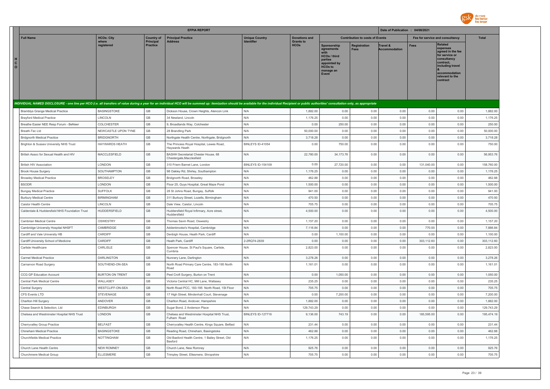

|                     |                                                                             |                         |                              | <b>EFPIA REPORT</b>                                                                                                                                                                                                            |                       |                                 |                                                                                                                                    |                                        | Date of Publication : 04/08/2021 |                                 |                                                                                                                                                                   |              |
|---------------------|-----------------------------------------------------------------------------|-------------------------|------------------------------|--------------------------------------------------------------------------------------------------------------------------------------------------------------------------------------------------------------------------------|-----------------------|---------------------------------|------------------------------------------------------------------------------------------------------------------------------------|----------------------------------------|----------------------------------|---------------------------------|-------------------------------------------------------------------------------------------------------------------------------------------------------------------|--------------|
|                     | <b>Full Name</b>                                                            | <b>HCOs: City</b>       | <b>Country of</b>            | <b>Principal Practice</b>                                                                                                                                                                                                      | <b>Unique Country</b> | <b>Donations and</b>            |                                                                                                                                    | <b>Contribution to costs of Events</b> |                                  | Fee for service and consultancy |                                                                                                                                                                   | <b>Total</b> |
| H<br>C<br>$\bullet$ |                                                                             | where<br>registered     | Principal<br><b>Practice</b> | <b>Address</b>                                                                                                                                                                                                                 | Identifier            | <b>Grants to</b><br><b>HCOs</b> | Sponsorship<br>agreements<br>with<br><b>HCOs / third</b><br>parties<br>appointed by<br><b>HCOs to</b><br>manage an<br><b>Event</b> | <b>Registration</b><br><b>Fees</b>     | Travel &<br><b>Accommodation</b> | <b>Fees</b>                     | <b>Related</b><br>expenses<br>agreed in the fee<br>for service or<br>consultancy<br>contract.<br>including travel<br>accommodation<br>relevant to the<br>contract |              |
|                     |                                                                             |                         |                              |                                                                                                                                                                                                                                |                       |                                 |                                                                                                                                    |                                        |                                  |                                 |                                                                                                                                                                   |              |
|                     |                                                                             | <b>BASINGSTOKE</b>      | GB                           | INDIVIDUAL NAMED DISCLOSURE - one line per HCO (i.e. all transfers of value during a year for an individual HCO will be summed up: itemization should be available for the individual Recipient or public authorities' consult | N/A                   | 1,882.00                        | 0.00                                                                                                                               | 0.00                                   | 0.00                             | 0.00                            | 0.00                                                                                                                                                              | 1,882.00     |
|                     | <b>Bramblys Grange Medical Practice</b><br><b>Brayford Medical Practice</b> | LINCOLN                 | GB                           | Dickson House, Crown Heights, Alencon Link<br>34 Newland, Lincoln                                                                                                                                                              | N/A                   | 1,176.25                        | 0.00                                                                                                                               | 0.00                                   | 0.00                             | 0.00                            | 0.00                                                                                                                                                              | 1,176.25     |
|                     | Breathe Easier NEE Resp Forum - BeNeer                                      | <b>COLCHESTER</b>       | GB                           | 9, Broadlands Way, Colchester                                                                                                                                                                                                  | N/A                   | 0.00                            | 250.00                                                                                                                             | 0.00                                   | 0.00                             | 0.00                            | 0.00                                                                                                                                                              | 250.00       |
|                     | Breath-Tec Ltd                                                              | NEWCASTLE UPON TYNE     | GB                           | 28 Brandling Park                                                                                                                                                                                                              | N/A                   | 50,000.00                       | 0.00                                                                                                                               | 0.00                                   | 0.00                             | 0.00                            | 0.00                                                                                                                                                              | 50,000.00    |
|                     | <b>Bridgnorth Medical Practice</b>                                          | <b>BRIDGNORTH</b>       | GB                           | Northgate Health Centre, Northgate, Bridgnorth                                                                                                                                                                                 | N/A                   | 3,718.28                        | 0.00                                                                                                                               | 0.00                                   | 0.00                             | 0.00                            | 0.00                                                                                                                                                              | 3,718.28     |
|                     | Brighton & Sussex University NHS Trust                                      | HAYWARDS HEATH          | GB                           | The Princess Royal Hospital, Lewes Road,<br>Haywards Heath                                                                                                                                                                     | BINLEYS ID-41054      | 0.00                            | 750.00                                                                                                                             | 0.00                                   | 0.00                             | 0.00                            | 0.00                                                                                                                                                              | 750.00       |
|                     | British Assoc for Sexual Health and HIV                                     | MACCLESFIELD            | GB                           | BASHH Secretariat Chester House, 68<br>Chestergate, Macclesfield                                                                                                                                                               | N/A                   | 22,780.00                       | 34,173.76                                                                                                                          | 0.00                                   | 0.00                             | 0.00                            | 0.00                                                                                                                                                              | 56,953.76    |
|                     | <b>British HIV Association</b>                                              | LONDON                  | GB                           | 310 Friern Barnet Lane, London                                                                                                                                                                                                 | BINLEYS ID-154109     | 0.00                            | 27,720.00                                                                                                                          | 0.00                                   | 0.00                             | 131,040.00                      | 0.00                                                                                                                                                              | 158,760.00   |
|                     | <b>Brook House Surgery</b>                                                  | SOUTHAMPTON             | GB                           | 98 Oakley Rd, Shirley, Southampton                                                                                                                                                                                             | N/A                   | 1,176.25                        | 0.00                                                                                                                               | 0.00                                   | 0.00                             | 0.00                            | 0.00                                                                                                                                                              | 1,176.25     |
|                     | <b>Broseley Medical Practice</b>                                            | <b>BROSELEY</b>         | GB                           | Bridgnorth Road, Broselev                                                                                                                                                                                                      | N/A                   | 462.88                          | 0.00                                                                                                                               | 0.00                                   | 0.00                             | 0.00                            | 0.00                                                                                                                                                              | 462.88       |
|                     | <b>BSODR</b>                                                                | LONDON                  | GB                           | Floor 25, Guys Hospital, Great Maze Pond                                                                                                                                                                                       | N/A                   | 1,500.00                        | 0.00                                                                                                                               | 0.00                                   | 0.00                             | 0.00                            | 0.00                                                                                                                                                              | 1,500.00     |
|                     | <b>Bungay Medical Practice</b>                                              | <b>SUFFOLK</b>          | GB                           | 28 St Johns Road, Bungay, Suffolk                                                                                                                                                                                              | N/A                   | 941.00                          | 0.00                                                                                                                               | 0.00                                   | 0.00                             | 0.00                            | 0.00                                                                                                                                                              | 941.00       |
|                     | <b>Burbury Medical Centre</b>                                               | <b>BIRMINGHAM</b>       | GB                           | 311 Burbury Street, Lozells, Birmingham                                                                                                                                                                                        | N/A                   | 470.50                          | 0.00                                                                                                                               | 0.00                                   | 0.00                             | 0.00                            | 0.00                                                                                                                                                              | 470.50       |
|                     | Caistor Health Centre                                                       | LINCOLN                 | GB                           | Dale View, Caistor, Lincoln                                                                                                                                                                                                    | N/A                   | 705.75                          | 0.00                                                                                                                               | 0.00                                   | 0.00                             | 0.00                            | 0.00                                                                                                                                                              | 705.75       |
|                     | Calderdale & Huddersfield NHS Foundation Trust                              | HUDDERSFIELD            | GB                           | Huddersfield Royal Infirmary, Acre street,<br>Huddersfield                                                                                                                                                                     | N/A                   | 4,500.00                        | 0.00                                                                                                                               | 0.00                                   | 0.00                             | 0.00                            | 0.00                                                                                                                                                              | 4,500.00     |
|                     | Cambrian Medical Centre                                                     | OSWESTRY                | GB                           | Thomas Savin Road, Oswestry                                                                                                                                                                                                    | N/A                   | 1,157.20                        | 0.00                                                                                                                               | 0.00                                   | 0.00                             | 0.00                            | 0.00                                                                                                                                                              | 1,157.20     |
|                     | Cambridge University Hospital NHSFT                                         | CAMBRIDGE               | GB                           | Addenbrooke's Hospital, Cambridge                                                                                                                                                                                              | N/A                   | 7,116.84                        | 0.00                                                                                                                               | 0.00                                   | 0.00                             | 770.00                          | 0.00                                                                                                                                                              | 7,886.84     |
|                     | Cardiff and Vale University HB                                              | CARDIFF                 | GB                           | Denbigh House, Heath Park, Cardiff                                                                                                                                                                                             | N/A                   | 0.00                            | 1,100.00                                                                                                                           | 0.00                                   | 0.00                             | 0.00                            | 0.00                                                                                                                                                              | 1,100.00     |
|                     | Cardiff University School of Medicine                                       | CARDIFF                 | GB                           | Heath Park, Cardiff                                                                                                                                                                                                            | 2-2RQ74-2839          | 0.00                            | 0.00                                                                                                                               | 0.00                                   | 0.00                             | 303,112.60                      | 0.00                                                                                                                                                              | 303,112.60   |
|                     | Carlisle Healthcare                                                         | CARLISLE                | GB                           | Spencer House, St Paul's Square, Carlisle,<br>Cumbria                                                                                                                                                                          | N/A                   | 2,823.00                        | 0.00                                                                                                                               | 0.00                                   | 0.00                             | 0.00                            | 0.00                                                                                                                                                              | 2,823.00     |
|                     | Carmel Medical Practice                                                     | <b>DARLINGTON</b>       | GB                           | Nunnery Lane, Darlington                                                                                                                                                                                                       | N/A                   | 3,278.26                        | 0.00                                                                                                                               | 0.00                                   | 0.00                             | 0.00                            | 0.00                                                                                                                                                              | 3,278.26     |
|                     | Carnarvon Road Surgery                                                      | SOUTHEND-ON-SEA         | GB                           | North Road Primary Care Centre, 183-195 North<br>Road                                                                                                                                                                          | N/A                   | 1,161.01                        | 0.00                                                                                                                               | 0.00                                   | 0.00                             | 0.00                            | 0.00                                                                                                                                                              | 1,161.01     |
|                     | CCG GP Education Account                                                    | <b>BURTON ON TRENT</b>  | GB                           | Peel Croft Surgery, Burton on Trent                                                                                                                                                                                            | N/A                   | 0.00                            | 1,050.00                                                                                                                           | 0.00                                   | 0.00                             | 0.00                            | 0.00                                                                                                                                                              | 1,050.00     |
|                     | Central Park Medical Centre                                                 | WALLASEY                | GB                           | Victoria Central HC, Mill Lane, Wallasey                                                                                                                                                                                       | N/A                   | 235.25                          | 0.00                                                                                                                               | 0.00                                   | 0.00                             | 0.00                            | 0.00                                                                                                                                                              | 235.25       |
|                     | Central Surgery                                                             | <b>WESTCLIFF-ON-SEA</b> | GB                           | North Road PCC, 183-195 North Road, 1St Floor                                                                                                                                                                                  | N/A                   | 705.75                          | 0.00                                                                                                                               | 0.00                                   | 0.00                             | 0.00                            | 0.00                                                                                                                                                              | 705.75       |
|                     | CFS Events LTD                                                              | STEVENAGE               | GB                           | 17 High Street, Mindenhall Court, Stevenage                                                                                                                                                                                    | N/A                   | 0.00                            | 7,200.00                                                                                                                           | 0.00                                   | 0.00                             | 0.00                            | 0.00                                                                                                                                                              | 7,200.00     |
|                     | Charlton Hill Surgery                                                       | ANDOVER                 | GB                           | Charlton Road, Andover, Hampshire                                                                                                                                                                                              | N/A                   | 1,882.00                        | 0.00                                                                                                                               | 0.00                                   | 0.00                             | 0.00                            | 0.00                                                                                                                                                              | 1,882.00     |
|                     | Chase Search & Selection, Ltd                                               | <b>EDINBURGH</b>        | GB                           | Sugar Bond, 2 Anderson Place                                                                                                                                                                                                   | N/A                   | 129,743.29                      | 0.00                                                                                                                               | 0.00                                   | 0.00                             | 0.00                            | 0.00                                                                                                                                                              | 129,743.29   |
|                     | Chelsea and Westminster Hospital NHS Trust                                  | LONDON                  | GB                           | Chelsea and Westminster Hospital NHS Trust,<br>Fulham Road                                                                                                                                                                     | BINLEYS ID-127716     | 9,136.00                        | 743.19                                                                                                                             | 0.00                                   | 0.00                             | 185,595.00                      | 0.00                                                                                                                                                              | 195,474.19   |
|                     | Cherryvalley Group Practice                                                 | <b>BELFAST</b>          | GB                           | Cherryvalley Health Centre, Kings Square, Belfast                                                                                                                                                                              | N/A                   | 231.44                          | 0.00                                                                                                                               | 0.00                                   | 0.00                             | 0.00                            | 0.00                                                                                                                                                              | 231.44       |
|                     | Chineham Medical Practice                                                   | <b>BASINGSTOKE</b>      | GB                           | Reading Road, Chineham, Basingstoke                                                                                                                                                                                            | N/A                   | 462.88                          | 0.00                                                                                                                               | 0.00                                   | 0.00                             | 0.00                            | 0.00                                                                                                                                                              | 462.88       |
|                     | Churchfields Medical Practice                                               | NOTTINGHAM              | GB                           | Old Basford Health Centre, 1 Bailey Street, Old<br>Basford                                                                                                                                                                     | N/A                   | 1,176.25                        | 0.00                                                                                                                               | 0.00                                   | 0.00                             | 0.00                            | 0.00                                                                                                                                                              | 1,176.25     |
|                     | Church Lane Health Centre                                                   | <b>NEW ROMNEY</b>       | GB                           | Church Lane, New Romney                                                                                                                                                                                                        | N/A                   | 925.76                          | 0.00                                                                                                                               | 0.00                                   | 0.00                             | 0.00                            | 0.00                                                                                                                                                              | 925.76       |
|                     | Churchmere Medical Group                                                    | <b>ELLESMERE</b>        | GB                           | Trimpley Street, Ellesmere, Shropshire                                                                                                                                                                                         | N/A                   | 705.75                          | 0.00                                                                                                                               | 0.00                                   | 0.00                             | 0.00                            | 0.00                                                                                                                                                              | 705.75       |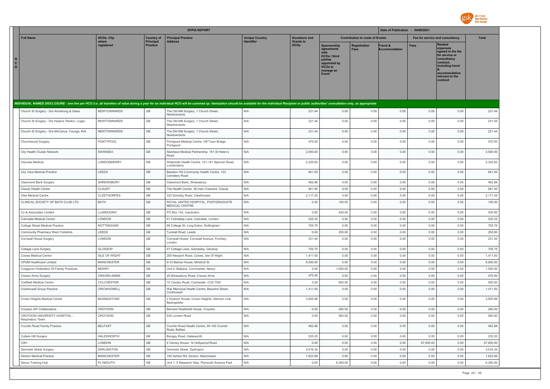

|                              |                                                        |                           |                              | <b>EFPIA REPORT</b>                                                                                                                                                                                                            |                       |                                 |                                                                                                                     |                                        | Date of Publication : 04/08/2021 |              |                                                                                                                                                                   |                    |
|------------------------------|--------------------------------------------------------|---------------------------|------------------------------|--------------------------------------------------------------------------------------------------------------------------------------------------------------------------------------------------------------------------------|-----------------------|---------------------------------|---------------------------------------------------------------------------------------------------------------------|----------------------------------------|----------------------------------|--------------|-------------------------------------------------------------------------------------------------------------------------------------------------------------------|--------------------|
|                              | <b>Full Name</b>                                       | <b>HCOs: City</b>         | <b>Country of</b>            | <b>Principal Practice</b>                                                                                                                                                                                                      | <b>Unique Country</b> | <b>Donations and</b>            |                                                                                                                     | <b>Contribution to costs of Events</b> |                                  |              | Fee for service and consultancy                                                                                                                                   | <b>Total</b>       |
| H<br>$\mathtt{C}$<br>$\circ$ |                                                        | where<br>reaistered       | Principal<br><b>Practice</b> | <b>Address</b>                                                                                                                                                                                                                 |                       | <b>Grants to</b><br><b>HCOs</b> | Sponsorship<br>agreements<br><b>HCOs / third</b><br>parties<br>appointed by<br><b>HCOs to</b><br>manage an<br>Event | Registration<br><b>Fees</b>            | Travel &<br><b>Accommodation</b> | Fees         | <b>Related</b><br>expenses<br>agreed in the fee<br>for service or<br>consultancy<br>contract.<br>including travel<br>accommodation<br>relevant to the<br>contract |                    |
|                              |                                                        |                           |                              | INDIVIDUAL NAMED DISCLOSURE - one line per HCO (i.e. all transfers of value during a year for an individual HCO will be summed up: itemization should be available for the individual Recipient or public authorities' consult |                       |                                 |                                                                                                                     |                                        |                                  |              |                                                                                                                                                                   |                    |
|                              | Church St Surgery - Drs Armstrong & Glass              | NEWTOWNARDS               | GB                           | The Old Mill Surgery, 1 Church Street,<br>Newtownards                                                                                                                                                                          | N/A                   | 231.44                          | 0.00                                                                                                                | 0.00                                   | 0.00                             | 0.00         | 0.00                                                                                                                                                              | 231.44             |
|                              | Church St Surgery - Drs Hyland, Rankin, Logan          | NEWTOWNARDS               | GB                           | The Old Mill Surgery, 1 Church Street,<br>Newtownards                                                                                                                                                                          | N/A                   | 231.44                          | 0.00                                                                                                                | 0.00                                   | 0.00                             | 0.00         | 0.00                                                                                                                                                              | 231.44             |
|                              | Church St Surgery - Drs McCance, Youngs, Kirk          | <b>NEWTOWNARDS</b>        | GB                           | The Old Mill Surgery, 1 Church Street,<br>Newtownards                                                                                                                                                                          | N/A                   | 231.44                          | 0.00                                                                                                                | 0.00                                   | 0.00                             | 0.00         | 0.00                                                                                                                                                              | 231.44             |
|                              | Churchwood Surgery                                     | PONTYPOOL                 | $\mathbb{G}\mathbb{B}$       | Pontypool Medical Centre, Off Town Bridge,<br>Pontypool                                                                                                                                                                        | N/A                   | 470.50                          | 0.00                                                                                                                | 0.00                                   | 0.00                             | 0.00         | 0.00                                                                                                                                                              | 470.50             |
|                              | City Health Cluster Network                            | SWANSEA                   | $\mathbb{G}\mathbb{B}$       | Abertawe Medical Partnership, 151 St Helen's<br>Road                                                                                                                                                                           | N/A                   | 2,000.00                        | 0.00                                                                                                                | 0.00                                   | 0.00                             | 0.00         | 0.00                                                                                                                                                              | 2,000.00           |
|                              | Cityview Medical                                       | LONDONDERRY               | GB                           | Waterside Health Centre, 121-147 Spencer Road,<br>Londonderry                                                                                                                                                                  | N/A                   | 2,325.83                        | 0.00                                                                                                                | 0.00                                   | 0.00                             | 0.00         | 0.00                                                                                                                                                              | 2,325.83           |
|                              | City View Medical Practice                             | LEEDS                     | GB                           | Beeston Hill Community Health Centre, 123<br>Cemetery Road                                                                                                                                                                     | N/A                   | 941.00                          | 0.00                                                                                                                | 0.00                                   | 0.00                             | 0.00         | 0.00                                                                                                                                                              | 941.00             |
|                              | Claremont Bank Surgery                                 | SHREWSBURY                | $\mathbb{G}\mathbb{B}$       | Claremont Bank, Shrewsbury                                                                                                                                                                                                     | N/A                   | 462.88                          | 0.00                                                                                                                | 0.00                                   | 0.00                             | 0.00         | 0.00                                                                                                                                                              | 462.88             |
|                              | Claudy Health Centre                                   | CLAUDY                    | GB                           | The Health Centre, 38 Irwin Crescent, Claudy                                                                                                                                                                                   | N/A                   | 941.00                          | 0.00                                                                                                                | 0.00                                   | 0.00                             | 0.00         | 0.00                                                                                                                                                              | 941.00             |
|                              | Clee Medical Centre                                    | <b>CLEETHORPES</b>        | GB                           | 323 Grimsby Road, Cleethorpes                                                                                                                                                                                                  | N/A                   | 2,117.25                        | 0.00                                                                                                                | 0.00                                   | 0.00                             | 0.00         | 0.00                                                                                                                                                              | 2,117.25           |
|                              | CLINICAL SOCIETY OF BATH CLUB LTD                      | <b>BATH</b>               | GB                           | ROYAL UNITED HOSPITAL, POSTGRADUATE<br>MEDICAL CENTRE                                                                                                                                                                          | N/A                   | 0.00                            | 150.00                                                                                                              | 0.00                                   | 0.00                             | 0.00         | 0.00                                                                                                                                                              | 150.00             |
|                              | Co & Associates Limited                                | LLANDUDNO                 | GB                           | PO Box 142, Llandudno                                                                                                                                                                                                          | N/A                   | 0.00                            | 420.00                                                                                                              | 0.00                                   | 0.00                             | 0.00         | 0.00                                                                                                                                                              | 420.00             |
|                              | <b>Colindale Medical Centre</b>                        | LONDON                    | $\mathbb{G}\mathbb{B}$       | 61 Colindeep Lane, Colindale, London                                                                                                                                                                                           | N/A                   | 235.25                          | 0.00                                                                                                                | 0.00                                   | 0.00                             | 0.00         | 0.00                                                                                                                                                              | 235.25             |
|                              | College Street Medical Practice                        | <b>NOTTINGHAM</b>         | GB                           | 86 College St, Long Eaton, Nottingham                                                                                                                                                                                          | N/A                   | 705.75                          | 0.00                                                                                                                | 0.00                                   | 0.00                             | 0.00         | 0.00                                                                                                                                                              | 705.75             |
|                              | Community Pharmacy West Yorkshire                      | LEEDS                     | GB                           | Tunstall Road, Leeds                                                                                                                                                                                                           | N/A                   | 0.00                            | 250.00                                                                                                              | 0.00                                   | 0.00                             | 0.00         | 0.00                                                                                                                                                              | 250.00             |
|                              | Cornwall House Surgery                                 | LONDON                    | GB                           | Cornwall House, Cornwall Avenue, Finchley,<br>London                                                                                                                                                                           | N/A                   | 231.44                          | 0.00                                                                                                                | 0.00                                   | 0.00                             | 0.00         | 0.00                                                                                                                                                              | 231.44             |
|                              | Cottage Lane Surgery                                   | GLOSSOP                   | $\mathbb{G}\mathbb{B}$       | 47 Cottage Lane, Gamesley, Glossop                                                                                                                                                                                             | N/A                   | 705.75                          | 0.00                                                                                                                | 0.00                                   | 0.00                             | 0.00         | 0.00                                                                                                                                                              | 705.75             |
|                              | Cowes Medical Centre                                   | <b>ISLE OF WIGHT</b>      | GB                           | 200 Newport Road, Cowes, Isle Of Wight                                                                                                                                                                                         | N/A                   | 1,411.50                        | 0.00                                                                                                                | 0.00                                   | 0.00                             | 0.00         | 0.00                                                                                                                                                              | 1,411.50           |
|                              | CPGM Healthcare Limited                                | <b>MANCHESTER</b>         | GB                           | 9-10 Barlow House, Minshull St                                                                                                                                                                                                 | N/A                   | 6,000.00                        | 0.00                                                                                                                | 0.00                                   | 0.00                             | 0.00         | 0.00                                                                                                                                                              | 6,000.00           |
|                              | Craigavon Federation Of Family Practices               | <b>NEWRY</b>              | GB                           | Unit 6, Ballybot, Cornmarket, Newry                                                                                                                                                                                            | N/A                   | 0.00                            | 1,500.00                                                                                                            | 0.00                                   | 0.00                             | 0.00         | 0.00                                                                                                                                                              | 1,500.00           |
|                              | Craven Arms Surgery                                    | CRAVEN ARMS               | GB                           | 20 Shrewsbury Road, Craven Arms                                                                                                                                                                                                | N/A                   | 470.50                          | 0.00                                                                                                                | 0.00                                   | 0.00                             | 0.00         | 0.00                                                                                                                                                              | 470.50             |
|                              | Creffield Medical Centre<br>Crickhowell Group Practice | COLCHESTER<br>CRICKHOWELL | GB<br>GB                     | 15 Cavalry Road, Colchester, CO2 7GH<br>War Memorial Health Centre, Beaufort Street,                                                                                                                                           | N/A<br>N/A            | 0.00<br>1,411.50                | 500.00<br>0.00                                                                                                      | 0.00<br>0.00                           | 0.00<br>0.00                     | 0.00<br>0.00 | 0.00<br>0.00                                                                                                                                                      | 500.00<br>1,411.50 |
|                              | Crown Heights Medical Centre                           | <b>BASINGSTOKE</b>        | $\mathbb{G}\mathbb{B}$       | Crickhowell<br>2 Dickson House, Crown Heights, Alencon Link,<br>Basingstoke                                                                                                                                                    | N/A                   | 3,505.89                        | 0.00                                                                                                                | 0.00                                   | 0.00                             | 0.00         | 0.00                                                                                                                                                              | 3,505.89           |
|                              | Croydon GP Collaborative                               | CROYDON                   | $\mathbb{G}\mathbb{B}$       | Bernard Weatherill House, Croydon                                                                                                                                                                                              | N/A                   | 0.00                            | 280.00                                                                                                              | 0.00                                   | 0.00                             | 0.00         | 0.00                                                                                                                                                              | 280.00             |
|                              | CROYDON UNIVERSITY HOSPITAL<br>Respiratory Team        | CROYDON                   | GB                           | 530 London Road                                                                                                                                                                                                                | N/A                   | 0.00                            | 560.00                                                                                                              | 0.00                                   | 0.00                             | 0.00         | 0.00                                                                                                                                                              | 560.00             |
|                              | Crumlin Road Family Practice                           | <b>BELFAST</b>            | GB                           | Crumlin Road Health Centre, 94-100 Crumlin<br>Road, Belfast                                                                                                                                                                    | N/A                   | 462.88                          | 0.00                                                                                                                | 0.00                                   | 0.00                             | 0.00         | 0.00                                                                                                                                                              | 462.88             |
|                              | Cutlers Hill Surgery                                   | <b>HALESWORTH</b>         | GB                           | Bungay Road, Halesworth                                                                                                                                                                                                        | N/A                   | 235.25                          | 0.00                                                                                                                | 0.00                                   | 0.00                             | 0.00         | 0.00                                                                                                                                                              | 235.25             |
| $CW+$                        |                                                        | LONDON                    | $\mathbb{G}\mathbb{B}$       | 4 Verney House, 1b Hollywood Road                                                                                                                                                                                              | N/A                   | 0.00                            | 0.00                                                                                                                | 0.00                                   | 0.00                             | 67,600.00    | 0.00                                                                                                                                                              | 67,600.00          |
|                              | Denmark Street Surgery                                 | <b>DARLINGTON</b>         | $\mathbb{G}\mathbb{B}$       | Denmark Street, Darlington                                                                                                                                                                                                     | N/A                   | 3,016.34                        | 0.00                                                                                                                | 0.00                                   | 0.00                             | 0.00         | 0.00                                                                                                                                                              | 3,016.34           |
|                              | <b>Denton Medical Practice</b>                         | <b>MANCHESTER</b>         | $\mathbb{G}\mathbb{B}$       | 100 Ashton Rd. Denton, Manchester                                                                                                                                                                                              | N/A                   | 1,623.89                        | 0.00                                                                                                                | 0.00                                   | 0.00                             | 0.00         | 0.00                                                                                                                                                              | 1,623.89           |
|                              | Devon Training Hub                                     | PLYMOUTH                  | GB                           | Unit 1, 5 Research Way, Plymouth Science Park                                                                                                                                                                                  | N/A                   | 0.00                            | 6,300.00                                                                                                            | 0.00                                   | 0.00                             | 0.00         | 0.00                                                                                                                                                              | 6,300.00           |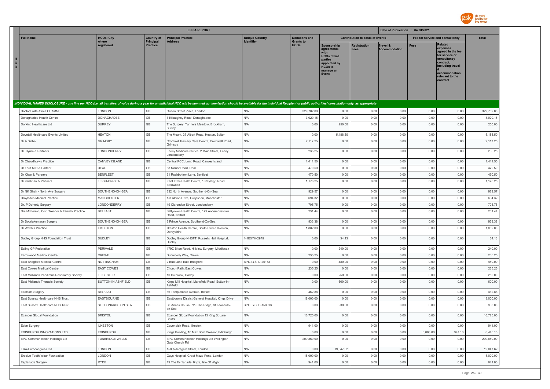

|                                                                                                                                                                                                                                |                                 |                                | <b>EFPIA REPORT</b>                                                               |                                     |                                          |                                                                                                                     |                                        | Date of Publication : 04/08/2021 |              |                                                                                                                                                                   |                  |
|--------------------------------------------------------------------------------------------------------------------------------------------------------------------------------------------------------------------------------|---------------------------------|--------------------------------|-----------------------------------------------------------------------------------|-------------------------------------|------------------------------------------|---------------------------------------------------------------------------------------------------------------------|----------------------------------------|----------------------------------|--------------|-------------------------------------------------------------------------------------------------------------------------------------------------------------------|------------------|
| <b>Full Name</b>                                                                                                                                                                                                               | <b>HCOs: City</b><br>where      | <b>Country of</b><br>Principal | <b>Principal Practice</b><br><b>Address</b>                                       | <b>Unique Country</b><br>Identifier | <b>Donations and</b><br><b>Grants to</b> |                                                                                                                     | <b>Contribution to costs of Events</b> |                                  |              | Fee for service and consultancy                                                                                                                                   | <b>Total</b>     |
| H<br>$\mathbf{c}$<br>$\circ$                                                                                                                                                                                                   | reaistered                      | <b>Practice</b>                |                                                                                   |                                     | <b>HCOs</b>                              | Sponsorship<br>agreements<br><b>HCOs / third</b><br>parties<br>appointed by<br><b>HCOs to</b><br>manage an<br>Event | <b>Registration</b><br>Fees            | Travel &<br><b>Accommodation</b> | Fees         | <b>Related</b><br>expenses<br>agreed in the fee<br>for service or<br>consultancy<br>contract.<br>including travel<br>accommodation<br>relevant to the<br>contract |                  |
| INDIVIDUAL NAMED DISCLOSURE - one line per HCO (i.e. all transfers of value during a year for an individual HCO will be summed up: itemization should be available for the individual Recipient or public authorities' consult |                                 |                                |                                                                                   |                                     |                                          |                                                                                                                     |                                        |                                  |              |                                                                                                                                                                   |                  |
| Doctors with Africa CUAMM                                                                                                                                                                                                      | LONDON                          | GB                             | Queen Street Place, London                                                        | N/A                                 | 329,702.00                               | 0.00                                                                                                                | 0.00                                   | 0.00                             | 0.00         | 0.00                                                                                                                                                              | 329,702.00       |
| Donaghadee Health Centre                                                                                                                                                                                                       | DONAGHADEE                      | GB                             | 3 Killaughey Road, Donaghadee                                                     | N/A                                 | 3,020.15                                 | 0.00                                                                                                                | 0.00                                   | 0.00                             | 0.00         | 0.00                                                                                                                                                              | 3,020.15         |
| Dorking Healthcare Ltd                                                                                                                                                                                                         | <b>SURREY</b>                   | GB                             | The Surgery, Tanners Meadow, Brockham,<br>Surrey                                  | N/A                                 | 0.00                                     | 250.00                                                                                                              | 0.00                                   | 0.00                             | 0.00         | 0.00                                                                                                                                                              | 250.00           |
| Dovetail Healthcare Events Limited                                                                                                                                                                                             | <b>HEATON</b>                   | GB                             | The Mount, 37 Albert Road, Heaton, Bolton                                         | N/A                                 | 0.00                                     | 5,188.50                                                                                                            | 0.00                                   | 0.00                             | 0.00         | 0.00                                                                                                                                                              | 5,188.50         |
| Dr A Sinha                                                                                                                                                                                                                     | <b>GRIMSBY</b>                  | GB                             | Cromwell Primary Care Centre, Cromwell Road.<br>Grimsby                           | N/A                                 | 2.117.25                                 | 0.00                                                                                                                | 0.00                                   | 0.00                             | 0.00         | 0.00                                                                                                                                                              | 2,117.25         |
| Dr. Byrne & Partners                                                                                                                                                                                                           | LONDONDERRY                     | GB                             | Feeny Medical Practice, 2 Main Street, Feeny,<br>Londonderry                      | N/A                                 | 235.25                                   | 0.00                                                                                                                | 0.00                                   | 0.00                             | 0.00         | 0.00                                                                                                                                                              | 235.25           |
| Dr Chaudhury's Practice                                                                                                                                                                                                        | CANVEY ISLAND                   | GB                             | Central PCC, Long Road, Canvey Island                                             | N/A                                 | 1,411.50                                 | 0.00                                                                                                                | 0.00                                   | 0.00                             | 0.00         | 0.00                                                                                                                                                              | 1,411.50         |
| Dr Ford M R & Partner                                                                                                                                                                                                          | DEAL                            | GB                             | 38 Manor Road, Deal                                                               | N/A                                 | 470.50                                   | 0.00                                                                                                                | 0.00                                   | 0.00                             | 0.00         | 0.00                                                                                                                                                              | 470.50           |
| Dr Khan & Partners                                                                                                                                                                                                             | <b>BENFLEET</b>                 | GB                             | 91 Rushbottom Lane, Benfleet                                                      | N/A                                 | 470.50                                   | 0.00                                                                                                                | 0.00                                   | 0.00                             | 0.00         | 0.00                                                                                                                                                              | 470.50           |
| Dr Krishnan & Partners                                                                                                                                                                                                         | LEIGH-ON-SEA                    | GB                             | Kent Elms Health Centre, 1 Rayleigh Road,<br>Eastwood                             | N/A                                 | 1,176.25                                 | 0.00                                                                                                                | 0.00                                   | 0.00                             | 0.00         | 0.00                                                                                                                                                              | 1,176.25         |
| Dr NK Shah - North Ave Surgery                                                                                                                                                                                                 | SOUTHEND-ON-SEA                 | GB                             | 332 North Avenue, Southend-On-Sea                                                 | N/A                                 | 929.57                                   | 0.00                                                                                                                | 0.00                                   | 0.00                             | 0.00         | 0.00                                                                                                                                                              | 929.57           |
| Droylsden Medical Practice                                                                                                                                                                                                     | <b>MANCHESTER</b>               | GB                             | 1-3 Albion Drive, Droylsden, Manchester                                           | N/A                                 | 694.32                                   | 0.00                                                                                                                | 0.00                                   | 0.00                             | 0.00         | 0.00                                                                                                                                                              | 694.32           |
| Dr. P Doherty Surgery                                                                                                                                                                                                          | LONDONDERRY                     | GB                             | 49 Clarendon Street, Londonderry                                                  | N/A                                 | 705.75                                   | 0.00                                                                                                                | 0.00                                   | 0.00                             | 0.00         | 0.00                                                                                                                                                              | 705.75           |
| Drs McFerran, Cox, Treanor & Farrelly Practice                                                                                                                                                                                 | <b>BELFAST</b>                  | GB                             | Ballyowen Health Centre, 179 Andersonstown<br>Road, Belfast                       | N/A                                 | 231.44                                   | 0.00                                                                                                                | 0.00                                   | 0.00                             | 0.00         | 0.00                                                                                                                                                              | 231.44           |
| Dr Sooriakumaran Surgery                                                                                                                                                                                                       | SOUTHEND-ON-SEA                 | GB                             | 3 Prince Avenue, Southend-On-Sea                                                  | N/A                                 | 933.38                                   | 0.00                                                                                                                | 0.00                                   | 0.00                             | 0.00         | 0.00                                                                                                                                                              | 933.38           |
| Dr Webb's Practice                                                                                                                                                                                                             | <b>ILKESTON</b>                 | GB                             | Ilkeston Health Centre, South Street, Ilkeston,<br>Derbyshire                     | N/A                                 | 1,882.00                                 | 0.00                                                                                                                | 0.00                                   | 0.00                             | 0.00         | 0.00                                                                                                                                                              | 1,882.00         |
| Dudley Group NHS Foundation Trust                                                                                                                                                                                              | <b>DUDLEY</b>                   | GB                             | Dudley Group NHSFT, Russells Hall Hospital,<br>Dudley                             | 1-1E5YH-2979                        | 0.00                                     | 34.13                                                                                                               | 0.00                                   | 0.00                             | 0.00         | 0.00                                                                                                                                                              | 34.13            |
| Ealing GP Federation                                                                                                                                                                                                           | PERIVALE                        | GB                             | 179C Biton Road, Hillview Surgery, Middlesex                                      | N/A                                 | 0.00                                     | 240.00                                                                                                              | 0.00                                   | 0.00                             | 0.00         | 0.00                                                                                                                                                              | 240.00           |
| Earnswood Medical Centre                                                                                                                                                                                                       | CREWE                           | GB                             | Dunwoody Way, Crewe                                                               | N/A                                 | 235.25                                   | 0.00                                                                                                                | 0.00                                   | 0.00                             | 0.00         | 0.00                                                                                                                                                              | 235.25           |
| East Bridgford Medical Centre                                                                                                                                                                                                  | <b>NOTTINGHAM</b>               | GB                             | 2 Butt Lane East Bridgford                                                        | BINLEYS ID-25153                    | 0.00                                     | 480.00                                                                                                              | 0.00                                   | 0.00                             | 0.00         | 0.00                                                                                                                                                              | 480.00           |
| East Cowes Medical Centre                                                                                                                                                                                                      | <b>EAST COWES</b>               | GB                             | Church Path, East Cowes                                                           | N/A                                 | 235.25                                   | 0.00                                                                                                                | 0.00                                   | 0.00                             | 0.00         | 0.00                                                                                                                                                              | 235.25           |
| East Midlands Paediatric Respiratory Society<br>East Midlands Thoracic Society                                                                                                                                                 | LEICESTER<br>SUTTON-IN-ASHFIELD | GB<br>GB                       | 10 Holbrook, Oadby<br>Kings Mill Hospital, Mansfield Road, Sutton-in-<br>Ashfield | N/A<br>N/A                          | 0.00<br>0.00                             | 250.00<br>600.00                                                                                                    | 0.00<br>0.00                           | 0.00<br>0.00                     | 0.00<br>0.00 | 0.00<br>0.00                                                                                                                                                      | 250.00<br>600.00 |
| Eastside Surgery                                                                                                                                                                                                               | <b>BELFAST</b>                  | GB                             | 56 Templemore Avenue, Belfast                                                     | N/A                                 | 462.88                                   | 0.00                                                                                                                | 0.00                                   | 0.00                             | 0.00         | 0.00                                                                                                                                                              | 462.88           |
| East Sussex Healthcare NHS Trust                                                                                                                                                                                               | EASTBOURNE                      | GB                             | Eastbourne District General Hospital, Kings Drive                                 | N/A                                 | 18,000.00                                | 0.00                                                                                                                | 0.00                                   | 0.00                             | 0.00         | 0.00                                                                                                                                                              | 18,000.00        |
| East Sussex Healthcare NHS Trust                                                                                                                                                                                               | ST LEONARDS ON SEA              | GB                             | St. Annes House, 729 The Ridge, St Leonards-<br>on-Sea                            | <b>BINLEYS ID-150013</b>            | 0.00                                     | 930.00                                                                                                              | 0.00                                   | 0.00                             | 0.00         | 0.00                                                                                                                                                              | 930.00           |
| Ecancer Global Foundation                                                                                                                                                                                                      | <b>BRISTOL</b>                  | GB                             | Ecancer Global Foundation 13 King Square<br><b>Bristol</b>                        | N/A                                 | 16,725.00                                | 0.00                                                                                                                | 0.00                                   | 0.00                             | 0.00         | 0.00                                                                                                                                                              | 16,725.00        |
| Eden Surgery                                                                                                                                                                                                                   | <b>ILKESTON</b>                 | $\mathbb{G}\mathbb{B}$         | Cavendish Road, Ilkeston                                                          | N/A                                 | 941.00                                   | 0.00                                                                                                                | 0.00                                   | 0.00                             | 0.00         | 0.00                                                                                                                                                              | 941.00           |
| EDINBURGH INNOVATIONS LTD                                                                                                                                                                                                      | <b>EDINBURGH</b>                | GB                             | Kings Building, 10 Max Born Cresent, Edinburgh                                    | N/A                                 | 0.00                                     | 0.00                                                                                                                | 0.00                                   | 0.00                             | 6,098.00     | 347.10                                                                                                                                                            | 6,445.10         |
| EPG Communication Holdings Ltd                                                                                                                                                                                                 | TUNBRIDGE WELLS                 | $\mathbb{G}\mathbb{B}$         | EPG Communication Holdings Ltd Wellington<br>Gate Church Rd                       | N/A                                 | 209,850.00                               | 0.00                                                                                                                | 0.00                                   | 0.00                             | 0.00         | 0.00                                                                                                                                                              | 209,850.00       |
| ERA-Eurocongress Ltd                                                                                                                                                                                                           | LONDON                          | $\mathbb{G}\mathbb{B}$         | 150 Aldersgate Street, London                                                     | N/A                                 | 0.00                                     | 19,047.62                                                                                                           | 0.00                                   | 0.00                             | 0.00         | 0.00                                                                                                                                                              | 19,047.62        |
| Erosive Tooth Wear Foundation                                                                                                                                                                                                  | LONDON                          | GB                             | Guys Hospital, Great Maze Pond, London                                            | N/A                                 | 15,000.00                                | 0.00                                                                                                                | 0.00                                   | 0.00                             | 0.00         | 0.00                                                                                                                                                              | 15,000.00        |
| Esplanade Surgery                                                                                                                                                                                                              | <b>RYDE</b>                     | GB                             | 19 The Esplanade, Ryde, Isle Of Wight                                             | N/A                                 | 941.00                                   | 0.00                                                                                                                | 0.00                                   | 0.00                             | 0.00         | 0.00                                                                                                                                                              | 941.00           |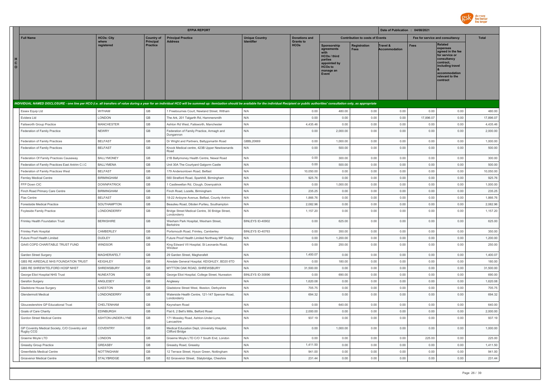

|                                   |                                                            |                                |                              | <b>EFPIA REPORT</b>                                                                                                                                                                                                            |                       |                                 |                                                                                                              |                                        | Date of Publication : 04/08/2021 |                                 |                                                                                                                                                                   |                  |
|-----------------------------------|------------------------------------------------------------|--------------------------------|------------------------------|--------------------------------------------------------------------------------------------------------------------------------------------------------------------------------------------------------------------------------|-----------------------|---------------------------------|--------------------------------------------------------------------------------------------------------------|----------------------------------------|----------------------------------|---------------------------------|-------------------------------------------------------------------------------------------------------------------------------------------------------------------|------------------|
|                                   | <b>Full Name</b>                                           | <b>HCOs: City</b>              | <b>Country of</b>            | <b>Principal Practice</b>                                                                                                                                                                                                      | <b>Unique Country</b> | <b>Donations and</b>            |                                                                                                              | <b>Contribution to costs of Events</b> |                                  | Fee for service and consultancy |                                                                                                                                                                   | <b>Total</b>     |
| н<br>$\mathbf{C}$<br>$\mathbf{o}$ |                                                            | where<br>registered            | Principal<br><b>Practice</b> | <b>Address</b>                                                                                                                                                                                                                 |                       | <b>Grants to</b><br><b>HCOs</b> | Sponsorship<br>agreements<br>HCOs / third<br>parties<br>appointed by<br><b>HCOs to</b><br>manage an<br>Event | <b>Registration</b><br><b>Fees</b>     | Travel &<br><b>Accommodation</b> | <b>Fees</b>                     | <b>Related</b><br>expenses<br>agreed in the fee<br>for service or<br>consultancy<br>contract.<br>including travel<br>accommodation<br>relevant to the<br>contract |                  |
|                                   |                                                            |                                |                              | INDIVIDUAL NAMED DISCLOSURE - one line per HCO (i.e. all transfers of value during a year for an individual HCO will be summed up: itemization should be available for the individual Recipient or public authorities' consult |                       |                                 |                                                                                                              |                                        |                                  |                                 |                                                                                                                                                                   |                  |
|                                   | Essex Equip Ltd                                            | WITHAM                         | GB                           | 1 Freebournes Court, Newland Street, Witham                                                                                                                                                                                    | N/A                   | 0.00                            | 480.00                                                                                                       | 0.00                                   | 0.00                             | 0.00                            | 0.00                                                                                                                                                              | 480.00           |
|                                   | Fvidera I td                                               | LONDON                         | GB                           | The Ark, 201 Talgarth Rd, Hammersmith                                                                                                                                                                                          | N/A                   | 0.00                            | 0.00                                                                                                         | 0.00                                   | 0.00                             | 17,896.07                       | 0.00                                                                                                                                                              | 17,896.07        |
|                                   | Failsworth Group Practice                                  | <b>MANCHESTER</b>              | GB                           | Ashton Rd West, Failsworth, Manchester                                                                                                                                                                                         | N/A                   | 4,435.46                        | 0.00                                                                                                         | 0.00                                   | 0.00                             | 0.00                            | 0.00                                                                                                                                                              | 4,435.46         |
|                                   | Federation of Family Practice                              | <b>NEWRY</b>                   | GB                           | Federation of Family Practice, Armagh and<br>Dungannon                                                                                                                                                                         | N/A                   | 0.00                            | 2,000.00                                                                                                     | 0.00                                   | 0.00                             | 0.00                            | 0.00                                                                                                                                                              | 2,000.00         |
|                                   | Federation of Family Practices                             | <b>BELFAST</b>                 | GB                           | Dr Wright and Partners, Ballygomartin Road                                                                                                                                                                                     | GBBL20669             | 0.00                            | 1,000.00                                                                                                     | 0.00                                   | 0.00                             | 0.00                            | 0.00                                                                                                                                                              | 1,000.00         |
|                                   | Federation of Family Practices                             | <b>BELFAST</b>                 | GB                           | Knock Medical centre, 423B Upper Newtownards<br>Road                                                                                                                                                                           | N/A                   | 0.00                            | 500.00                                                                                                       | 0.00                                   | 0.00                             | 0.00                            | 0.00                                                                                                                                                              | 500.00           |
|                                   | Federation Of Family Practices Causeway                    | <b>BALLYMONEY</b>              | GB                           | 21B Ballymoney Health Centre, Newal Road                                                                                                                                                                                       | N/A                   | 0.00                            | 300.00                                                                                                       | 0.00                                   | 0.00                             | 0.00                            | 0.00                                                                                                                                                              | 300.00           |
|                                   | Federation of Family Practices East Antrim C.I.C           | <b>BALLYMENA</b>               | GB                           | Unit 30A The Courtyard Galgorm Castle                                                                                                                                                                                          | N/A                   | 0.00                            | 500.00                                                                                                       | 0.00                                   | 0.00                             | 0.00                            | 0.00                                                                                                                                                              | 500.00           |
|                                   | Federation of Family Practices West                        | <b>BELFAST</b>                 | GB                           | 179 Andersontown Road, Belfast                                                                                                                                                                                                 | N/A                   | 10,050.00                       | 0.00                                                                                                         | 0.00                                   | 0.00                             | 0.00                            | 0.00                                                                                                                                                              | 10,050.00        |
|                                   | Fernley Medical Centre                                     | <b>BIRMINGHAM</b>              | GB                           | 560 Stratford Road, Sparkhill, Birmingham                                                                                                                                                                                      | N/A                   | 925.76                          | 0.00                                                                                                         | 0.00                                   | 0.00                             | 0.00                            | 0.00                                                                                                                                                              | 925.76           |
|                                   | FFP Down CIC                                               | <b>DOWNPATRICK</b>             | GB                           | Castlewellan Rd, Clough, Downpatrick                                                                                                                                                                                           | N/A                   | 0.00                            | 1,000.00                                                                                                     | 0.00                                   | 0.00                             | 0.00                            | 0.00                                                                                                                                                              | 1,000.00         |
|                                   | Finch Road Primary Care Centre                             | <b>BIRMINGHAM</b>              | GB                           | Finch Road, Lozells, Birmingham                                                                                                                                                                                                | N/A                   | 235.25                          | 0.00                                                                                                         | 0.00                                   | 0.00                             | 0.00                            | 0.00                                                                                                                                                              | 235.25           |
|                                   | Flax Centre                                                | <b>BELFAST</b>                 | GB                           | 18-22 Ardoyne Avenue, Belfast, County Antrim                                                                                                                                                                                   | N/A                   | 1,866.76                        | 0.00                                                                                                         | 0.00                                   | 0.00                             | 0.00                            | 0.00                                                                                                                                                              | 1,866.76         |
|                                   | Forestside Medical Practice                                | SOUTHAMPTON                    | GB                           | Beaulieu Road, Dibden Purlieu, Southampton                                                                                                                                                                                     | N/A                   | 2,082.96                        | 0.00                                                                                                         | 0.00                                   | 0.00                             | 0.00                            | 0.00                                                                                                                                                              | 2,082.96         |
|                                   | Foyleside Family Practice                                  | LONDONDERRY                    | GB                           | Bridge Street Medical Centre, 30 Bridge Street,<br>Londonderry                                                                                                                                                                 | N/A                   | 1,157.20                        | 0.00                                                                                                         | 0.00                                   | 0.00                             | 0.00                            | 0.00                                                                                                                                                              | 1,157.20         |
|                                   | Frimley Health Foundation Trust                            | <b>BERKSHIRE</b>               | GB                           | Wexham Park Hospital, Wexham Street,<br>Berkshire                                                                                                                                                                              | BINLEYS ID-40902      | 0.00                            | 625.00                                                                                                       | 0.00                                   | 0.00                             | 0.00                            | 0.00                                                                                                                                                              | 625.00           |
|                                   | Frimley Park Hospital                                      | CAMBERLEY                      | GB                           | Portsmouth Road, Frimley, Camberley                                                                                                                                                                                            | BINLEYS ID-40763      | 0.00                            | 350.00                                                                                                       | 0.00                                   | 0.00                             | 0.00                            | 0.00                                                                                                                                                              | 350.00           |
|                                   | Future Proof Health Limited                                | DUDLEY                         | GB                           | Future Proof Health Limited Northway MP Dudley                                                                                                                                                                                 | N/A                   | 0.00                            | 1,200.00                                                                                                     | 0.00                                   | 0.00                             | 0.00                            | 0.00                                                                                                                                                              | 1,200.00         |
|                                   | GA45 COPD CHARITABLE TRUST FUND                            | <b>WINDSOR</b>                 | GB                           | King Edward VII Hospital, St Leonards Road,<br>Windsor                                                                                                                                                                         | N/A                   | 0.00                            | 250.00                                                                                                       | 0.00                                   | 0.00                             | 0.00                            | 0.00                                                                                                                                                              | 250.00           |
|                                   | Garden Street Surgery                                      | MAGHERAFELT                    | GB                           | 29 Garden Street, Magherafelt                                                                                                                                                                                                  | N/A                   | 1,400.07                        | 0.00                                                                                                         | 0.00                                   | 0.00                             | 0.00                            | 0.00                                                                                                                                                              | 1,400.07         |
|                                   | GBS RE AIREDALE NHS FOUNDATION TRUST                       | <b>KEIGHLEY</b>                | GB                           | Airedale General Hospital, KEIGHLEY, BD20 6TD                                                                                                                                                                                  | N/A                   | 0.00                            | 180.00                                                                                                       | 0.00                                   | 0.00                             | 0.00                            | 0.00                                                                                                                                                              | 180.00           |
|                                   | GBS RE SHREW/TELFORD HOSP NHST                             | SHREWSBURY                     | GB                           | MYTTON OAK ROAD, SHREWSBURY                                                                                                                                                                                                    | N/A                   | 31,500.00                       | 0.00                                                                                                         | 0.00                                   | 0.00                             | 0.00                            | 0.00                                                                                                                                                              | 31,500.00        |
|                                   | George Eliot Hospital NHS Trust                            | <b>NUNEATON</b>                | GB                           | George Eliot Hospital, College Street, Nuneaton                                                                                                                                                                                | BINLEYS ID-30896      | 0.00                            | 690.00                                                                                                       | 0.00                                   | 0.00                             | 0.00                            | 0.00                                                                                                                                                              | 690.00           |
|                                   | Gerafon Surgery                                            | ANGLESEY                       | GB                           | Anglesey                                                                                                                                                                                                                       | N/A                   | 1,620.08                        | 0.00                                                                                                         | 0.00                                   | 0.00                             | 0.00                            | 0.00                                                                                                                                                              | 1,620.08         |
|                                   | Gladstone House Surgery<br>Glendermott Medical             | <b>ILKESTON</b><br>LONDONDERRY | GB<br>GB                     | Gladstone Street West, Ilkeston, Derbyshire<br>Waterside Health Centre, 121-147 Spencer Road,<br>Londonderry                                                                                                                   | N/A<br>N/A            | 705.75<br>694.32                | 0.00<br>0.00                                                                                                 | 0.00<br>0.00                           | 0.00<br>0.00                     | 0.00<br>0.00                    | 0.00<br>0.00                                                                                                                                                      | 705.75<br>694.32 |
|                                   | Gloucestershire GP Educational Trust                       | CHELTENHAM                     | GB                           | Keynsham Road                                                                                                                                                                                                                  | N/A                   | 0.00                            | 640.00                                                                                                       | 0.00                                   | 0.00                             | 0.00                            | 0.00                                                                                                                                                              | 640.00           |
|                                   | Goals of Care Charity                                      | <b>EDINBURGH</b>               | GB                           | Flat 6, 2 Bell's Mills, Belford Road                                                                                                                                                                                           | N/A                   | 2,000.00                        | 0.00                                                                                                         | 0.00                                   | 0.00                             | 0.00                            | 0.00                                                                                                                                                              | 2,000.00         |
|                                   | Gordon Street Medical Centre                               | ASHTON-UNDER-LYNE              | GB                           | 171 Mossley Road, Ashton-Under-Lyne,<br>Lancashire                                                                                                                                                                             | N/A                   | 937.19                          | 0.00                                                                                                         | 0.00                                   | 0.00                             | 0.00                            | 0.00                                                                                                                                                              | 937.19           |
|                                   | GP Coventry Medical Society, C/O Coventry and<br>Rugby CCG | COVENTRY                       | GB                           | Medical Education Dept, University Hospital,<br><b>Clifford Bridge</b>                                                                                                                                                         | N/A                   | 0.00                            | 1,000.00                                                                                                     | 0.00                                   | 0.00                             | 0.00                            | 0.00                                                                                                                                                              | 1,000.00         |
|                                   | Graeme Moyle LTD                                           | LONDON                         | GB                           | Graeme Moyle LTD C/O 7 South End, London                                                                                                                                                                                       | N/A                   | 0.00                            | 0.00                                                                                                         | 0.00                                   | 0.00                             | 225.00                          | 0.00                                                                                                                                                              | 225.00           |
|                                   | Greasby Group Practice                                     | GREASBY                        | GB                           | Greasby Road, Greasby                                                                                                                                                                                                          | N/A                   | 1,411.50                        | 0.00                                                                                                         | 0.00                                   | 0.00                             | 0.00                            | 0.00                                                                                                                                                              | 1,411.50         |
|                                   | Greenfields Medical Centre                                 | <b>NOTTINGHAM</b>              | GB                           | 12 Terrace Street, Hyson Green, Nottingham                                                                                                                                                                                     | N/A                   | 941.00                          | 0.00                                                                                                         | 0.00                                   | 0.00                             | 0.00                            | 0.00                                                                                                                                                              | 941.00           |
|                                   | Grosvenor Medical Centre                                   | STALYBRIDGE                    | GB                           | 62 Grosvenor Street, Stalybridge, Cheshire                                                                                                                                                                                     | N/A                   | 231.44                          | 0.00                                                                                                         | 0.00                                   | 0.00                             | 0.00                            | 0.00                                                                                                                                                              | 231.44           |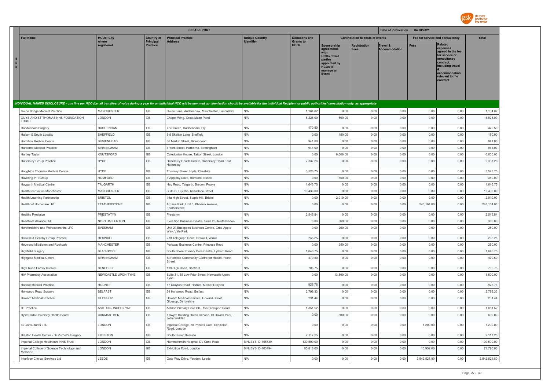

|                              |                                                        |                      |                              | <b>EFPIA REPORT</b>                                                                                                                                                                                                            |                                            |                                 |                                                                                                              |                                        | Date of Publication : 04/08/2021 |                                 |                                                                                                                                                                   |              |
|------------------------------|--------------------------------------------------------|----------------------|------------------------------|--------------------------------------------------------------------------------------------------------------------------------------------------------------------------------------------------------------------------------|--------------------------------------------|---------------------------------|--------------------------------------------------------------------------------------------------------------|----------------------------------------|----------------------------------|---------------------------------|-------------------------------------------------------------------------------------------------------------------------------------------------------------------|--------------|
|                              | <b>Full Name</b>                                       | <b>HCOs: City</b>    | <b>Country of</b>            | <b>Principal Practice</b>                                                                                                                                                                                                      | <b>Unique Country</b><br><b>Identifier</b> | <b>Donations and</b>            |                                                                                                              | <b>Contribution to costs of Events</b> |                                  | Fee for service and consultancy |                                                                                                                                                                   | <b>Total</b> |
| н<br>$\mathbf{C}$<br>$\circ$ |                                                        | where<br>registered  | Principal<br><b>Practice</b> | <b>Address</b>                                                                                                                                                                                                                 |                                            | <b>Grants to</b><br><b>HCOs</b> | Sponsorship<br>agreements<br>HCOs / third<br>parties<br>appointed by<br><b>HCOs to</b><br>manage an<br>Event | Registration<br><b>Fees</b>            | Travel &<br><b>Accommodation</b> | <b>Fees</b>                     | <b>Related</b><br>expenses<br>agreed in the fee<br>for service or<br>consultancy<br>contract.<br>including travel<br>accommodation<br>relevant to the<br>contract |              |
|                              |                                                        |                      |                              | INDIVIDUAL NAMED DISCLOSURE - one line per HCO (i.e. all transfers of value during a year for an individual HCO will be summed up: itemization should be available for the individual Recipient or public authorities' consult |                                            |                                 |                                                                                                              |                                        |                                  |                                 |                                                                                                                                                                   |              |
|                              | Guide Bridge Medical Practice                          | <b>MANCHESTER</b>    | GB                           | Guide Lane, Audenshaw, Manchester, Lancashire                                                                                                                                                                                  | N/A                                        | 1,164.82                        | 0.00                                                                                                         | 0.00                                   | 0.00                             | 0.00                            | 0.00                                                                                                                                                              | 1,164.82     |
|                              | GUYS AND ST THOMAS NHS FOUNDATION<br><b>TRUST</b>      | LONDON               | GB                           | Chapel Wing, Great Maze Pond                                                                                                                                                                                                   | N/A                                        | 5,225.00                        | 600.00                                                                                                       | 0.00                                   | 0.00                             | 0.00                            | 0.00                                                                                                                                                              | 5,825.00     |
|                              | Haddenham Surgery                                      | HADDENHAM            | GB                           | The Green, Haddenham, Ely                                                                                                                                                                                                      | N/A                                        | 470.50                          | 0.00                                                                                                         | 0.00                                   | 0.00                             | 0.00                            | 0.00                                                                                                                                                              | 470.50       |
|                              | Hallam & South Locality                                | SHEFFIELD            | GB                           | 5-9 Skelton Lane, Sheffield                                                                                                                                                                                                    | N/A                                        | 0.00                            | 150.00                                                                                                       | 0.00                                   | 0.00                             | 0.00                            | 0.00                                                                                                                                                              | 150.00       |
|                              | <b>Hamilton Medical Centre</b>                         | <b>BIRKENHEAD</b>    | GB                           | 86 Market Street, Birkenhead                                                                                                                                                                                                   | N/A                                        | 941.00                          | 0.00                                                                                                         | 0.00                                   | 0.00                             | 0.00                            | 0.00                                                                                                                                                              | 941.00       |
|                              | Harborne Medical Practice                              | <b>BIRMINGHAM</b>    | GB                           | 4 York Street, Harborne, Birmingham                                                                                                                                                                                            | N/A                                        | 941.00                          | 0.00                                                                                                         | 0.00                                   | 0.00                             | 0.00                            | 0.00                                                                                                                                                              | 941.00       |
|                              | Hartley Taylor                                         | KNUTSFORD            | GB                           | Caledonian House, Tatton Street, London                                                                                                                                                                                        | N/A                                        | 0.00                            | 6,600.00                                                                                                     | 0.00                                   | 0.00                             | 0.00                            | 0.00                                                                                                                                                              | 6,600.00     |
|                              | <b>Hattersley Group Practice</b>                       | <b>HYDE</b>          | GB                           | Hattersley Health Centre, Hattersley Road East,<br>Hattersley                                                                                                                                                                  | N/A                                        | 2,337.26                        | 0.00                                                                                                         | 0.00                                   | 0.00                             | 0.00                            | 0.00                                                                                                                                                              | 2,337.26     |
|                              | Haughton Thornley Medical Centre                       | <b>HYDE</b>          | GB                           | Thornley Street, Hyde, Cheshire                                                                                                                                                                                                | N/A                                        | 3,528.75                        | 0.00                                                                                                         | 0.00                                   | 0.00                             | 0.00                            | 0.00                                                                                                                                                              | 3,528.75     |
|                              | Havering PTI Group                                     | ROMFORD              | GB                           | 3 Appleby Drive, Romford, Essex                                                                                                                                                                                                | N/A                                        | 0.00                            | 350.00                                                                                                       | 0.00                                   | 0.00                             | 0.00                            | 0.00                                                                                                                                                              | 350.00       |
|                              | Haygarth Medical Centre                                | TALGARTH             | GB                           | Hay Road, Talgarth, Brecon, Powys                                                                                                                                                                                              | N/A                                        | 1,646.75                        | 0.00                                                                                                         | 0.00                                   | 0.00                             | 0.00                            | 0.00                                                                                                                                                              | 1,646.75     |
|                              | Health Innovation Manchester                           | <b>MANCHESTER</b>    | GB                           | Suite C, Ciylabs, 60 Nelson Street                                                                                                                                                                                             | N/A                                        | 13,430.00                       | 0.00                                                                                                         | 0.00                                   | 0.00                             | 0.00                            | 0.00                                                                                                                                                              | 13,430.00    |
|                              | Health Learning Partnership                            | <b>BRISTOL</b>       | GB                           | 14a High Street, Staple Hill, Bristol                                                                                                                                                                                          | N/A                                        | 0.00                            | 2,910.00                                                                                                     | 0.00                                   | 0.00                             | 0.00                            | 0.00                                                                                                                                                              | 2,910.00     |
|                              | <b>Healthnet Homecare UK</b>                           | <b>FEATHERSTONE</b>  | GB                           | Ardane Park, Unit 3, Phoenix Avenue,<br>Featherstone                                                                                                                                                                           | N/A                                        | 0.00                            | 0.00                                                                                                         | 0.00                                   | 0.00                             | 248,164.00                      | 0.00                                                                                                                                                              | 248,164.00   |
|                              | Healthy Prestatyn                                      | PRESTATYN            | GB                           | Prestatyn                                                                                                                                                                                                                      | N/A                                        | 2,545.84                        | 0.00                                                                                                         | 0.00                                   | 0.00                             | 0.00                            | 0.00                                                                                                                                                              | 2,545.84     |
|                              | Heartheat Alliance I td                                | <b>NORTHALLERTON</b> | GB                           | Evolution Business Centre, Suite 26, Northallerton                                                                                                                                                                             | N/A                                        | 0.00                            | 360.00                                                                                                       | 0.00                                   | 0.00                             | 0.00                            | 0.00                                                                                                                                                              | 360.00       |
|                              | Herefordshire and Worcestershire LPC                   | <b>EVESHAM</b>       | GB                           | Unit 24, Basepoint Business Centre, Crab Apple<br>Way, Vale Park                                                                                                                                                               | N/A                                        | 0.00                            | 250.00                                                                                                       | 0.00                                   | 0.00                             | 0.00                            | 0.00                                                                                                                                                              | 250.00       |
|                              | Heswall & Pensby Group Practice                        | <b>HESWALL</b>       | GB                           | 270 Telegraph Road, Heswall, Wirral                                                                                                                                                                                            | N/A                                        | 235.25                          | 0.00                                                                                                         | 0.00                                   | 0.00                             | 0.00                            | 0.00                                                                                                                                                              | 235.25       |
|                              | Heywood Middleton and Rochdale                         | <b>MANCHESTER</b>    | GB                           | Parkway Business Centre, Princess Road                                                                                                                                                                                         | N/A                                        | 0.00                            | 250.00                                                                                                       | 0.00                                   | 0.00                             | 0.00                            | 0.00                                                                                                                                                              | 250.00       |
|                              | <b>Highfield Surgery</b>                               | <b>BLACKPOOL</b>     | GB                           | South Shore Primary Care Centre, Lytham Road                                                                                                                                                                                   | N/A                                        | 1,646.75                        | 0.00                                                                                                         | 0.00                                   | 0.00                             | 0.00                            | 0.00                                                                                                                                                              | 1,646.75     |
|                              | <b>Highgate Medical Centre</b>                         | <b>BIRMINGHAM</b>    | GB                           | St Patricks Community Centre for Health, Frank<br>Street                                                                                                                                                                       | N/A                                        | 470.50                          | 0.00                                                                                                         | 0.00                                   | 0.00                             | 0.00                            | 0.00                                                                                                                                                              | 470.50       |
|                              | <b>High Road Family Doctors</b>                        | <b>BENFLEET</b>      | GB                           | 119 High Road, Benfleet                                                                                                                                                                                                        | N/A                                        | 705.75                          | 0.00                                                                                                         | 0.00                                   | 0.00                             | 0.00                            | 0.00                                                                                                                                                              | 705.75       |
|                              | HIV Pharmacy Association                               | NEWCASTLE UPON TYNE  | GB                           | Suite 31, 58 Low Friar Street, Newcastle Upon<br>Tyne                                                                                                                                                                          | N/A                                        | 0.00                            | 13,500.00                                                                                                    | 0.00                                   | 0.00                             | 0.00                            | 0.00                                                                                                                                                              | 13,500.00    |
|                              | <b>Hodnet Medical Practice</b>                         | <b>HODNET</b>        | GB                           | 17 Drayton Road, Hodnet, Market Drayton                                                                                                                                                                                        | N/A                                        | 925.76                          | 0.00                                                                                                         | 0.00                                   | 0.00                             | 0.00                            | 0.00                                                                                                                                                              | 925.76       |
|                              | Holywood Road Surgery                                  | <b>BELFAST</b>       | GB                           | 54 Holywood Road, Belfast                                                                                                                                                                                                      | N/A                                        | 2,796.33                        | 0.00                                                                                                         | 0.00                                   | 0.00                             | 0.00                            | 0.00                                                                                                                                                              | 2.796.33     |
|                              | <b>Howard Medical Practice</b>                         | GLOSSOP              | GB                           | Howard Medical Practice, Howard Street,<br>Glossop, Derbyshire                                                                                                                                                                 | N/A                                        | 231.44                          | 0.00                                                                                                         | 0.00                                   | 0.00                             | 0.00                            | 0.00                                                                                                                                                              | 231.44       |
|                              | HT Practice                                            | ASHTON-UNDER-LYNE    | $\mathbb{G}\mathbb{B}$       | Ashton Primary Care Ctr., 156 Stockport Road                                                                                                                                                                                   | N/A                                        | 1,851.52                        | 0.00                                                                                                         | 0.00                                   | 0.00                             | 0.00                            | 0.00                                                                                                                                                              | 1,851.52     |
|                              | Hywel Dda University Health Board                      | CARMARTHEN           | GB                           | Yslwyth Building Hafan Derwen, St Davids Park,<br>Job's Well Rd                                                                                                                                                                | N/A                                        | 0.00                            | 600.00                                                                                                       | 0.00                                   | 0.00                             | 0.00                            | 0.00                                                                                                                                                              | 600.00       |
|                              | IC Consultants I TD                                    | LONDON               | GB                           | Imperial College, 58 Princes Gate, Exhibition<br>Road, London                                                                                                                                                                  | N/A                                        | 0.00                            | 0.00                                                                                                         | 0.00                                   | 0.00                             | 1.200.00                        | 0.00                                                                                                                                                              | 1,200.00     |
|                              | Ilkeston Health Centre - Dr Purnell's Surgery          | <b>ILKESTON</b>      | GB                           | South Street, Ilkeston                                                                                                                                                                                                         | N/A                                        | 2,117.25                        | 0.00                                                                                                         | 0.00                                   | 0.00                             | 0.00                            | 0.00                                                                                                                                                              | 2,117.25     |
|                              | Imperial College Healthcare NHS Trust                  | LONDON               | GB                           | Hammersmith Hospital, Du Cane Road                                                                                                                                                                                             | BINLEYS ID-155339                          | 130,500.00                      | 0.00                                                                                                         | 0.00                                   | 0.00                             | 0.00                            | 0.00                                                                                                                                                              | 130,500.00   |
|                              | Imperial College of Science Technology and<br>Medicine | LONDON               | GB                           | Exhibition Road, London                                                                                                                                                                                                        | BINLEYS ID-163194                          | 55,818.00                       | 0.00                                                                                                         | 0.00                                   | 0.00                             | 15,952.00                       | 0.00                                                                                                                                                              | 71,770.00    |
|                              | Interface Clinical Services Ltd                        | LEEDS                | GB                           | Gate Way Drive, Yeadon, Leeds                                                                                                                                                                                                  | N/A                                        | 0.00                            | 0.00                                                                                                         | 0.00                                   | 0.00                             | 2,542,521.80                    | 0.00                                                                                                                                                              | 2,542,521.80 |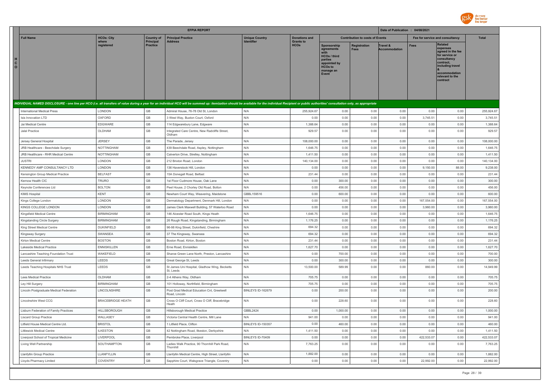

|                                                                                                                                                                                                                                |                          |                              | <b>EFPIA REPORT</b>                                         |                          |                                 |                                                                                                                     |                                        | Date of Publication : 04/08/2021 |                                 |                                                                                                                                                                   |              |
|--------------------------------------------------------------------------------------------------------------------------------------------------------------------------------------------------------------------------------|--------------------------|------------------------------|-------------------------------------------------------------|--------------------------|---------------------------------|---------------------------------------------------------------------------------------------------------------------|----------------------------------------|----------------------------------|---------------------------------|-------------------------------------------------------------------------------------------------------------------------------------------------------------------|--------------|
| <b>Full Name</b>                                                                                                                                                                                                               | <b>HCOs: City</b>        | <b>Country of</b>            | <b>Principal Practice</b>                                   | <b>Unique Country</b>    | <b>Donations and</b>            |                                                                                                                     | <b>Contribution to costs of Events</b> |                                  | Fee for service and consultancy |                                                                                                                                                                   | <b>Total</b> |
| н<br>$\mathbf{c}$<br>$\circ$                                                                                                                                                                                                   | where<br>registered      | Principal<br><b>Practice</b> | <b>Address</b>                                              | Identifier               | <b>Grants to</b><br><b>HCOs</b> | Sponsorship<br>agreements<br><b>HCOs / third</b><br>parties<br>appointed by<br><b>HCOs to</b><br>manage an<br>Event | <b>Registration</b><br>Fees            | Travel &<br><b>Accommodation</b> | <b>Fees</b>                     | <b>Related</b><br>expenses<br>agreed in the fee<br>for service or<br>consultancy<br>contract.<br>including travel<br>accommodation<br>relevant to the<br>contract |              |
| INDIVIDUAL NAMED DISCLOSURE - one line per HCO (i.e. all transfers of value during a year for an individual HCO will be summed up: itemization should be available for the individual Recipient or public authorities' consult |                          |                              |                                                             |                          |                                 |                                                                                                                     |                                        |                                  |                                 |                                                                                                                                                                   |              |
| <b>International Medical Press</b>                                                                                                                                                                                             | LONDON                   | GB                           | Admiral House, 76-78 Old St, London                         | N/A                      | 255,924.67                      | 0.00                                                                                                                | 0.00                                   | 0.00                             | 0.00                            | 0.00                                                                                                                                                              | 255,924.67   |
| Isis Innovation LTD                                                                                                                                                                                                            | <b>OXFORD</b>            | GB                           | 3 West Way, Buxton Court, Oxford                            | N/A                      | 0.00                            | 0.00                                                                                                                | 0.00                                   | 0.00                             | 3,745.51                        | 0.00                                                                                                                                                              | 3,745.51     |
| Jai Medical Centre                                                                                                                                                                                                             | EDGWARE                  | GB                           | 114 Edgwarebury Lane, Edgware                               | N/A                      | 1,388.64                        | 0.00                                                                                                                | 0.00                                   | 0.00                             | 0.00                            | 0.00                                                                                                                                                              | 1,388.64     |
| Jalal Practice                                                                                                                                                                                                                 | OLDHAM                   | GB                           | Integrated Care Centre, New Radcliffe Street,<br>Oldham     | N/A                      | 929.57                          | 0.00                                                                                                                | 0.00                                   | 0.00                             | 0.00                            | 0.00                                                                                                                                                              | 929.57       |
| Jersey General Hospital                                                                                                                                                                                                        | <b>JERSEY</b>            | GB                           | The Parade, Jersey                                          | N/A                      | 108,000.00                      | 0.00                                                                                                                | 0.00                                   | 0.00                             | 0.00                            | 0.00                                                                                                                                                              | 108,000.00   |
| JRB Healthcare - Beechdale Surgery                                                                                                                                                                                             | NOTTINGHAM               | GB                           | 439 Beechdale Road, Aspley, Nottingham                      | N/A                      | 1,646.75                        | 0.00                                                                                                                | 0.00                                   | 0.00                             | 0.00                            | 0.00                                                                                                                                                              | 1,646.75     |
| JRB Healthcare - RHR Medical Centre                                                                                                                                                                                            | <b>NOTTINGHAM</b>        | $\mathbb{G}\mathbb{B}$       | Calverton Drive, Strelley, Nottingham                       | N/A                      | 1,411.50                        | 0.00                                                                                                                | 0.00                                   | 0.00                             | 0.00                            | 0.00                                                                                                                                                              | 1,411.50     |
| <b>JUSTRI</b>                                                                                                                                                                                                                  | LONDON                   | GB                           | 212 Brixton Road, London                                    | N/A                      | 140,134.00                      | 0.00                                                                                                                | 0.00                                   | 0.00                             | 0.00                            | 0.00                                                                                                                                                              | 140,134.00   |
| KENNEDY AMP CONSULTANCY LTD                                                                                                                                                                                                    | LONDON                   | GB                           | 136 Haverstock Hill, London                                 | N/A                      | 0.00                            | 0.00                                                                                                                | 0.00                                   | 0.00                             | 9,150.00                        | 88.00                                                                                                                                                             | 9,238.00     |
| Kensington Group Medical Practice                                                                                                                                                                                              | <b>BELFAST</b>           | GB                           | 15A Donegall Road, Belfast                                  | N/A                      | 231.44                          | 0.00                                                                                                                | 0.00                                   | 0.00                             | 0.00                            | 0.00                                                                                                                                                              | 231.44       |
| Kernow Health CIC                                                                                                                                                                                                              | TRURO                    | GB                           | 1st Floor Cudmore House, Oak Lane                           | N/A                      | 0.00                            | 300.00                                                                                                              | 0.00                                   | 0.00                             | 0.00                            | 0.00                                                                                                                                                              | 300.00       |
| Keynote Conferences Ltd                                                                                                                                                                                                        | <b>BOLTON</b>            | GB                           | Peel House, 2 Chorley Old Road, Bolton                      | N/A                      | 0.00                            | 456.00                                                                                                              | 0.00                                   | 0.00                             | 0.00                            | 0.00                                                                                                                                                              | 456.00       |
| KIMS Hospital                                                                                                                                                                                                                  | <b>KENT</b>              | $\mathbb{G}\mathbb{B}$       | Newham Court Way, Weavering, Maidstone                      | GBBL159516               | 0.00                            | 600.00                                                                                                              | 0.00                                   | 0.00                             | 0.00                            | 0.00                                                                                                                                                              | 600.00       |
| Kings College London                                                                                                                                                                                                           | LONDON                   | GB                           | Dermatology Department, Denmark Hill, London                | N/A                      | 0.00                            | 0.00                                                                                                                | 0.00                                   | 0.00                             | 167,554.00                      | 0.00                                                                                                                                                              | 167,554.00   |
| KINGS COLLEGE LONDON                                                                                                                                                                                                           | LONDON                   | GB                           | James Clerk Maxwell Building, 57 Waterloo Road              | N/A                      | 0.00                            | 0.00                                                                                                                | 0.00                                   | 0.00                             | 3,960.00                        | 0.00                                                                                                                                                              | 3,960.00     |
| Kingsfield Medical Centre                                                                                                                                                                                                      | <b>BIRMINGHAM</b>        | GB                           | 146 Alcester Road South, Kings Heath                        | N/A                      | 1,646.75                        | 0.00                                                                                                                | 0.00                                   | 0.00                             | 0.00                            | 0.00                                                                                                                                                              | 1,646.75     |
| Kingstanding Circle Surgery                                                                                                                                                                                                    | <b>BIRMINGHAM</b>        | GB                           | 26 Rough Road, Kingstanding, Birmingham                     | N/A                      | 1,176.25                        | 0.00                                                                                                                | 0.00                                   | 0.00                             | 0.00                            | 0.00                                                                                                                                                              | 1,176.25     |
| King Street Medical Centre                                                                                                                                                                                                     | <b>DUKINFIELD</b>        | GB                           | 96-98 King Street, Dukinfield, Cheshire                     | N/A                      | 694.32                          | 0.00                                                                                                                | 0.00                                   | 0.00                             | 0.00                            | 0.00                                                                                                                                                              | 694.32       |
| Kingsway Surgery                                                                                                                                                                                                               | SWANSEA                  | $\mathbb{G}\mathbb{B}$       | 37 The Kingsway, Swansea                                    | N/A                      | 694.32                          | 0.00                                                                                                                | 0.00                                   | 0.00                             | 0.00                            | 0.00                                                                                                                                                              | 694.32       |
| Kirton Medical Centre                                                                                                                                                                                                          | <b>BOSTON</b>            | GB                           | Boston Road, Kirton, Boston                                 | N/A                      | 231.44                          | 0.00                                                                                                                | 0.00                                   | 0.00                             | 0.00                            | 0.00                                                                                                                                                              | 231.44       |
| Lakeside Medical Practice                                                                                                                                                                                                      | <b>ENNISKILLEN</b>       | GB                           | Erne Road, Enniskillen                                      | N/A                      | 1,627.70                        | 0.00                                                                                                                | 0.00                                   | 0.00                             | 0.00                            | 0.00                                                                                                                                                              | 1,627.70     |
| Lancashire Teaching Foundation Trust                                                                                                                                                                                           | WAKEFIELD                | GB                           | Sharoe Green Lane North, Preston, Lancashire                | N/A                      | 0.00                            | 700.00                                                                                                              | 0.00                                   | 0.00                             | 0.00                            | 0.00                                                                                                                                                              | 700.00       |
| Leeds General Infirmary                                                                                                                                                                                                        | LEEDS                    | GB                           | Great George St, Leeds                                      | N/A                      | 0.00                            | 300.00                                                                                                              | 0.00                                   | 0.00                             | 0.00                            | 0.00                                                                                                                                                              | 300.00       |
| Leeds Teaching Hospitals NHS Trust                                                                                                                                                                                             | LEEDS                    | GB                           | St James Uni Hospital, Gladhow Wing, Becketts<br>St. Leeds  | N/A                      | 13,500.00                       | 589.99                                                                                                              | 0.00                                   | 0.00                             | 860.00                          | 0.00                                                                                                                                                              | 14,949.99    |
| Lees Medical Practice                                                                                                                                                                                                          | OLDHAM                   | $\mathbb{G}\mathbb{B}$       | 2-4 Athens Way, Oldham                                      | N/A                      | 705.75                          | 0.00                                                                                                                | 0.00                                   | 0.00                             | 0.00                            | 0.00                                                                                                                                                              | 705.75       |
| Ley Hill Surgery                                                                                                                                                                                                               | <b>BIRMINGHAM</b>        | GB                           | 101 Holloway, Northfield, Birmingham                        | N/A                      | 705.75                          | 0.00                                                                                                                | 0.00                                   | 0.00                             | 0.00                            | 0.00                                                                                                                                                              | 705.75       |
| Lincoln Postgraduate Medical Federation                                                                                                                                                                                        | <b>LINCOLNSHIRE</b>      | GB                           | Post Grad Medical Education Cnt. Greetwell<br>Road, Lincoln | BINLEYS ID-162679        | 0.00                            | 200.00                                                                                                              | 0.00                                   | 0.00                             | 0.00                            | 0.00                                                                                                                                                              | 200.00       |
| Lincolnshire West CCG                                                                                                                                                                                                          | <b>BRACEBRIDGE HEATH</b> | GB                           | Cross O Cliff Court, Cross O Cliff, Bracebridge<br>Heath    | N/A                      | 0.00                            | 228.60                                                                                                              | 0.00                                   | 0.00                             | 0.00                            | 0.00                                                                                                                                                              | 228.60       |
| Lisburn Federation of Family Practices                                                                                                                                                                                         | <b>HILLSBOROUGH</b>      | GB                           | Hillsborough Medical Practice                               | <b>GBBL2424</b>          | 0.00                            | 1,000.00                                                                                                            | 0.00                                   | 0.00                             | 0.00                            | 0.00                                                                                                                                                              | 1,000.00     |
| <b>Liscard Group Practice</b>                                                                                                                                                                                                  | WALLASEY                 | GB                           | Victoria Central Health Centre, Mill Lane                   | N/A                      | 941.00                          | 0.00                                                                                                                | 0.00                                   | 0.00                             | 0.00                            | 0.00                                                                                                                                                              | 941.00       |
| Litfield House Medical Centre Ltd.                                                                                                                                                                                             | <b>BRISTOL</b>           | GB                           | 1 Litfield Place, Clifton                                   | <b>BINLEYS ID-150357</b> | 0.00                            | 460.00                                                                                                              | 0.00                                   | 0.00                             | 0.00                            | 0.00                                                                                                                                                              | 460.00       |
| <b>Littlewick Medical Centre</b>                                                                                                                                                                                               | <b>ILKESTON</b>          | GB                           | 42 Nottingham Road, Ilkeston, Derbyshire                    | N/A                      | 1,411.50                        | 0.00                                                                                                                | 0.00                                   | 0.00                             | 0.00                            | 0.00                                                                                                                                                              | 1,411.50     |
| Liverpool School of Tropical Medicine                                                                                                                                                                                          | LIVERPOOL                | GB                           | Pembroke Place, Liverpool                                   | BINLEYS ID-70409         | 0.00                            | 0.00                                                                                                                | 0.00                                   | 0.00                             | 422,533.07                      | 0.00                                                                                                                                                              | 422,533.07   |
| Living Well Partnership                                                                                                                                                                                                        | SOUTHAMPTON              | GB                           | Ladies Walk Practice, 90 Thornhill Park Road,<br>Thornhill  | N/A                      | 7,763.25                        | 0.00                                                                                                                | 0.00                                   | 0.00                             | 0.00                            | 0.00                                                                                                                                                              | 7,763.25     |
| Llanfyllin Group Practice                                                                                                                                                                                                      | LLANFYLLIN               | $\mathbb{G}\mathbb{B}$       | Llanfyllin Medical Centre, High Street, Llanfyllin          | N/A                      | 1,882.00                        | 0.00                                                                                                                | 0.00                                   | 0.00                             | 0.00                            | 0.00                                                                                                                                                              | 1,882.00     |
| <b>Lloyds Pharmacy Limited</b>                                                                                                                                                                                                 | COVENTRY                 | GB                           | Sapphire Court, Walsgrave Triangle, Coventry                | N/A                      | 0.00                            | 0.00                                                                                                                | 0.00                                   | 0.00                             | 22,992.00                       | 0.00                                                                                                                                                              | 22,992.00    |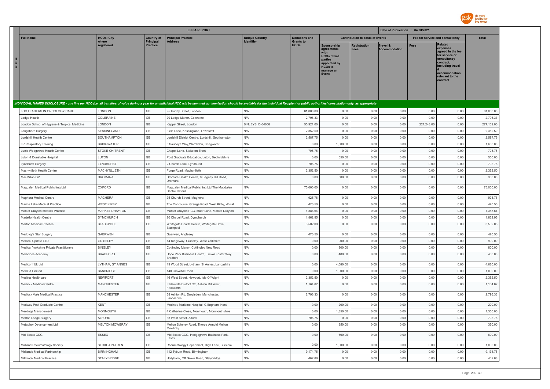

|                         |                                              |                       |                                     | <b>EFPIA REPORT</b>                                                                                                                                                                                                            |                       |                                 |                                                                                                              |                                        | Date of Publication : 04/08/2021 |                                 |                                                                                                                                                                   |              |
|-------------------------|----------------------------------------------|-----------------------|-------------------------------------|--------------------------------------------------------------------------------------------------------------------------------------------------------------------------------------------------------------------------------|-----------------------|---------------------------------|--------------------------------------------------------------------------------------------------------------|----------------------------------------|----------------------------------|---------------------------------|-------------------------------------------------------------------------------------------------------------------------------------------------------------------|--------------|
|                         | <b>Full Name</b>                             | <b>HCOs: City</b>     | <b>Country of</b>                   | <b>Principal Practice</b>                                                                                                                                                                                                      | <b>Unique Country</b> | <b>Donations and</b>            |                                                                                                              | <b>Contribution to costs of Events</b> |                                  | Fee for service and consultancy |                                                                                                                                                                   | <b>Total</b> |
| $\mathtt{C}$<br>$\circ$ |                                              | where<br>registered   | <b>Principal</b><br><b>Practice</b> | <b>Address</b>                                                                                                                                                                                                                 | <b>Identifier</b>     | <b>Grants to</b><br><b>HCOs</b> | Sponsorship<br>agreements<br>HCOs / third<br>parties<br>appointed by<br><b>HCOs to</b><br>manage an<br>Event | Registration<br><b>Fees</b>            | Travel &<br><b>Accommodation</b> | <b>Fees</b>                     | <b>Related</b><br>expenses<br>agreed in the fee<br>for service or<br>consultancy<br>contract.<br>including travel<br>accommodation<br>relevant to the<br>contract |              |
|                         |                                              |                       |                                     | INDIVIDUAL NAMED DISCLOSURE - one line per HCO (i.e. all transfers of value during a year for an individual HCO will be summed up: itemization should be available for the individual Recipient or public authorities' consult |                       |                                 |                                                                                                              |                                        |                                  |                                 |                                                                                                                                                                   |              |
|                         | LOC LEADERS IN ONCOLOGY CARE                 | LONDON                | GB                                  | 95 Harley Street, London                                                                                                                                                                                                       | N/A                   | 81,000.00                       | 0.00                                                                                                         | 0.00                                   | 0.00                             | 0.00                            | 0.00                                                                                                                                                              | 81,000.00    |
|                         | Lodge Health                                 | COLERAINE             | GB                                  | 20 Lodge Manor, Coleraine                                                                                                                                                                                                      | N/A                   | 2,796.33                        | 0.00                                                                                                         | 0.00                                   | 0.00                             | 0.00                            | 0.00                                                                                                                                                              | 2,796.33     |
|                         | London School of Hygiene & Tropical Medicine | LONDON                | GB                                  | Keppel Street, London                                                                                                                                                                                                          | BINLEYS ID-64658      | 55,921.00                       | 0.00                                                                                                         | 0.00                                   | 0.00                             | 221,248.00                      | 0.00                                                                                                                                                              | 277,169.00   |
|                         | Longshore Surgery                            | KESSINGLAND           | GB                                  | Field Lane, Kessingland, Lowestoft                                                                                                                                                                                             | N/A                   | 2,352.50                        | 0.00                                                                                                         | 0.00                                   | 0.00                             | 0.00                            | 0.00                                                                                                                                                              | 2,352.50     |
|                         | Lordshill Health Centre                      | SOUTHAMPTON           | GB                                  | Lordshill District Centre, Lordshill, Southampton                                                                                                                                                                              | N/A                   | 2.587.75                        | 0.00                                                                                                         | 0.00                                   | 0.00                             | 0.00                            | 0.00                                                                                                                                                              | 2,587.75     |
|                         | LR Respiratory Training                      | <b>BRIDGWATER</b>     | GB                                  | 3 Sauneye Way, Wembdon, Bridgwater                                                                                                                                                                                             | N/A                   | 0.00                            | 1,600.00                                                                                                     | 0.00                                   | 0.00                             | 0.00                            | 0.00                                                                                                                                                              | 1,600.00     |
|                         | Lucie Wedgewod Health Centre                 | STOKE ON TRENT        | GB                                  | Chapel Lane, Stoke on Trent                                                                                                                                                                                                    | N/A                   | 705.75                          | 0.00                                                                                                         | 0.00                                   | 0.00                             | 0.00                            | 0.00                                                                                                                                                              | 705.75       |
|                         | Luton & Dunstable Hospital                   | LUTON                 | GB                                  | Post Graduate Education, Luton, Bedfordshire                                                                                                                                                                                   | N/A                   | 0.00                            | 550.00                                                                                                       | 0.00                                   | 0.00                             | 0.00                            | 0.00                                                                                                                                                              | 550.00       |
|                         | Lyndhurst Surgery                            | LYNDHURST             | GB                                  | 2 Church Lane, Lyndhurst                                                                                                                                                                                                       | N/A                   | 705.75                          | 0.00                                                                                                         | 0.00                                   | 0.00                             | 0.00                            | 0.00                                                                                                                                                              | 705.75       |
|                         | Machynlleth Health Centre                    | MACHYNLLETH           | GB                                  | Forge Road, Machynlleth                                                                                                                                                                                                        | N/A                   | 2,352.50                        | 0.00                                                                                                         | 0.00                                   | 0.00                             | 0.00                            | 0.00                                                                                                                                                              | 2,352.50     |
|                         | MacMillan GP                                 | <b>DROMARA</b>        | GB                                  | Dromara Health Centre, 8 Begney Hill Road,<br>Dromara                                                                                                                                                                          | N/A                   | 0.00                            | 300.00                                                                                                       | 0.00                                   | 0.00                             | 0.00                            | 0.00                                                                                                                                                              | 300.00       |
|                         | Magdalen Medical Publishing Ltd              | OXFORD                | GB                                  | Magdalen Medical Publishing Ltd The Magdalen<br>Centre Oxford                                                                                                                                                                  | N/A                   | 75,000.00                       | 0.00                                                                                                         | 0.00                                   | 0.00                             | 0.00                            | 0.00                                                                                                                                                              | 75,000.00    |
|                         | Maghera Medical Centre                       | <b>MAGHERA</b>        | GB                                  | 25 Church Street, Maghera                                                                                                                                                                                                      | N/A                   | 925.76                          | 0.00                                                                                                         | 0.00                                   | 0.00                             | 0.00                            | 0.00                                                                                                                                                              | 925.76       |
|                         | Marine Lake Medical Practice                 | <b>WEST KIRBY</b>     | GB                                  | The Concourse, Grange Road, West Kirby, Wirral                                                                                                                                                                                 | N/A                   | 470.50                          | 0.00                                                                                                         | 0.00                                   | 0.00                             | 0.00                            | 0.00                                                                                                                                                              | 470.50       |
|                         | Market Drayton Medical Practice              | <b>MARKET DRAYTON</b> | GB                                  | Market Drayton PCC, Maer Lane, Market Drayton                                                                                                                                                                                  | N/A                   | 1,388.64                        | 0.00                                                                                                         | 0.00                                   | 0.00                             | 0.00                            | 0.00                                                                                                                                                              | 1,388.64     |
|                         | Martello Health Centre                       | <b>DYMCHURCH</b>      | GB                                  | 20 Chapel Road, Dymchurch                                                                                                                                                                                                      | N/A                   | 1,862.95                        | 0.00                                                                                                         | 0.00                                   | 0.00                             | 0.00                            | 0.00                                                                                                                                                              | 1,862.95     |
|                         | Marton Medical Practice                      | <b>BLACKPOOL</b>      | <b>GB</b>                           | Whitegate Health Centre, Whitegate Drive,<br>Blackpool                                                                                                                                                                         | N/A                   | 3.502.08                        | 0.00                                                                                                         | 0.00                                   | 0.00                             | 0.00                            | 0.00                                                                                                                                                              | 3.502.08     |
|                         | Meddygfa Star Surgery                        | <b>GAERWEN</b>        | GB                                  | Gaerwen, Anglesey                                                                                                                                                                                                              | N/A                   | 470.50                          | 0.00                                                                                                         | 0.00                                   | 0.00                             | 0.00                            | 0.00                                                                                                                                                              | 470.50       |
|                         | Medical Update LTD                           | <b>GUISELEY</b>       | GB                                  | 14 Ridgeway, Guiseley, West Yorkshire                                                                                                                                                                                          | N/A                   | 0.00                            | 900.00                                                                                                       | 0.00                                   | 0.00                             | 0.00                            | 0.00                                                                                                                                                              | 900.00       |
|                         | Medical Yorkshire Private Practitioners      | <b>BINGLEY</b>        | GB                                  | Cottingley Manor, Cottingley New Road                                                                                                                                                                                          | N/A                   | 0.00                            | 800.00                                                                                                       | 0.00                                   | 0.00                             | 0.00                            | 0.00                                                                                                                                                              | 800.00       |
|                         | Medicines Academy                            | <b>BRADFORD</b>       | GB                                  | Hope Park Business Centre, Trevor Foster Way,<br><b>Bradford</b>                                                                                                                                                               | N/A                   | 0.00                            | 480.00                                                                                                       | 0.00                                   | 0.00                             | 0.00                            | 0.00                                                                                                                                                              | 480.00       |
|                         | Mediconf Uk Ltd                              | LYTHAM, ST ANNES      | GB                                  | 19 Wood Street, Lytham, St Annes, Lancashire                                                                                                                                                                                   | N/A                   | 0.00                            | 4,680.00                                                                                                     | 0.00                                   | 0.00                             | 0.00                            | 0.00                                                                                                                                                              | 4,680.00     |
|                         | MediEd Limited                               | <b>BANBRIDGE</b>      | GB                                  | 140 Grovehill Road                                                                                                                                                                                                             | N/A                   | 0.00                            | 1,000.00                                                                                                     | 0.00                                   | 0.00                             | 0.00                            | 0.00                                                                                                                                                              | 1,000.00     |
|                         | Medina Healthcare                            | <b>NEWPORT</b>        | GB                                  | 16 West Street, Newport, Isle Of Wight                                                                                                                                                                                         | N/A                   | 2,352.50                        | 0.00                                                                                                         | 0.00                                   | 0.00                             | 0.00                            | 0.00                                                                                                                                                              | 2,352.50     |
|                         | Medlock Medical Centre                       | <b>MANCHESTER</b>     | GB                                  | Failsworth District Ctr, Ashton Rd West,<br>Failsworth                                                                                                                                                                         | N/A                   | 1,164.82                        | 0.00                                                                                                         | 0.00                                   | 0.00                             | 0.00                            | 0.00                                                                                                                                                              | 1,164.82     |
|                         | Medlock Vale Medical Practice                | <b>MANCHESTER</b>     | GB                                  | 58 Ashton Rd, Droylsden, Manchester,<br>Lancashire                                                                                                                                                                             | N/A                   | 2,796.33                        | 0.00                                                                                                         | 0.00                                   | 0.00                             | 0.00                            | 0.00                                                                                                                                                              | 2,796.33     |
|                         | Medway Post Graduate Centre                  | <b>KENT</b>           | GB                                  | Medway Maritime Hospital, Gillingham, Kent                                                                                                                                                                                     | N/A                   | 0.00                            | 200.00                                                                                                       | 0.00                                   | 0.00                             | 0.00                            | 0.00                                                                                                                                                              | 200.00       |
|                         | Meetings Management                          | MONMOUTH              | GB                                  | 4 Catherine Close, Monmouth, Monmouthshire                                                                                                                                                                                     | N/A                   | 0.00                            | 1,350.00                                                                                                     | 0.00                                   | 0.00                             | 0.00                            | 0.00                                                                                                                                                              | 1,350.00     |
|                         | Merton Lodge Surgery                         | <b>ALFORD</b>         | GB                                  | 33 West Street, Alford                                                                                                                                                                                                         | N/A                   | 705.75                          | 0.00                                                                                                         | 0.00                                   | 0.00                             | 0.00                            | 0.00                                                                                                                                                              | 705.75       |
|                         | Metaphor Development Ltd                     | <b>MELTON MOWBRAY</b> | GB                                  | Melton Spinney Road, Thorpe Armold Melton<br>Mowbray                                                                                                                                                                           | N/A                   | 0.00                            | 350.00                                                                                                       | 0.00                                   | 0.00                             | 0.00                            | 0.00                                                                                                                                                              | 350.00       |
|                         | Mid Essex CCG                                | ESSEX                 | $\mathbb{G}\mathbb{B}$              | Mid Essex CCG, Hedgegrows Business Park,<br>Essex                                                                                                                                                                              | N/A                   | 0.00                            | 600.00                                                                                                       | 0.00                                   | 0.00                             | 0.00                            | 0.00                                                                                                                                                              | 600.00       |
|                         | Midland Rheumatology Society                 | STOKE-ON-TRENT        | $\mathbb{G}\mathbb{B}$              | Rheumatology Department, High Lane, Burslem                                                                                                                                                                                    | N/A                   | 0.00                            | 1,000.00                                                                                                     | 0.00                                   | 0.00                             | 0.00                            | 0.00                                                                                                                                                              | 1,000.00     |
|                         | Midlands Medical Partnership                 | <b>BIRMINGHAM</b>     | GB                                  | 112 Tyburn Road, Birmingham                                                                                                                                                                                                    | N/A                   | 9,174.75                        | 0.00                                                                                                         | 0.00                                   | 0.00                             | 0.00                            | 0.00                                                                                                                                                              | 9,174.75     |
|                         | Millbrook Medical Practice                   | STALYBRIDGE           | GB                                  | Hollybank, Off Grove Road, Stalybridge                                                                                                                                                                                         | N/A                   | 462.88                          | 0.00                                                                                                         | 0.00                                   | 0.00                             | 0.00                            | 0.00                                                                                                                                                              | 462.88       |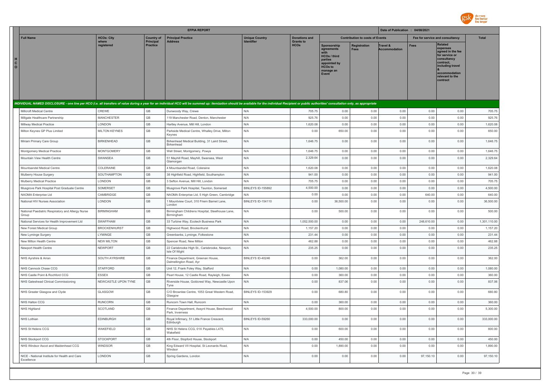

|                                                                                                                                                                                                                                |                      |                              | <b>EFPIA REPORT</b>                                             |                          |                                 |                                                                                                                     |                                        | Date of Publication : 04/08/2021 |             |                                                                                                                                                                   |              |
|--------------------------------------------------------------------------------------------------------------------------------------------------------------------------------------------------------------------------------|----------------------|------------------------------|-----------------------------------------------------------------|--------------------------|---------------------------------|---------------------------------------------------------------------------------------------------------------------|----------------------------------------|----------------------------------|-------------|-------------------------------------------------------------------------------------------------------------------------------------------------------------------|--------------|
| <b>Full Name</b>                                                                                                                                                                                                               | <b>HCOs: City</b>    | <b>Country of</b>            | <b>Principal Practice</b>                                       | <b>Unique Country</b>    | <b>Donations and</b>            |                                                                                                                     | <b>Contribution to costs of Events</b> |                                  |             | Fee for service and consultancy                                                                                                                                   | <b>Total</b> |
| н<br>$\mathbf{C}$<br>$\circ$                                                                                                                                                                                                   | where<br>reaistered  | Principal<br><b>Practice</b> | <b>Address</b>                                                  | Identifier               | <b>Grants to</b><br><b>HCOs</b> | Sponsorship<br>agreements<br><b>HCOs / third</b><br>parties<br>appointed by<br><b>HCOs to</b><br>manage an<br>Event | Registration<br>Fees                   | Travel &<br><b>Accommodation</b> | <b>Fees</b> | <b>Related</b><br>expenses<br>agreed in the fee<br>for service or<br>consultancy<br>contract.<br>including travel<br>accommodation<br>relevant to the<br>contract |              |
| INDIVIDUAL NAMED DISCLOSURE - one line per HCO (i.e. all transfers of value during a year for an individual HCO will be summed up: itemization should be available for the individual Recipient or public authorities' consult |                      |                              |                                                                 |                          |                                 |                                                                                                                     |                                        |                                  |             |                                                                                                                                                                   |              |
| Millcroft Medical Centre                                                                                                                                                                                                       | CREWE                | GB                           | Dunwoody Way, Crewe                                             | N/A                      | 705.75                          | 0.00                                                                                                                | 0.00                                   | 0.00                             | 0.00        | 0.00                                                                                                                                                              | 705.75       |
| Millgate Healthcare Partnership                                                                                                                                                                                                | <b>MANCHESTER</b>    | GB                           | 119 Manchester Road, Denton, Manchester                         | N/A                      | 925.76                          | 0.00                                                                                                                | 0.00                                   | 0.00                             | 0.00        | 0.00                                                                                                                                                              | 925.76       |
| Millway Medical Practice                                                                                                                                                                                                       | LONDON               | GB                           | Hartley Avenue, Mill Hill, London                               | N/A                      | 1,620.08                        | 0.00                                                                                                                | 0.00                                   | 0.00                             | 0.00        | 0.00                                                                                                                                                              | 1,620.08     |
| Milton Keynes GP Plus Limited                                                                                                                                                                                                  | <b>MILTON KEYNES</b> | GB                           | Parkside Medical Centre, Whalley Drive, Milton<br>Keynes        | N/A                      | 0.00                            | 650.00                                                                                                              | 0.00                                   | 0.00                             | 0.00        | 0.00                                                                                                                                                              | 650.00       |
| Miriam Primary Care Group                                                                                                                                                                                                      | <b>BIRKENHEAD</b>    | GB                           | Birkenhead Medical Building, 31 Laird Street,<br>Birkenhead     | N/A                      | 1,646.75                        | 0.00                                                                                                                | 0.00                                   | 0.00                             | 0.00        | 0.00                                                                                                                                                              | 1,646.75     |
| Montgomery Medical Practice                                                                                                                                                                                                    | <b>MONTGOMERY</b>    | GB                           | Well Street, Montgomery, Powys                                  | N/A                      | 1,646.75                        | 0.00                                                                                                                | 0.00                                   | 0.00                             | 0.00        | 0.00                                                                                                                                                              | 1,646.75     |
| Mountain View Health Centre                                                                                                                                                                                                    | SWANSEA              | GB                           | 51 Mayhill Road, Mayhill, Swansea, West<br>Glamorgan            | N/A                      | 2,329.64                        | 0.00                                                                                                                | 0.00                                   | 0.00                             | 0.00        | 0.00                                                                                                                                                              | 2,329.64     |
| Mountsandel Medical Centre                                                                                                                                                                                                     | COLERAINE            | GB                           | 4 Mountsandel Road, Coleraine                                   | N/A                      | 1,620.08                        | 0.00                                                                                                                | 0.00                                   | 0.00                             | 0.00        | 0.00                                                                                                                                                              | 1,620.08     |
| Mulberry House Surgery                                                                                                                                                                                                         | SOUTHAMPTON          | $\mathbb{G}\mathbb{B}$       | 38 Highfield Road, Highfield, Southampton                       | N/A                      | 941.00                          | 0.00                                                                                                                | 0.00                                   | 0.00                             | 0.00        | 0.00                                                                                                                                                              | 941.00       |
| Mulberry Medical Practice                                                                                                                                                                                                      | LONDON               | GB                           | 3 Sefton Avenue, Mill Hill, London                              | N/A                      | 705.75                          | 0.00                                                                                                                | 0.00                                   | 0.00                             | 0.00        | 0.00                                                                                                                                                              | 705.75       |
| Musgrove Park Hospital Post Graduate Centre                                                                                                                                                                                    | SOMERSET             | $\mathbb{G}\mathbb{B}$       | Musgrove Park Hospital, Taunton, Somerset                       | <b>BINLEYS ID-155892</b> | 4.500.00                        | 0.00                                                                                                                | 0.00                                   | 0.00                             | 0.00        | 0.00                                                                                                                                                              | 4,500.00     |
| NAOMA Enterprise I td                                                                                                                                                                                                          | CAMBRIDGE            | GB                           | NAOMA Enterprise Ltd, 5 High Green, Cambridge                   | N/A                      | 0.00                            | 0.00                                                                                                                | 0.00                                   | 0.00                             | 640.00      | 0.00                                                                                                                                                              | 640.00       |
| National HIV Nurses Association                                                                                                                                                                                                | LONDON               | GB                           | 1 Mountview Court, 310 Friern Barnet Lane,<br>London            | BINLEYS ID-154110        | 0.00                            | 36,500.00                                                                                                           | 0.00                                   | 0.00                             | 0.00        | 0.00                                                                                                                                                              | 36,500.00    |
| National Paediatric Respiratory and Allergy Nurse<br>Group                                                                                                                                                                     | <b>BIRMINGHAM</b>    | $\mathbb{G}\mathbb{B}$       | Birmingham Childrens Hospital, Steelhouse Lane,<br>Birmingham   | N/A                      | 0.00                            | 500.00                                                                                                              | 0.00                                   | 0.00                             | 0.00        | 0.00                                                                                                                                                              | 500.00       |
| National Services for Health Improvement Ltd                                                                                                                                                                                   | SWAFFHAM             | GB                           | 33 Turbine Way, Ecotech Business Park                           | N/A                      | 1,052,500.00                    | 0.00                                                                                                                | 0.00                                   | 0.00                             | 248,610.00  | 0.00                                                                                                                                                              | 1,301,110.00 |
| New Forest Medical Group                                                                                                                                                                                                       | <b>BROCKENHURST</b>  | GB                           | Highwood Road, Brockenhurst                                     | N/A                      | 1,157.20                        | 0.00                                                                                                                | 0.00                                   | 0.00                             | 0.00        | 0.00                                                                                                                                                              | 1,157.20     |
| New Lyminge Surgery                                                                                                                                                                                                            | LYMINGE              | GB                           | Greenbanks, Lyminge, Folkestone                                 | N/A                      | 231.44                          | 0.00                                                                                                                | 0.00                                   | 0.00                             | 0.00        | 0.00                                                                                                                                                              | 231.44       |
| New Milton Health Centre                                                                                                                                                                                                       | <b>NEW MILTON</b>    | GB                           | Spencer Road, New Milton                                        | N/A                      | 462.88                          | 0.00                                                                                                                | 0.00                                   | 0.00                             | 0.00        | 0.00                                                                                                                                                              | 462.88       |
| Newport Health Centre                                                                                                                                                                                                          | <b>NEWPORT</b>       | GB                           | 22 Carisbrooke High St., Carisbrooke, Newport,<br>Isle Of Wight | N/A                      | 235.25                          | 0.00                                                                                                                | 0.00                                   | 0.00                             | 0.00        | 0.00                                                                                                                                                              | 235.25       |
| NHS Ayrshire & Arran                                                                                                                                                                                                           | SOUTH AYRSHIRE       | $\mathbb{G}\mathbb{B}$       | Finance Department, Greenan House,<br>Dalmellington Road, Ayr   | BINLEYS ID-40246         | 0.00                            | 362.00                                                                                                              | 0.00                                   | 0.00                             | 0.00        | 0.00                                                                                                                                                              | 362.00       |
| NHS Cannock Chase CCG                                                                                                                                                                                                          | <b>STAFFORD</b>      | GB                           | Unit 12, Frank Foley Way, Stafford                              | N/A                      | 0.00                            | 1,080.00                                                                                                            | 0.00                                   | 0.00                             | 0.00        | 0.00                                                                                                                                                              | 1,080.00     |
| NHS Castle Point & Rochford CCG                                                                                                                                                                                                | <b>ESSEX</b>         | GB                           | Pearl House, 12 Castle Road, Rayleigh, Essex                    | N/A                      | 0.00                            | 360.00                                                                                                              | 0.00                                   | 0.00                             | 0.00        | 0.00                                                                                                                                                              | 360.00       |
| NHS Gateshead Clinical Commissioning                                                                                                                                                                                           | NEWCASTLE UPON TYNE  | GB                           | Riverside House, Goldcrest Way, Newcastle Upon<br>Tyne          | N/A                      | 0.00                            | 837.06                                                                                                              | 0.00                                   | 0.00                             | 0.00        | 0.00                                                                                                                                                              | 837.06       |
| NHS Greater Glasgow and Clyde                                                                                                                                                                                                  | GLASGOW              | GB                           | C/O Brownlee Centre, 1053 Great Western Road,<br>Glasgow        | <b>BINLEYS ID-153929</b> | 0.00                            | 680.80                                                                                                              | 0.00                                   | 0.00                             | 0.00        | 0.00                                                                                                                                                              | 680.80       |
| NHS Halton CCG                                                                                                                                                                                                                 | <b>RUNCORN</b>       | GB                           | Runcorn Town Hall, Runcorn                                      | N/A                      | 0.00                            | 360.00                                                                                                              | 0.00                                   | 0.00                             | 0.00        | 0.00                                                                                                                                                              | 360.00       |
| NHS Highland                                                                                                                                                                                                                   | SCOTLAND             | GB                           | Finance Department, Assynt House, Beechwood<br>Park. Inverness  | N/A                      | 4,500.00                        | 800.00                                                                                                              | 0.00                                   | 0.00                             | 0.00        | 0.00                                                                                                                                                              | 5,300.00     |
| NHS Lothian                                                                                                                                                                                                                    | EDINBURGH            | $\mathbb{G}\mathbb{B}$       | Royal Infirmary, 51 Little France Crescent,<br>Edinburgh        | BINLEYS ID-59260         | 333,000.00                      | 0.00                                                                                                                | 0.00                                   | 0.00                             | 0.00        | 0.00                                                                                                                                                              | 333,000.00   |
| NHS St Helens CCG                                                                                                                                                                                                              | WAKEFIELD            | $\mathbb{G}\mathbb{B}$       | NHS St Helens CCG, 01X Payables L475,<br>Wakefield              | N/A                      | 0.00                            | 600.00                                                                                                              | 0.00                                   | 0.00                             | 0.00        | 0.00                                                                                                                                                              | 600.00       |
| NHS Stockport CCG                                                                                                                                                                                                              | <b>STOCKPORT</b>     | GB                           | 4th Floor, Stopford House, Stockport                            | N/A                      | 0.00                            | 450.00                                                                                                              | 0.00                                   | 0.00                             | 0.00        | 0.00                                                                                                                                                              | 450.00       |
| NHS Windsor Ascot and Maidenhead CCG                                                                                                                                                                                           | WINDSOR              | GB                           | King Edward VII Hospital, St Leonards Road,<br>Windsor          | N/A                      | 0.00                            | 1,890.00                                                                                                            | 0.00                                   | 0.00                             | 0.00        | 0.00                                                                                                                                                              | 1,890.00     |
| NICE - National Institute for Health and Care<br>Excellence                                                                                                                                                                    | <b>LONDON</b>        | $\mathbb{G}\mathbb{B}$       | Spring Gardens, London                                          | N/A                      | 0.00                            | 0.00                                                                                                                | 0.00                                   | 0.00                             | 97,150.10   | 0.00                                                                                                                                                              | 97,150.10    |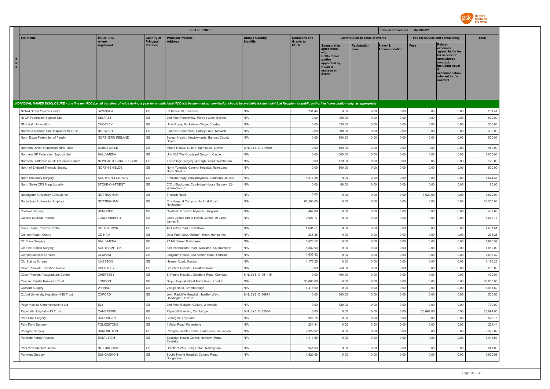

|                              |                                                          |                         |                              | <b>EFPIA REPORT</b>                                                                                                                                                                                                            |                          |                                 |                                                                                                                     |                                        | Date of Publication : 04/08/2021 |                                 |                                                                                                                                                                   |                    |
|------------------------------|----------------------------------------------------------|-------------------------|------------------------------|--------------------------------------------------------------------------------------------------------------------------------------------------------------------------------------------------------------------------------|--------------------------|---------------------------------|---------------------------------------------------------------------------------------------------------------------|----------------------------------------|----------------------------------|---------------------------------|-------------------------------------------------------------------------------------------------------------------------------------------------------------------|--------------------|
|                              | <b>Full Name</b>                                         | <b>HCOs: City</b>       | <b>Country of</b>            | <b>Principal Practice</b><br><b>Address</b>                                                                                                                                                                                    | <b>Unique Country</b>    | <b>Donations and</b>            |                                                                                                                     | <b>Contribution to costs of Events</b> |                                  | Fee for service and consultancy |                                                                                                                                                                   | <b>Total</b>       |
| н<br>$\mathbf{C}$<br>$\circ$ |                                                          | where<br>registered     | Principal<br><b>Practice</b> |                                                                                                                                                                                                                                | Identifier               | <b>Grants to</b><br><b>HCOs</b> | <b>Sponsorship</b><br>agreements<br>HCOs / third<br>parties<br>appointed by<br><b>HCOs to</b><br>manage an<br>Event | <b>Registration</b><br>Fees            | Travel &<br><b>Accommodation</b> | <b>Fees</b>                     | <b>Related</b><br>expenses<br>agreed in the fee<br>for service or<br>consultancy<br>contract.<br>including travel<br>accommodation<br>relevant to the<br>contract |                    |
|                              |                                                          |                         |                              | INDIVIDUAL NAMED DISCLOSURE - one line per HCO (i.e. all transfers of value during a year for an individual HCO will be summed up: itemization should be available for the individual Recipient or public authorities' consult |                          |                                 |                                                                                                                     |                                        |                                  |                                 |                                                                                                                                                                   |                    |
|                              | Nicholl Street Medical Centre                            | SWANSEA                 | GB                           | 33 Nicholl St, Swansea                                                                                                                                                                                                         | N/A                      | 231.44                          | 0.00                                                                                                                | 0.00                                   | 0.00                             | 0.00                            | 0.00                                                                                                                                                              | 231.44             |
|                              | NI GP Federation Support Unit                            | <b>BELFAST</b>          | GB                           | 2nd Floor Forestview, Purdy's Lane, Belfast                                                                                                                                                                                    | N/A                      | 0.00                            | 900.00                                                                                                              | 0.00                                   | 0.00                             | 0.00                            | 0.00                                                                                                                                                              | 900.00             |
|                              | NM Health Innovation                                     | CHORLEY                 | GB                           | Unity Place, Buckshaw Village, Chorley                                                                                                                                                                                         | N/A                      | 0.00                            | 550.00                                                                                                              | 0.00                                   | 0.00                             | 0.00                            | 0.00                                                                                                                                                              | 550.00             |
|                              | Norfolk & Norwich Uni Hospital NHS Trust                 | NORWICH                 | GB                           | Finance Department, Colney Lane, Norwich                                                                                                                                                                                       | N/A                      | 0.00                            | 300.00                                                                                                              | 0.00                                   | 0.00                             | 0.00                            | 0.00                                                                                                                                                              | 300.00             |
|                              | North Down Federation of Family                          | NORTHERN IRELAND        | GB                           | Bangor Health, Newtownards, Bangor, County<br>Down                                                                                                                                                                             | N/A                      | 0.00                            | 500.00                                                                                                              | 0.00                                   | 0.00                             | 0.00                            | 0.00                                                                                                                                                              | 500.00             |
|                              | Northern Devon Healthcare NHS Trust                      | <b>BARNSTAPLE</b>       | GB                           | Munro House, Suite 7, Barnstaple, Devon                                                                                                                                                                                        | BINLEYS ID-119660        | 0.00                            | 450.00                                                                                                              | 0.00                                   | 0.00                             | 0.00                            | 0.00                                                                                                                                                              | 450.00             |
|                              | Northern GP Federation Support Unit                      | <b>BALLYMENA</b>        | GB                           | Unit 30A The Courtyard Galgorm Castle                                                                                                                                                                                          | N/A                      | 0.00                            | 1,000.00                                                                                                            | 0.00                                   | 0.00                             | 0.00                            | 0.00                                                                                                                                                              | 1,000.00           |
|                              | Northern Staffordshire GP Education Forum                | NEWCASTLE-UNDER-LYME    | <b>GB</b>                    | The Village Surgery, 49 High Street, Wolstanton                                                                                                                                                                                | N/A                      | 0.00                            | 170.00                                                                                                              | 0.00                                   | 0.00                             | 0.00                            | 0.00                                                                                                                                                              | 170.00             |
|                              | North of England Thoracic Society                        | <b>NORTH SHIELDS</b>    | GB                           | North Tyneside General Hospital, Rake Lane,<br>North Shields                                                                                                                                                                   | N/A                      | 0.00                            | 500.00                                                                                                              | 0.00                                   | 0.00                             | 0.00                            | 0.00                                                                                                                                                              | 500.00             |
|                              | North Shoebury Surgery                                   | SOUTHEND-ON-SEA         | GB                           | Frobisher Way, Shoeburyness, Southend-On-Sea                                                                                                                                                                                   | N/A                      | 1,874.38                        | 0.00                                                                                                                | 0.00                                   | 0.00                             | 0.00                            | 0.00                                                                                                                                                              | 1,874.38           |
|                              | North Stoke CPS Megs Locality                            | STOKE-ON-TRENT          | GB                           | C/O J Blackburn, Cambridge House Surgery, 124<br>Werrington Rd                                                                                                                                                                 | N/A                      | 0.00                            | 80.00                                                                                                               | 0.00                                   | 0.00                             | 0.00                            | 0.00                                                                                                                                                              | 80.00              |
|                              | Nottingham University Consultants                        | <b>NOTTINGHAM</b>       | $\mathbb{G}\mathbb{B}$       | Triumph Road                                                                                                                                                                                                                   | N/A                      | 0.00                            | 0.00                                                                                                                | 0.00                                   | 0.00                             | 1,620.00                        | 0.00                                                                                                                                                              | 1,620.00           |
|                              | Nottingham University Hospitals                          | NOTTINGHAM              | GB                           | City Hospital Campus, Hucknall Road,<br>Nottingham                                                                                                                                                                             | N/A                      | 85,500.00                       | 0.00                                                                                                                | 0.00                                   | 0.00                             | 0.00                            | 0.00                                                                                                                                                              | 85,500.00          |
|                              | Oakfield Surgery                                         | HENGOED                 | GB                           | Oakfield St, Ystrad Mynach, Hengoed                                                                                                                                                                                            | N/A                      | 462.88                          | 0.00                                                                                                                | 0.00                                   | 0.00                             | 0.00                            | 0.00                                                                                                                                                              | 462.88             |
|                              | Oakleaf Medical Practice                                 | LONDONDERRY             | GB                           | Great James Street Health Centre, 49 Great<br>James St                                                                                                                                                                         | N/A                      | 3,027.77                        | 0.00                                                                                                                | 0.00                                   | 0.00                             | 0.00                            | 0.00                                                                                                                                                              | 3,027.77           |
|                              | Oaks Family Practice Centre                              | COOKSTOWN               | GB                           | 48 Orritor Road, Cookstown                                                                                                                                                                                                     | N/A                      | 1.631.51                        | 0.00                                                                                                                | 0.00                                   | 0.00                             | 0.00                            | 0.00                                                                                                                                                              | 1.631.51           |
|                              | Odiham Health Centre                                     | ODIHAM                  | GB                           | Deer Park View, Odiham, Hook, Hampshire                                                                                                                                                                                        | N/A                      | 235.25                          | 0.00                                                                                                                | 0.00                                   | 0.00                             | 0.00                            | 0.00                                                                                                                                                              | 235.25             |
|                              | Old Bank Surgery                                         | <b>BALLYMENA</b>        | GB                           | 97 Mill Street, Ballymena                                                                                                                                                                                                      | N/A                      | 1,870.57                        | 0.00                                                                                                                | 0.00                                   | 0.00                             | 0.00                            | 0.00                                                                                                                                                              | 1,870.57           |
|                              | Old Fire Station Surgery                                 | SOUTHAMPTON             | GB                           | 68A Portsmouth Road, Woolston, Southampton                                                                                                                                                                                     | N/A                      | 1,882.00                        | 0.00                                                                                                                | 0.00                                   | 0.00                             | 0.00                            | 0.00                                                                                                                                                              | 1,882.00           |
|                              | Oldham Medical Services                                  | OLDHAM                  | GB                           | Langham House, 368 Ashton Road, Oldham                                                                                                                                                                                         | N/A                      | 1,635.32                        | 0.00                                                                                                                | 0.00                                   | 0.00                             | 0.00                            | 0.00                                                                                                                                                              | 1,635.32           |
|                              | Old Station Surgery                                      | <b>ILKESTON</b>         | GB                           | Heanor Road, Ilkeston                                                                                                                                                                                                          | N/A                      | 1,176.25                        | 0.00                                                                                                                | 0.00                                   | 0.00                             | 0.00                            | 0.00                                                                                                                                                              | 1,176.25           |
|                              | Oliver Plunkett Education Centre                         | CHERTSEY                | GB                           | St Peters Hospital, Guildford Road                                                                                                                                                                                             | N/A                      | 0.00                            | 250.00                                                                                                              | 0.00                                   | 0.00                             | 0.00                            | 0.00                                                                                                                                                              | 250.00             |
|                              | Oliver Plunkett Postgraduate Centre                      | <b>CHERTSEY</b>         | GB                           | St Peters Hospital, Guildford Road, Chertsey                                                                                                                                                                                   | <b>BINLEYS ID-154415</b> | 0.00                            | 400.00                                                                                                              | 0.00                                   | 0.00                             | 0.00                            | 0.00                                                                                                                                                              | 400.00             |
|                              | Oral and Dental Research Trust                           | LONDON                  | GB                           | Guys Hospital, Great Maze Pond, London                                                                                                                                                                                         | N/A                      | 30,000.00                       | 0.00                                                                                                                | 0.00                                   | 0.00                             | 0.00                            | 0.00                                                                                                                                                              | 30,000.00          |
|                              | Orchard Surgery<br>Oxford University Hospitals NHS Trust | <b>WIRRAL</b><br>OXFORD | GB<br>GB                     | Village Road, Bromborough<br>John Radcliffe Hospital, Headley Way,<br>Headington, Oxford                                                                                                                                       | N/A<br>BINLEYS ID-30971  | 1.411.50<br>0.00                | 0.00<br>500.00                                                                                                      | 0.00<br>0.00                           | 0.00<br>0.00                     | 0.00<br>0.00                    | 0.00<br>0.00                                                                                                                                                      | 1.411.50<br>500.00 |
|                              | Page Medical Communications Ltd                          | <b>ELY</b>              | GB                           | 2nd Floor Babylon Gallery, Waterside                                                                                                                                                                                           | N/A                      | 0.00                            | 720.00                                                                                                              | 0.00                                   | 0.00                             | 0.00                            | 0.00                                                                                                                                                              | 720.00             |
|                              | Papworth Hospital NHS Trust                              | CAMBRIDGE               | GB                           | Papworth Everard, Cambridge                                                                                                                                                                                                    | BINLEYS ID-32844         | 0.00                            | 0.00                                                                                                                | 0.00                                   | 0.00                             | 23,694.00                       | 0.00                                                                                                                                                              | 23,694.00          |
|                              | Parc Glas Surgery                                        | <b>BODORGAN</b>         | GB                           | Bodorgan, Ynys Mon                                                                                                                                                                                                             | N/A                      | 925.76                          | 0.00                                                                                                                | 0.00                                   | 0.00                             | 0.00                            | 0.00                                                                                                                                                              | 925.76             |
|                              | Park Farm Surgery                                        | <b>FOLKESTONE</b>       | GB                           | 1 Alder Road, Folkestone                                                                                                                                                                                                       | N/A                      | 231.44                          | 0.00                                                                                                                | 0.00                                   | 0.00                             | 0.00                            | 0.00                                                                                                                                                              | 231.44             |
|                              | Parkgate Surgery                                         | <b>DARLINGTON</b>       | GB                           | Parkgate Health Centre, Park Place, Darlington                                                                                                                                                                                 | N/A                      | 2,322.02                        | 0.00                                                                                                                | 0.00                                   | 0.00                             | 0.00                            | 0.00                                                                                                                                                              | 2,322.02           |
|                              | Parkside Family Practice                                 | EASTLEIGH               | GB                           | Eastleigh Health Centre, Newtown Road,<br>Eastleigh                                                                                                                                                                            | N/A                      | 1,411.50                        | 0.00                                                                                                                | 0.00                                   | 0.00                             | 0.00                            | 0.00                                                                                                                                                              | 1,411.50           |
|                              | Park View Medical Centre                                 | <b>NOTTINGHAM</b>       | GB                           | Cranfleet Way, Long Eaton, Nottingham                                                                                                                                                                                          | N/A                      | 941.00                          | 0.00                                                                                                                | 0.00                                   | 0.00                             | 0.00                            | 0.00                                                                                                                                                              | 941.00             |
|                              | Parkview Surgery                                         | DUNGANNON               | GB                           | South Tyrone Hospital, Carland Road,<br>Dungannon                                                                                                                                                                              | N/A                      | 1,620.08                        | 0.00                                                                                                                | 0.00                                   | 0.00                             | 0.00                            | 0.00                                                                                                                                                              | 1,620.08           |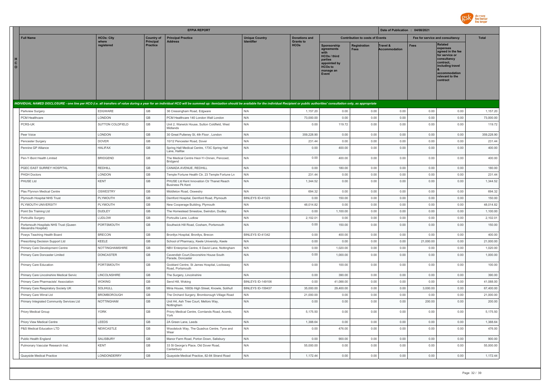

|                              |                                                              |                     |                              | <b>EFPIA REPORT</b>                                                                                                                                                                                                            |                       |                                 |                                                                                                                             |                                        | Date of Publication : 04/08/2021 |                                 |                                                                                                                                                                   |              |
|------------------------------|--------------------------------------------------------------|---------------------|------------------------------|--------------------------------------------------------------------------------------------------------------------------------------------------------------------------------------------------------------------------------|-----------------------|---------------------------------|-----------------------------------------------------------------------------------------------------------------------------|----------------------------------------|----------------------------------|---------------------------------|-------------------------------------------------------------------------------------------------------------------------------------------------------------------|--------------|
|                              | <b>Full Name</b>                                             | <b>HCOs: City</b>   | <b>Country of</b>            | <b>Principal Practice</b>                                                                                                                                                                                                      | <b>Unique Country</b> | <b>Donations and</b>            |                                                                                                                             | <b>Contribution to costs of Events</b> |                                  | Fee for service and consultancy |                                                                                                                                                                   | <b>Total</b> |
| н<br>$\mathbf{C}$<br>$\circ$ |                                                              | where<br>registered | <b>Principal</b><br>Practice | <b>Address</b>                                                                                                                                                                                                                 | Identifier            | <b>Grants to</b><br><b>HCOs</b> | Sponsorship<br>agreements<br>with<br><b>HCOs / third</b><br>parties<br>appointed by<br><b>HCOs to</b><br>manage an<br>Event | <b>Registration</b><br>Fees            | Travel &<br><b>Accommodation</b> | <b>Fees</b>                     | <b>Related</b><br>expenses<br>agreed in the fee<br>for service or<br>consultancy<br>contract,<br>including travel<br>accommodation<br>relevant to the<br>contract |              |
|                              |                                                              |                     |                              | INDIVIDUAL NAMED DISCLOSURE - one line per HCO (i.e. all transfers of value during a year for an individual HCO will be summed up: itemization should be available for the individual Recipient or public authorities' consult |                       |                                 |                                                                                                                             |                                        |                                  |                                 |                                                                                                                                                                   |              |
|                              | Parkview Surgery                                             | EDGWARE             | GB                           | 36 Cressingham Road, Edgware                                                                                                                                                                                                   | N/A                   | 1,157.20                        | 0.00                                                                                                                        | 0.00                                   | 0.00                             | 0.00                            | 0.00                                                                                                                                                              | 1,157.20     |
|                              | PCM Healthcare                                               | LONDON              | GB                           | PCM Healthcare 140 London Wall London                                                                                                                                                                                          | N/A                   | 73,000.00                       | 0.00                                                                                                                        | 0.00                                   | 0.00                             | 0.00                            | 0.00                                                                                                                                                              | 73,000.00    |
|                              | PCRS-UK                                                      | SUTTON COLDFIELD    | GB                           | Unit 2, Warwick House, Sutton Coldfield, West<br>Midlands                                                                                                                                                                      | N/A                   | 0.00                            | 119.72                                                                                                                      | 0.00                                   | 0.00                             | 0.00                            | 0.00                                                                                                                                                              | 119.72       |
|                              | Peer Voice                                                   | LONDON              | GB                           | 30 Great Pulteney St, 4th Floor, London                                                                                                                                                                                        | N/A                   | 359,228.90                      | 0.00                                                                                                                        | 0.00                                   | 0.00                             | 0.00                            | 0.00                                                                                                                                                              | 359,228.90   |
|                              | Pencester Surgery                                            | <b>DOVER</b>        | GB                           | 10/12 Pencester Road, Dover                                                                                                                                                                                                    | N/A                   | 231.44                          | 0.00                                                                                                                        | 0.00                                   | 0.00                             | 0.00                            | 0.00                                                                                                                                                              | 231.44       |
|                              | Pennine GP Alliance                                          | <b>HALIFAX</b>      | GB                           | Spring Hall Medical Centre, 173C Spring Hall<br>Lane, Halifax                                                                                                                                                                  | N/A                   | 0.00                            | 400.00                                                                                                                      | 0.00                                   | 0.00                             | 0.00                            | 0.00                                                                                                                                                              | 400.00       |
|                              | Pen-Y-Bont Health Limited                                    | <b>BRIDGEND</b>     | $\mathbb{G}\mathbb{B}$       | The Medical Centre Heol-Yr-Onnen, Pencoed,<br>Bridgend                                                                                                                                                                         | N/A                   | 0.00                            | 400.00                                                                                                                      | 0.00                                   | 0.00                             | 0.00                            | 0.00                                                                                                                                                              | 400.00       |
|                              | PGEC EAST SURREY HOSPITAL                                    | REDHILL             | $\mathbb{G}\mathbb{B}$       | CANADA AVENUE, REDHILL                                                                                                                                                                                                         | N/A                   | 0.00                            | 180.00                                                                                                                      | 0.00                                   | 0.00                             | 0.00                            | 0.00                                                                                                                                                              | 180.00       |
|                              | PHGH Doctors                                                 | LONDON              | GB                           | Temple Fortune Health Ctr, 23 Temple Fortune Ln                                                                                                                                                                                | N/A                   | 231.44                          | 0.00                                                                                                                        | 0.00                                   | 0.00                             | 0.00                            | 0.00                                                                                                                                                              | 231.44       |
|                              | PHUSE Ltd                                                    | KENT                | GB                           | PHUSE Ltd Kent Innovation Ctr Thanet Reach<br><b>Business Pk Kent</b>                                                                                                                                                          | N/A                   | 1,344.52                        | 0.00                                                                                                                        | 0.00                                   | 0.00                             | 0.00                            | 0.00                                                                                                                                                              | 1,344.52     |
|                              | Plas Ffynnon Medical Centre                                  | OSWESTRY            | GB                           | Middleton Road, Oswestry                                                                                                                                                                                                       | N/A                   | 694.32                          | 0.00                                                                                                                        | 0.00                                   | 0.00                             | 0.00                            | 0.00                                                                                                                                                              | 694.32       |
|                              | Plymouth Hospital NHS Trust                                  | PLYMOUTH            | GB                           | Derriford Hospital, Derriford Road, Plymouth                                                                                                                                                                                   | BINLEYS ID-41323      | 0.00                            | 150.00                                                                                                                      | 0.00                                   | 0.00                             | 0.00                            | 0.00                                                                                                                                                              | 150.00       |
|                              | PLYMOUTH UNIVERSITY                                          | PLYMOUTH            | GB                           | New Cooperage Building, Plymouth                                                                                                                                                                                               | N/A                   | 48,014.82                       | 0.00                                                                                                                        | 0.00                                   | 0.00                             | 0.00                            | 0.00                                                                                                                                                              | 48,014.82    |
|                              | Point Six Training Ltd                                       | <b>DUDLEY</b>       | $\mathbb{G}\mathbb{B}$       | The Homestead Smestow, Swindon, Dudley                                                                                                                                                                                         | N/A                   | 0.00                            | 1,100.00                                                                                                                    | 0.00                                   | 0.00                             | 0.00                            | 0.00                                                                                                                                                              | 1,100.00     |
|                              | Portcullis Surgery                                           | LUDLOW              | GB                           | Portcullis Lane, Ludlow                                                                                                                                                                                                        | N/A                   | 2,102.01                        | 0.00                                                                                                                        | 0.00                                   | 0.00                             | 0.00                            | 0.00                                                                                                                                                              | 2,102.01     |
|                              | Portsmouth Hospitals NHS Trust (Queen<br>Alexandra Hospital) | PORTSMOUTH          | GB                           | Southwick Hill Road, Cosham, Portsmouth                                                                                                                                                                                        | N/A                   | 0.00                            | 150.00                                                                                                                      | 0.00                                   | 0.00                             | 0.00                            | 0.00                                                                                                                                                              | 150.00       |
|                              | Powys Teaching Health Board                                  | <b>BRECON</b>       | $\mathbb{G}\mathbb{B}$       | Bronllys Hospital, Bronllys, Brecon                                                                                                                                                                                            | BINLEYS ID-41342      | 0.00                            | 400.00                                                                                                                      | 0.00                                   | 0.00                             | 0.00                            | 0.00                                                                                                                                                              | 400.00       |
|                              | Prescribing Decision Support Ltd                             | <b>KEELE</b>        | GB                           | School of Pharmacy, Keele University, Keele                                                                                                                                                                                    | N/A                   | 0.00                            | 0.00                                                                                                                        | 0.00                                   | 0.00                             | 21,000.00                       | 0.00                                                                                                                                                              | 21,000.00    |
|                              | Primary Care Development Centre                              | NOTTINGHAMSHIRE     | GB                           | NBV Enterprise Centre, 6 David Lane, Nottingham                                                                                                                                                                                | N/A                   | 0.00                            | 1,020.00                                                                                                                    | 0.00                                   | 0.00                             | 0.00                            | 0.00                                                                                                                                                              | 1,020.00     |
|                              | Primary Care Doncaster Limited                               | DONCASTER           | GB                           | Cavendish Court, Devonshire House South<br>Parade, Doncaster                                                                                                                                                                   | N/A                   | 0.00                            | 1,000.00                                                                                                                    | 0.00                                   | 0.00                             | 0.00                            | 0.00                                                                                                                                                              | 1,000.00     |
|                              | Primary Care Education                                       | PORTSMOUTH          | GB                           | Goddard Centre, St James Hospital, Locksway<br>Road, Portsmouth                                                                                                                                                                | N/A                   | 0.00                            | 100.00                                                                                                                      | 0.00                                   | 0.00                             | 0.00                            | 0.00                                                                                                                                                              | 100.00       |
|                              | Primary Care Lincolnshire Medical Servic                     | LINCOLNSHIRE        | $\mathbb{G}\mathbb{B}$       | The Surgery, Lincolnshire                                                                                                                                                                                                      | N/A                   | 0.00                            | 390.00                                                                                                                      | 0.00                                   | 0.00                             | 0.00                            | 0.00                                                                                                                                                              | 390.00       |
|                              | Primary Care Pharmacists' Association                        | <b>WOKING</b>       | GB                           | Send Hill, Woking                                                                                                                                                                                                              | BINLEYS ID-149106     | 0.00                            | 41,088.00                                                                                                                   | 0.00                                   | 0.00                             | 0.00                            | 0.00                                                                                                                                                              | 41,088.00    |
|                              | Primary Care Respiratory Society UK                          | <b>SOLIHULL</b>     | GB                           | Miria House, 1683b High Street, Knowle, Solihull                                                                                                                                                                               | BINLEYS ID-159437     | 35,000.00                       | 29,400.00                                                                                                                   | 0.00                                   | 0.00                             | 3,000.00                        | 0.00                                                                                                                                                              | 67,400.00    |
|                              | Primary Care Wirral Ltd                                      | <b>BROMBOROUGH</b>  | GB                           | The Orchard Surgery, Bromborough Village Road                                                                                                                                                                                  | N/A                   | 21,000.00                       | 0.00                                                                                                                        | 0.00                                   | 0.00                             | 0.00                            | 0.00                                                                                                                                                              | 21,000.00    |
|                              | Primary Integrated Community Services Ltd                    | NOTTINGHAM          | GB                           | Unit H4, Ash Tree Court, Mellors Way,<br>Nottingham                                                                                                                                                                            | N/A                   | 0.00                            | 0.00                                                                                                                        | 0.00                                   | 0.00                             | 200.00                          | 0.00                                                                                                                                                              | 200.00       |
|                              | Priory Medical Group                                         | <b>YORK</b>         | $\mathbb{G}\mathbb{B}$       | Priory Medical Centre, Cornlands Road, Acomb,<br>York                                                                                                                                                                          | N/A                   | 5,175.50                        | 0.00                                                                                                                        | 0.00                                   | 0.00                             | 0.00                            | 0.00                                                                                                                                                              | 5,175.50     |
|                              | Priory View Medical Centre                                   | LEEDS               | GB                           | 2A Green Lane, Leeds                                                                                                                                                                                                           | N/A                   | 1,388.64                        | 0.00                                                                                                                        | 0.00                                   | 0.00                             | 0.00                            | 0.00                                                                                                                                                              | 1,388.64     |
|                              | P&S Medical Education LTD                                    | NEWCASTLE           | GB                           | Woodstock Way, The Quadrus Centre, Tyne and<br>Wear                                                                                                                                                                            | N/A                   | 0.00                            | 476.00                                                                                                                      | 0.00                                   | 0.00                             | 0.00                            | 0.00                                                                                                                                                              | 476.00       |
|                              | Public Health England                                        | SALISBURY           | GB                           | Manor Farm Road, Porton Down, Salisbury                                                                                                                                                                                        | N/A                   | 0.00                            | 900.00                                                                                                                      | 0.00                                   | 0.00                             | 0.00                            | 0.00                                                                                                                                                              | 900.00       |
|                              | Pulmonary Vascular Research Inst.                            | <b>KENT</b>         | GB                           | 33 St George's Place, Old Dover Road,<br>Canterbury                                                                                                                                                                            | N/A                   | 55,000.00                       | 0.00                                                                                                                        | 0.00                                   | 0.00                             | 0.00                            | 0.00                                                                                                                                                              | 55,000.00    |
|                              | Quayside Medical Practice                                    | LONDONDERRY         | GB                           | Quayside Medical Practice, 82-84 Strand Road                                                                                                                                                                                   | N/A                   | 1,172.44                        | 0.00                                                                                                                        | 0.00                                   | 0.00                             | 0.00                            | 0.00                                                                                                                                                              | 1,172.44     |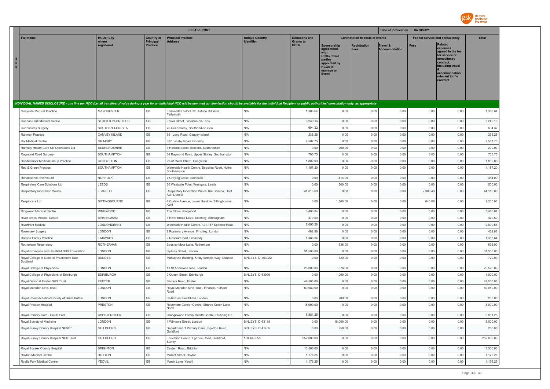

|                                                                                                                                                                                                                                |                     |                                     | <b>EFPIA REPORT</b>                                            |                          |                                 |                                                                                                                            |                                        | Date of Publication : 04/08/2021 |          |                                                                                                                                                                   |              |
|--------------------------------------------------------------------------------------------------------------------------------------------------------------------------------------------------------------------------------|---------------------|-------------------------------------|----------------------------------------------------------------|--------------------------|---------------------------------|----------------------------------------------------------------------------------------------------------------------------|----------------------------------------|----------------------------------|----------|-------------------------------------------------------------------------------------------------------------------------------------------------------------------|--------------|
| <b>Full Name</b>                                                                                                                                                                                                               | <b>HCOs: City</b>   | <b>Country of</b>                   | <b>Principal Practice</b>                                      | <b>Unique Country</b>    | <b>Donations and</b>            |                                                                                                                            | <b>Contribution to costs of Events</b> |                                  |          | Fee for service and consultancy                                                                                                                                   | <b>Total</b> |
| H.<br>$\mathbf{c}$<br>$\circ$                                                                                                                                                                                                  | where<br>registered | <b>Principal</b><br><b>Practice</b> | <b>Address</b>                                                 |                          | <b>Grants to</b><br><b>HCOs</b> | <b>Sponsorship</b><br>agreements<br><b>HCOs / third</b><br>parties<br>appointed by<br><b>HCOs to</b><br>manage an<br>Event | <b>Registration</b><br>Fees            | Travel &<br><b>Accommodation</b> | Fees     | <b>Related</b><br>expenses<br>agreed in the fee<br>for service or<br>consultancy<br>contract.<br>including travel<br>accommodation<br>relevant to the<br>contract |              |
| INDIVIDUAL NAMED DISCLOSURE - one line per HCO (i.e. all transfers of value during a year for an individual HCO will be summed up: itemization should be available for the individual Recipient or public authorities' consult |                     |                                     |                                                                |                          |                                 |                                                                                                                            |                                        |                                  |          |                                                                                                                                                                   |              |
| Quayside Medical Practice                                                                                                                                                                                                      | <b>MANCHESTER</b>   | GB                                  | Failsworth District Ctr, Ashton Rd West,                       | N/A                      | 1,388.64                        | 0.00                                                                                                                       | 0.00                                   | 0.00                             | 0.00     | 0.00                                                                                                                                                              | 1,388.64     |
|                                                                                                                                                                                                                                |                     |                                     | Failsworth                                                     |                          |                                 |                                                                                                                            |                                        |                                  |          |                                                                                                                                                                   |              |
| Queens Park Medical Centre                                                                                                                                                                                                     | STOCKTON-ON-TEES    | GB                                  | Farrer Street, Stockton-on-Tees                                | N/A                      | 3,240.16                        | 0.00                                                                                                                       | 0.00                                   | 0.00                             | 0.00     | 0.00                                                                                                                                                              | 3,240.16     |
| Queensway Surgery                                                                                                                                                                                                              | SOUTHEND-ON-SEA     | GB                                  | 75 Queensway, Southend-on-Sea                                  | N/A                      | 694.32                          | 0.00                                                                                                                       | 0.00                                   | 0.00                             | 0.00     | 0.00                                                                                                                                                              | 694.32       |
| Rahman Practice                                                                                                                                                                                                                | CANVEY ISLAND       | GB                                  | 391 Long Road, Canvey Island                                   | N/A                      | 235.25                          | 0.00                                                                                                                       | 0.00                                   | 0.00                             | 0.00     | 0.00                                                                                                                                                              | 235.25       |
| Rai Medical Centre                                                                                                                                                                                                             | <b>GRIMSBY</b>      | GB                                  | 307 Laceby Road, Grimsby                                       | N/A                      | 2,587.75                        | 0.00                                                                                                                       | 0.00                                   | 0.00                             | 0.00     | 0.00                                                                                                                                                              | 2.587.75     |
| Ramsay Health Care UK Operations Ltd                                                                                                                                                                                           | <b>BEDFORDSHIRE</b> | <b>GB</b>                           | 1 Hassett Street, Bedford, Bedfordshire                        | N/A                      | 0.00                            | 200.00                                                                                                                     | 0.00                                   | 0.00                             | 0.00     | 0.00                                                                                                                                                              | 200.00       |
| Raymond Road Surgery                                                                                                                                                                                                           | SOUTHAMPTON         | GB                                  | 34 Raymond Road, Upper Shirley, Southampton                    | N/A                      | 705.75                          | 0.00                                                                                                                       | 0.00                                   | 0.00                             | 0.00     | 0.00                                                                                                                                                              | 705.75       |
| Readesmoor Medical Group Practice                                                                                                                                                                                              | CONGLETON           | GB                                  | 29-31 West Street, Congleton                                   | N/A                      | 1,882.00                        | 0.00                                                                                                                       | 0.00                                   | 0.00                             | 0.00     | 0.00                                                                                                                                                              | 1,882.00     |
| Red & Green Practice                                                                                                                                                                                                           | SOUTHAMPTON         | GB                                  | Waterside Health Centre, Beaulieu Road, Hythe,<br>Southampton  | N/A                      | 1,157.20                        | 0.00                                                                                                                       | 0.00                                   | 0.00                             | 0.00     | 0.00                                                                                                                                                              | 1,157.20     |
| Renaissance Events Ltd                                                                                                                                                                                                         | <b>NORFOLK</b>      | GB                                  | 7 Greylag Close, Salhouse                                      | N/A                      | 0.00                            | 414.00                                                                                                                     | 0.00                                   | 0.00                             | 0.00     | 0.00                                                                                                                                                              | 414.00       |
| Respiratory Care Solutions Ltd                                                                                                                                                                                                 | LEEDS               | GB                                  | 30 Westgate Point, Westgate, Leeds                             | N/A                      | 0.00                            | 500.00                                                                                                                     | 0.00                                   | 0.00                             | 0.00     | 0.00                                                                                                                                                              | 500.00       |
| Respiratory Innovation Wales                                                                                                                                                                                                   | LLANELLI            | GB                                  | Respiratory Innovation Wales The Beacon, Heol<br>Aur, Llanelli | N/A                      | 41,815.60                       | 0.00                                                                                                                       | 0.00                                   | 0.00                             | 2,300.40 | 0.00                                                                                                                                                              | 44,116.00    |
| Respiricare Ltd                                                                                                                                                                                                                | SITTINGBOURNE       | GB                                  | 4 Curlew Avenue, Lower Halstow, Sittingbourne,<br>Kent         | N/A                      | 0.00                            | 1,360.00                                                                                                                   | 0.00                                   | 0.00                             | 840.00   | 0.00                                                                                                                                                              | 2,200.00     |
| Ringwood Medical Centre                                                                                                                                                                                                        | <b>RINGWOOD</b>     | GB                                  | The Close, Ringwood                                            | N/A                      | 3.486.84                        | 0.00                                                                                                                       | 0.00                                   | 0.00                             | 0.00     | 0.00                                                                                                                                                              | 3,486.84     |
| River Brook Medical Centre                                                                                                                                                                                                     | <b>BIRMINGHAM</b>   | GB                                  | 3 River Brook Drive, Stirchley, Birmingham                     | N/A                      | 470.50                          | 0.00                                                                                                                       | 0.00                                   | 0.00                             | 0.00     | 0.00                                                                                                                                                              | 470.50       |
| <b>Riverfront Medical</b>                                                                                                                                                                                                      | LONDONDERRY         | GB                                  | Waterside Health Centre, 121-147 Spencer Road                  | N/A                      | 2,090.58                        | 0.00                                                                                                                       | 0.00                                   | 0.00                             | 0.00     | 0.00                                                                                                                                                              | 2,090.58     |
| Rosemary Surgery                                                                                                                                                                                                               | LONDON              | GB                                  | 2 Rosemary Avenue, Finchley, London                            | N/A                      | 462.88                          | 0.00                                                                                                                       | 0.00                                   | 0.00                             | 0.00     | 0.00                                                                                                                                                              | 462.88       |
| Rossair Family Practice                                                                                                                                                                                                        | LIMAVADY            | GB                                  | 2 Rossair Road, Limavady                                       | N/A                      | 1,388.64                        | 0.00                                                                                                                       | 0.00                                   | 0.00                             | 0.00     | 0.00                                                                                                                                                              | 1,388.64     |
| Rotherham Respiratory                                                                                                                                                                                                          | ROTHERHAM           | GB                                  | Badsley Moor Lane, Rotherham                                   | N/A                      | 0.00                            | 636.00                                                                                                                     | 0.00                                   | 0.00                             | 0.00     | 0.00                                                                                                                                                              | 636.00       |
| Royal Brompton and Harefield NHS Foundation                                                                                                                                                                                    | LONDON              | GB                                  | Sydney Street, London                                          | N/A                      | 31,500.00                       | 0.00                                                                                                                       | 0.00                                   | 0.00                             | 0.00     | 0.00                                                                                                                                                              | 31,500.00    |
| Royal College of General Practioners East<br>Scotland                                                                                                                                                                          | <b>DUNDEE</b>       | GB                                  | Mackenzie Building, Kirsty Semple Way, Dundee                  | <b>BINLEYS ID-163022</b> | 0.00                            | 720.00                                                                                                                     | 0.00                                   | 0.00                             | 0.00     | 0.00                                                                                                                                                              | 720.00       |
| Royal College of Physicians                                                                                                                                                                                                    | LONDON              | GB                                  | 11 St Andrews Place, London                                    | N/A                      | 25,000.00                       | 576.00                                                                                                                     | 0.00                                   | 0.00                             | 0.00     | 0.00                                                                                                                                                              | 25,576.00    |
| Royal College of Physicians of Edinburgh                                                                                                                                                                                       | EDINBURGH           | GB                                  | 9 Queen Street, Edinburgh                                      | BINLEYS ID-63099         | 0.00                            | 1,000.00                                                                                                                   | 0.00                                   | 0.00                             | 0.00     | 0.00                                                                                                                                                              | 1,000.00     |
| Royal Devon & Exeter NHS Trust                                                                                                                                                                                                 | <b>EXETER</b>       | GB                                  | Barrack Road, Exeter                                           | N/A                      | 49,500.00                       | 0.00                                                                                                                       | 0.00                                   | 0.00                             | 0.00     | 0.00                                                                                                                                                              | 49,500.00    |
| Royal Marsden NHS Trust                                                                                                                                                                                                        | LONDON              | GB                                  | Royal Marsden NHS Trust, Finance, Fulham<br>Road               | N/A                      | 60,080.00                       | 0.00                                                                                                                       | 0.00                                   | 0.00                             | 0.00     | 0.00                                                                                                                                                              | 60,080.00    |
| Royal Pharmaceutical Society of Great Britain                                                                                                                                                                                  | LONDON              | GB                                  | 66-68 Fast Smithfield, London                                  | N/A                      | 0.00                            | 200.00                                                                                                                     | 0.00                                   | 0.00                             | 0.00     | 0.00                                                                                                                                                              | 200.00       |
| Royal Preston Hospital                                                                                                                                                                                                         | PRESTON             | GB                                  | Rosemere Cancer Centre, Sharoe Green Lane<br>North             | N/A                      | 18,000.00                       | 0.00                                                                                                                       | 0.00                                   | 0.00                             | 0.00     | 0.00                                                                                                                                                              | 18,000.00    |
| Royal Primary Care - South East                                                                                                                                                                                                | CHESTERFIELD        | GB                                  | Grangewood Family Health Centre, Stubbing Rd                   | N/A                      | 5,881.25                        | 0.00                                                                                                                       | 0.00                                   | 0.00                             | 0.00     | 0.00                                                                                                                                                              | 5,881.25     |
| Roval Society of Medicine                                                                                                                                                                                                      | LONDON              | GB                                  | 1 Wimpole Street, London                                       | BINLEYS ID-63118         | 0.00                            | 18,000.00                                                                                                                  | 0.00                                   | 0.00                             | 0.00     | 0.00                                                                                                                                                              | 18,000.00    |
| Royal Surrey County Hospital NHSFT                                                                                                                                                                                             | <b>GUILDFORD</b>    | GB                                  | Department of Primary Care, Egerton Road,<br>Guildford         | BINLEYS ID-41455         | 0.00                            | 250.00                                                                                                                     | 0.00                                   | 0.00                             | 0.00     | 0.00                                                                                                                                                              | 250.00       |
| Royal Surrey County Hospital NHS Trust                                                                                                                                                                                         | <b>GUILDFORD</b>    | $\mathbb{G}\mathbb{B}$              | Education Centre, Egerton Road, Guildford,<br>Surrev           | 1-1E64I-558              | 252,000.00                      | 0.00                                                                                                                       | 0.00                                   | 0.00                             | 0.00     | 0.00                                                                                                                                                              | 252,000.00   |
| Royal Sussex County Hospital                                                                                                                                                                                                   | <b>BRIGHTON</b>     | GB                                  | Eastern Road, Brighton                                         | N/A                      | 13,500.00                       | 0.00                                                                                                                       | 0.00                                   | 0.00                             | 0.00     | 0.00                                                                                                                                                              | 13,500.00    |
| Royton Medical Centre                                                                                                                                                                                                          | <b>ROYTON</b>       | GB                                  | Market Street, Royton                                          | N/A                      | 1,176.25                        | 0.00                                                                                                                       | 0.00                                   | 0.00                             | 0.00     | 0.00                                                                                                                                                              | 1,176.25     |
| Ryalls Park Medical Centre                                                                                                                                                                                                     | <b>YEOVIL</b>       | GB                                  | Marsh Lane, Yeovil                                             | N/A                      | 1,176.25                        | 0.00                                                                                                                       | 0.00                                   | 0.00                             | 0.00     | 0.00                                                                                                                                                              | 1,176.25     |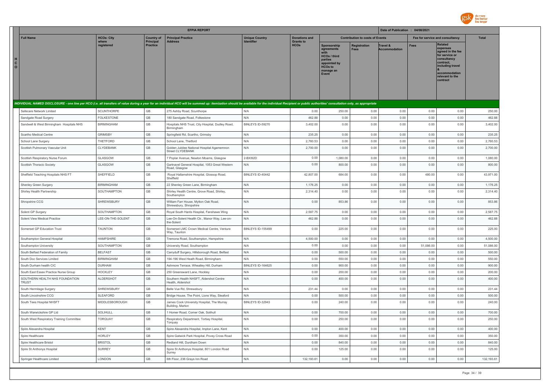

|                              |                                                                         |                                    |                                     | <b>EFPIA REPORT</b>                                                                                                                                                                                                            |                          |                                 |                                                                                                              |                                        | Date of Publication : 04/08/2021 |                                 |                                                                                                                                                                   |              |
|------------------------------|-------------------------------------------------------------------------|------------------------------------|-------------------------------------|--------------------------------------------------------------------------------------------------------------------------------------------------------------------------------------------------------------------------------|--------------------------|---------------------------------|--------------------------------------------------------------------------------------------------------------|----------------------------------------|----------------------------------|---------------------------------|-------------------------------------------------------------------------------------------------------------------------------------------------------------------|--------------|
|                              | <b>Full Name</b>                                                        | <b>HCOs: City</b>                  | <b>Country of</b>                   | <b>Principal Practice</b>                                                                                                                                                                                                      | <b>Unique Country</b>    | <b>Donations and</b>            |                                                                                                              | <b>Contribution to costs of Events</b> |                                  | Fee for service and consultancy |                                                                                                                                                                   | <b>Total</b> |
| н<br>$\mathbf{C}$<br>$\circ$ |                                                                         | where<br>registered                | <b>Principal</b><br><b>Practice</b> | <b>Address</b>                                                                                                                                                                                                                 | Identifier               | <b>Grants to</b><br><b>HCOs</b> | Sponsorship<br>agreements<br>HCOs / third<br>parties<br>appointed by<br><b>HCOs to</b><br>manage an<br>Event | <b>Registration</b><br><b>Fees</b>     | Travel &<br><b>Accommodation</b> | <b>Fees</b>                     | <b>Related</b><br>expenses<br>agreed in the fee<br>for service or<br>consultancy<br>contract.<br>including travel<br>accommodation<br>relevant to the<br>contract |              |
|                              |                                                                         |                                    |                                     | INDIVIDUAL NAMED DISCLOSURE - one line per HCO (i.e. all transfers of value during a year for an individual HCO will be summed up: itemization should be available for the individual Recipient or public authorities' consult |                          |                                 |                                                                                                              |                                        |                                  |                                 |                                                                                                                                                                   |              |
|                              | Safecare Network Limited                                                | <b>SCUNTHORPE</b>                  | GB                                  | 275 Ashby Road, Scunthorpe                                                                                                                                                                                                     | N/A                      | 0.00                            | 250.00                                                                                                       | 0.00                                   | 0.00                             | 0.00                            | 0.00                                                                                                                                                              | 250.00       |
|                              | Sandgate Road Surgery                                                   | <b>FOLKESTONE</b>                  | GB                                  | 180 Sandgate Road, Folkestone                                                                                                                                                                                                  | N/A                      | 462.88                          | 0.00                                                                                                         | 0.00                                   | 0.00                             | 0.00                            | 0.00                                                                                                                                                              | 462.88       |
|                              | Sandwell & West Birmingham Hospitals NHS                                | <b>BIRMINGHAM</b>                  | GB                                  | Hospitals NHS Trust, City Hospital, Dudley Road,<br>Birmingham                                                                                                                                                                 | BINLEYS ID-59270         | 3,402.00                        | 0.00                                                                                                         | 0.00                                   | 0.00                             | 0.00                            | 0.00                                                                                                                                                              | 3,402.00     |
|                              | Scartho Medical Centre                                                  | <b>GRIMSBY</b>                     | GB                                  | Springfield Rd, Scartho, Grimsby                                                                                                                                                                                               | N/A                      | 235.25                          | 0.00                                                                                                         | 0.00                                   | 0.00                             | 0.00                            | 0.00                                                                                                                                                              | 235.25       |
|                              | School Lane Surgery                                                     | THETFORD                           | GB                                  | School Lane, Thetford                                                                                                                                                                                                          | N/A                      | 2,760.53                        | 0.00                                                                                                         | 0.00                                   | 0.00                             | 0.00                            | 0.00                                                                                                                                                              | 2,760.53     |
|                              | Scottish Pulmonary Vascular Unit                                        | CLYDEBANK                          | GB                                  | Golden Jubilee National Hospital Agamemnon<br>Street CLYDEBANK                                                                                                                                                                 | N/A                      | 2,700.00                        | 0.00                                                                                                         | 0.00                                   | 0.00                             | 0.00                            | 0.00                                                                                                                                                              | 2,700.00     |
|                              | Scottish Respiratory Nurse Forum                                        | GLASGOW                            | GB                                  | 7 Poplar Avenue, Newton Moarns, Glasgow                                                                                                                                                                                        | 2-BXI92D                 | 0.00                            | 1,080.00                                                                                                     | 0.00                                   | 0.00                             | 0.00                            | 0.00                                                                                                                                                              | 1,080.00     |
|                              | Scottish Thoracic Society                                               | GLASGOW                            | GB                                  | Gartnavel General Hospital, 1053 Great Western<br>Road, Glasgow                                                                                                                                                                | N/A                      | 0.00                            | 800.00                                                                                                       | 0.00                                   | 0.00                             | 0.00                            | 0.00                                                                                                                                                              | 800.00       |
|                              | Sheffield Teaching Hospitals NHS FT                                     | SHEFFIELD                          | GB                                  | Royal Hallamshire Hospital, Glossop Road,<br>Sheffield                                                                                                                                                                         | BINLEYS ID-40442         | 42,807.00                       | 684.00                                                                                                       | 0.00                                   | 0.00                             | 480.00                          | 0.00                                                                                                                                                              | 43,971.00    |
|                              | Shenley Green Surgery                                                   | <b>BIRMINGHAM</b>                  | GB                                  | 22 Shenley Green Lane, Birmingham                                                                                                                                                                                              | N/A                      | 1,176.25                        | 0.00                                                                                                         | 0.00                                   | 0.00                             | 0.00                            | 0.00                                                                                                                                                              | 1,176.25     |
|                              | Shirley Health Partnership                                              | SOUTHAMPTON                        | GB                                  | Shirley Health Centre, Grove Road, Shirley,<br>Southampton                                                                                                                                                                     | N/A                      | 2,314.40                        | 0.00                                                                                                         | 0.00                                   | 0.00                             | 0.00                            | 0.00                                                                                                                                                              | 2,314.40     |
|                              | Shropshire CCG                                                          | SHREWSBURY                         | GB                                  | William Farr House, Mytton Oak Road,<br>Shrewsbury, Shropshire                                                                                                                                                                 | N/A                      | 0.00                            | 853.86                                                                                                       | 0.00                                   | 0.00                             | 0.00                            | 0.00                                                                                                                                                              | 853.86       |
|                              | Solent GP Surgery                                                       | SOUTHAMPTON                        | GB                                  | Royal South Hants Hospital, Fanshawe Wing                                                                                                                                                                                      | N/A                      | 2,587.75                        | 0.00                                                                                                         | 0.00                                   | 0.00                             | 0.00                            | 0.00                                                                                                                                                              | 2,587.75     |
|                              | Solent View Medical Practice                                            | LEE-ON-THE-SOLENT                  | <b>GB</b>                           | Lee-On-Solent Health Ctr., Manor Way, Lee-on-<br>the-Solent                                                                                                                                                                    | N/A                      | 462.88                          | 0.00                                                                                                         | 0.00                                   | 0.00                             | 0.00                            | 0.00                                                                                                                                                              | 462.88       |
|                              | Somerset GP Education Trust                                             | <b>TAUNTON</b>                     | GB                                  | Somerset LMC Crown Medical Centre, Venture<br>Way, Taunton                                                                                                                                                                     | <b>BINLEYS ID-155499</b> | 0.00                            | 225.00                                                                                                       | 0.00                                   | 0.00                             | 0.00                            | 0.00                                                                                                                                                              | 225.00       |
|                              | Southampton General Hospital                                            | <b>HAMPSHIRE</b>                   | GB                                  | Tremona Road, Southampton, Hampshire                                                                                                                                                                                           | N/A                      | 4,500.00                        | 0.00                                                                                                         | 0.00                                   | 0.00                             | 0.00                            | 0.00                                                                                                                                                              | 4,500.00     |
|                              | Southampton University                                                  | SOUTHAMPTON                        | GB                                  | University Road, Southampton                                                                                                                                                                                                   | N/A                      | 0.00                            | 0.00                                                                                                         | 0.00                                   | 0.00                             | 51.086.00                       | 0.00                                                                                                                                                              | 51.086.00    |
|                              | South Belfast Federation of Family                                      | <b>BELFAST</b>                     | GB                                  | Carryduff Surgery, Hillsborough Road, Belfast                                                                                                                                                                                  | N/A                      | 0.00                            | 500.00                                                                                                       | 0.00                                   | 0.00                             | 0.00                            | 0.00                                                                                                                                                              | 500.00       |
|                              | South Doc Services Limited                                              | <b>BIRMINGHAM</b>                  | GB                                  | 194-196 West Heath Road, Birmingham                                                                                                                                                                                            | N/A                      | 0.00                            | 550.00                                                                                                       | 0.00                                   | 0.00                             | 0.00                            | 0.00                                                                                                                                                              | 550.00       |
|                              | South Durham health CIC                                                 | <b>DURHAM</b>                      | GB                                  | Ashmore Terrace, Wheatley Hill, Durham                                                                                                                                                                                         | BINLEYS ID-164625        | 0.00                            | 900.00                                                                                                       | 0.00                                   | 0.00                             | 0.00                            | 0.00                                                                                                                                                              | 900.00       |
|                              | South East Essex Practice Nurse Group<br>SOUTHERN HEALTH NHS FOUNDATION | <b>HOCKLEY</b><br><b>ALDERSHOT</b> | GB<br>GB                            | 250 Greensward Lane, Hockley                                                                                                                                                                                                   | N/A<br>N/A               | 0.00                            | 200.00                                                                                                       | 0.00<br>0.00                           | 0.00<br>0.00                     | 0.00<br>0.00                    | 0.00<br>0.00                                                                                                                                                      | 200.00       |
| <b>TRUST</b>                 |                                                                         |                                    |                                     | Southern Health NHSFT, Aldershot Centre<br>Health, Aldershot                                                                                                                                                                   |                          | 0.00                            | 400.00                                                                                                       |                                        |                                  |                                 |                                                                                                                                                                   | 400.00       |
|                              | South Hermitage Surgery                                                 | SHREWSBURY                         | GB                                  | Belle Vue Rd, Shrewsbury                                                                                                                                                                                                       | N/A                      | 231.44                          | 0.00                                                                                                         | 0.00                                   | 0.00                             | 0.00                            | 0.00                                                                                                                                                              | 231.44       |
|                              | South Lincolnshire CCG                                                  | <b>SLEAFORD</b>                    | GB                                  | Bridge House, The Point, Lions Way, Sleaford                                                                                                                                                                                   | N/A                      | 0.00                            | 500.00                                                                                                       | 0.00                                   | 0.00                             | 0.00                            | 0.00                                                                                                                                                              | 500.00       |
|                              | South Tees Hospital NHSFT                                               | MIDDLESBOROUGH                     | GB                                  | James Cook University Hospital, The Murray<br>Building, Marton                                                                                                                                                                 | BINLEYS ID-32943         | 0.00                            | 240.00                                                                                                       | 0.00                                   | 0.00                             | 0.00                            | 0.00                                                                                                                                                              | 240.00       |
|                              | South Warwickshire GP Ltd                                               | <b>SOLIHULL</b>                    | GB                                  | 1 Homer Road, Corner Oak, Solihull                                                                                                                                                                                             | N/A                      | 0.00                            | 700.00                                                                                                       | 0.00                                   | 0.00                             | 0.00                            | 0.00                                                                                                                                                              | 700.00       |
|                              | South West Respiratory Training Committee                               | <b>TORQUAY</b>                     | GB                                  | Respiratory Department, Torbay Hospital,<br>Torguay                                                                                                                                                                            | N/A                      | 0.00                            | 250.00                                                                                                       | 0.00                                   | 0.00                             | 0.00                            | 0.00                                                                                                                                                              | 250.00       |
|                              | Spire Alexandra Hospital                                                | <b>KENT</b>                        | GB                                  | Spire Alexandra Hospital, Impton Lane, Kent                                                                                                                                                                                    | N/A                      | 0.00                            | 400.00                                                                                                       | 0.00                                   | 0.00                             | 0.00                            | 0.00                                                                                                                                                              | 400.00       |
|                              | Spire Healthcare                                                        | <b>HORLEY</b>                      | GB                                  | Spire Gatwick Park Hospital, Povey Cross Road                                                                                                                                                                                  | N/A                      | 0.00                            | 350.00                                                                                                       | 0.00                                   | 0.00                             | 0.00                            | 0.00                                                                                                                                                              | 350.00       |
|                              | Spire Healthcare Bristol                                                | <b>BRISTOL</b>                     | GB                                  | Redland Hill, Durdham Down                                                                                                                                                                                                     | N/A                      | 0.00                            | 840.00                                                                                                       | 0.00                                   | 0.00                             | 0.00                            | 0.00                                                                                                                                                              | 840.00       |
|                              | Spire St Anthonys Hospital                                              | <b>SURREY</b>                      | GB                                  | Spire St Anthonys Hospital, 801 London Road<br>Surrey                                                                                                                                                                          | N/A                      | 0.00                            | 125.00                                                                                                       | 0.00                                   | 0.00                             | 0.00                            | 0.00                                                                                                                                                              | 125.00       |
|                              | Springer Healthcare Limited                                             | LONDON                             | GB                                  | 6th Floor, 236 Grays Inn Road                                                                                                                                                                                                  | $\mathsf{N}/\mathsf{A}$  | 132,193.61                      | 0.00                                                                                                         | 0.00                                   | 0.00                             | 0.00                            | 0.00                                                                                                                                                              | 132,193.61   |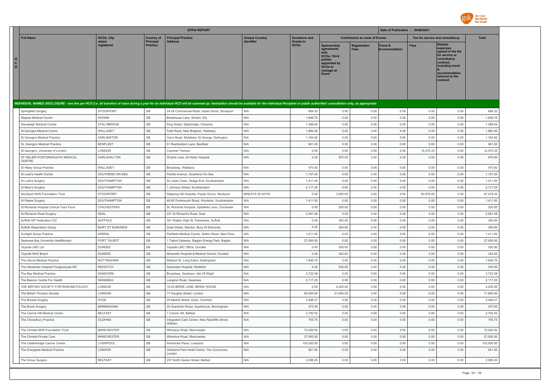

|                                                                                                                                                                                                                                |                        |                              | <b>EFPIA REPORT</b>                                     |                       |                                 |                                                                                                                     |                                        | Date of Publication : 04/08/2021 |                                 |                                                                                                                                                                   |              |
|--------------------------------------------------------------------------------------------------------------------------------------------------------------------------------------------------------------------------------|------------------------|------------------------------|---------------------------------------------------------|-----------------------|---------------------------------|---------------------------------------------------------------------------------------------------------------------|----------------------------------------|----------------------------------|---------------------------------|-------------------------------------------------------------------------------------------------------------------------------------------------------------------|--------------|
| <b>Full Name</b>                                                                                                                                                                                                               | <b>HCOs: City</b>      | <b>Country of</b>            | <b>Principal Practice</b>                               | <b>Unique Country</b> | <b>Donations and</b>            |                                                                                                                     | <b>Contribution to costs of Events</b> |                                  | Fee for service and consultancy |                                                                                                                                                                   | <b>Total</b> |
| H<br>$\mathbf{c}$<br>$\mathsf{o}\,$                                                                                                                                                                                            | where<br>registered    | Principal<br><b>Practice</b> | <b>Address</b>                                          |                       | <b>Grants to</b><br><b>HCOs</b> | Sponsorship<br>agreements<br><b>HCOs / third</b><br>parties<br>appointed by<br><b>HCOs to</b><br>manage an<br>Event | Registration<br>Fees                   | Travel &<br><b>Accommodation</b> | <b>Fees</b>                     | <b>Related</b><br>expenses<br>agreed in the fee<br>for service or<br>consultancy<br>contract.<br>including travel<br>accommodation<br>relevant to the<br>contract |              |
| INDIVIDUAL NAMED DISCLOSURE - one line per HCO (i.e. all transfers of value during a year for an individual HCO will be summed up: itemization should be available for the individual Recipient or public authorities' consult |                        |                              |                                                         |                       |                                 |                                                                                                                     |                                        |                                  |                                 |                                                                                                                                                                   |              |
| Springfield Surgery                                                                                                                                                                                                            | <b>STOCKPORT</b>       | GB                           | 24-28 Commercial Road, Hazel Grove, Stockport           | N/A                   | 694.32                          | 0.00                                                                                                                | 0.00                                   | 0.00                             | 0.00                            | 0.00                                                                                                                                                              | 694.32       |
| Staploe Medical Centre                                                                                                                                                                                                         | SOHAM                  | GB                           | Brewhouse Lane, Soham, Ely                              | N/A                   | 1,646.75                        | 0.00                                                                                                                | 0.00                                   | 0.00                             | 0.00                            | 0.00                                                                                                                                                              | 1,646.75     |
| Staveleigh Medical Centre                                                                                                                                                                                                      | STALYBRIDGE            | GB                           | King Street, Stalybridge, Cheshire                      | N/A                   | 1,388.64                        | 0.00                                                                                                                | 0.00                                   | 0.00                             | 0.00                            | 0.00                                                                                                                                                              | 1,388.64     |
| St. Georges Medical Centre                                                                                                                                                                                                     | WALLASEY               | GB                           | Field Road, New Brighton, Wallasey                      | N/A                   | 1,882.00                        | 0.00                                                                                                                | 0.00                                   | 0.00                             | 0.00                            | 0.00                                                                                                                                                              | 1,882.00     |
| St George's Medical Practice                                                                                                                                                                                                   | <b>DARLINGTON</b>      | GB                           | Yarm Road, Middleton St.George, Darlington              | N/A                   | 1,164.82                        | 0.00                                                                                                                | 0.00                                   | 0.00                             | 0.00                            | 0.00                                                                                                                                                              | 1,164.82     |
| St. George's Medical Practice                                                                                                                                                                                                  | <b>BENFLEET</b>        | GB                           | 91 Rushbottom Lane, Benfleet                            | N/A                   | 941.00                          | 0.00                                                                                                                | 0.00                                   | 0.00                             | 0.00                            | 0.00                                                                                                                                                              | 941.00       |
| St George's, University of London                                                                                                                                                                                              | LONDON                 | GB                           | Cranmer Terrace                                         | N/A                   | 0.00                            | 0.00                                                                                                                | 0.00                                   | 0.00                             | 14,470.33                       | 0.00                                                                                                                                                              | 14,470.33    |
| ST HELIER POSTGRADUATE MEDICAL<br>CENTRE                                                                                                                                                                                       | CARLSHALTON            | GB                           | Wrythe Lane, St Helier Hospital                         | N/A                   | 0.00                            | 975.00                                                                                                              | 0.00                                   | 0.00                             | 0.00                            | 0.00                                                                                                                                                              | 975.00       |
| St Hilary Group Practice                                                                                                                                                                                                       | WALLASEY               | GB                           | Broadway, Wallasev                                      | N/A                   | 470.50                          | 0.00                                                                                                                | 0.00                                   | 0.00                             | 0.00                            | 0.00                                                                                                                                                              | 470.50       |
| St Luke's Health Centre                                                                                                                                                                                                        | SOUTHEND-ON-SEA        | GB                           | Pantile Avenue, Southend-On-Sea                         | N/A                   | 1,157.20                        | 0.00                                                                                                                | 0.00                                   | 0.00                             | 0.00                            | 0.00                                                                                                                                                              | 1,157.20     |
| St Luke's Surgery                                                                                                                                                                                                              | SOUTHAMPTON            | GB                           | St Lukes Close, Hedge End, Southampton                  | N/A                   | 1,411.50                        | 0.00                                                                                                                | 0.00                                   | 0.00                             | 0.00                            | 0.00                                                                                                                                                              | 1,411.50     |
| St Mary's Surgery                                                                                                                                                                                                              | SOUTHAMPTON            | GB                           | Johnson Street, Southampton                             | N/A                   | 2,117.25                        | 0.00                                                                                                                | 0.00                                   | 0.00                             | 0.00                            | 0.00                                                                                                                                                              | 2,117.25     |
| Stockport NHS Foundation Trust                                                                                                                                                                                                 | <b>STOCKPORT</b>       | GB                           | Stepping Hill Hospital, Poplar Grove, Stockport         | BINLEYS ID-34153      | 0.00                            | 3,500.00                                                                                                            | 0.00                                   | 0.00                             | 83,979.45                       | 0.00                                                                                                                                                              | 87,479.45    |
| St Peters Surgery                                                                                                                                                                                                              | SOUTHAMPTON            | GB                           | 49-55 Portsmouth Road, Woolston, Southampton            | N/A                   | 1,411.50                        | 0.00                                                                                                                | 0.00                                   | 0.00                             | 0.00                            | 0.00                                                                                                                                                              | 1,411.50     |
| St Richards Hospital Clinical Tutor Fund                                                                                                                                                                                       | <b>CHICHESTERX</b>     | GB                           | St. Richards Hospital, Spitafield Lane, Chichester      | N/A                   | 0.00                            | 200.00                                                                                                              | 0.00                                   | 0.00                             | 0.00                            | 0.00                                                                                                                                                              | 200.00       |
| St Richards Road Surgery                                                                                                                                                                                                       | DEAL                   | GB                           | 227 St Richard's Road, Deal                             | N/A                   | 2,561.08                        | 0.00                                                                                                                | 0.00                                   | 0.00                             | 0.00                            | 0.00                                                                                                                                                              | 2,561.08     |
| Suffolk GP Federation CIC                                                                                                                                                                                                      | <b>SUFFOLK</b>         | GB                           | 301 Walton High St, Felixstowe, Suffolk                 | N/A                   | 0.00                            | 300.00                                                                                                              | 0.00                                   | 0.00                             | 0.00                            | 0.00                                                                                                                                                              | 300.00       |
| Suffolk Respiratory Group                                                                                                                                                                                                      | <b>BURY ST EDMUNDS</b> | GB                           | Duke Street, Stanton, Bury St Edmunds                   | N/A                   | 0.00                            | 300.00                                                                                                              | 0.00                                   | 0.00                             | 0.00                            | 0.00                                                                                                                                                              | 300.00       |
| <b>Sunlight Group Practice</b>                                                                                                                                                                                                 | <b>WIRRAL</b>          | GB                           | Parkfield Medical Centre, Sefton Road, New Ferry        | N/A                   | 1,411.50                        | 0.00                                                                                                                | 0.00                                   | 0.00                             | 0.00                            | 0.00                                                                                                                                                              | 1,411.50     |
| Swansea Bay University Healthboard                                                                                                                                                                                             | PORT TALBOT            | $\mathbb{G}\mathbb{B}$       | 1 Talbot Gateway, Baglan Energy Park, Baglan            | N/A                   | 27,000.00                       | 0.00                                                                                                                | 0.00                                   | 0.00                             | 0.00                            | 0.00                                                                                                                                                              | 27,000.00    |
| Tayside LMC Ltd                                                                                                                                                                                                                | DUNDEE                 | GB                           | Tayside LMC Office, Dundee                              | N/A                   | 0.00                            | 250.00                                                                                                              | 0.00                                   | 0.00                             | 0.00                            | 0.00                                                                                                                                                              | 250.00       |
| Tayside NHS Board                                                                                                                                                                                                              | <b>DUNDEE</b>          | GB                           | Ninewells Hospital & Medical School, Dundee             | N/A                   | 0.00                            | 342.83                                                                                                              | 0.00                                   | 0.00                             | 0.00                            | 0.00                                                                                                                                                              | 342.83       |
| The Aitune Medical Practice                                                                                                                                                                                                    | NOTTINGHAM             | GB                           | Midland St, Long Eaton, Nottingham                      | N/A                   | 1,646.75                        | 0.00                                                                                                                | 0.00                                   | 0.00                             | 0.00                            | 0.00                                                                                                                                                              | 1,646.75     |
| The Alexander Hospital Postgraduate MC                                                                                                                                                                                         | <b>REDDITCH</b>        | GB                           | Alexander Hospital, Redditch                            | N/A                   | 0.00                            | 530.00                                                                                                              | 0.00                                   | 0.00                             | 0.00                            | 0.00                                                                                                                                                              | 530.00       |
| The Bay Medical Practice                                                                                                                                                                                                       | SANDOWN                | GB                           | Broadway, Sandown, Isle Of Wight                        | N/A                   | 3,722.09                        | 0.00                                                                                                                | 0.00                                   | 0.00                             | 0.00                            | 0.00                                                                                                                                                              | 3,722.09     |
| The Beacon Centre For Health                                                                                                                                                                                                   | SWANSEA                | $\mathbb{G}\mathbb{B}$       | Langdon Road, Swansea                                   | N/A                   | 2,117.25                        | 0.00                                                                                                                | 0.00                                   | 0.00                             | 0.00                            | 0.00                                                                                                                                                              | 2,117.25     |
| THE BRITISH SOCIETY FOR RHEUMATOLOGY                                                                                                                                                                                           | LONDON                 | GB                           | 18-20 BRIDE LANE, BRIDE HOUSE                           | N/A                   | 0.00                            | 4,200.00                                                                                                            | 0.00                                   | 0.00                             | 0.00                            | 0.00                                                                                                                                                              | 4,200.00     |
| The British Thoracic Society                                                                                                                                                                                                   | LONDON                 | GB                           | 17 Doughty Street, London                               | N/A                   | 50,000.00                       | 21,600.00                                                                                                           | 0.00                                   | 0.00                             | 0.00                            | 0.00                                                                                                                                                              | 71,600.00    |
| The Brooke Surgery                                                                                                                                                                                                             | <b>HYDE</b>            | GB                           | 20 Market Street, Hyde, Cheshire                        | N/A                   | 3,498.27                        | 0.00                                                                                                                | 0.00                                   | 0.00                             | 0.00                            | 0.00                                                                                                                                                              | 3,498.27     |
| The Brook Surgery                                                                                                                                                                                                              | <b>BIRMINGHAM</b>      | GB                           | 34 Grantham Road, Sparkbrook, Birmingham                | N/A                   | 470.50                          | 0.00                                                                                                                | 0.00                                   | 0.00                             | 0.00                            | 0.00                                                                                                                                                              | 470.50       |
| The Carrick Hill Medical Centre                                                                                                                                                                                                | <b>BELFAST</b>         | GB                           | 1 Carrick Hill, Belfast                                 | N/A                   | 2,792.52                        | 0.00                                                                                                                | 0.00                                   | 0.00                             | 0.00                            | 0.00                                                                                                                                                              | 2,792.52     |
| The Chowdhury Practice                                                                                                                                                                                                         | OI DHAM                | GB                           | Integrated Care Centre, New Radcliffe Street,<br>Oldham | N/A                   | 705.75                          | 0.00                                                                                                                | 0.00                                   | 0.00                             | 0.00                            | 0.00                                                                                                                                                              | 705.75       |
| The Christie NHS Foundation Trust                                                                                                                                                                                              | <b>MANCHESTER</b>      | GB                           | Wilmslow Road, Manchester                               | N/A                   | 72,000.00                       | 0.00                                                                                                                | 0.00                                   | 0.00                             | 0.00                            | 0.00                                                                                                                                                              | 72,000.00    |
| The Christie Private Care                                                                                                                                                                                                      | <b>MANCHESTER</b>      | GB                           | Wilmslow Road, Manchester                               | N/A                   | 27,000.00                       | 0.00                                                                                                                | 0.00                                   | 0.00                             | 0.00                            | 0.00                                                                                                                                                              | 27,000.00    |
| The Clatterbridge Cancer Centre                                                                                                                                                                                                | <b>LIVERPOOL</b>       | GB                           | Pembroke Place, Liverpool                               | N/A                   | 103,500.00                      | 0.00                                                                                                                | 0.00                                   | 0.00                             | 0.00                            | 0.00                                                                                                                                                              | 103,500.00   |
| The Everglade Medical Practice                                                                                                                                                                                                 | LONDON                 | GB                           | Grahame Park Healt Centre, The Concourse,<br>I ondon    | N/A                   | 941.00                          | 0.00                                                                                                                | 0.00                                   | 0.00                             | 0.00                            | 0.00                                                                                                                                                              | 941.00       |
| The Group Surgery                                                                                                                                                                                                              | <b>BELFAST</b>         | GB                           | 257 North Queen Street, Belfast                         | N/A                   | 2,098.20                        | 0.00                                                                                                                | 0.00                                   | 0.00                             | 0.00                            | 0.00                                                                                                                                                              | 2,098.20     |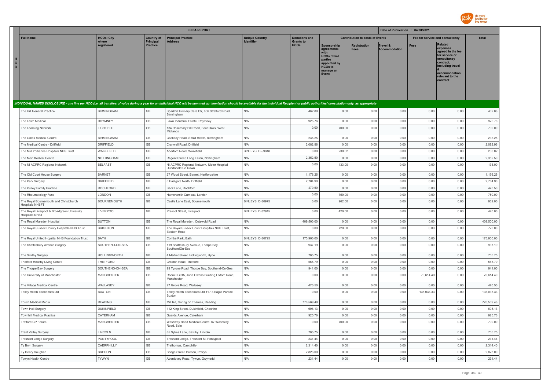

|                                                                                                                                                                                                                                |                               |                                                  | <b>EFPIA REPORT</b>                                                                          |                       |                                 |                                                                                                                     |                                        | Date of Publication : 04/08/2021 |                    |                                                                                                                                                                   |                      |
|--------------------------------------------------------------------------------------------------------------------------------------------------------------------------------------------------------------------------------|-------------------------------|--------------------------------------------------|----------------------------------------------------------------------------------------------|-----------------------|---------------------------------|---------------------------------------------------------------------------------------------------------------------|----------------------------------------|----------------------------------|--------------------|-------------------------------------------------------------------------------------------------------------------------------------------------------------------|----------------------|
| <b>Full Name</b>                                                                                                                                                                                                               | <b>HCOs: City</b>             | <b>Country of</b>                                | <b>Principal Practice</b>                                                                    | <b>Unique Country</b> | <b>Donations and</b>            |                                                                                                                     | <b>Contribution to costs of Events</b> |                                  |                    | Fee for service and consultancy                                                                                                                                   | <b>Total</b>         |
| H<br>$\mathbf{c}$<br>$\mathbf{o}$                                                                                                                                                                                              | where<br>reaistered           | Principal<br><b>Practice</b>                     | <b>Address</b>                                                                               | Identifier            | <b>Grants to</b><br><b>HCOs</b> | Sponsorship<br>agreements<br><b>HCOs / third</b><br>parties<br>appointed by<br><b>HCOs to</b><br>manage an<br>Event | Registration<br><b>Fees</b>            | Travel &<br><b>Accommodation</b> | <b>Fees</b>        | <b>Related</b><br>expenses<br>agreed in the fee<br>for service or<br>consultancy<br>contract.<br>including travel<br>accommodation<br>relevant to the<br>contract |                      |
| INDIVIDUAL NAMED DISCLOSURE - one line per HCO (i.e. all transfers of value during a year for an individual HCO will be summed up: itemization should be available for the individual Recipient or public authorities' consult |                               |                                                  |                                                                                              |                       |                                 |                                                                                                                     |                                        |                                  |                    |                                                                                                                                                                   |                      |
| The Hill General Practice                                                                                                                                                                                                      | <b>BIRMINGHAM</b>             | $\mathbb{G}\mathbb{B}$                           | Sparkhill Primary Care Ctr, 856 Stratford Road,<br>Birmingham                                | N/A                   | 462.88                          | 0.00                                                                                                                | 0.00                                   | 0.00                             | 0.00               | 0.00                                                                                                                                                              | 462.88               |
| The Lawn Medical                                                                                                                                                                                                               | <b>RHYMNEY</b>                | $\mathbb{G}\mathbb{B}$                           | Lawn Industrial Estate, Rhymney                                                              | N/A                   | 925.76                          | 0.00                                                                                                                | 0.00                                   | 0.00                             | 0.00               | 0.00                                                                                                                                                              | 925.76               |
| The Learning Network                                                                                                                                                                                                           | LICHFIELD                     | $\mathbb{G}\mathbb{B}$                           | 134 Rosemary Hill Road, Four Oaks, West<br>Midlands                                          | N/A                   | 0.00                            | 700.00                                                                                                              | 0.00                                   | 0.00                             | 0.00               | 0.00                                                                                                                                                              | 700.00               |
| The Limes Medical Centre                                                                                                                                                                                                       | <b>BIRMINGHAM</b>             | $\mathbb{G}\mathbb{B}$                           | Cooksey Road, Small Heath, Birmingham                                                        | N/A                   | 235.25                          | 0.00                                                                                                                | 0.00                                   | 0.00                             | 0.00               | 0.00                                                                                                                                                              | 235.25               |
| The Medical Centre - Driffield                                                                                                                                                                                                 | DRIFFIELD                     | GB                                               | Cranwell Road, Driffield                                                                     | N/A                   | 2,082.96                        | 0.00                                                                                                                | 0.00                                   | 0.00                             | 0.00               | 0.00                                                                                                                                                              | 2,082.96             |
| The Mid Yorkshire Hospitals NHS Trust                                                                                                                                                                                          | WAKEFIELD                     | GB                                               | Aberford Road, Wakefield                                                                     | BINLEYS ID-59048      | 0.00                            | 230.02                                                                                                              | 0.00                                   | 0.00                             | 0.00               | 0.00                                                                                                                                                              | 230.02               |
| The Moir Medical Centre                                                                                                                                                                                                        | <b>NOTTINGHAM</b>             | GB                                               | Regent Street, Long Eaton, Nottingham                                                        | N/A                   | 2,352.50                        | 0.00                                                                                                                | 0.00                                   | 0.00                             | 0.00               | 0.00                                                                                                                                                              | 2,352.50             |
| The NI ACPRC Regional Network                                                                                                                                                                                                  | <b>BELFAST</b>                | GB                                               | NI ACPRC Regional Network, Ulster Hospital<br>Dundonald Co Down                              | N/A                   | 0.00                            | 133.00                                                                                                              | 0.00                                   | 0.00                             | 0.00               | 0.00                                                                                                                                                              | 133.00               |
| The Old Court House Surgery                                                                                                                                                                                                    | <b>BARNET</b>                 | GB                                               | 27 Wood Street, Barnet, Hertfordshire                                                        | N/A                   | 1,176.25                        | 0.00                                                                                                                | 0.00                                   | 0.00                             | 0.00               | 0.00                                                                                                                                                              | 1,176.25             |
| The Park Surgery                                                                                                                                                                                                               | DRIFFIELD                     | $\mathbb{G}\mathbb{B}$                           | 6 Eastgate North, Driffield                                                                  | N/A                   | 2,784.90                        | 0.00                                                                                                                | 0.00                                   | 0.00                             | 0.00               | 0.00                                                                                                                                                              | 2,784.90             |
| The Puzey Family Practice                                                                                                                                                                                                      | <b>ROCHFORD</b>               | GB                                               | Back Lane, Rochford                                                                          | N/A                   | 470.50                          | 0.00                                                                                                                | 0.00                                   | 0.00                             | 0.00               | 0.00                                                                                                                                                              | 470.50               |
| The Rheumatology Fund                                                                                                                                                                                                          | LONDON                        | $\mathbb{G}\mathbb{B}$                           | Hamersmith Campus, London                                                                    | N/A                   | 0.00                            | 750.00                                                                                                              | 0.00                                   | 0.00                             | 0.00               | 0.00                                                                                                                                                              | 750.00               |
| The Royal Bournemouth and Christchurch<br>Hospitals NHSFT                                                                                                                                                                      | BOURNEMOUTH                   | $\mathbb{G}\mathbb{B}$                           | Castle Lane East, Bournemouth                                                                | BINLEYS ID-30975      | 0.00                            | 962.00                                                                                                              | 0.00                                   | 0.00                             | 0.00               | 0.00                                                                                                                                                              | 962.00               |
| The Royal Liverpool & Broadgreen University<br><b>Hospitals NHST</b>                                                                                                                                                           | LIVERPOOL                     | GB                                               | Prescot Street, Liverpool                                                                    | BINLEYS ID-32915      | 0.00                            | 420.00                                                                                                              | 0.00                                   | 0.00                             | 0.00               | 0.00                                                                                                                                                              | 420.00               |
| The Royal Marsden Hospital                                                                                                                                                                                                     | SUTTON                        | $\mathbb{G}\mathbb{B}$                           | The Royal Marsden, Cotswold Road                                                             | N/A                   | 409,500.00                      | 0.00                                                                                                                | 0.00                                   | 0.00                             | 0.00               | 0.00                                                                                                                                                              | 409,500.00           |
| The Royal Sussex County Hospitals NHS Trust                                                                                                                                                                                    | <b>BRIGHTON</b>               | $\mathbb{G}\mathbb{B}$                           | The Royal Sussex Count Hospitals NHS Trust,<br>Eastern Road                                  | N/A                   | 0.00                            | 720.00                                                                                                              | 0.00                                   | 0.00                             | 0.00               | 0.00                                                                                                                                                              | 720.00               |
| The Royal United Hopsital NHS Foundation Trust                                                                                                                                                                                 | BATH                          | $\mathbb{G}\mathbb{B}$                           | Combe Park, Bath                                                                             | BINLEYS ID-30725      | 175,900.00                      | 0.00                                                                                                                | 0.00                                   | 0.00                             | 0.00               | 0.00                                                                                                                                                              | 175,900.00           |
| The Shaftesbury Avenue Surgery                                                                                                                                                                                                 | SOUTHEND-ON-SEA               | GB                                               | 119 Shaftesbury Avenue, Thorpe Bay,<br>SouthendOn-Sea                                        | N/A                   | 937.19                          | 0.00                                                                                                                | 0.00                                   | 0.00                             | 0.00               | 0.00                                                                                                                                                              | 937.19               |
| The Smithy Surgery                                                                                                                                                                                                             | <b>HOLLINGWORTH</b>           | GB                                               | 4 Market Street, Hollingworth, Hyde                                                          | N/A                   | 705.75                          | 0.00                                                                                                                | 0.00                                   | 0.00                             | 0.00               | 0.00                                                                                                                                                              | 705.75               |
| Thetford Healthy Living Centre                                                                                                                                                                                                 | THETFORD                      | GB                                               | Croxton Road, Thetford                                                                       | N/A                   | 565.79                          | 0.00                                                                                                                | 0.00                                   | 0.00                             | 0.00               | 0.00                                                                                                                                                              | 565.79               |
| The Thorpe Bay Surgery<br>The University of Manchester                                                                                                                                                                         | SOUTHEND-ON-SEA<br>MANCHESTER | $\mathbb{G}\mathbb{B}$<br>GB                     | 99 Tyrone Road, Thorpe Bay, Southend-On-Sea<br>Room LG015, John Owens Building, Oxford Road, | N/A<br>N/A            | 941.00<br>0.00                  | 0.00<br>0.00                                                                                                        | 0.00<br>0.00                           | 0.00<br>0.00                     | 0.00<br>70,614.40  | 0.00<br>0.00                                                                                                                                                      | 941.00<br>70,614.40  |
|                                                                                                                                                                                                                                |                               |                                                  | Manchester                                                                                   |                       |                                 |                                                                                                                     |                                        |                                  |                    |                                                                                                                                                                   |                      |
| The Village Medical Centre<br>Tolley Heath Economics Ltd                                                                                                                                                                       | WALLASEY<br><b>BUXTON</b>     | $\mathbb{G}\mathbb{B}$<br>$\mathbb{G}\mathbb{B}$ | 27 Grove Road, Wallasey<br>Tolley Heath Economics Ltd 11-13 Eagle Parade<br>Buxton           | N/A<br>N/A            | 470.50<br>0.00                  | 0.00<br>0.00                                                                                                        | 0.00<br>0.00                           | 0.00<br>0.00                     | 0.00<br>135,033.33 | 0.00<br>0.00                                                                                                                                                      | 470.50<br>135,033.33 |
| <b>Touch Medical Media</b>                                                                                                                                                                                                     | <b>READING</b>                | GB                                               | Mill Rd, Goring on Thames, Reading                                                           | N/A                   | 776,569.48                      | 0.00                                                                                                                | 0.00                                   | 0.00                             | 0.00               | 0.00                                                                                                                                                              | 776,569.48           |
| Town Hall Surgery                                                                                                                                                                                                              | DUKINFIELD                    | $\mathbb{G}\mathbb{B}$                           | 112 King Street, Dukinfield, Cheshire                                                        | N/A                   | 698.13                          | 0.00                                                                                                                | 0.00                                   | 0.00                             | 0.00               | 0.00                                                                                                                                                              | 698.13               |
| <b>Townhill Medical Practice</b>                                                                                                                                                                                               | CATERHAM                      | $\mathbb{G}\mathbb{B}$                           | Guards Avenue, Caterham                                                                      | N/A                   | 925.76                          | 0.00                                                                                                                | 0.00                                   | 0.00                             | 0.00               | 0.00                                                                                                                                                              | 925.76               |
| Trafford GP Forum                                                                                                                                                                                                              | <b>MANCHESTER</b>             | GB                                               | Washway Road Medical Centre, 67 Washway<br>Road, Sale                                        | N/A                   | 0.00                            | 700.00                                                                                                              | 0.00                                   | 0.00                             | 0.00               | 0.00                                                                                                                                                              | 700.00               |
| <b>Trent Valley Surgery</b>                                                                                                                                                                                                    | LINCOLN                       | GB                                               | 85 Sykes Lane, Saxilby, Lincoln                                                              | N/A                   | 705.75                          | 0.00                                                                                                                | 0.00                                   | 0.00                             | 0.00               | 0.00                                                                                                                                                              | 705.75               |
| <b>Trosnant Lodge Surgery</b>                                                                                                                                                                                                  | PONTYPOOL                     | GB                                               | Trosnant Lodge, Trosnant St, Pontypool                                                       | N/A                   | 231.44                          | 0.00                                                                                                                | 0.00                                   | 0.00                             | 0.00               | 0.00                                                                                                                                                              | 231.44               |
| Ty Bryn Surgery                                                                                                                                                                                                                | CAERPHILLY                    | GB                                               | Trethomas, Caerphilly                                                                        | N/A                   | 2,314.40                        | 0.00                                                                                                                | 0.00                                   | 0.00                             | 0.00               | 0.00                                                                                                                                                              | 2.314.40             |
| Tv Henry Vaughan                                                                                                                                                                                                               | <b>BRECON</b>                 | GB                                               | Bridge Street, Brecon, Powys                                                                 | N/A                   | 2,823.00                        | 0.00                                                                                                                | 0.00                                   | 0.00                             | 0.00               | 0.00                                                                                                                                                              | 2,823.00             |
| Tywyn Health Centre                                                                                                                                                                                                            | <b>TYWYN</b>                  | GB                                               | Aberdovey Road, Tywyn, Gwynedd                                                               | N/A                   | 231.44                          | 0.00                                                                                                                | 0.00                                   | 0.00                             | 0.00               | 0.00                                                                                                                                                              | 231.44               |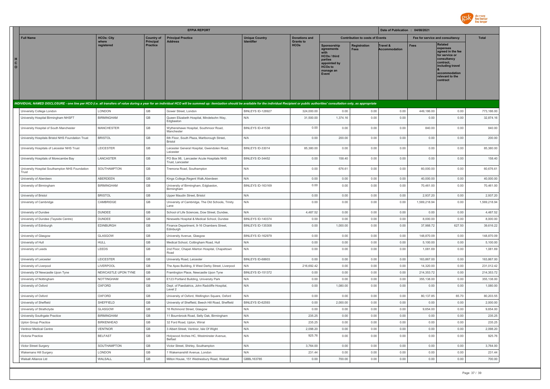

|                         |                                                         |                     |                                       | <b>EFPIA REPORT</b>                                                                                                                                                                                                            |                                            |                                          |                                                                                                                     |                                        | Date of Publication : 04/08/2021 |              |                                                                                                                                                                   |              |
|-------------------------|---------------------------------------------------------|---------------------|---------------------------------------|--------------------------------------------------------------------------------------------------------------------------------------------------------------------------------------------------------------------------------|--------------------------------------------|------------------------------------------|---------------------------------------------------------------------------------------------------------------------|----------------------------------------|----------------------------------|--------------|-------------------------------------------------------------------------------------------------------------------------------------------------------------------|--------------|
|                         | <b>Full Name</b>                                        | <b>HCOs: City</b>   | <b>Country of</b><br><b>Principal</b> | <b>Principal Practice</b><br><b>Address</b>                                                                                                                                                                                    | <b>Unique Country</b><br><b>Identifier</b> | <b>Donations and</b><br><b>Grants to</b> |                                                                                                                     | <b>Contribution to costs of Events</b> |                                  |              | Fee for service and consultancy                                                                                                                                   | <b>Total</b> |
| $\mathbf{C}$<br>$\circ$ |                                                         | where<br>registered | <b>Practice</b>                       |                                                                                                                                                                                                                                |                                            | <b>HCO<sub>s</sub></b>                   | Sponsorship<br>agreements<br><b>HCOs / third</b><br>parties<br>appointed by<br><b>HCOs to</b><br>manage an<br>Event | Registration<br>Fees                   | Travel &<br><b>Accommodation</b> | Fees         | <b>Related</b><br>expenses<br>agreed in the fee<br>for service or<br>consultancy<br>contract.<br>including travel<br>accommodation<br>relevant to the<br>contract |              |
|                         |                                                         |                     |                                       | INDIVIDUAL NAMED DISCLOSURE - one line per HCO (i.e. all transfers of value during a year for an individual HCO will be summed up: itemization should be available for the individual Recipient or public authorities' consult |                                            |                                          |                                                                                                                     |                                        |                                  |              |                                                                                                                                                                   |              |
|                         | University College London                               | LONDON              | GB                                    | Gower Street, London                                                                                                                                                                                                           | BINLEYS ID-128927                          | 324,000.00                               | 0.00                                                                                                                | 0.00                                   | 0.00                             | 449,186.00   | 0.00                                                                                                                                                              | 773,186.00   |
|                         | University Hospital Birmingham NHSFT                    | <b>BIRMINGHAM</b>   | $\mathbb{G}\mathbb{B}$                | Queen Elizabeth Hospital, Mindelsohn Way,<br>Edgbaston                                                                                                                                                                         | N/A                                        | 31,500.00                                | 1,374.16                                                                                                            | 0.00                                   | 0.00                             | 0.00         | 0.00                                                                                                                                                              | 32,874.16    |
|                         | University Hospital of South Manchester                 | <b>MANCHESTER</b>   | GB                                    | Wythenshawe Hospital, Southmoor Road,<br>Manchester                                                                                                                                                                            | BINLEYS ID-41538                           | 0.00                                     | 0.00                                                                                                                | 0.00                                   | 0.00                             | 840.00       | 0.00                                                                                                                                                              | 840.00       |
|                         | University Hospitals Bristol NHS Foundation Trust       | <b>BRISTOL</b>      | GB                                    | 6th Floor, South Plaza, Marlborough Street,<br>Bristol                                                                                                                                                                         | N/A                                        | 0.00                                     | 200.00                                                                                                              | 0.00                                   | 0.00                             | 0.00         | 0.00                                                                                                                                                              | 200.00       |
|                         | University Hospitals of Leicester NHS Trust             | LEICESTER           | GB                                    | Leicester General Hospital, Gwendolen Road,<br>Leicester                                                                                                                                                                       | BINLEYS ID-33014                           | 85,380.00                                | 0.00                                                                                                                | 0.00                                   | 0.00                             | 0.00         | 0.00                                                                                                                                                              | 85,380.00    |
|                         | University Hospitals of Morecambe Bay                   | LANCASTER           | GB                                    | PO Box 98, Lancaster Acute Hospitals NHS<br>Trust. Lancaster                                                                                                                                                                   | BINLEYS ID-34452                           | 0.00                                     | 158.40                                                                                                              | 0.00                                   | 0.00                             | 0.00         | 0.00                                                                                                                                                              | 158.40       |
|                         | University Hospital Southampton NHS Foundation<br>Trust | SOUTHAMPTON         | GB                                    | Tremona Road, Southampton                                                                                                                                                                                                      | N/A                                        | 0.00                                     | 676.61                                                                                                              | 0.00                                   | 0.00                             | 60,000.00    | 0.00                                                                                                                                                              | 60,676.61    |
|                         | University of Aberdeen                                  | ABERDEEN            | GB                                    | Kings College, Regent Walk, Aberdeen                                                                                                                                                                                           | N/A                                        | 0.00                                     | 0.00                                                                                                                | 0.00                                   | 0.00                             | 40,000.00    | 0.00                                                                                                                                                              | 40,000.00    |
|                         | University of Birmingham                                | <b>BIRMINGHAM</b>   | GB                                    | University of Birmingham, Edgbaston<br>Birmingham                                                                                                                                                                              | BINLEYS ID-163169                          | 0.00                                     | 0.00                                                                                                                | 0.00                                   | 0.00                             | 70.461.00    | 0.00                                                                                                                                                              | 70,461.00    |
|                         | University of Bristol                                   | <b>BRISTOL</b>      | GB                                    | Upper Maudin Street, Bristol                                                                                                                                                                                                   | N/A                                        | 0.00                                     | 0.00                                                                                                                | 0.00                                   | 0.00                             | 2,937.20     | 0.00                                                                                                                                                              | 2,937.20     |
|                         | University of Cambridge                                 | CAMBRIDGE           | GB                                    | University of Cambridge, The Old Schools, Trinity<br>Lane                                                                                                                                                                      | N/A                                        | 0.00                                     | 0.00                                                                                                                | 0.00                                   | 0.00                             | 1,569,218.94 | 0.00                                                                                                                                                              | 1,569,218.94 |
|                         | University of Dundee                                    | <b>DUNDEE</b>       | GB                                    | School of Life Sciences, Dow Street, Dundee,                                                                                                                                                                                   | N/A                                        | 4,487.52                                 | 0.00                                                                                                                | 0.00                                   | 0.00                             | 0.00         | 0.00                                                                                                                                                              | 4,487.52     |
|                         | University of Dundee (Tayside Centre)                   | <b>DUNDEE</b>       | GB                                    | Ninewells Hospital & Medical School, Dundee                                                                                                                                                                                    | BINLEYS ID-140374                          | 0.00                                     | 0.00                                                                                                                | 0.00                                   | 0.00                             | 8,000.00     | 0.00                                                                                                                                                              | 8,000.00     |
|                         | University of Edinburgh                                 | <b>EDINBURGH</b>    | GB                                    | Finance Department, 9-16 Chambers Street,<br>Edinburgh                                                                                                                                                                         | <b>BINLEYS ID-135308</b>                   | 0.00                                     | 1,000.00                                                                                                            | 0.00                                   | 0.00                             | 37,988.72    | 627.50                                                                                                                                                            | 39,616.22    |
|                         | University of Glasgow                                   | GLASGOW             | GB                                    | University Avenue, Glasgow                                                                                                                                                                                                     | BINLEYS ID-162979                          | 0.00                                     | 0.00                                                                                                                | 0.00                                   | 0.00                             | 148,870.09   | 0.00                                                                                                                                                              | 148,870.09   |
|                         | University of Hull                                      | <b>HULL</b>         | GB                                    | Medical School, Cottingham Road, Hull                                                                                                                                                                                          | N/A                                        | 0.00                                     | 0.00                                                                                                                | 0.00                                   | 0.00                             | 5,100.00     | 0.00                                                                                                                                                              | 5,100.00     |
|                         | University of Leeds                                     | LEEDS               | GB                                    | 2nd Floor, Chapel Allerton Hospital, Chapeltown<br>Road                                                                                                                                                                        | N/A                                        | 0.00                                     | 0.00                                                                                                                | 0.00                                   | 0.00                             | 1,081.69     | 0.00                                                                                                                                                              | 1,081.69     |
|                         | University of Leicester                                 | LEICESTER           | GB                                    | University Road, Leicester                                                                                                                                                                                                     | BINLEYS ID-68603                           | 0.00                                     | 0.00                                                                                                                | 0.00                                   | 0.00                             | 163,867.00   | 0.00                                                                                                                                                              | 163,867.00   |
|                         | University of Liverpool                                 | LIVERPOOL           | GB                                    | The Apex Building, 8 West Derby Street, Liverpool                                                                                                                                                                              | N/A                                        | 216,692.42                               | 0.00                                                                                                                | 0.00                                   | 0.00                             | 14,320.00    | 0.00                                                                                                                                                              | 231,012.42   |
|                         | University Of Newcastle Upon Tyne                       | NEWCASTLE UPON TYNE | GB                                    | Framlington Place, Newcastle Upon Tyne                                                                                                                                                                                         | BINLEYS ID-151372                          | 0.00                                     | 0.00                                                                                                                | 0.00                                   | 0.00                             | 214,353.72   | 0.00                                                                                                                                                              | 214,353.72   |
|                         | University of Nottingham                                | NOTTINGHAM          | GB                                    | E123 Portland Building, University Park                                                                                                                                                                                        | N/A                                        | 0.00                                     | 0.00                                                                                                                | 0.00                                   | 0.00                             | 355,138.00   | 0.00                                                                                                                                                              | 355,138.00   |
|                         | University of Oxford                                    | OXFORD              | GB                                    | Dept. of Paediatrics, John Radcliffe Hospital,<br>Level 2                                                                                                                                                                      | N/A                                        | 0.00                                     | 1,080.00                                                                                                            | 0.00                                   | 0.00                             | 0.00         | 0.00                                                                                                                                                              | 1,080.00     |
|                         | University of Oxford                                    | OXFORD              | GB                                    | University of Oxford, Wellington Square, Oxford                                                                                                                                                                                | N/A                                        | 0.00                                     | 0.00                                                                                                                | 0.00                                   | 0.00                             | 80,137.85    | 65.70                                                                                                                                                             | 80,203.55    |
|                         | University of Sheffield                                 | SHEFFIELD           | GB                                    | University of Sheffield, Beech Hill Road, Sheffield                                                                                                                                                                            | BINLEYS ID-62593                           | 0.00                                     | 2,000.00                                                                                                            | 0.00                                   | 0.00                             | 0.00         | 0.00                                                                                                                                                              | 2,000.00     |
|                         | University of Strathclyde                               | GLASGOW             | GB                                    | 16 Richmond Street, Glasgow                                                                                                                                                                                                    | N/A                                        | 0.00                                     | 0.00                                                                                                                | 0.00                                   | 0.00                             | 9,654.00     | 0.00                                                                                                                                                              | 9,654.00     |
|                         | University Southgate Practice                           | <b>BIRMINGHAM</b>   | GB                                    | 11 Bournbrook Road, Selly Oak, Birmingham                                                                                                                                                                                      | N/A                                        | 235.25                                   | 0.00                                                                                                                | 0.00                                   | 0.00                             | 0.00         | 0.00                                                                                                                                                              | 235.25       |
|                         | <b>Upton Group Practice</b>                             | <b>BIRKENHEAD</b>   | GB                                    | 32 Ford Road, Upton, Wirral                                                                                                                                                                                                    | N/A                                        | 235.25                                   | 0.00                                                                                                                | 0.00                                   | 0.00                             | 0.00         | 0.00                                                                                                                                                              | 235.25       |
|                         | Ventnor Medical Centre                                  | <b>VENTNOR</b>      | GB                                    | 3 Albert Street, Ventnor, Isle Of Wight                                                                                                                                                                                        | N/A                                        | 2,098.20                                 | 0.00                                                                                                                | 0.00                                   | 0.00                             | 0.00         | 0.00                                                                                                                                                              | 2,098.20     |
|                         | Victoria Practice                                       | <b>BELFAST</b>      | GB                                    | Holywood Arches HC, Westminster Avenue,<br>Belfast                                                                                                                                                                             | N/A                                        | 925.76                                   | 0.00                                                                                                                | 0.00                                   | 0.00                             | 0.00         | 0.00                                                                                                                                                              | 925.76       |
|                         | Victor Street Surgery                                   | SOUTHAMPTON         | GB                                    | Victor Street, Shirley, Southampton                                                                                                                                                                                            | N/A                                        | 3,764.00                                 | 0.00                                                                                                                | 0.00                                   | 0.00                             | 0.00         | 0.00                                                                                                                                                              | 3,764.00     |
|                         | Wakemans Hill Surgery                                   | LONDON              | GB                                    | 1 Wakemanshill Avenue, London                                                                                                                                                                                                  | N/A                                        | 231.44                                   | 0.00                                                                                                                | 0.00                                   | 0.00                             | 0.00         | 0.00                                                                                                                                                              | 231.44       |
|                         | Walsall Alliance Ltd                                    | WALSALL             | GB                                    | Milton House, 151 Wednesbury Road, Walsall                                                                                                                                                                                     | GBBL163785                                 | 0.00                                     | 700.00                                                                                                              | 0.00                                   | 0.00                             | 0.00         | 0.00                                                                                                                                                              | 700.00       |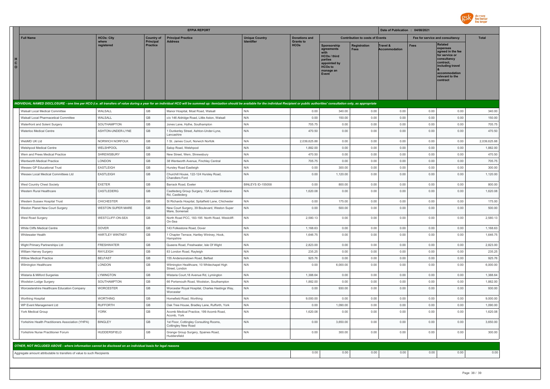

|                                                                                                                                                                                                                                |                            |                                     | <b>EFPIA REPORT</b>                                             |                                            |                                 |                                                                                                                                           |                                    | Date of Publication : 04/08/2021 |                                 |                                                                                                                                                                   |              |
|--------------------------------------------------------------------------------------------------------------------------------------------------------------------------------------------------------------------------------|----------------------------|-------------------------------------|-----------------------------------------------------------------|--------------------------------------------|---------------------------------|-------------------------------------------------------------------------------------------------------------------------------------------|------------------------------------|----------------------------------|---------------------------------|-------------------------------------------------------------------------------------------------------------------------------------------------------------------|--------------|
| <b>Full Name</b>                                                                                                                                                                                                               | <b>HCOs: City</b><br>where | <b>Country of</b>                   | <b>Principal Practice</b>                                       | <b>Unique Country</b><br><b>Identifier</b> | <b>Donations and</b>            | <b>Contribution to costs of Events</b>                                                                                                    |                                    |                                  | Fee for service and consultancy | Total                                                                                                                                                             |              |
| н<br>$\mathbf{C}$<br>$\circ$                                                                                                                                                                                                   | registered                 | <b>Principal</b><br><b>Practice</b> | <b>Address</b>                                                  |                                            | <b>Grants to</b><br><b>HCOs</b> | <b>Sponsorship</b><br>agreements<br>with<br><b>HCOs / third</b><br>parties<br>appointed by<br><b>HCOs to</b><br>manage an<br><b>Event</b> | <b>Registration</b><br><b>Fees</b> | Travel &<br><b>Accommodation</b> | <b>Fees</b>                     | <b>Related</b><br>expenses<br>agreed in the fee<br>for service or<br>consultancy<br>contract.<br>including travel<br>accommodation<br>relevant to the<br>contract |              |
|                                                                                                                                                                                                                                |                            |                                     |                                                                 |                                            |                                 |                                                                                                                                           |                                    |                                  |                                 |                                                                                                                                                                   |              |
| INDIVIDUAL NAMED DISCLOSURE - one line per HCO (i.e. all transfers of value during a year for an individual HCO will be summed up: itemization should be available for the individual Recipient or public authorities' consult |                            |                                     |                                                                 |                                            |                                 |                                                                                                                                           |                                    |                                  |                                 |                                                                                                                                                                   |              |
| Walsall Local Medical Committee                                                                                                                                                                                                | WALSALL                    | GB                                  | Manor Hospital, Moat Road, Walsall                              | N/A                                        | 0.00                            | 340.00                                                                                                                                    | 0.00                               | 0.00                             | 0.00                            | 0.00                                                                                                                                                              | 340.00       |
| Walsall Local Pharmacetical Committee                                                                                                                                                                                          | WALSALL                    | GB                                  | c/o 146 Aldridge Road, Little Aston, Walsall                    | N/A                                        | 0.00                            | 150.00                                                                                                                                    | 0.00                               | 0.00                             | 0.00                            | 0.00                                                                                                                                                              | 150.00       |
| Waterfront and Solent Surgery                                                                                                                                                                                                  | SOUTHAMPTON                | GB                                  | Jones Lane, Hythe, Southampton                                  | N/A                                        | 705.75                          | 0.00                                                                                                                                      | 0.00                               | 0.00                             | 0.00                            | 0.00                                                                                                                                                              | 705.75       |
| Waterloo Medical Centre                                                                                                                                                                                                        | ASHTON-UNDER-LYNE          | GB                                  | 1 Dunkerley Street, Ashton-Under-Lyne,<br>I ancashire           | N/A                                        | 470.50                          | 0.00                                                                                                                                      | 0.00                               | 0.00                             | 0.00                            | 0.00                                                                                                                                                              | 470.50       |
| WebMD UK Ltd                                                                                                                                                                                                                   | NORWICH NORFOLK            | GB                                  | 1 St. James Court, Norwich Norfolk                              | N/A                                        | 2,039,625.88                    | 0.00                                                                                                                                      | 0.00                               | 0.00                             | 0.00                            | 0.00                                                                                                                                                              | 2,039,625.88 |
| <b>Welshpool Medical Centre</b>                                                                                                                                                                                                | WELSHPOOL                  | GB                                  | Salop Road, Welshpool                                           | N/A                                        | 1,882.00                        | 0.00                                                                                                                                      | 0.00                               | 0.00                             | 0.00                            | 0.00                                                                                                                                                              | 1,882.00     |
| Wem and Prees Medical Practice                                                                                                                                                                                                 | SHREWSBURY                 | GB                                  | New Street, Wem, Shrewsbury                                     | N/A                                        | 470.50                          | 0.00                                                                                                                                      | 0.00                               | 0.00                             | 0.00                            | 0.00                                                                                                                                                              | 470.50       |
| Wentworth Medical Practice                                                                                                                                                                                                     | LONDON                     | GB                                  | 38 Wentworth Avenue, Finchley Central                           | N/A                                        | 705.75                          | 0.00                                                                                                                                      | 0.00                               | 0.00                             | 0.00                            | 0.00                                                                                                                                                              | 705.75       |
| Wessex GP Educational Trust                                                                                                                                                                                                    | <b>EASTLEIGH</b>           | GB                                  | Hursley Road Eastleigh                                          | N/A                                        | 0.00                            | 300.00                                                                                                                                    | 0.00                               | 0.00                             | 0.00                            | 0.00                                                                                                                                                              | 300.00       |
| Wessex Local Medical Committees Ltd                                                                                                                                                                                            | EASTLEIGH                  | $\mathbb{G}\mathbb{B}$              | Churchill House, 122-124 Hursley Road,<br>Chandlers Ford        | N/A                                        | 0.00                            | 1,120.00                                                                                                                                  | 0.00                               | 0.00                             | 0.00                            | 0.00                                                                                                                                                              | 1,120.00     |
| West Country Chest Society                                                                                                                                                                                                     | <b>EXETER</b>              | GB                                  | Barrack Road, Exeter                                            | <b>BINLEYS ID-155058</b>                   | 0.00                            | 800.00                                                                                                                                    | 0.00                               | 0.00                             | 0.00                            | 0.00                                                                                                                                                              | 800.00       |
| Western Rural Healthcare                                                                                                                                                                                                       | CASTLEDERG                 | GB                                  | Castlederg Group Surgery, 13A Lower Strabane<br>Rd, Castlederg  | N/A                                        | 1,620.08                        | 0.00                                                                                                                                      | 0.00                               | 0.00                             | 0.00                            | 0.00                                                                                                                                                              | 1,620.08     |
| Western Sussex Hospital Trust                                                                                                                                                                                                  | <b>CHICHESTER</b>          | GB                                  | St Richards Hospital, Spitalfield Lane, Chichester              | N/A                                        | 0.00                            | 175.00                                                                                                                                    | 0.00                               | 0.00                             | 0.00                            | 0.00                                                                                                                                                              | 175.00       |
| Weston Planet New Court Surgery                                                                                                                                                                                                | <b>WESTON SUPER MARE</b>   | GB                                  | New Court Surgery, 39 Boulevard, Weston Super<br>Mare, Somerset | N/A                                        | 0.00                            | 500.00                                                                                                                                    | 0.00                               | 0.00                             | 0.00                            | 0.00                                                                                                                                                              | 500.00       |
| West Road Surgery                                                                                                                                                                                                              | WESTCLIFF-ON-SEA           | GB                                  | North Road PCC, 183-195 North Road, Westcliff-<br>On-Sea        | N/A                                        | 2,580.13                        | 0.00                                                                                                                                      | 0.00                               | 0.00                             | 0.00                            | 0.00                                                                                                                                                              | 2,580.13     |
| White Cliffs Medical Centre                                                                                                                                                                                                    | <b>DOVER</b>               | $\mathbb{G}\mathbb{B}$              | 143 Folkestone Road, Dover                                      | N/A                                        | 1,168.63                        | 0.00                                                                                                                                      | 0.00                               | 0.00                             | 0.00                            | 0.00                                                                                                                                                              | 1,168.63     |
| Whitewater Health                                                                                                                                                                                                              | HARTLEY WINTNEY            | $\mathbb{G}\mathbb{B}$              | Chapter Terrace, Hartley Wintney, Hook,<br>Hampshire            | N/A                                        | 1,646.75                        | 0.00                                                                                                                                      | 0.00                               | 0.00                             | 0.00                            | 0.00                                                                                                                                                              | 1,646.75     |
| Wight Primary Partnerships Ltd                                                                                                                                                                                                 | <b>FRESHWATER</b>          | $\mathbb{G}\mathbb{B}$              | Queens Road, Freshwater, Isle Of Wight                          | N/A                                        | 2,823.00                        | 0.00                                                                                                                                      | 0.00                               | 0.00                             | 0.00                            | 0.00                                                                                                                                                              | 2,823.00     |
| William Harvey Surgery                                                                                                                                                                                                         | RAYLEIGH                   | $\mathbb{G}\mathbb{B}$              | 83 London Road, Rayleigh                                        | N/A                                        | 235.25                          | 0.00                                                                                                                                      | 0.00                               | 0.00                             | 0.00                            | 0.00                                                                                                                                                              | 235.25       |
| <b>Willow Medical Practice</b>                                                                                                                                                                                                 | <b>BELFAST</b>             | GB                                  | 155 Andersonstown Road, Belfast                                 | N/A                                        | 925.76                          | 0.00                                                                                                                                      | 0.00                               | 0.00                             | 0.00                            | 0.00                                                                                                                                                              | 925.76       |
| Wilmington Healthcare                                                                                                                                                                                                          | LONDON                     | GB                                  | Wilmington Healthcare, 10 Whitechapel High<br>Street, London    | N/A                                        | 0.00                            | 6,000.00                                                                                                                                  | 0.00                               | 0.00                             | 0.00                            | 0.00                                                                                                                                                              | 6,000.00     |
| Wistaria & Milford Surgeries                                                                                                                                                                                                   | LYMINGTON                  | $\mathbb{G}\mathbb{B}$              | Wistaria Court, 18 Avenue Rd, Lymington                         | N/A                                        | 1,388.64                        | 0.00                                                                                                                                      | 0.00                               | 0.00                             | 0.00                            | 0.00                                                                                                                                                              | 1,388.64     |
| Woolston Lodge Surgery                                                                                                                                                                                                         | SOUTHAMPTON                | GB                                  | 66 Portsmouth Road, Woolston, Southampton                       | N/A                                        | 1,882.00                        | 0.00                                                                                                                                      | 0.00                               | 0.00                             | 0.00                            | 0.00                                                                                                                                                              | 1,882.00     |
| Worcestershire Healthcare Education Company                                                                                                                                                                                    | WORCESTER                  | $\mathbb{G}\mathbb{B}$              | Worcester Royal Hospital, Charles Hastings Way,<br>Worcester    | N/A                                        | 0.00                            | 930.00                                                                                                                                    | 0.00                               | 0.00                             | 0.00                            | 0.00                                                                                                                                                              | 930.00       |
| Worthing Hospital                                                                                                                                                                                                              | <b>WORTHING</b>            | $\mathbb{G}\mathbb{B}$              | Homefield Road, Worthing                                        | N/A                                        | 9,000.00                        | 0.00                                                                                                                                      | 0.00                               | 0.00                             | 0.00                            | 0.00                                                                                                                                                              | 9,000.00     |
| WP Event Management Ltd                                                                                                                                                                                                        | <b>RUFFORTH</b>            | $\mathbb{G}\mathbb{B}$              | Oak Tree House, Bradley Lane, Rufforth, York                    | N/A                                        | 0.00                            | 1,090.00                                                                                                                                  | 0.00                               | 0.00                             | 0.00                            | 0.00                                                                                                                                                              | 1,090.00     |
| York Medical Group                                                                                                                                                                                                             | <b>YORK</b>                | GB                                  | Acomb Medical Practice, 199 Acomb Road,<br>Acomb, York          | N/A                                        | 1,620.08                        | 0.00                                                                                                                                      | 0.00                               | 0.00                             | 0.00                            | 0.00                                                                                                                                                              | 1,620.08     |
| Yorkshire Health Practitioners Association (YHPA)                                                                                                                                                                              | <b>BINGLEY</b>             | GB                                  | 1st Floor, Cottingley Consulting Rooms,<br>Cottingley New Road  | N/A                                        | 0.00                            | 3,650.00                                                                                                                                  | 0.00                               | 0.00                             | 0.00                            | 0.00                                                                                                                                                              | 3,650.00     |
| Yorkshire Nurse Practitioner Forum                                                                                                                                                                                             | <b>HUDDERSFIELD</b>        | GB                                  | Grange Group Surgery, Spaines Road,<br>Huddersfield             | N/A                                        | 0.00                            | 300.00                                                                                                                                    | 0.00                               | 0.00                             | 0.00                            | 0.00                                                                                                                                                              | 300.00       |
|                                                                                                                                                                                                                                |                            |                                     |                                                                 |                                            |                                 |                                                                                                                                           |                                    |                                  |                                 |                                                                                                                                                                   |              |
| OTHER, NOT INCLUDED ABOVE - where information cannot be disclosed on an individual basis for legal reasons                                                                                                                     |                            |                                     |                                                                 |                                            |                                 |                                                                                                                                           |                                    |                                  |                                 |                                                                                                                                                                   |              |
| Aggregate amount attributable to transfers of value to such Recipients                                                                                                                                                         |                            |                                     |                                                                 |                                            | 0.00                            | 0.00                                                                                                                                      | 0.00                               | 0.00                             | 0.00                            | 0.00                                                                                                                                                              | 0.00         |